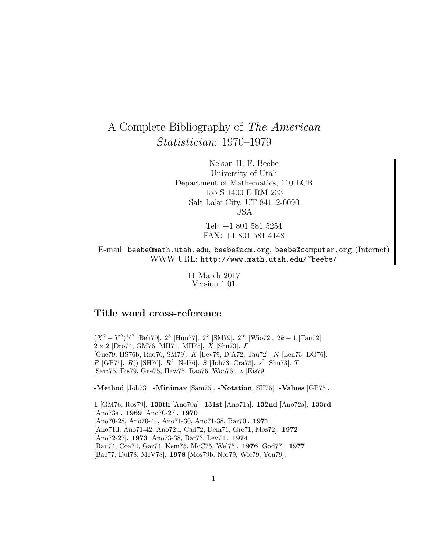# A Complete Bibliography of The American Statistician: 1970–1979

Nelson H. F. Beebe University of Utah Department of Mathematics, 110 LCB 155 S 1400 E RM 233 Salt Lake City, UT 84112-0090 USA

> Tel: +1 801 581 5254 FAX: +1 801 581 4148

E-mail: beebe@math.utah.edu, beebe@acm.org, beebe@computer.org (Internet) WWW URL: http://www.math.utah.edu/~beebe/

> 11 March 2017 Version 1.01

# **Title word cross-reference**

 $(X^2 - Y^2)^{1/2}$  [Beh70]. 2<sup>5</sup> [Hun77]. 2<sup>k</sup> [SM79]. 2<sup>m</sup> [Wio72]. 2k – 1 [Tau72].  $2\times2$  [Dro74, GM76, MH71, MH75].  $\bar{X}$  [Shu73].  $F$ [Gue79, HS76b, Rao76, SM79]. K [Lev79, D'A72, Tau72]. N [Len73, BG76]. P [GP75].  $R()$  [SH76].  $R^2$  [Nel76].  $S$  [Joh73, Cra73].  $s^2$  [Shu73]. T [Sam75, Eis79, Gue75, Haw75, Rao76, Woo76]. z [Eis79].

**-Method** [Joh73]. **-Minimax** [Sam75]. **-Notation** [SH76]. **-Values** [GP75].

**1** [GM76, Ros79]. **130th** [Ano70a]. **131st** [Ano71a]. **132nd** [Ano72a]. **133rd** [Ano73a]. **1969** [Ano70-27]. **1970** [Ano70-28, Ano70-41, Ano71-30, Ano71-38, Bar70]. **1971** [Ano71d, Ano71-42, Ano72u, Cad72, Dem71, Gre71, Mos72]. **1972** [Ano72-27]. **1973** [Ano73-38, Bar73, Lev74]. **1974** [Ban74, Coa74, Gar74, Kem75, McC75, Wel75]. **1976** [God77]. **1977** [Bac77, Duf78, McV78]. **1978** [Mos79b, Nor79, Wic79, You79].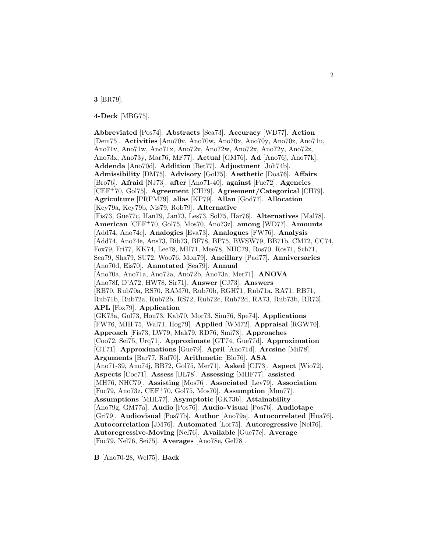**3** [BR79].

**4-Deck** [MBG75].

**Abbreviated** [Pos74]. **Abstracts** [Sea73]. **Accuracy** [WD77]. **Action** [Dem75]. **Activities** [Ano70v, Ano70w, Ano70x, Ano70y, Ano70z, Ano71u, Ano71v, Ano71w, Ano71x, Ano72v, Ano72w, Ano72x, Ano72y, Ano72z, Ano73x, Ano73y, Mar76, MF77]. **Actual** [GM76]. **Ad** [Ano76j, Ano77k]. **Addenda** [Ano70d]. **Addition** [Bet77]. **Adjustment** [Joh74b]. **Admissibility** [DM75]. **Advisory** [Gol75]. **Aesthetic** [Doa76]. **Affairs** [Bro76]. **Afraid** [NJ73]. **after** [Ano71-40]. **against** [Fue72]. **Agencies** [CEF<sup>+</sup>70, Gol75]. **Agreement** [CH79]. **Agreement/Categorical** [CH79]. **Agriculture** [PRPM79]. **alias** [KP79]. **Allan** [God77]. **Allocation** [Key79a, Key79b, Nis79, Rob79]. **Alternative** [Fis73, Gue77c, Han79, Jan73, Les73, Sol75, Har76]. **Alternatives** [Mal78]. **American** [CEF<sup>+</sup>70, Gol75, Mos70, Ano73z]. **among** [WD77]. **Amounts** [Add74, Ano74e]. **Analogies** [Eva73]. **Analogues** [FW76]. **Analysis** [Add74, Ano74e, Ans73, Bib73, BF78, BP75, BWSW79, BB71b, CM72, CC74, Fox79, Fri77, KK74, Lee78, MH71, Mee78, NHC79, Ros70, Ros71, Sch71, Sea79, Sha79, SU72, Woo76, Mon79]. **Ancillary** [Pad77]. **Anniversaries** [Ano70d, Eis70]. **Annotated** [Sea79]. **Annual** [Ano70a, Ano71a, Ano72a, Ano72b, Ano73a, Mer71]. **ANOVA** [Ano78f, D'A72, HW78, Sir71]. **Answer** [CJ73]. **Answers** [RB70, Rub70a, RS70, RAM70, Rub70b, RGH71, Rub71a, RA71, RB71, Rub71b, Rub72a, Rub72b, RS72, Rub72c, Rub72d, RA73, Rub73b, RR73]. **APL** [Fox79]. **Application** [GK73a, Gol73, Hou73, Kab70, Mor73, Sim76, Spe74]. **Applications** [FW76, MHF75, Wal71, Hog79]. **Applied** [WM72]. **Appraisal** [RGW70]. **Approach** [Fis73, LW79, Mak79, RD76, Smi78]. **Approaches** [Coo72, Sei75, Urq71]. **Approximate** [GT74, Gue77d]. **Approximation** [GT71]. **Approximations** [Gue79]. **April** [Ano71d]. **Arcsine** [Mil78]. **Arguments** [Bar77, Raf70]. **Arithmetic** [Blo76]. **ASA** [Ano71-39, Ano74j, BB72, Gol75, Mer71]. **Asked** [CJ73]. **Aspect** [Wio72]. **Aspects** [Coc71]. **Assess** [BL78]. **Assessing** [MHF77]. **assisted** [MH76, NHC79]. **Assisting** [Mos76]. **Associated** [Lev79]. **Association** [Fuc79, Ano73z, CEF<sup>+</sup>70, Gol75, Mos70]. **Assumption** [Mun77]. **Assumptions** [MHL77]. **Asymptotic** [GK73b]. **Attainability** [Ano79g, GM77a]. **Audio** [Pos76]. **Audio-Visual** [Pos76]. **Audiotape** [Gri79]. **Audiovisual** [Pos77b]. **Author** [Ano79a]. **Autocorrelated** [Hua76]. **Autocorrelation** [JM76]. **Automated** [Lor75]. **Autoregressive** [Nel76]. **Autoregressive-Moving** [Nel76]. **Available** [Gue77e]. **Average** [Fuc79, Nel76, Sei75]. **Averages** [Ano78e, Gel78].

**B** [Ano70-28, Wel75]. **Back**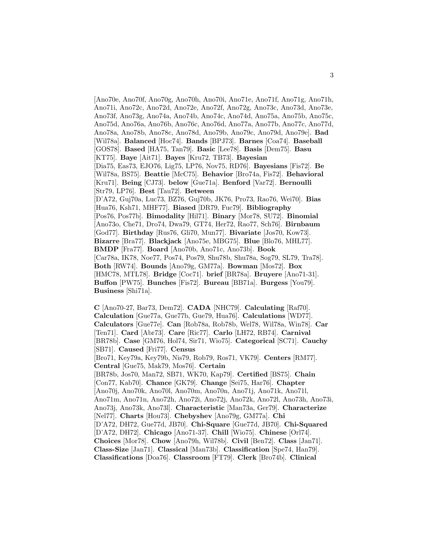[Ano70e, Ano70f, Ano70g, Ano70h, Ano70i, Ano71e, Ano71f, Ano71g, Ano71h, Ano71i, Ano72c, Ano72d, Ano72e, Ano72f, Ano72g, Ano73c, Ano73d, Ano73e, Ano73f, Ano73g, Ano74a, Ano74b, Ano74c, Ano74d, Ano75a, Ano75b, Ano75c, Ano75d, Ano76a, Ano76b, Ano76c, Ano76d, Ano77a, Ano77b, Ano77c, Ano77d, Ano78a, Ano78b, Ano78c, Ano78d, Ano79b, Ano79c, Ano79d, Ano79e]. **Bad** [Wil78a]. **Balanced** [Hoc74]. **Bands** [BPJ73]. **Barnes** [Coa74]. **Baseball** [GOS78]. **Based** [HA75, Tan79]. **Basic** [Lee78]. **Basis** [Dem75]. **Basu** [KT75]. **Baye** [Ait71]. **Bayes** [Kru72, TB73]. **Bayesian** [Dia75, Eas73, EJO76, Lig75, LP76, Nov75, RD76]. **Bayesians** [Fis72]. **Be** [Wil78a, BS75]. **Beattie** [McC75]. **Behavior** [Bro74a, Fis72]. **Behavioral** [Kru71]. **Being** [CJ73]. **below** [Gue71a]. **Benford** [Var72]. **Bernoulli** [Str79, LP76]. **Best** [Tau72]. **Between** [D'A72, Guj70a, Luc73, BZ76, Guj70b, JK76, Pro73, Rao76, Wei70]. **Bias** [Hua76, Ksh71, MHF77]. **Biased** [DR79, Fuc79]. **Bibliography** [Pos76, Pos77b]. **Bimodality** [Hil71]. **Binary** [Mor78, SU72]. **Binomial** [Ano73o, Che71, Dro74, Dwa79, GT74, Her72, Rao77, Sch76]. **Birnbaum** [God77]. **Birthday** [Rus76, Gli70, Mun77]. **Bivariate** [Jos70, Kow73]. **Bizarre** [Bra77]. **Blackjack** [Ano75e, MBG75]. **Blue** [Blo76, MHL77]. **BMDP** [Fra77]. **Board** [Ano70b, Ano71c, Ano73b]. **Book** [Car78a, IK78, Noe77, Pos74, Pos79, Shu78b, Shu78a, Sog79, SL79, Tra78]. **Both** [RW74]. **Bounds** [Ano79g, GM77a]. **Bowman** [Mos72]. **Box** [HMC78, MTL78]. **Bridge** [Coc71]. **brief** [BR78a]. **Bruyere** [Ano71-31]. **Buffon** [PW75]. **Bunches** [Fis72]. **Bureau** [BB71a]. **Burgess** [You79]. **Business** [Shi71a].

**C** [Ano70-27, Bar73, Dem72]. **CADA** [NHC79]. **Calculating** [Raf70]. **Calculation** [Gue77a, Gue77b, Gue79, Hua76]. **Calculations** [WD77]. **Calculators** [Gue77e]. **Can** [Rob78a, Rob78b, Wel78, Wil78a, Win78]. **Car** [Ten71]. **Card** [Abr73]. **Care** [Ric77]. **Carlo** [LH72, RB74]. **Carnival** [BR78b]. **Case** [GM76, Hol74, Sir71, Wio75]. **Categorical** [SC71]. **Cauchy** [SB71]. **Caused** [Fri77]. **Census** [Bro71, Key79a, Key79b, Nis79, Rob79, Ros71, VK79]. **Centers** [RM77]. **Central** [Gue75, Mak79, Mos76]. **Certain** [BR78b, Jos70, Man72, SB71, WK70, Kap79]. **Certified** [BS75]. **Chain** [Con77, Kab70]. **Chance** [GK79]. **Change** [Sei75, Har76]. **Chapter** [Ano70j, Ano70k, Ano70l, Ano70m, Ano70n, Ano71j, Ano71k, Ano71l, Ano71m, Ano71n, Ano72h, Ano72i, Ano72j, Ano72k, Ano72l, Ano73h, Ano73i, Ano73j, Ano73k, Ano73l]. **Characteristic** [Man73a, Ger79]. **Characterize** [Nel77]. **Charts** [Hou73]. **Chebyshev** [Ano79g, GM77a]. **Chi** [D'A72, DH72, Gue77d, JB70]. **Chi-Square** [Gue77d, JB70]. **Chi-Squared** [D'A72, DH72]. **Chicago** [Ano71-37]. **Chill** [Wio75]. **Chinese** [Orl74]. **Choices** [Mor78]. **Chow** [Ano79h, Wil78b]. **Civil** [Ben72]. **Class** [Jan71]. **Class-Size** [Jan71]. **Classical** [Man73b]. **Classification** [Spe74, Han79]. **Classifications** [Doa76]. **Classroom** [FT79]. **Clerk** [Bro74b]. **Clinical**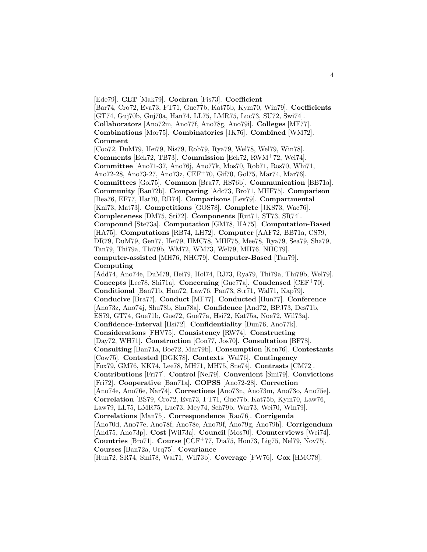[Ede79]. **CLT** [Mak79]. **Cochran** [Fis73]. **Coefficient**

[Bar74, Cro72, Eva73, FT71, Gue77b, Kat75b, Kym70, Win79]. **Coefficients** [GT74, Guj70b, Guj70a, Han74, LL75, LMR75, Luc73, SU72, Swi74]. **Collaborators** [Ano72m, Ano77f, Ano78g, Ano79i]. **Colleges** [MF77]. **Combinations** [Mor75]. **Combinatorics** [JK76]. **Combined** [WM72]. **Comment**

[Coo72, DuM79, Hei79, Nis79, Rob79, Rya79, Wel78, Wel79, Win78]. **Comments** [Eck72, TB73]. **Commission** [Eck72, RWM<sup>+</sup>72, Wei74]. **Committee** [Ano71-37, Ano76j, Ano77k, Mos70, Rob71, Ros70, Whi71, Ano72-28, Ano73-27, Ano73z, CEF<sup>+</sup>70, Gif70, Gol75, Mar74, Mar76]. **Committees** [Gol75]. **Common** [Bra77, HS76b]. **Communication** [BB71a]. **Community** [Ban72b]. **Comparing** [Adc73, Bro71, MHF75]. **Comparison** [Bea76, EF77, Har70, RB74]. **Comparisons** [Lev79]. **Compartmental** [Kni73, Mat73]. **Competitions** [GOS78]. **Complete** [JKS73, Wac76]. **Completeness** [DM75, Sti72]. **Components** [Rut71, ST73, SR74]. **Compound** [Ste73a]. **Computation** [GM78, HA75]. **Computation-Based** [HA75]. **Computations** [RB74, LH72]. **Computer** [AAF72, BB71a, CS79, DR79, DuM79, Gen77, Hei79, HMC78, MHF75, Mee78, Rya79, Sea79, Sha79, Tan79, Thi79a, Thi79b, WM72, WM73, Wel79, MH76, NHC79]. **computer-assisted** [MH76, NHC79]. **Computer-Based** [Tan79]. **Computing**

[Add74, Ano74e, DuM79, Hei79, Hol74, RJ73, Rya79, Thi79a, Thi79b, Wel79]. **Concepts** [Lee78, Shi71a]. **Concerning** [Gue77a]. **Condensed** [CEF<sup>+</sup>70]. **Conditional** [Ban71b, Hun72, Law76, Pan73, Str71, Wal71, Kap79]. **Conducive** [Bra77]. **Conduct** [MF77]. **Conducted** [Hun77]. **Conference** [Ano73z, Ano74j, Shu78b, Shu78a]. **Confidence** [And72, BPJ73, Des71b, ES79, GT74, Gue71b, Gue72, Gue77a, Hsi72, Kat75a, Noe72, Wil73a]. **Confidence-Interval** [Hsi72]. **Confidentiality** [Dun76, Ano77k]. **Considerations** [FHV75]. **Consistency** [RW74]. **Constructing** [Day72, WH71]. **Construction** [Con77, Jos70]. **Consultation** [BF78]. **Consulting** [Ban71a, Boe72, Mar79b]. **Consumption** [Ken76]. **Contestants** [Cow75]. **Contested** [DGK78]. **Contexts** [Wal76]. **Contingency** [Fox79, GM76, KK74, Lee78, MH71, MH75, Sne74]. **Contrasts** [CM72]. **Contributions** [Fri77]. **Control** [Nel79]. **Convenient** [Smi79]. **Convictions** [Fri72]. **Cooperative** [Ban71a]. **COPSS** [Ano72-28]. **Correction** [Ano74e, Ano76e, Nar74]. **Corrections** [Ano73n, Ano73m, Ano73o, Ano75e]. **Correlation** [BS79, Cro72, Eva73, FT71, Gue77b, Kat75b, Kym70, Law76, Law79, LL75, LMR75, Luc73, Mey74, Sch79b, War73, Wei70, Win79]. **Correlations** [Man75]. **Correspondence** [Rao76]. **Corrigenda** [Ano70d, Ano77e, Ano78f, Ano78e, Ano79f, Ano79g, Ano79h]. **Corrigendum** [And75, Ano73p]. **Cost** [Wil73a]. **Council** [Mos70]. **Counterviews** [Wei74]. **Countries** [Bro71]. **Course** [CCF<sup>+</sup>77, Dia75, Hou73, Lig75, Nel79, Nov75]. **Courses** [Ban72a, Urq75]. **Covariance**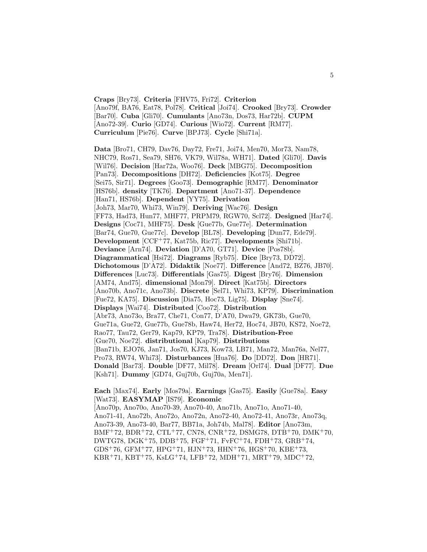**Craps** [Bry73]. **Criteria** [FHV75, Fri72]. **Criterion** [Ano79f, BA76, Eat78, Pol78]. **Critical** [Joi74]. **Crooked** [Bry73]. **Crowder** [Bar70]. **Cuba** [Gli70]. **Cumulants** [Ano73n, Dos73, Har72b]. **CUPM** [Ano72-39]. **Curio** [GD74]. **Curious** [Wio72]. **Current** [RM77]. **Curriculum** [Pie76]. **Curve** [BPJ73]. **Cycle** [Shi71a].

**Data** [Bro71, CH79, Dav76, Day72, Fre71, Joi74, Men70, Mor73, Nam78, NHC79, Ros71, Sea79, SH76, VK79, Wil78a, WH71]. **Dated** [Gli70]. **Davis** [Wil76]. **Decision** [Har72a, Woo76]. **Deck** [MBG75]. **Decomposition** [Pan73]. **Decompositions** [DH72]. **Deficiencies** [Kot75]. **Degree** [Sei75, Sir71]. **Degrees** [Goo73]. **Demographic** [RM77]. **Denominator** [HS76b]. **density** [TK76]. **Department** [Ano71-37]. **Dependence** [Han71, HS76b]. **Dependent** [YY75]. **Derivation** [Joh73, Mar70, Whi73, Win79]. **Deriving** [Wac76]. **Design** [FF73, Had73, Hun77, MHF77, PRPM79, RGW70, Scl72]. **Designed** [Har74]. **Designs** [Coc71, MHF75]. **Desk** [Gue77b, Gue77e]. **Determination** [Bar74, Gue70, Gue77c]. **Develop** [BL78]. **Developing** [Dun77, Ede79]. **Development** [CCF<sup>+</sup>77, Kat75b, Ric77]. **Developments** [Shi71b]. **Deviance** [Arn74]. **Deviation** [D'A70, GT71]. **Device** [Pos78b]. **Diagrammatical** [Hsi72]. **Diagrams** [Ryb75]. **Dice** [Bry73, DD72]. **Dichotomous** [D'A72]. **Didaktik** [Noe77]. **Difference** [And72, BZ76, JB70]. **Differences** [Luc73]. **Differentials** [Gas75]. **Digest** [Bry76]. **Dimension** [AM74, And75]. **dimensional** [Mon79]. **Direct** [Kat75b]. **Directors** [Ano70b, Ano71c, Ano73b]. **Discrete** [Sel71, Whi73, KP79]. **Discrimination** [Fue72, KA75]. **Discussion** [Dia75, Hoc73, Lig75]. **Display** [Sne74]. **Displays** [Wai74]. **Distributed** [Coo72]. **Distribution** [Abr73, Ano73o, Bra77, Che71, Con77, D'A70, Dwa79, GK73b, Gue70, Gue71a, Gue72, Gue77b, Gue78b, Haw74, Her72, Hoc74, JB70, KS72, Noe72, Rao77, Tau72, Ger79, Kap79, KP79, Tra78]. **Distribution-Free** [Gue70, Noe72]. **distributional** [Kap79]. **Distributions** [Ban71b, EJO76, Jan71, Jos70, KJ73, Kow73, LB71, Man72, Man76a, Nel77, Pro73, RW74, Whi73]. **Disturbances** [Hua76]. **Do** [DD72]. **Don** [HR71]. **Donald** [Bar73]. **Double** [DF77, Mil78]. **Dream** [Orl74]. **Dual** [DF77]. **Due** [Ksh71]. **Dummy** [GD74, Guj70b, Guj70a, Men71].

**Each** [Max74]. **Early** [Mos79a]. **Earnings** [Gas75]. **Easily** [Gue78a]. **Easy** [Wat73]. **EASYMAP** [IS79]. **Economic** [Ano70p, Ano70o, Ano70-39, Ano70-40, Ano71b, Ano71o, Ano71-40, Ano71-41, Ano72b, Ano72o, Ano72n, Ano72-40, Ano72-41, Ano73r, Ano73q, Ano73-39, Ano73-40, Bar77, BB71a, Joh74b, Mal78]. **Editor** [Ano73m,

BMF<sup>+</sup>72, BDR<sup>+</sup>72, CTL<sup>+</sup>77, CN78, CNR<sup>+</sup>72, DSMG78, DTB<sup>+</sup>70, DMK<sup>+</sup>70, DWTG78, DGK<sup>+</sup>75, DDB<sup>+</sup>75, FGF<sup>+</sup>71, FvFC<sup>+</sup>74, FDH<sup>+</sup>73, GRB<sup>+</sup>74, GDS<sup>+</sup>76, GFM<sup>+</sup>77, HPG<sup>+</sup>71, HJN<sup>+</sup>73, HHN<sup>+</sup>76, HGS<sup>+</sup>70, KBE<sup>+</sup>73,

 $KBR+71, KBT+75, KsLG+74, LFB+72, MDH+71, MRT+79, MDC+72,$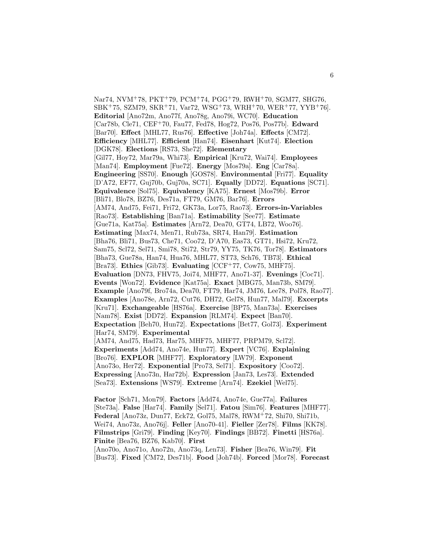Nar74, NVM<sup>+</sup>78, PKT<sup>+</sup>79, PCM<sup>+</sup>74, PGG<sup>+</sup>79, RWH<sup>+</sup>70, SGM77, SHG76,  $SBK<sup>+</sup>75, SZM79, SKR<sup>+</sup>71, Var72, WSG<sup>+</sup>73, WRH<sup>+</sup>70, WER<sup>+</sup>77, YYB<sup>+</sup>76$ . **Editorial** [Ano72m, Ano77f, Ano78g, Ano79i, WC70]. **Education** [Car78b, Cle71, CEF<sup>+</sup>70, Fau77, Fed78, Hog72, Pos76, Pos77b]. **Edward** [Bar70]. **Effect** [MHL77, Rus76]. **Effective** [Joh74a]. **Effects** [CM72]. **Efficiency** [MHL77]. **Efficient** [Han74]. **Eisenhart** [Kut74]. **Election** [DGK78]. **Elections** [RS73, She72]. **Elementary** [Gil77, Hoy72, Mar79a, Whi73]. **Empirical** [Kru72, Wai74]. **Employees** [Man74]. **Employment** [Fue72]. **Energy** [Mos79a]. **Eng** [Car78a]. **Engineering** [SS70]. **Enough** [GOS78]. **Environmental** [Fri77]. **Equality** [D'A72, EF77, Guj70b, Guj70a, SC71]. **Equally** [DD72]. **Equations** [SC71]. **Equivalence** [Sol75]. **Equivalency** [KA75]. **Ernest** [Mos79b]. **Error** [Bli71, Blo78, BZ76, Des71a, FT79, GM76, Bar76]. **Errors** [AM74, And75, Fei71, Fri72, GK73a, Lor75, Rao73]. **Errors-in-Variables** [Rao73]. **Establishing** [Ban71a]. **Estimability** [See77]. **Estimate** [Gue71a, Kat75a]. **Estimates** [Arn72, Dea70, GT74, LB72, Woo76]. **Estimating** [Max74, Men71, Rub73a, SR74, Han79]. **Estimation** [Bha76, Bli71, Bus73, Che71, Coo72, D'A70, Eas73, GT71, Hsi72, Kru72, Sam75, Scl72, Sel71, Smi78, Sti72, Str79, YY75, TK76, Tor78]. **Estimators** [Bha73, Gue78a, Han74, Hua76, MHL77, ST73, Sch76, TB73]. **Ethical** [Bra73]. **Ethics** [Gib73]. **Evaluating** [CCF<sup>+</sup>77, Cow75, MHF75]. **Evaluation** [DN73, FHV75, Joi74, MHF77, Ano71-37]. **Evenings** [Coc71]. **Events** [Won72]. **Evidence** [Kat75a]. **Exact** [MBG75, Man73b, SM79]. **Example** [Ano79f, Bro74a, Dea70, FT79, Har74, JM76, Lee78, Pol78, Rao77]. **Examples** [Ano78e, Arn72, Cut76, DH72, Gel78, Hun77, Mal79]. **Excerpts** [Kru71]. **Exchangeable** [HS76a]. **Exercise** [BP75, Man73a]. **Exercises** [Nam78]. **Exist** [DD72]. **Expansion** [RLM74]. **Expect** [Ban70]. **Expectation** [Beh70, Hun72]. **Expectations** [Bet77, Gol73]. **Experiment** [Har74, SM79]. **Experimental** [AM74, And75, Had73, Har75, MHF75, MHF77, PRPM79, Scl72]. **Experiments** [Add74, Ano74e, Hun77]. **Expert** [VC76]. **Explaining** [Bro76]. **EXPLOR** [MHF77]. **Exploratory** [LW79]. **Exponent** [Ano73o, Her72]. **Exponential** [Pro73, Sel71]. **Expository** [Coo72]. **Expressing** [Ano73n, Har72b]. **Expression** [Jan73, Les73]. **Extended** [Sea73]. **Extensions** [WS79]. **Extreme** [Arn74]. **Ezekiel** [Wel75].

**Factor** [Sch71, Mon79]. **Factors** [Add74, Ano74e, Gue77a]. **Failures** [Ste73a]. **False** [Har74]. **Family** [Sel71]. **Fatou** [Sim76]. **Features** [MHF77]. **Federal** [Ano73z, Dun77, Eck72, Gol75, Mal78, RWM<sup>+</sup>72, Shi70, Shi71b, Wei74, Ano73z, Ano76j]. **Feller** [Ano70-41]. **Fieller** [Zer78]. **Films** [KK78]. **Filmstrips** [Gri79]. **Finding** [Key70]. **Findings** [BB72]. **Finetti** [HS76a]. **Finite** [Bea76, BZ76, Kab70]. **First**

[Ano70o, Ano71o, Ano72n, Ano73q, Len73]. **Fisher** [Bea76, Win79]. **Fit** [Bus73]. **Fixed** [CM72, Des71b]. **Food** [Joh74b]. **Forced** [Mor78]. **Forecast**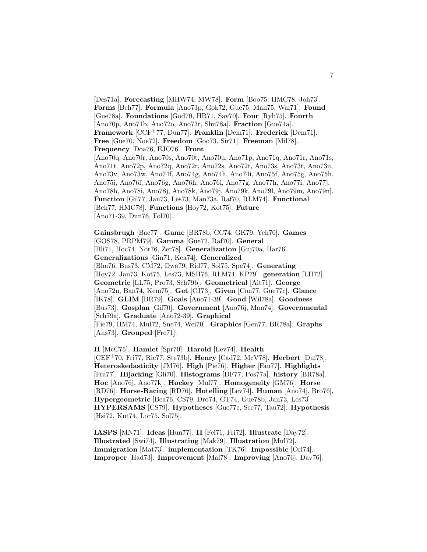[Des71a]. **Forecasting** [MHW74, MW78]. **Form** [Boo75, HMC78, Joh73]. **Forms** [Beh77]. **Formula** [Ano73p, Gok72, Gue75, Man75, Wal71]. **Found** [Gue78a]. **Foundations** [God70, HR71, Sav70]. **Four** [Ryb75]. **Fourth** [Ano70p, Ano71b, Ano72o, Ano73r, Shu78a]. **Fraction** [Gue71a]. **Framework** [CCF<sup>+</sup>77, Dun77]. **Franklin** [Dem71]. **Frederick** [Dem71]. **Free** [Gue70, Noe72]. **Freedom** [Goo73, Sir71]. **Freeman** [Mil78]. **Frequency** [Doa76, EJO76]. **Front** [Ano70q, Ano70r, Ano70s, Ano70t, Ano70u, Ano71p, Ano71q, Ano71r, Ano71s, Ano71t, Ano72p, Ano72q, Ano72r, Ano72s, Ano72t, Ano73s, Ano73t, Ano73u, Ano73v, Ano73w, Ano74f, Ano74g, Ano74h, Ano74i, Ano75f, Ano75g, Ano75h, Ano75i, Ano76f, Ano76g, Ano76h, Ano76i, Ano77g, Ano77h, Ano77i, Ano77j, Ano78h, Ano78i, Ano78j, Ano78k, Ano79j, Ano79k, Ano79l, Ano79m, Ano79n]. **Function** [Gil77, Jan73, Les73, Man73a, Raf70, RLM74]. **Functional** [Beh77, HMC78]. **Functions** [Hoy72, Kot75]. **Future** [Ano71-39, Dun76, Fol70].

**Gainsbrugh** [Bac77]. **Game** [BR78b, CC74, GK79, Yeh70]. **Games** [GOS78, PRPM79]. **Gamma** [Gue72, Raf70]. **General** [Bli71, Hoc74, Nor76, Zer78]. **Generalization** [Guj70a, Har76]. **Generalizations** [Gin71, Kea74]. **Generalized** [Bha76, Bus73, CM72, Dwa79, Rid77, Sol75, Spe74]. **Generating** [Hoy72, Jan73, Kot75, Les73, MSH76, RLM74, KP79]. **generation** [LH72]. **Geometric** [LL75, Pro73, Sch79b]. **Geometrical** [Ait71]. **George** [Ano72u, Ban74, Kem75]. **Get** [CJ73]. **Given** [Con77, Gue77c]. **Glance** [IK78]. **GLIM** [BR79]. **Goals** [Ano71-39]. **Good** [Wil78a]. **Goodness** [Bus73]. **Gosplan** [Gif70]. **Government** [Ano76j, Man74]. **Governmental** [Sch79a]. **Graduate** [Ano72-39]. **Graphical** [Fie79, HM74, Mul72, Sne74, Wei70]. **Graphics** [Gen77, BR78a]. **Graphs** [Ans73]. **Grouped** [Fre71].

**H** [McC75]. **Hamlet** [Spr70]. **Harold** [Lev74]. **Health** [CEF<sup>+</sup>70, Fri77, Ric77, Ste73b]. **Henry** [Cad72, McV78]. **Herbert** [Duf78]. **Heteroskedasticity** [JM76]. **High** [Pie76]. **Higher** [Fau77]. **Highlights** [Fra77]. **Hijacking** [Gli70]. **Histograms** [DF77, Pos77a]. **history** [BR78a]. **Hoc** [Ano76j, Ano77k]. **Hockey** [Mul77]. **Homogeneity** [GM76]. **Horse** [RD76]. **Horse-Racing** [RD76]. **Hotelling** [Lev74]. **Human** [Ano74j, Bro76]. **Hypergeometric** [Bea76, CS79, Dro74, GT74, Gue78b, Jan73, Les73]. **HYPERSAMS** [CS79]. **Hypotheses** [Gue77c, See77, Tau72]. **Hypothesis** [Hsi72, Kut74, Lor75, Sol75].

**IASPS** [MN71]. **Ideas** [Hun77]. **II** [Fei71, Fri72]. **Illustrate** [Day72]. **Illustrated** [Swi74]. **Illustrating** [Mak79]. **Illustration** [Mul72]. **Immigration** [Mat73]. **implementation** [TK76]. **Impossible** [Orl74]. **Improper** [Had73]. **Improvement** [Mal78]. **Improving** [Ano76j, Dav76].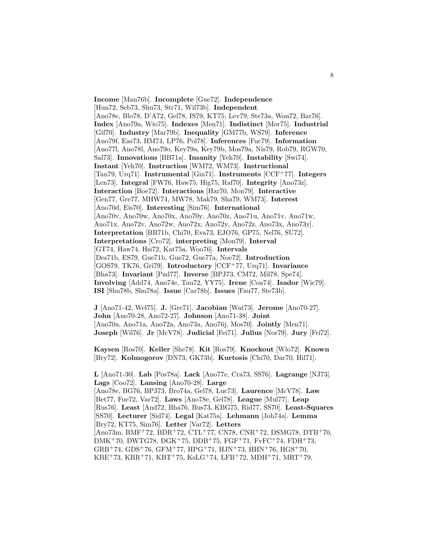**Income** [Man76b]. **Incomplete** [Gue72]. **Independence** [Hun72, Seb73, Shu73, Str71, Wil73b]. **Independent** [Ano78e, Blo78, D'A72, Gel78, IS79, KT75, Lev79, Ste73a, Won72, Bar76]. **Index** [Ano79a, Wio75]. **Indexes** [Men71]. **Indistinct** [Mor75]. **Industrial** [Gif70]. **Industry** [Mar79b]. **Inequality** [GM77b, WS79]. **Inference** [Ano79f, Eas73, HM74, LP76, Pol78]. **Inferences** [Fuc79]. **Information** [Ano77l, Ano78l, Ano79o, Key79a, Key79b, Mos79a, Nis79, Rob79, RGW70, Sal73]. **Innovations** [BB71a]. **Insanity** [Yeh70]. **Instability** [Swi74]. **Instant** [Yeh70]. **Instruction** [WM72, WM73]. **Instructional** [Tan79, Urq71]. **Instrumental** [Gin71]. **Instruments** [CCF<sup>+</sup>77]. **Integers** [Len73]. **Integral** [FW76, Haw75, Hig75, Raf70]. **Integrity** [Ano73z]. **Interaction** [Boe72]. **Interactions** [Har70, Mon79]. **Interactive** [Gen77, Gre77, MHW74, MW78, Mak79, Sha79, WM73]. **Interest** [Ano70d, Eis70]. **Interesting** [Sim76]. **International** [Ano70v, Ano70w, Ano70x, Ano70y, Ano70z, Ano71u, Ano71v, Ano71w, Ano71x, Ano72v, Ano72w, Ano72x, Ano72y, Ano72z, Ano73x, Ano73y]. **Interpretation** [BB71b, Chi70, Eva73, EJO76, GP75, Nel76, SU72]. **Interpretations** [Cro72]. **interpreting** [Mon79]. **Interval** [GT74, Haw74, Hsi72, Kat75a, Woo76]. **Intervals** [Des71b, ES79, Gue71b, Gue72, Gue77a, Noe72]. **Introduction** [GOS79, TK76, Gri79]. **Introductory** [CCF<sup>+</sup>77, Urq71]. **Invariance** [Bha73]. **Invariant** [Pad77]. **Inverse** [BPJ73, CM72, Mil78, Spe74]. **Involving** [Add74, Ano74e, Tau72, YY75]. **Irene** [Coa74]. **Isador** [Wic79]. **ISI** [Shu78b, Shu78a]. **Issue** [Car78b]. **Issues** [Fau77, Ste73b].

**J** [Ano71-42, Wel75]. **J.** [Gre71]. **Jacobian** [Wat73]. **Jerome** [Ano70-27]. **John** [Ano70-28, Ano72-27]. **Johnson** [Ano71-38]. **Joint** [Ano70a, Ano71a, Ano72a, Ano73a, Ano76j, Mos70]. **Jointly** [Men71]. **Joseph** [Wil76]. **Jr** [McV78]. **Judicial** [Fei71]. **Julius** [Nor79]. **Jury** [Fri72].

**Kaysen** [Ros70]. **Keller** [She78]. **Kit** [Ros79]. **Knockout** [Wio72]. **Known** [Bry72]. **Kolmogorov** [DN73, GK73b]. **Kurtosis** [Chi70, Dar70, Hil71].

**L** [Ano71-30]. **Lab** [Pos78a]. **Lack** [Ano77e, Cra73, SS76]. **Lagrange** [NJ73]. **Lags** [Coo72]. **Lansing** [Ano70-28]. **Large** [Ano78e, BG76, BPJ73, Bro74a, Gel78, Luc73]. **Laurence** [McV78]. **Law** [Bet77, Fue72, Var72]. **Laws** [Ano78e, Gel78]. **League** [Mul77]. **Leap** [Rus76]. **Least** [And72, Bha76, Bus73, KBG75, Rid77, SS70]. **Least-Squares** [SS70]. **Lecturer** [Sid74]. **Legal** [Kat75a]. **Lehmann** [Joh74a]. **Lemma** [Bry72, KT75, Sim76]. **Letter** [Var72]. **Letters** [Ano73m, BMF<sup>+</sup>72, BDR<sup>+</sup>72, CTL<sup>+</sup>77, CN78, CNR<sup>+</sup>72, DSMG78, DTB<sup>+</sup>70, DMK<sup>+</sup>70, DWTG78, DGK<sup>+</sup>75, DDB<sup>+</sup>75, FGF<sup>+</sup>71, FvFC<sup>+</sup>74, FDH<sup>+</sup>73,  $GRB+74, GDS+76, GFM+77, HPG+71, HJN+73, HHN+76, HGS+70,$ KBE+73, KBR+71, KBT+75, KsLG+74, LFB+72, MDH+71, MRT+79,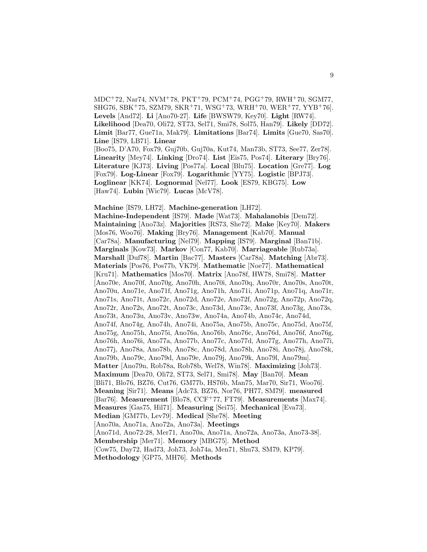$MDC+72$ , Nar74, NVM+78, PKT+79, PCM+74, PGG+79, RWH+70, SGM77,  $SHG76, SBK+75, SZM79, SKR+71, WSG+73, WRH+70, WER+77, YYB+76$ . **Levels** [And72]. **Li** [Ano70-27]. **Life** [BWSW79, Key70]. **Light** [RW74].

**Likelihood** [Dea70, Oli72, ST73, Sel71, Smi78, Sol75, Han79]. **Likely** [DD72]. **Limit** [Bar77, Gue71a, Mak79]. **Limitations** [Bar74]. **Limits** [Gue70, Sas70]. **Line** [IS79, LB71]. **Linear**

[Boo75, D'A70, Fox79, Guj70b, Guj70a, Kut74, Man73b, ST73, See77, Zer78]. **Linearity** [Mey74]. **Linking** [Dro74]. **List** [Eis75, Pos74]. **Literary** [Bry76]. **Literature** [KJ73]. **Living** [Pos77a]. **Local** [Blu75]. **Location** [Gre77]. **Log** [Fox79]. **Log-Linear** [Fox79]. **Logarithmic** [YY75]. **Logistic** [BPJ73]. **Loglinear** [KK74]. **Lognormal** [Nel77]. **Look** [ES79, KBG75]. **Low** [Haw74]. **Lubin** [Wic79]. **Lucas** [McV78].

**Machine** [IS79, LH72]. **Machine-generation** [LH72]. **Machine-Independent** [IS79]. **Made** [Wat73]. **Mahalanobis** [Dem72]. **Maintaining** [Ano73z]. **Majorities** [RS73, She72]. **Make** [Key70]. **Makers** [Mos76, Woo76]. **Making** [Bry76]. **Management** [Kab70]. **Manual** [Car78a]. **Manufacturing** [Nel79]. **Mapping** [IS79]. **Marginal** [Ban71b]. **Marginals** [Kow73]. **Markov** [Con77, Kab70]. **Marriageable** [Rub73a]. **Marshall** [Duf78]. **Martin** [Bac77]. **Masters** [Car78a]. **Matching** [Abr73]. **Materials** [Pos76, Pos77b, VK79]. **Mathematic** [Noe77]. **Mathematical** [Kru71]. **Mathematics** [Mos70]. **Matrix** [Ano78f, HW78, Smi78]. **Matter** [Ano70e, Ano70f, Ano70g, Ano70h, Ano70i, Ano70q, Ano70r, Ano70s, Ano70t, Ano70u, Ano71e, Ano71f, Ano71g, Ano71h, Ano71i, Ano71p, Ano71q, Ano71r, Ano71s, Ano71t, Ano72c, Ano72d, Ano72e, Ano72f, Ano72g, Ano72p, Ano72q, Ano72r, Ano72s, Ano72t, Ano73c, Ano73d, Ano73e, Ano73f, Ano73g, Ano73s, Ano73t, Ano73u, Ano73v, Ano73w, Ano74a, Ano74b, Ano74c, Ano74d, Ano74f, Ano74g, Ano74h, Ano74i, Ano75a, Ano75b, Ano75c, Ano75d, Ano75f, Ano75g, Ano75h, Ano75i, Ano76a, Ano76b, Ano76c, Ano76d, Ano76f, Ano76g, Ano76h, Ano76i, Ano77a, Ano77b, Ano77c, Ano77d, Ano77g, Ano77h, Ano77i, Ano77j, Ano78a, Ano78b, Ano78c, Ano78d, Ano78h, Ano78i, Ano78j, Ano78k, Ano79b, Ano79c, Ano79d, Ano79e, Ano79j, Ano79k, Ano79l, Ano79m]. **Matter** [Ano79n, Rob78a, Rob78b, Wel78, Win78]. **Maximizing** [Joh73]. **Maximum** [Dea70, Oli72, ST73, Sel71, Smi78]. **May** [Ban70]. **Mean** [Bli71, Blo76, BZ76, Cut76, GM77b, HS76b, Man75, Mar70, Sir71, Woo76]. **Meaning** [Sir71]. **Means** [Adc73, BZ76, Nor76, PH77, SM79]. **measured** [Bar76]. **Measurement** [Blo78, CCF<sup>+</sup>77, FT79]. **Measurements** [Max74]. **Measures** [Gas75, Hil71]. **Measuring** [Sei75]. **Mechanical** [Eva73]. **Median** [GM77b, Lev79]. **Medical** [She78]. **Meeting** [Ano70a, Ano71a, Ano72a, Ano73a]. **Meetings** [Ano71d, Ano72-28, Mer71, Ano70a, Ano71a, Ano72a, Ano73a, Ano73-38]. **Membership** [Mer71]. **Memory** [MBG75]. **Method** [Cow75, Day72, Had73, Joh73, Joh74a, Men71, Shu73, SM79, KP79].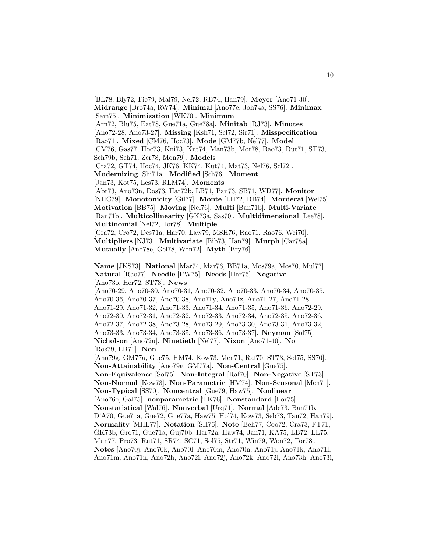[BL78, Bly72, Fie79, Mal79, Nel72, RB74, Han79]. **Meyer** [Ano71-30]. **Midrange** [Bro74a, RW74]. **Minimal** [Ano77e, Joh74a, SS76]. **Minimax** [Sam75]. **Minimization** [WK70]. **Minimum** [Arn72, Blu75, Eat78, Gue71a, Gue78a]. **Minitab** [RJ73]. **Minutes** [Ano72-28, Ano73-27]. **Missing** [Ksh71, Scl72, Sir71]. **Misspecification** [Rao71]. **Mixed** [CM76, Hoc73]. **Mode** [GM77b, Nel77]. **Model** [CM76, Gas77, Hoc73, Kni73, Kut74, Man73b, Mor78, Rao73, Rut71, ST73, Sch79b, Sch71, Zer78, Mon79]. **Models** [Cra72, GT74, Hoc74, JK76, KK74, Kut74, Mat73, Nel76, Scl72]. **Modernizing** [Shi71a]. **Modified** [Sch76]. **Moment** [Jan73, Kot75, Les73, RLM74]. **Moments** [Abr73, Ano73n, Dos73, Har72b, LB71, Pan73, SB71, WD77]. **Monitor** [NHC79]. **Monotonicity** [Gil77]. **Monte** [LH72, RB74]. **Mordecai** [Wel75]. **Motivation** [BB75]. **Moving** [Nel76]. **Multi** [Ban71b]. **Multi-Variate** [Ban71b]. **Multicollinearity** [GK73a, Sas70]. **Multidimensional** [Lee78]. **Multinomial** [Nel72, Tor78]. **Multiple** [Cra72, Cro72, Des71a, Har70, Law79, MSH76, Rao71, Rao76, Wei70]. **Multipliers** [NJ73]. **Multivariate** [Bib73, Han79]. **Murph** [Car78a]. **Mutually** [Ano78e, Gel78, Won72]. **Myth** [Bry76]. **Name** [JKS73]. **National** [Mar74, Mar76, BB71a, Mos79a, Mos70, Mul77]. **Natural** [Rao77]. **Needle** [PW75]. **Needs** [Har75]. **Negative** [Ano73o, Her72, ST73]. **News** [Ano70-29, Ano70-30, Ano70-31, Ano70-32, Ano70-33, Ano70-34, Ano70-35, Ano70-36, Ano70-37, Ano70-38, Ano71y, Ano71z, Ano71-27, Ano71-28, Ano71-29, Ano71-32, Ano71-33, Ano71-34, Ano71-35, Ano71-36, Ano72-29, Ano72-30, Ano72-31, Ano72-32, Ano72-33, Ano72-34, Ano72-35, Ano72-36, Ano72-37, Ano72-38, Ano73-28, Ano73-29, Ano73-30, Ano73-31, Ano73-32, Ano73-33, Ano73-34, Ano73-35, Ano73-36, Ano73-37]. **Neyman** [Sol75]. **Nicholson** [Ano72u]. **Ninetieth** [Nel77]. **Nixon** [Ano71-40]. **No** [Ros79, LB71]. **Non** [Ano79g, GM77a, Gue75, HM74, Kow73, Men71, Raf70, ST73, Sol75, SS70]. **Non-Attainability** [Ano79g, GM77a]. **Non-Central** [Gue75]. **Non-Equivalence** [Sol75]. **Non-Integral** [Raf70]. **Non-Negative** [ST73]. **Non-Normal** [Kow73]. **Non-Parametric** [HM74]. **Non-Seasonal** [Men71]. **Non-Typical** [SS70]. **Noncentral** [Gue79, Haw75]. **Nonlinear** [Ano76e, Gal75]. **nonparametric** [TK76]. **Nonstandard** [Lor75]. **Nonstatistical** [Wal76]. **Nonverbal** [Urq71]. **Normal** [Adc73, Ban71b, D'A70, Gue71a, Gue72, Gue77a, Haw75, Hol74, Kow73, Seb73, Tau72, Han79]. **Normality** [MHL77]. **Notation** [SH76]. **Note** [Beh77, Coo72, Cra73, FT71, GK73b, Gro71, Gue71a, Guj70b, Har72a, Haw74, Jan71, KA75, LB72, LL75, Mun77, Pro73, Rut71, SR74, SC71, Sol75, Str71, Win79, Won72, Tor78]. **Notes** [Ano70j, Ano70k, Ano70l, Ano70m, Ano70n, Ano71j, Ano71k, Ano71l, Ano71m, Ano71n, Ano72h, Ano72i, Ano72j, Ano72k, Ano72l, Ano73h, Ano73i,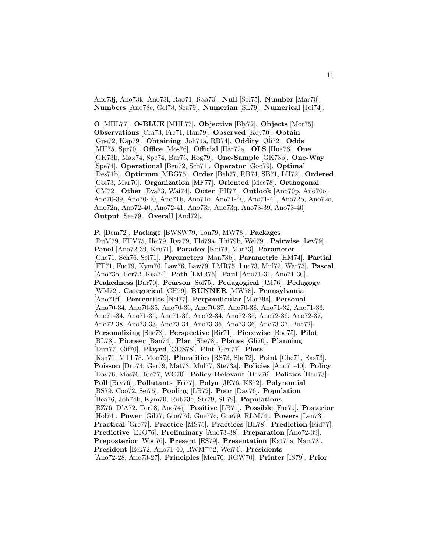Ano73j, Ano73k, Ano73l, Rao71, Rao73]. **Null** [Sol75]. **Number** [Mar70]. **Numbers** [Ano78e, Gel78, Sea79]. **Numerian** [SL79]. **Numerical** [Joi74].

**O** [MHL77]. **O-BLUE** [MHL77]. **Objective** [Bly72]. **Objects** [Mor75]. **Observations** [Cra73, Fre71, Han79]. **Observed** [Key70]. **Obtain** [Gue72, Kap79]. **Obtaining** [Joh74a, RB74]. **Oddity** [Oli72]. **Odds** [MH75, Spr70]. **Office** [Mos76]. **Official** [Har72a]. **OLS** [Hua76]. **One** [GK73b, Max74, Spe74, Bar76, Hog79]. **One-Sample** [GK73b]. **One-Way** [Spe74]. **Operational** [Ben72, Sch71]. **Operator** [Goo79]. **Optimal** [Des71b]. **Optimum** [MBG75]. **Order** [Beh77, RB74, SB71, LH72]. **Ordered** [Gol73, Mar70]. **Organization** [MF77]. **Oriented** [Mee78]. **Orthogonal** [CM72]. **Other** [Eva73, Wai74]. **Outer** [PH77]. **Outlook** [Ano70p, Ano70o, Ano70-39, Ano70-40, Ano71b, Ano71o, Ano71-40, Ano71-41, Ano72b, Ano72o, Ano72n, Ano72-40, Ano72-41, Ano73r, Ano73q, Ano73-39, Ano73-40]. **Output** [Sea79]. **Overall** [And72].

**P.** [Dem72]. **Package** [BWSW79, Tan79, MW78]. **Packages** [DuM79, FHV75, Hei79, Rya79, Thi79a, Thi79b, Wel79]. **Pairwise** [Lev79]. **Panel** [Ano72-39, Kru71]. **Paradox** [Kni73, Mat73]. **Parameter** [Che71, Sch76, Sel71]. **Parameters** [Man73b]. **Parametric** [HM74]. **Partial** [FT71, Fuc79, Kym70, Law76, Law79, LMR75, Luc73, Mul72, War73]. **Pascal** [Ano73o, Her72, Kea74]. **Path** [LMR75]. **Paul** [Ano71-31, Ano71-30]. **Peakedness** [Dar70]. **Pearson** [Sol75]. **Pedagogical** [JM76]. **Pedagogy** [WM72]. **Categorical** [CH79]. **RUNNER** [MW78]. **Pennsylvania** [Ano71d]. **Percentiles** [Nel77]. **Perpendicular** [Mar79a]. **Personal** [Ano70-34, Ano70-35, Ano70-36, Ano70-37, Ano70-38, Ano71-32, Ano71-33, Ano71-34, Ano71-35, Ano71-36, Ano72-34, Ano72-35, Ano72-36, Ano72-37, Ano72-38, Ano73-33, Ano73-34, Ano73-35, Ano73-36, Ano73-37, Boe72]. **Personalizing** [She78]. **Perspective** [Bir71]. **Piecewise** [Boo75]. **Pilot** [BL78]. **Pioneer** [Ban74]. **Plan** [She78]. **Planes** [Gli70]. **Planning** [Dun77, Gif70]. **Played** [GOS78]. **Plot** [Gen77]. **Plots** [Ksh71, MTL78, Mon79]. **Pluralities** [RS73, She72]. **Point** [Che71, Eas73]. **Poisson** [Dro74, Ger79, Mat73, Mul77, Ste73a]. **Policies** [Ano71-40]. **Policy** [Dav76, Mos76, Ric77, WC70]. **Policy-Relevant** [Dav76]. **Politics** [Hau73]. **Poll** [Bry76]. **Pollutants** [Fri77]. **Polya** [JK76, KS72]. **Polynomial** [BS79, Coo72, Sei75]. **Pooling** [LB72]. **Poor** [Dav76]. **Population** [Bea76, Joh74b, Kym70, Rub73a, Str79, SL79]. **Populations** [BZ76, D'A72, Tor78, Ano74j]. **Positive** [LB71]. **Possible** [Fuc79]. **Posterior** [Hol74]. **Power** [Gil77, Gue77d, Gue77c, Gue79, RLM74]. **Powers** [Len73]. **Practical** [Gre77]. **Practice** [MS75]. **Practices** [BL78]. **Prediction** [Rid77]. **Predictive** [EJO76]. **Preliminary** [Ano73-38]. **Preparation** [Ano72-39]. **Preposterior** [Woo76]. **Present** [ES79]. **Presentation** [Kat75a, Nam78]. **President** [Eck72, Ano71-40, RWM<sup>+</sup>72, Wei74]. **Presidents** [Ano72-28, Ano73-27]. **Principles** [Men70, RGW70]. **Printer** [IS79]. **Prior**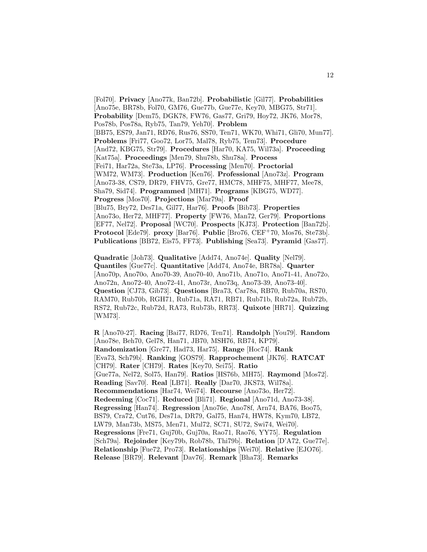[Fol70]. **Privacy** [Ano77k, Ban72b]. **Probabilistic** [Gil77]. **Probabilities** [Ano75e, BR78b, Fol70, GM76, Gue77b, Gue77e, Key70, MBG75, Str71]. **Probability** [Dem75, DGK78, FW76, Gas77, Gri79, Hoy72, JK76, Mor78, Pos78b, Pos78a, Ryb75, Tan79, Yeh70]. **Problem** [BB75, ES79, Jan71, RD76, Rus76, SS70, Ten71, WK70, Whi71, Gli70, Mun77]. **Problems** [Fri77, Goo72, Lor75, Mal78, Ryb75, Tem73]. **Procedure** [And72, KBG75, Str79]. **Procedures** [Har70, KA75, Wil73a]. **Proceeding** [Kat75a]. **Proceedings** [Men79, Shu78b, Shu78a]. **Process** [Fei71, Har72a, Ste73a, LP76]. **Processing** [Men70]. **Proctorial** [WM72, WM73]. **Production** [Ken76]. **Professional** [Ano73z]. **Program** [Ano73-38, CS79, DR79, FHV75, Gre77, HMC78, MHF75, MHF77, Mee78, Sha79, Sid74]. **Programmed** [MH71]. **Programs** [KBG75, WD77]. **Progress** [Mos70]. **Projections** [Mar79a]. **Proof** [Blu75, Bry72, Des71a, Gil77, Har76]. **Proofs** [Bib73]. **Properties** [Ano73o, Her72, MHF77]. **Property** [FW76, Man72, Ger79]. **Proportions** [EF77, Nel72]. **Proposal** [WC70]. **Prospects** [KJ73]. **Protection** [Ban72b]. **Protocol** [Ede79]. **proxy** [Bar76]. **Public** [Bro76, CEF<sup>+</sup>70, Mos76, Ste73b]. **Publications** [BB72, Eis75, FF73]. **Publishing** [Sea73]. **Pyramid** [Gas77].

**Quadratic** [Joh73]. **Qualitative** [Add74, Ano74e]. **Quality** [Nel79]. **Quantiles** [Gue77c]. **Quantitative** [Add74, Ano74e, BR78a]. **Quarter** [Ano70p, Ano70o, Ano70-39, Ano70-40, Ano71b, Ano71o, Ano71-41, Ano72o, Ano72n, Ano72-40, Ano72-41, Ano73r, Ano73q, Ano73-39, Ano73-40]. **Question** [CJ73, Gib73]. **Questions** [Bra73, Car78a, RB70, Rub70a, RS70, RAM70, Rub70b, RGH71, Rub71a, RA71, RB71, Rub71b, Rub72a, Rub72b, RS72, Rub72c, Rub72d, RA73, Rub73b, RR73]. **Quixote** [HR71]. **Quizzing** [WM73].

**R** [Ano70-27]. **Racing** [Bai77, RD76, Ten71]. **Randolph** [You79]. **Random** [Ano78e, Beh70, Gel78, Han71, JB70, MSH76, RB74, KP79]. **Randomization** [Gre77, Had73, Har75]. **Range** [Hoc74]. **Rank** [Eva73, Sch79b]. **Ranking** [GOS79]. **Rapprochement** [JK76]. **RATCAT** [CH79]. **Rater** [CH79]. **Rates** [Key70, Sei75]. **Ratio** [Gue77a, Nel72, Sol75, Han79]. **Ratios** [HS76b, MH75]. **Raymond** [Mos72]. **Reading** [Sav70]. **Real** [LB71]. **Really** [Dar70, JKS73, Wil78a]. **Recommendations** [Har74, Wei74]. **Recourse** [Ano73o, Her72]. **Redeeming** [Coc71]. **Reduced** [Bli71]. **Regional** [Ano71d, Ano73-38]. **Regressing** [Han74]. **Regression** [Ano76e, Ano78f, Arn74, BA76, Boo75, BS79, Cra72, Cut76, Des71a, DR79, Gal75, Han74, HW78, Kym70, LB72, LW79, Man73b, MS75, Men71, Mul72, SC71, SU72, Swi74, Wei70]. **Regressions** [Fre71, Guj70b, Guj70a, Rao71, Rao76, YY75]. **Regulation** [Sch79a]. **Rejoinder** [Key79b, Rob78b, Thi79b]. **Relation** [D'A72, Gue77e]. **Relationship** [Fue72, Pro73]. **Relationships** [Wei70]. **Relative** [EJO76]. **Release** [BR79]. **Relevant** [Dav76]. **Remark** [Bha73]. **Remarks**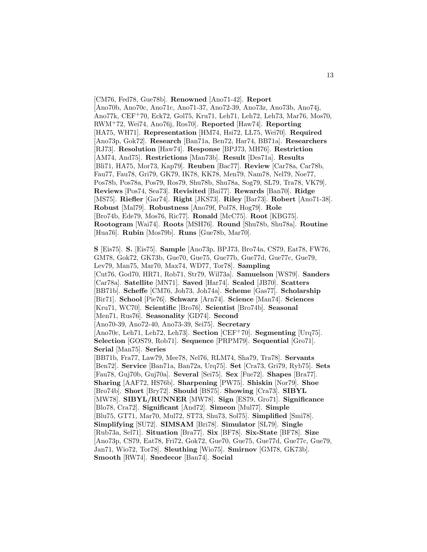[CM76, Fed78, Gue78b]. **Renowned** [Ano71-42]. **Report** [Ano70b, Ano70c, Ano71c, Ano71-37, Ano72-39, Ano73z, Ano73b, Ano74j, Ano77k, CEF<sup>+</sup>70, Eck72, Gol75, Kru71, Leh71, Leh72, Leh73, Mar76, Mos70, RWM<sup>+</sup>72, Wei74, Ano76j, Ros70]. **Reported** [Haw74]. **Reporting** [HA75, WH71]. **Representation** [HM74, Hsi72, LL75, Wei70]. **Required** [Ano73p, Gok72]. **Research** [Ban71a, Ben72, Har74, BB71a]. **Researchers** [RJ73]. **Resolution** [Haw74]. **Response** [BPJ73, MH76]. **Restriction** [AM74, And75]. **Restrictions** [Man73b]. **Result** [Des71a]. **Results** [Bli71, HA75, Mor73, Kap79]. **Reuben** [Bac77]. **Review** [Car78a, Car78b, Fau77, Fau78, Gri79, GK79, IK78, KK78, Men79, Nam78, Nel79, Noe77, Pos78b, Pos78a, Pos79, Ros79, Shu78b, Shu78a, Sog79, SL79, Tra78, VK79]. **Reviews** [Pos74, Sea73]. **Revisited** [Bai77]. **Rewards** [Ban70]. **Ridge** [MS75]. **Riefler** [Gar74]. **Right** [JKS73]. **Riley** [Bar73]. **Robert** [Ano71-38]. **Robust** [Mal79]. **Robustness** [Ano79f, Pol78, Hog79]. **Role** [Bro74b, Ede79, Mos76, Ric77]. **Ronald** [McC75]. **Root** [KBG75]. **Rootogram** [Wai74]. **Roots** [MSH76]. **Round** [Shu78b, Shu78a]. **Routine** [Hua76]. **Rubin** [Mos79b]. **Runs** [Gue78b, Mar70].

**S** [Eis75]. **S.** [Eis75]. **Sample** [Ano73p, BPJ73, Bro74a, CS79, Eat78, FW76, GM78, Gok72, GK73b, Gue70, Gue75, Gue77b, Gue77d, Gue77c, Gue79, Lev79, Man75, Mar70, Max74, WD77, Tor78]. **Sampling** [Cut76, God70, HR71, Rob71, Str79, Wil73a]. **Samuelson** [WS79]. **Sanders** [Car78a]. **Satellite** [MN71]. **Saved** [Har74]. **Scaled** [JB70]. **Scatters** [BB71b]. **Scheffe** [CM76, Joh73, Joh74a]. **Scheme** [Gas77]. **Scholarship** [Bir71]. **School** [Pie76]. **Schwarz** [Arn74]. **Science** [Man74]. **Sciences** [Kru71, WC70]. **Scientific** [Bro76]. **Scientist** [Bro74b]. **Seasonal** [Men71, Rus76]. **Seasonality** [GD74]. **Second** [Ano70-39, Ano72-40, Ano73-39, Sei75]. **Secretary** [Ano70c, Leh71, Leh72, Leh73]. **Section** [CEF<sup>+</sup>70]. **Segmenting** [Urq75]. **Selection** [GOS79, Rob71]. **Sequence** [PRPM79]. **Sequential** [Gro71]. **Serial** [Man75]. **Series** [BB71b, Fra77, Law79, Mee78, Nel76, RLM74, Sha79, Tra78]. **Servants** [Ben72]. **Service** [Ban71a, Ban72a, Urq75]. **Set** [Cra73, Gri79, Ryb75]. **Sets** [Fau78, Guj70b, Guj70a]. **Several** [Sei75]. **Sex** [Fue72]. **Shapes** [Bra77]. **Sharing** [AAF72, HS76b]. **Sharpening** [PW75]. **Shiskin** [Nor79]. **Shoe** [Bro74b]. **Short** [Bry72]. **Should** [BS75]. **Showing** [Cra73]. **SIBYL** [MW78]. **SIBYL/RUNNER** [MW78]. **Sign** [ES79, Gro71]. **Significance** [Blo78, Cra72]. **Significant** [And72]. **Simeon** [Mul77]. **Simple** [Blu75, GT71, Mar70, Mul72, ST73, Shu73, Sol75]. **Simplified** [Smi78]. **Simplifying** [SU72]. **SIMSAM** [Bri78]. **Simulator** [SL79]. **Single** [Rub73a, Sel71]. **Situation** [Bra77]. **Six** [BF78]. **Six-State** [BF78]. **Size** [Ano73p, CS79, Eat78, Fri72, Gok72, Gue70, Gue75, Gue77d, Gue77c, Gue79, Jan71, Wio72, Tor78]. **Sleuthing** [Wio75]. **Smirnov** [GM78, GK73b]. **Smooth** [RW74]. **Snedecor** [Ban74]. **Social**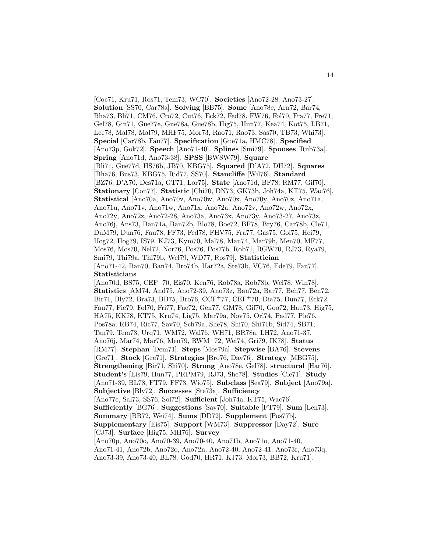[Coc71, Kru71, Ros71, Tem73, WC70]. **Societies** [Ano72-28, Ano73-27]. **Solution** [SS70, Car78a]. **Solving** [BB75]. **Some** [Ano78e, Arn72, Bar74, Bha73, Bli71, CM76, Cro72, Cut76, Eck72, Fed78, FW76, Fol70, Fra77, Fre71, Gel78, Gin71, Gue77e, Gue78a, Gue78b, Hig75, Hun77, Kea74, Kot75, LB71, Lee78, Mal78, Mal79, MHF75, Mor73, Rao71, Rao73, Sas70, TB73, Whi73]. **Special** [Car78b, Fau77]. **Specification** [Gue71a, HMC78]. **Specified** [Ano73p, Gok72]. **Speech** [Ano71-40]. **Splines** [Smi79]. **Spouses** [Rub73a]. **Spring** [Ano71d, Ano73-38]. **SPSS** [BWSW79]. **Square** [Bli71, Gue77d, HS76b, JB70, KBG75]. **Squared** [D'A72, DH72]. **Squares** [Bha76, Bus73, KBG75, Rid77, SS70]. **Stancliffe** [Wil76]. **Standard** [BZ76, D'A70, Des71a, GT71, Lor75]. **State** [Ano71d, BF78, RM77, Gif70]. **Stationary** [Con77]. **Statistic** [Chi70, DN73, GK73b, Joh74a, KT75, Wac76]. **Statistical** [Ano70a, Ano70v, Ano70w, Ano70x, Ano70y, Ano70z, Ano71a, Ano71u, Ano71v, Ano71w, Ano71x, Ano72a, Ano72v, Ano72w, Ano72x, Ano72y, Ano72z, Ano72-28, Ano73a, Ano73x, Ano73y, Ano73-27, Ano73z, Ano76j, Ans73, Ban71a, Ban72b, Blo78, Boe72, BF78, Bry76, Car78b, Cle71, DuM79, Dun76, Fau78, FF73, Fed78, FHV75, Fra77, Gas75, Gol75, Hei79, Hog72, Hog79, IS79, KJ73, Kym70, Mal78, Man74, Mar79b, Men70, MF77, Mos76, Mos70, Nel72, Nor76, Pos76, Pos77b, Rob71, RGW70, RJ73, Rya79, Smi79, Thi79a, Thi79b, Wel79, WD77, Ros79]. **Statistician** [Ano71-42, Ban70, Ban74, Bro74b, Har72a, Ste73b, VC76, Ede79, Fau77]. **Statisticians** [Ano70d, BS75, CEF<sup>+</sup>70, Eis70, Ken76, Rob78a, Rob78b, Wel78, Win78]. **Statistics** [AM74, And75, Ano72-39, Ano73z, Ban72a, Bar77, Beh77, Ben72, Bir71, Bly72, Bra73, BB75, Bro76, CCF<sup>+</sup>77, CEF<sup>+</sup>70, Dia75, Dun77, Eck72, Fau77, Fie79, Fol70, Fri77, Fue72, Gen77, GM78, Gif70, Goo72, Hau73, Hig75, HA75, KK78, KT75, Kru74, Lig75, Mar79a, Nov75, Orl74, Pad77, Pie76, Pos78a, RB74, Ric77, Sav70, Sch79a, She78, Shi70, Shi71b, Sid74, SB71, Tan79, Tem73, Urq71, WM72, Wal76, WH71, BR78a, LH72, Ano71-37, Ano76j, Mar74, Mar76, Men79, RWM<sup>+</sup>72, Wei74, Gri79, IK78]. **Status** [RM77]. **Stephan** [Dem71]. **Steps** [Mos79a]. **Stepwise** [BA76]. **Stevens** [Gre71]. **Stock** [Gre71]. **Strategies** [Bro76, Dav76]. **Strategy** [MBG75]. **Strengthening** [Bir71, Shi70]. **Strong** [Ano78e, Gel78]. **structural** [Har76]. **Student's** [Eis79, Hun77, PRPM79, RJ73, She78]. **Studies** [Cle71]. **Study** [Ano71-39, BL78, FT79, FF73, Wio75]. **Subclass** [Sea79]. **Subject** [Ano79a]. **Subjective** [Bly72]. **Successes** [Ste73a]. **Sufficiency** [Ano77e, Sal73, SS76, Sol72]. **Sufficient** [Joh74a, KT75, Wac76]. **Sufficiently** [BG76]. **Suggestions** [Sav70]. **Suitable** [FT79]. **Sum** [Len73]. **Summary** [BB72, Wei74]. **Sums** [DD72]. **Supplement** [Pos77b]. **Supplementary** [Eis75]. **Support** [WM73]. **Suppressor** [Day72]. **Sure** [CJ73]. **Surface** [Hig75, MH76]. **Survey** [Ano70p, Ano70o, Ano70-39, Ano70-40, Ano71b, Ano71o, Ano71-40, Ano71-41, Ano72b, Ano72o, Ano72n, Ano72-40, Ano72-41, Ano73r, Ano73q, Ano73-39, Ano73-40, BL78, God70, HR71, KJ73, Mor73, BB72, Kru71].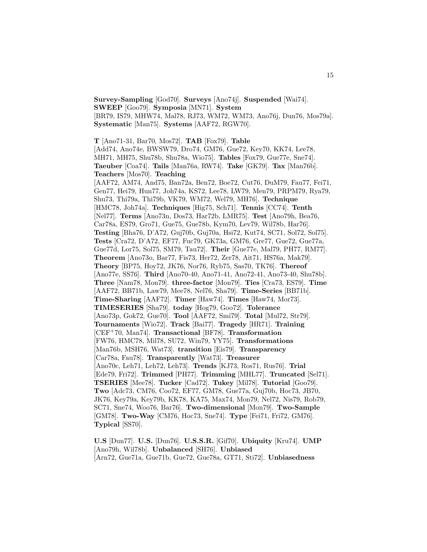**Survey-Sampling** [God70]. **Surveys** [Ano74j]. **Suspended** [Wai74]. **SWEEP** [Goo79]. **Symposia** [MN71]. **System** [BR79, IS79, MHW74, Mal78, RJ73, WM72, WM73, Ano76j, Dun76, Mos79a]. **Systematic** [Man75]. **Systems** [AAF72, RGW70].

**T** [Ano71-31, Bar70, Mos72]. **TAB** [Fox79]. **Table** [Add74, Ano74e, BWSW79, Dro74, GM76, Gue72, Key70, KK74, Lee78, MH71, MH75, Shu78b, Shu78a, Wio75]. **Tables** [Fox79, Gue77e, Sne74]. **Taeuber** [Coa74]. **Tails** [Man76a, RW74]. **Take** [GK79]. **Tax** [Man76b]. **Teachers** [Mos70]. **Teaching** [AAF72, AM74, And75, Ban72a, Ben72, Boe72, Cut76, DuM79, Fau77, Fei71, Gen77, Hei79, Hun77, Joh74a, KS72, Lee78, LW79, Men79, PRPM79, Rya79, Shu73, Thi79a, Thi79b, VK79, WM72, Wel79, MH76]. **Technique** [HMC78, Joh74a]. **Techniques** [Hig75, Sch71]. **Tennis** [CC74]. **Tenth** [Nel77]. **Terms** [Ano73n, Dos73, Har72b, LMR75]. **Test** [Ano79h, Bea76, Car78a, ES79, Gro71, Gue75, Gue78b, Kym70, Lev79, Wil78b, Har76]. **Testing** [Bha76, D'A72, Guj70b, Guj70a, Hsi72, Kut74, SC71, Sol72, Sol75]. **Tests** [Cra72, D'A72, EF77, Fuc79, GK73a, GM76, Gre77, Gue72, Gue77a, Gue77d, Lor75, Sol75, SM79, Tau72]. **Their** [Gue77e, Mal79, PH77, RM77]. **Theorem** [Ano73o, Bar77, Fis73, Her72, Zer78, Ait71, HS76a, Mak79]. **Theory** [BP75, Hoy72, JK76, Nor76, Ryb75, Sas70, TK76]. **Thereof** [Ano77e, SS76]. **Third** [Ano70-40, Ano71-41, Ano72-41, Ano73-40, Shu78b]. **Three** [Nam78, Mon79]. **three-factor** [Mon79]. **Ties** [Cra73, ES79]. **Time** [AAF72, BB71b, Law79, Mee78, Nel76, Sha79]. **Time-Series** [BB71b]. **Time-Sharing** [AAF72]. **Timer** [Haw74]. **Times** [Haw74, Mor73]. **TIMESERIES** [Sha79]. **today** [Hog79, Goo72]. **Tolerance** [Ano73p, Gok72, Gue70]. **Tool** [AAF72, Smi79]. **Total** [Mul72, Str79]. **Tournaments** [Wio72]. **Track** [Bai77]. **Tragedy** [HR71]. **Training** [CEF<sup>+</sup>70, Man74]. **Transactional** [BF78]. **Transformation** [FW76, HMC78, Mil78, SU72, Win79, YY75]. **Transformations** [Man76b, MSH76, Wat73]. **transition** [Eis79]. **Transparency** [Car78a, Fau78]. **Transparently** [Wat73]. **Treasurer** [Ano70c, Leh71, Leh72, Leh73]. **Trends** [KJ73, Ros71, Rus76]. **Trial** [Ede79, Fri72]. **Trimmed** [PH77]. **Trimming** [MHL77]. **Truncated** [Sel71]. **TSERIES** [Mee78]. **Tucker** [Cad72]. **Tukey** [Mil78]. **Tutorial** [Goo79]. **Two** [Adc73, CM76, Coo72, EF77, GM78, Gue77a, Guj70b, Hoc73, JB70, JK76, Key79a, Key79b, KK78, KA75, Max74, Mon79, Nel72, Nis79, Rob79, SC71, Sne74, Woo76, Bar76]. **Two-dimensional** [Mon79]. **Two-Sample** [GM78]. **Two-Way** [CM76, Hoc73, Sne74]. **Type** [Fei71, Fri72, GM76]. **Typical** [SS70].

**U.S** [Dun77]. **U.S.** [Dun76]. **U.S.S.R.** [Gif70]. **Ubiquity** [Kru74]. **UMP** [Ano79h, Wil78b]. **Unbalanced** [SH76]. **Unbiased** [Arn72, Gue71a, Gue71b, Gue72, Gue78a, GT71, Sti72]. **Unbiasedness**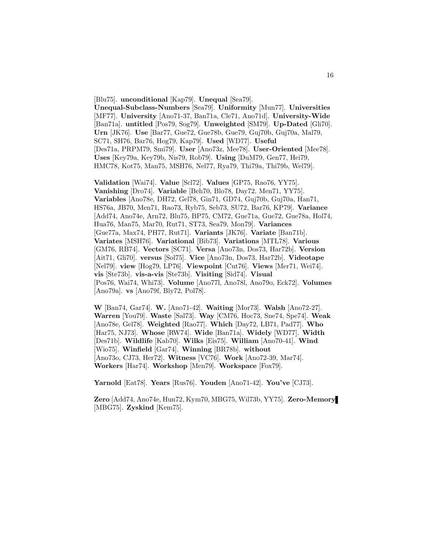[Blu75]. **unconditional** [Kap79]. **Unequal** [Sea79]. **Unequal-Subclass-Numbers** [Sea79]. **Uniformity** [Mun77]. **Universities** [MF77]. **University** [Ano71-37, Ban71a, Cle71, Ano71d]. **University-Wide** [Ban71a]. **untitled** [Pos79, Sog79]. **Unweighted** [SM79]. **Up-Dated** [Gli70]. **Urn** [JK76]. **Use** [Bar77, Gue72, Gue78b, Gue79, Guj70b, Guj70a, Mal79, SC71, SH76, Bar76, Hog79, Kap79]. **Used** [WD77]. **Useful** [Des71a, PRPM79, Smi79]. **User** [Ano73z, Mee78]. **User-Oriented** [Mee78]. **Uses** [Key79a, Key79b, Nis79, Rob79]. **Using** [DuM79, Gen77, Hei79, HMC78, Kot75, Man75, MSH76, Nel77, Rya79, Thi79a, Thi79b, Wel79].

**Validation** [Wai74]. **Value** [Scl72]. **Values** [GP75, Rao76, YY75]. **Vanishing** [Dro74]. **Variable** [Beh70, Blo78, Day72, Men71, YY75]. **Variables** [Ano78e, DH72, Gel78, Gin71, GD74, Guj70b, Guj70a, Han71, HS76a, JB70, Men71, Rao73, Ryb75, Seb73, SU72, Bar76, KP79]. **Variance** [Add74, Ano74e, Arn72, Blu75, BP75, CM72, Gue71a, Gue72, Gue78a, Hol74, Hua76, Man75, Mar70, Rut71, ST73, Sea79, Mon79]. **Variances** [Gue77a, Max74, PH77, Rut71]. **Variants** [JK76]. **Variate** [Ban71b]. **Variates** [MSH76]. **Variational** [Bib73]. **Variations** [MTL78]. **Various** [GM76, RB74]. **Vectors** [SC71]. **Versa** [Ano73n, Dos73, Har72b]. **Version** [Ait71, Gli70]. **versus** [Sol75]. **Vice** [Ano73n, Dos73, Har72b]. **Videotape** [Nel79]. **view** [Hog79, LP76]. **Viewpoint** [Cut76]. **Views** [Mer71, Wei74]. **vis** [Ste73b]. **vis-a-vis** [Ste73b]. **Visiting** [Sid74]. **Visual** [Pos76, Wai74, Whi73]. **Volume** [Ano77l, Ano78l, Ano79o, Eck72]. **Volumes** [Ano79a]. **vs** [Ano79f, Bly72, Pol78].

**W** [Ban74, Gar74]. **W.** [Ano71-42]. **Waiting** [Mor73]. **Walsh** [Ano72-27]. **Warren** [You79]. **Waste** [Sal73]. **Way** [CM76, Hoc73, Sne74, Spe74]. **Weak** [Ano78e, Gel78]. **Weighted** [Rao77]. **Which** [Day72, LB71, Pad77]. **Who** [Har75, NJ73]. **Whose** [RW74]. **Wide** [Ban71a]. **Widely** [WD77]. **Width** [Des71b]. **Wildlife** [Kab70]. **Wilks** [Eis75]. **William** [Ano70-41]. **Wind** [Wio75]. **Winfield** [Gar74]. **Winning** [BR78b]. **without** [Ano73o, CJ73, Her72]. **Witness** [VC76]. **Work** [Ano72-39, Mar74]. **Workers** [Har74]. **Workshop** [Men79]. **Workspace** [Fox79].

**Yarnold** [Eat78]. **Years** [Rus76]. **Youden** [Ano71-42]. **You've** [CJ73].

**Zero** [Add74, Ano74e, Hun72, Kym70, MBG75, Wil73b, YY75]. **Zero-Memory** [MBG75]. **Zyskind** [Kem75].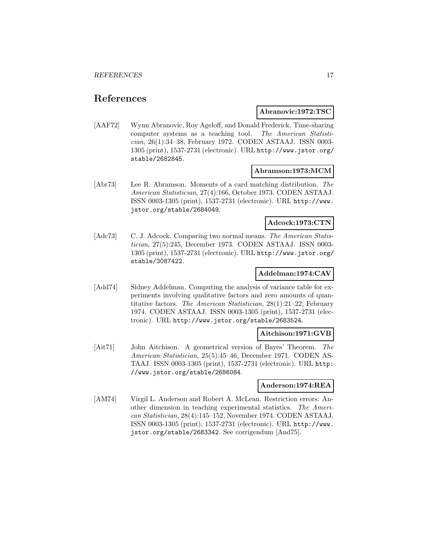# **References**

# **Abranovic:1972:TSC**

[AAF72] Wynn Abranovic, Roy Ageloff, and Donald Frederick. Time-sharing computer systems as a teaching tool. The American Statistician, 26(1):34–38, February 1972. CODEN ASTAAJ. ISSN 0003- 1305 (print), 1537-2731 (electronic). URL http://www.jstor.org/ stable/2682845.

# **Abramson:1973:MCM**

[Abr73] Lee R. Abramson. Moments of a card matching distribution. The American Statistician, 27(4):166, October 1973. CODEN ASTAAJ. ISSN 0003-1305 (print), 1537-2731 (electronic). URL http://www. jstor.org/stable/2684049.

# **Adcock:1973:CTN**

[Adc73] C. J. Adcock. Comparing two normal means. The American Statistician, 27(5):245, December 1973. CODEN ASTAAJ. ISSN 0003- 1305 (print), 1537-2731 (electronic). URL http://www.jstor.org/ stable/3087422.

# **Addelman:1974:CAV**

[Add74] Sidney Addelman. Computing the analysis of variance table for experiments involving qualitative factors and zero amounts of quantitative factors. The American Statistician, 28(1):21–22, February 1974. CODEN ASTAAJ. ISSN 0003-1305 (print), 1537-2731 (electronic). URL http://www.jstor.org/stable/2683524.

# **Aitchison:1971:GVB**

[Ait71] John Aitchison. A geometrical version of Bayes' Theorem. The American Statistician, 25(5):45–46, December 1971. CODEN AS-TAAJ. ISSN 0003-1305 (print), 1537-2731 (electronic). URL http: //www.jstor.org/stable/2686084.

# **Anderson:1974:REA**

[AM74] Virgil L. Anderson and Robert A. McLean. Restriction errors: Another dimension in teaching experimental statistics. The American Statistician, 28(4):145–152, November 1974. CODEN ASTAAJ. ISSN 0003-1305 (print), 1537-2731 (electronic). URL http://www. jstor.org/stable/2683342. See corrigendum [And75].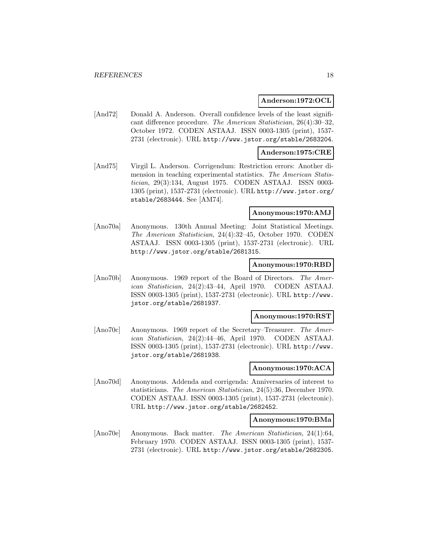### **Anderson:1972:OCL**

[And72] Donald A. Anderson. Overall confidence levels of the least significant difference procedure. The American Statistician, 26(4):30–32, October 1972. CODEN ASTAAJ. ISSN 0003-1305 (print), 1537- 2731 (electronic). URL http://www.jstor.org/stable/2683204.

# **Anderson:1975:CRE**

[And75] Virgil L. Anderson. Corrigendum: Restriction errors: Another dimension in teaching experimental statistics. The American Statistician, 29(3):134, August 1975. CODEN ASTAAJ. ISSN 0003- 1305 (print), 1537-2731 (electronic). URL http://www.jstor.org/ stable/2683444. See [AM74].

### **Anonymous:1970:AMJ**

[Ano70a] Anonymous. 130th Annual Meeting: Joint Statistical Meetings. The American Statistician, 24(4):32–45, October 1970. CODEN ASTAAJ. ISSN 0003-1305 (print), 1537-2731 (electronic). URL http://www.jstor.org/stable/2681315.

### **Anonymous:1970:RBD**

[Ano70b] Anonymous. 1969 report of the Board of Directors. The American Statistician, 24(2):43–44, April 1970. CODEN ASTAAJ. ISSN 0003-1305 (print), 1537-2731 (electronic). URL http://www. jstor.org/stable/2681937.

#### **Anonymous:1970:RST**

[Ano70c] Anonymous. 1969 report of the Secretary–Treasurer. The American Statistician, 24(2):44–46, April 1970. CODEN ASTAAJ. ISSN 0003-1305 (print), 1537-2731 (electronic). URL http://www. jstor.org/stable/2681938.

# **Anonymous:1970:ACA**

[Ano70d] Anonymous. Addenda and corrigenda: Anniversaries of interest to statisticians. The American Statistician, 24(5):36, December 1970. CODEN ASTAAJ. ISSN 0003-1305 (print), 1537-2731 (electronic). URL http://www.jstor.org/stable/2682452.

#### **Anonymous:1970:BMa**

[Ano70e] Anonymous. Back matter. The American Statistician, 24(1):64, February 1970. CODEN ASTAAJ. ISSN 0003-1305 (print), 1537- 2731 (electronic). URL http://www.jstor.org/stable/2682305.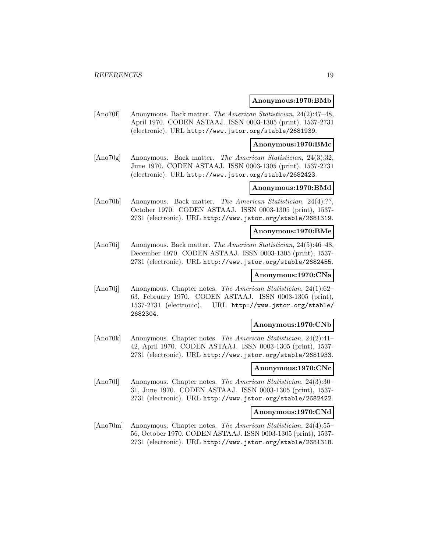### **Anonymous:1970:BMb**

[Ano70f] Anonymous. Back matter. The American Statistician, 24(2):47–48, April 1970. CODEN ASTAAJ. ISSN 0003-1305 (print), 1537-2731 (electronic). URL http://www.jstor.org/stable/2681939.

#### **Anonymous:1970:BMc**

[Ano70g] Anonymous. Back matter. The American Statistician, 24(3):32, June 1970. CODEN ASTAAJ. ISSN 0003-1305 (print), 1537-2731 (electronic). URL http://www.jstor.org/stable/2682423.

# **Anonymous:1970:BMd**

[Ano70h] Anonymous. Back matter. The American Statistician, 24(4):??, October 1970. CODEN ASTAAJ. ISSN 0003-1305 (print), 1537- 2731 (electronic). URL http://www.jstor.org/stable/2681319.

# **Anonymous:1970:BMe**

[Ano70i] Anonymous. Back matter. The American Statistician, 24(5):46–48, December 1970. CODEN ASTAAJ. ISSN 0003-1305 (print), 1537- 2731 (electronic). URL http://www.jstor.org/stable/2682455.

# **Anonymous:1970:CNa**

[Ano70j] Anonymous. Chapter notes. The American Statistician, 24(1):62– 63, February 1970. CODEN ASTAAJ. ISSN 0003-1305 (print), 1537-2731 (electronic). URL http://www.jstor.org/stable/ 2682304.

# **Anonymous:1970:CNb**

[Ano70k] Anonymous. Chapter notes. The American Statistician, 24(2):41– 42, April 1970. CODEN ASTAAJ. ISSN 0003-1305 (print), 1537- 2731 (electronic). URL http://www.jstor.org/stable/2681933.

# **Anonymous:1970:CNc**

[Ano70l] Anonymous. Chapter notes. The American Statistician, 24(3):30– 31, June 1970. CODEN ASTAAJ. ISSN 0003-1305 (print), 1537- 2731 (electronic). URL http://www.jstor.org/stable/2682422.

#### **Anonymous:1970:CNd**

[Ano70m] Anonymous. Chapter notes. The American Statistician, 24(4):55– 56, October 1970. CODEN ASTAAJ. ISSN 0003-1305 (print), 1537- 2731 (electronic). URL http://www.jstor.org/stable/2681318.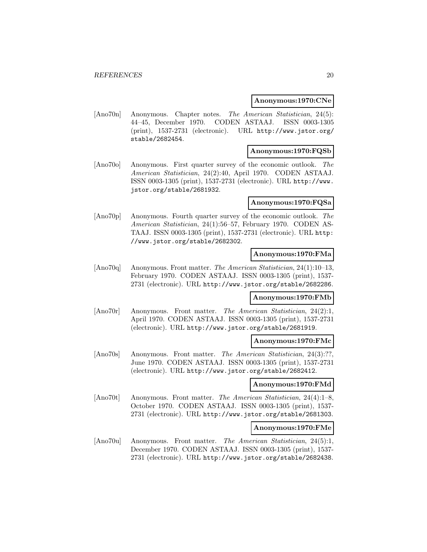#### **Anonymous:1970:CNe**

[Ano70n] Anonymous. Chapter notes. The American Statistician, 24(5): 44–45, December 1970. CODEN ASTAAJ. ISSN 0003-1305 (print), 1537-2731 (electronic). URL http://www.jstor.org/ stable/2682454.

# **Anonymous:1970:FQSb**

[Ano70o] Anonymous. First quarter survey of the economic outlook. The American Statistician, 24(2):40, April 1970. CODEN ASTAAJ. ISSN 0003-1305 (print), 1537-2731 (electronic). URL http://www. jstor.org/stable/2681932.

# **Anonymous:1970:FQSa**

[Ano70p] Anonymous. Fourth quarter survey of the economic outlook. The American Statistician, 24(1):56–57, February 1970. CODEN AS-TAAJ. ISSN 0003-1305 (print), 1537-2731 (electronic). URL http: //www.jstor.org/stable/2682302.

# **Anonymous:1970:FMa**

[Ano70q] Anonymous. Front matter. The American Statistician, 24(1):10–13, February 1970. CODEN ASTAAJ. ISSN 0003-1305 (print), 1537- 2731 (electronic). URL http://www.jstor.org/stable/2682286.

# **Anonymous:1970:FMb**

[Ano70r] Anonymous. Front matter. The American Statistician, 24(2):1, April 1970. CODEN ASTAAJ. ISSN 0003-1305 (print), 1537-2731 (electronic). URL http://www.jstor.org/stable/2681919.

#### **Anonymous:1970:FMc**

[Ano70s] Anonymous. Front matter. The American Statistician, 24(3):??, June 1970. CODEN ASTAAJ. ISSN 0003-1305 (print), 1537-2731 (electronic). URL http://www.jstor.org/stable/2682412.

### **Anonymous:1970:FMd**

[Ano70t] Anonymous. Front matter. The American Statistician, 24(4):1–8, October 1970. CODEN ASTAAJ. ISSN 0003-1305 (print), 1537- 2731 (electronic). URL http://www.jstor.org/stable/2681303.

# **Anonymous:1970:FMe**

[Ano70u] Anonymous. Front matter. The American Statistician, 24(5):1, December 1970. CODEN ASTAAJ. ISSN 0003-1305 (print), 1537- 2731 (electronic). URL http://www.jstor.org/stable/2682438.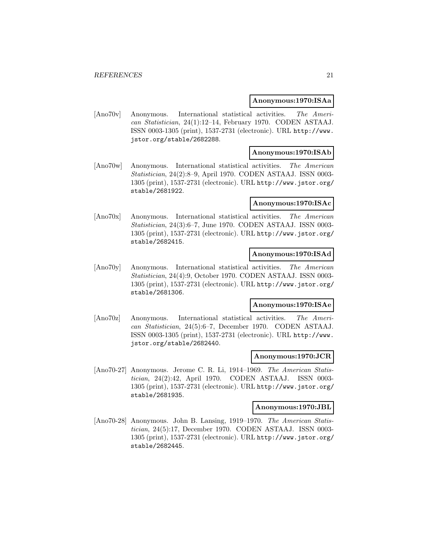### **Anonymous:1970:ISAa**

[Ano70v] Anonymous. International statistical activities. The American Statistician, 24(1):12–14, February 1970. CODEN ASTAAJ. ISSN 0003-1305 (print), 1537-2731 (electronic). URL http://www. jstor.org/stable/2682288.

# **Anonymous:1970:ISAb**

[Ano70w] Anonymous. International statistical activities. The American Statistician, 24(2):8–9, April 1970. CODEN ASTAAJ. ISSN 0003- 1305 (print), 1537-2731 (electronic). URL http://www.jstor.org/ stable/2681922.

# **Anonymous:1970:ISAc**

[Ano70x] Anonymous. International statistical activities. The American Statistician, 24(3):6–7, June 1970. CODEN ASTAAJ. ISSN 0003- 1305 (print), 1537-2731 (electronic). URL http://www.jstor.org/ stable/2682415.

# **Anonymous:1970:ISAd**

[Ano70y] Anonymous. International statistical activities. The American Statistician, 24(4):9, October 1970. CODEN ASTAAJ. ISSN 0003- 1305 (print), 1537-2731 (electronic). URL http://www.jstor.org/ stable/2681306.

#### **Anonymous:1970:ISAe**

[Ano70z] Anonymous. International statistical activities. The American Statistician, 24(5):6–7, December 1970. CODEN ASTAAJ. ISSN 0003-1305 (print), 1537-2731 (electronic). URL http://www. jstor.org/stable/2682440.

# **Anonymous:1970:JCR**

[Ano70-27] Anonymous. Jerome C. R. Li, 1914–1969. The American Statistician, 24(2):42, April 1970. CODEN ASTAAJ. ISSN 0003- 1305 (print), 1537-2731 (electronic). URL http://www.jstor.org/ stable/2681935.

# **Anonymous:1970:JBL**

[Ano70-28] Anonymous. John B. Lansing, 1919–1970. The American Statistician, 24(5):17, December 1970. CODEN ASTAAJ. ISSN 0003- 1305 (print), 1537-2731 (electronic). URL http://www.jstor.org/ stable/2682445.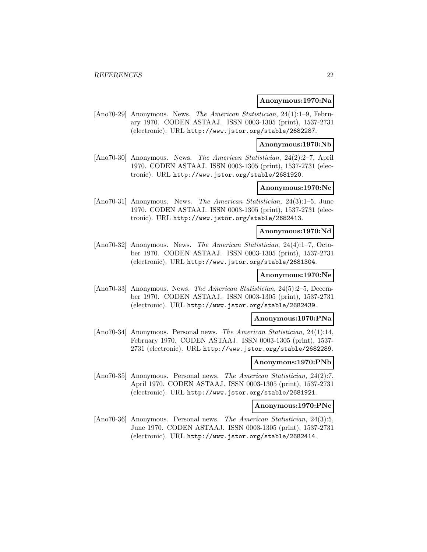### **Anonymous:1970:Na**

[Ano70-29] Anonymous. News. The American Statistician, 24(1):1–9, February 1970. CODEN ASTAAJ. ISSN 0003-1305 (print), 1537-2731 (electronic). URL http://www.jstor.org/stable/2682287.

**Anonymous:1970:Nb**

[Ano70-30] Anonymous. News. The American Statistician, 24(2):2–7, April 1970. CODEN ASTAAJ. ISSN 0003-1305 (print), 1537-2731 (electronic). URL http://www.jstor.org/stable/2681920.

# **Anonymous:1970:Nc**

[Ano70-31] Anonymous. News. The American Statistician, 24(3):1–5, June 1970. CODEN ASTAAJ. ISSN 0003-1305 (print), 1537-2731 (electronic). URL http://www.jstor.org/stable/2682413.

### **Anonymous:1970:Nd**

[Ano70-32] Anonymous. News. The American Statistician, 24(4):1–7, October 1970. CODEN ASTAAJ. ISSN 0003-1305 (print), 1537-2731 (electronic). URL http://www.jstor.org/stable/2681304.

# **Anonymous:1970:Ne**

[Ano70-33] Anonymous. News. The American Statistician, 24(5):2–5, December 1970. CODEN ASTAAJ. ISSN 0003-1305 (print), 1537-2731 (electronic). URL http://www.jstor.org/stable/2682439.

# **Anonymous:1970:PNa**

[Ano70-34] Anonymous. Personal news. The American Statistician, 24(1):14, February 1970. CODEN ASTAAJ. ISSN 0003-1305 (print), 1537- 2731 (electronic). URL http://www.jstor.org/stable/2682289.

#### **Anonymous:1970:PNb**

[Ano70-35] Anonymous. Personal news. The American Statistician, 24(2):7, April 1970. CODEN ASTAAJ. ISSN 0003-1305 (print), 1537-2731 (electronic). URL http://www.jstor.org/stable/2681921.

### **Anonymous:1970:PNc**

[Ano70-36] Anonymous. Personal news. The American Statistician, 24(3):5, June 1970. CODEN ASTAAJ. ISSN 0003-1305 (print), 1537-2731 (electronic). URL http://www.jstor.org/stable/2682414.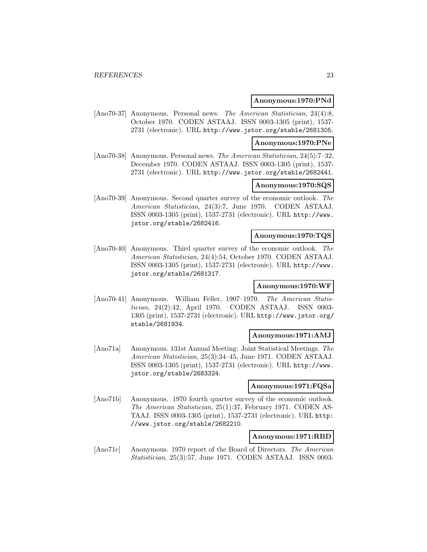### **Anonymous:1970:PNd**

[Ano70-37] Anonymous. Personal news. The American Statistician, 24(4):8, October 1970. CODEN ASTAAJ. ISSN 0003-1305 (print), 1537- 2731 (electronic). URL http://www.jstor.org/stable/2681305.

#### **Anonymous:1970:PNe**

[Ano70-38] Anonymous. Personal news. The American Statistician, 24(5):7–32. December 1970. CODEN ASTAAJ. ISSN 0003-1305 (print), 1537- 2731 (electronic). URL http://www.jstor.org/stable/2682441.

# **Anonymous:1970:SQS**

[Ano70-39] Anonymous. Second quarter survey of the economic outlook. The American Statistician, 24(3):7, June 1970. CODEN ASTAAJ. ISSN 0003-1305 (print), 1537-2731 (electronic). URL http://www. jstor.org/stable/2682416.

#### **Anonymous:1970:TQS**

[Ano70-40] Anonymous. Third quarter survey of the economic outlook. The American Statistician, 24(4):54, October 1970. CODEN ASTAAJ. ISSN 0003-1305 (print), 1537-2731 (electronic). URL http://www. jstor.org/stable/2681317.

# **Anonymous:1970:WF**

[Ano70-41] Anonymous. William Feller, 1907–1970. The American Statistician, 24(2):42, April 1970. CODEN ASTAAJ. ISSN 0003- 1305 (print), 1537-2731 (electronic). URL http://www.jstor.org/ stable/2681934.

# **Anonymous:1971:AMJ**

[Ano71a] Anonymous. 131st Annual Meeting: Joint Statistical Meetings. The American Statistician, 25(3):34–45, June 1971. CODEN ASTAAJ. ISSN 0003-1305 (print), 1537-2731 (electronic). URL http://www. jstor.org/stable/2683324.

### **Anonymous:1971:FQSa**

[Ano71b] Anonymous. 1970 fourth quarter survey of the economic outlook. The American Statistician, 25(1):37, February 1971. CODEN AS-TAAJ. ISSN 0003-1305 (print), 1537-2731 (electronic). URL http: //www.jstor.org/stable/2682210.

# **Anonymous:1971:RBD**

[Ano71c] Anonymous. 1970 report of the Board of Directors. The American Statistician, 25(3):57, June 1971. CODEN ASTAAJ. ISSN 0003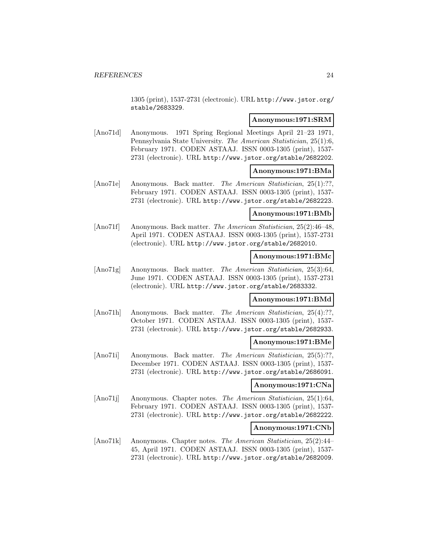1305 (print), 1537-2731 (electronic). URL http://www.jstor.org/ stable/2683329.

# **Anonymous:1971:SRM**

[Ano71d] Anonymous. 1971 Spring Regional Meetings April 21–23 1971, Pennsylvania State University. The American Statistician, 25(1):6, February 1971. CODEN ASTAAJ. ISSN 0003-1305 (print), 1537- 2731 (electronic). URL http://www.jstor.org/stable/2682202.

# **Anonymous:1971:BMa**

[Ano71e] Anonymous. Back matter. The American Statistician, 25(1):??, February 1971. CODEN ASTAAJ. ISSN 0003-1305 (print), 1537- 2731 (electronic). URL http://www.jstor.org/stable/2682223.

# **Anonymous:1971:BMb**

[Ano71f] Anonymous. Back matter. The American Statistician, 25(2):46–48, April 1971. CODEN ASTAAJ. ISSN 0003-1305 (print), 1537-2731 (electronic). URL http://www.jstor.org/stable/2682010.

# **Anonymous:1971:BMc**

[Ano71g] Anonymous. Back matter. The American Statistician, 25(3):64, June 1971. CODEN ASTAAJ. ISSN 0003-1305 (print), 1537-2731 (electronic). URL http://www.jstor.org/stable/2683332.

# **Anonymous:1971:BMd**

[Ano71h] Anonymous. Back matter. The American Statistician, 25(4):??, October 1971. CODEN ASTAAJ. ISSN 0003-1305 (print), 1537- 2731 (electronic). URL http://www.jstor.org/stable/2682933.

# **Anonymous:1971:BMe**

[Ano71i] Anonymous. Back matter. The American Statistician, 25(5):??, December 1971. CODEN ASTAAJ. ISSN 0003-1305 (print), 1537- 2731 (electronic). URL http://www.jstor.org/stable/2686091.

# **Anonymous:1971:CNa**

[Ano71j] Anonymous. Chapter notes. The American Statistician, 25(1):64, February 1971. CODEN ASTAAJ. ISSN 0003-1305 (print), 1537- 2731 (electronic). URL http://www.jstor.org/stable/2682222.

# **Anonymous:1971:CNb**

[Ano71k] Anonymous. Chapter notes. The American Statistician, 25(2):44– 45, April 1971. CODEN ASTAAJ. ISSN 0003-1305 (print), 1537- 2731 (electronic). URL http://www.jstor.org/stable/2682009.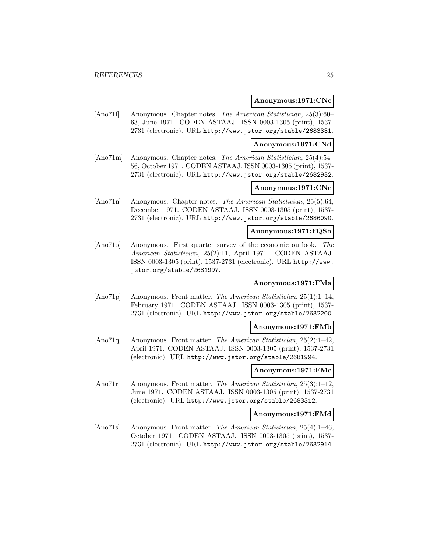### **Anonymous:1971:CNc**

[Ano71l] Anonymous. Chapter notes. The American Statistician, 25(3):60– 63, June 1971. CODEN ASTAAJ. ISSN 0003-1305 (print), 1537- 2731 (electronic). URL http://www.jstor.org/stable/2683331.

#### **Anonymous:1971:CNd**

[Ano71m] Anonymous. Chapter notes. The American Statistician, 25(4):54– 56, October 1971. CODEN ASTAAJ. ISSN 0003-1305 (print), 1537- 2731 (electronic). URL http://www.jstor.org/stable/2682932.

# **Anonymous:1971:CNe**

[Ano71n] Anonymous. Chapter notes. The American Statistician, 25(5):64, December 1971. CODEN ASTAAJ. ISSN 0003-1305 (print), 1537- 2731 (electronic). URL http://www.jstor.org/stable/2686090.

# **Anonymous:1971:FQSb**

[Ano71o] Anonymous. First quarter survey of the economic outlook. The American Statistician, 25(2):11, April 1971. CODEN ASTAAJ. ISSN 0003-1305 (print), 1537-2731 (electronic). URL http://www. jstor.org/stable/2681997.

# **Anonymous:1971:FMa**

[Ano71p] Anonymous. Front matter. The American Statistician, 25(1):1–14, February 1971. CODEN ASTAAJ. ISSN 0003-1305 (print), 1537- 2731 (electronic). URL http://www.jstor.org/stable/2682200.

#### **Anonymous:1971:FMb**

[Ano71q] Anonymous. Front matter. The American Statistician, 25(2):1–42, April 1971. CODEN ASTAAJ. ISSN 0003-1305 (print), 1537-2731 (electronic). URL http://www.jstor.org/stable/2681994.

# **Anonymous:1971:FMc**

[Ano71r] Anonymous. Front matter. The American Statistician, 25(3):1–12, June 1971. CODEN ASTAAJ. ISSN 0003-1305 (print), 1537-2731 (electronic). URL http://www.jstor.org/stable/2683312.

# **Anonymous:1971:FMd**

[Ano71s] Anonymous. Front matter. The American Statistician, 25(4):1–46, October 1971. CODEN ASTAAJ. ISSN 0003-1305 (print), 1537- 2731 (electronic). URL http://www.jstor.org/stable/2682914.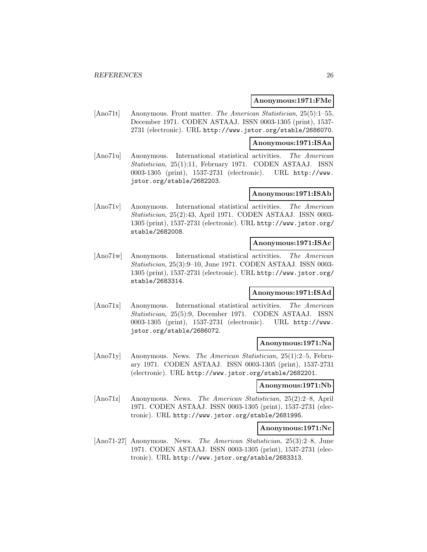### **Anonymous:1971:FMe**

[Ano71t] Anonymous. Front matter. The American Statistician, 25(5):1–55, December 1971. CODEN ASTAAJ. ISSN 0003-1305 (print), 1537- 2731 (electronic). URL http://www.jstor.org/stable/2686070.

**Anonymous:1971:ISAa**

[Ano71u] Anonymous. International statistical activities. The American Statistician, 25(1):11, February 1971. CODEN ASTAAJ. ISSN 0003-1305 (print), 1537-2731 (electronic). URL http://www. jstor.org/stable/2682203.

### **Anonymous:1971:ISAb**

[Ano71v] Anonymous. International statistical activities. The American Statistician, 25(2):43, April 1971. CODEN ASTAAJ. ISSN 0003- 1305 (print), 1537-2731 (electronic). URL http://www.jstor.org/ stable/2682008.

# **Anonymous:1971:ISAc**

[Ano71w] Anonymous. International statistical activities. The American Statistician, 25(3):9–10, June 1971. CODEN ASTAAJ. ISSN 0003- 1305 (print), 1537-2731 (electronic). URL http://www.jstor.org/ stable/2683314.

# **Anonymous:1971:ISAd**

[Ano71x] Anonymous. International statistical activities. The American Statistician, 25(5):9, December 1971. CODEN ASTAAJ. ISSN 0003-1305 (print), 1537-2731 (electronic). URL http://www. jstor.org/stable/2686072.

#### **Anonymous:1971:Na**

[Ano71y] Anonymous. News. The American Statistician, 25(1):2–5, February 1971. CODEN ASTAAJ. ISSN 0003-1305 (print), 1537-2731 (electronic). URL http://www.jstor.org/stable/2682201.

#### **Anonymous:1971:Nb**

[Ano71z] Anonymous. News. The American Statistician, 25(2):2–8, April 1971. CODEN ASTAAJ. ISSN 0003-1305 (print), 1537-2731 (electronic). URL http://www.jstor.org/stable/2681995.

# **Anonymous:1971:Nc**

[Ano71-27] Anonymous. News. The American Statistician, 25(3):2–8, June 1971. CODEN ASTAAJ. ISSN 0003-1305 (print), 1537-2731 (electronic). URL http://www.jstor.org/stable/2683313.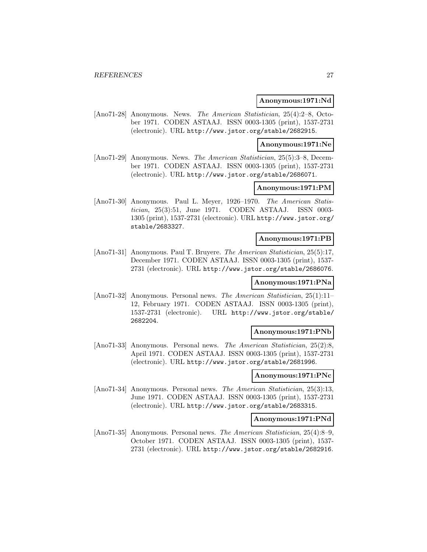#### **Anonymous:1971:Nd**

[Ano71-28] Anonymous. News. The American Statistician, 25(4):2–8, October 1971. CODEN ASTAAJ. ISSN 0003-1305 (print), 1537-2731 (electronic). URL http://www.jstor.org/stable/2682915.

#### **Anonymous:1971:Ne**

[Ano71-29] Anonymous. News. The American Statistician, 25(5):3–8, December 1971. CODEN ASTAAJ. ISSN 0003-1305 (print), 1537-2731 (electronic). URL http://www.jstor.org/stable/2686071.

# **Anonymous:1971:PM**

[Ano71-30] Anonymous. Paul L. Meyer, 1926–1970. The American Statistician, 25(3):51, June 1971. CODEN ASTAAJ. ISSN 0003- 1305 (print), 1537-2731 (electronic). URL http://www.jstor.org/ stable/2683327.

#### **Anonymous:1971:PB**

[Ano71-31] Anonymous. Paul T. Bruyere. The American Statistician, 25(5):17, December 1971. CODEN ASTAAJ. ISSN 0003-1305 (print), 1537- 2731 (electronic). URL http://www.jstor.org/stable/2686076.

# **Anonymous:1971:PNa**

[Ano71-32] Anonymous. Personal news. The American Statistician, 25(1):11– 12, February 1971. CODEN ASTAAJ. ISSN 0003-1305 (print), 1537-2731 (electronic). URL http://www.jstor.org/stable/ 2682204.

#### **Anonymous:1971:PNb**

[Ano71-33] Anonymous. Personal news. The American Statistician, 25(2):8, April 1971. CODEN ASTAAJ. ISSN 0003-1305 (print), 1537-2731 (electronic). URL http://www.jstor.org/stable/2681996.

### **Anonymous:1971:PNc**

[Ano71-34] Anonymous. Personal news. The American Statistician, 25(3):13, June 1971. CODEN ASTAAJ. ISSN 0003-1305 (print), 1537-2731 (electronic). URL http://www.jstor.org/stable/2683315.

#### **Anonymous:1971:PNd**

[Ano71-35] Anonymous. Personal news. The American Statistician, 25(4):8–9, October 1971. CODEN ASTAAJ. ISSN 0003-1305 (print), 1537- 2731 (electronic). URL http://www.jstor.org/stable/2682916.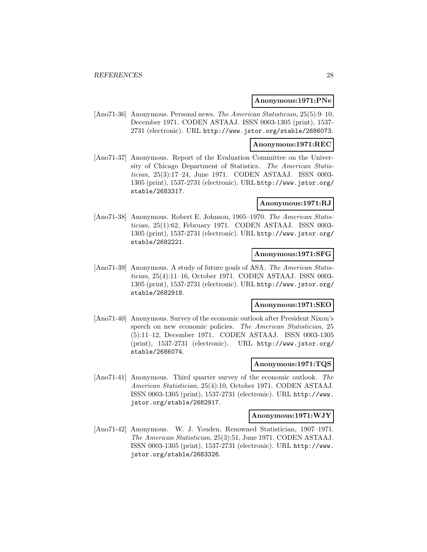### **Anonymous:1971:PNe**

[Ano71-36] Anonymous. Personal news. The American Statistician, 25(5):9–10, December 1971. CODEN ASTAAJ. ISSN 0003-1305 (print), 1537- 2731 (electronic). URL http://www.jstor.org/stable/2686073.

# **Anonymous:1971:REC**

[Ano71-37] Anonymous. Report of the Evaluation Committee on the University of Chicago Department of Statistics. The American Statistician, 25(3):17–24, June 1971. CODEN ASTAAJ. ISSN 0003- 1305 (print), 1537-2731 (electronic). URL http://www.jstor.org/ stable/2683317.

### **Anonymous:1971:RJ**

[Ano71-38] Anonymous. Robert E. Johnson, 1905–1970. The American Statistician, 25(1):62, February 1971. CODEN ASTAAJ. ISSN 0003- 1305 (print), 1537-2731 (electronic). URL http://www.jstor.org/ stable/2682221.

# **Anonymous:1971:SFG**

[Ano71-39] Anonymous. A study of future goals of ASA. The American Statistician, 25(4):11–16, October 1971. CODEN ASTAAJ. ISSN 0003- 1305 (print), 1537-2731 (electronic). URL http://www.jstor.org/ stable/2682918.

#### **Anonymous:1971:SEO**

[Ano71-40] Anonymous. Survey of the economic outlook after President Nixon's speech on new economic policies. The American Statistician, 25 (5):11–12, December 1971. CODEN ASTAAJ. ISSN 0003-1305 (print), 1537-2731 (electronic). URL http://www.jstor.org/ stable/2686074.

#### **Anonymous:1971:TQS**

[Ano71-41] Anonymous. Third quarter survey of the economic outlook. The American Statistician, 25(4):10, October 1971. CODEN ASTAAJ. ISSN 0003-1305 (print), 1537-2731 (electronic). URL http://www. jstor.org/stable/2682917.

# **Anonymous:1971:WJY**

[Ano71-42] Anonymous. W. J. Youden, Renowned Statistician, 1907–1971. The American Statistician, 25(3):51, June 1971. CODEN ASTAAJ. ISSN 0003-1305 (print), 1537-2731 (electronic). URL http://www. jstor.org/stable/2683326.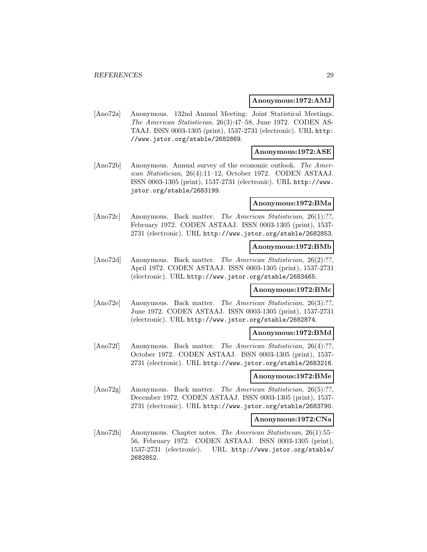### **Anonymous:1972:AMJ**

[Ano72a] Anonymous. 132nd Annual Meeting: Joint Statistical Meetings. The American Statistician, 26(3):47–58, June 1972. CODEN AS-TAAJ. ISSN 0003-1305 (print), 1537-2731 (electronic). URL http: //www.jstor.org/stable/2682869.

# **Anonymous:1972:ASE**

[Ano72b] Anonymous. Annual survey of the economic outlook. The American Statistician, 26(4):11–12, October 1972. CODEN ASTAAJ. ISSN 0003-1305 (print), 1537-2731 (electronic). URL http://www. jstor.org/stable/2683199.

### **Anonymous:1972:BMa**

[Ano72c] Anonymous. Back matter. The American Statistician, 26(1):??, February 1972. CODEN ASTAAJ. ISSN 0003-1305 (print), 1537- 2731 (electronic). URL http://www.jstor.org/stable/2682853.

# **Anonymous:1972:BMb**

[Ano72d] Anonymous. Back matter. The American Statistician, 26(2):??, April 1972. CODEN ASTAAJ. ISSN 0003-1305 (print), 1537-2731 (electronic). URL http://www.jstor.org/stable/2683465.

# **Anonymous:1972:BMc**

[Ano72e] Anonymous. Back matter. The American Statistician, 26(3):??. June 1972. CODEN ASTAAJ. ISSN 0003-1305 (print), 1537-2731 (electronic). URL http://www.jstor.org/stable/2682874.

### **Anonymous:1972:BMd**

[Ano72f] Anonymous. Back matter. The American Statistician, 26(4):??, October 1972. CODEN ASTAAJ. ISSN 0003-1305 (print), 1537- 2731 (electronic). URL http://www.jstor.org/stable/2683216.

# **Anonymous:1972:BMe**

[Ano72g] Anonymous. Back matter. The American Statistician, 26(5):??, December 1972. CODEN ASTAAJ. ISSN 0003-1305 (print), 1537- 2731 (electronic). URL http://www.jstor.org/stable/2683790.

#### **Anonymous:1972:CNa**

[Ano72h] Anonymous. Chapter notes. The American Statistician, 26(1):55– 56, February 1972. CODEN ASTAAJ. ISSN 0003-1305 (print), 1537-2731 (electronic). URL http://www.jstor.org/stable/ 2682852.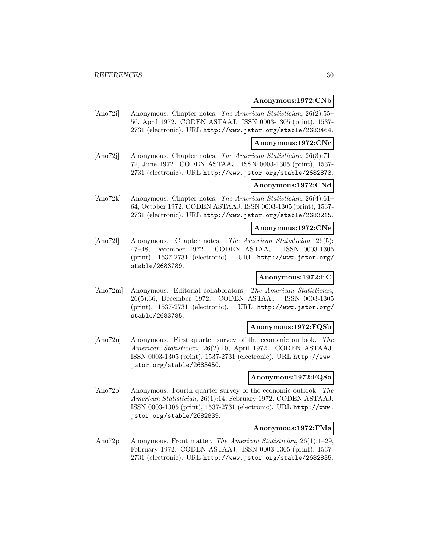### **Anonymous:1972:CNb**

[Ano72i] Anonymous. Chapter notes. The American Statistician, 26(2):55– 56, April 1972. CODEN ASTAAJ. ISSN 0003-1305 (print), 1537- 2731 (electronic). URL http://www.jstor.org/stable/2683464.

#### **Anonymous:1972:CNc**

[Ano72j] Anonymous. Chapter notes. The American Statistician, 26(3):71– 72, June 1972. CODEN ASTAAJ. ISSN 0003-1305 (print), 1537- 2731 (electronic). URL http://www.jstor.org/stable/2682873.

# **Anonymous:1972:CNd**

[Ano72k] Anonymous. Chapter notes. The American Statistician, 26(4):61– 64, October 1972. CODEN ASTAAJ. ISSN 0003-1305 (print), 1537- 2731 (electronic). URL http://www.jstor.org/stable/2683215.

# **Anonymous:1972:CNe**

[Ano72l] Anonymous. Chapter notes. The American Statistician, 26(5): 47–48, December 1972. CODEN ASTAAJ. ISSN 0003-1305 (print), 1537-2731 (electronic). URL http://www.jstor.org/ stable/2683789.

# **Anonymous:1972:EC**

[Ano72m] Anonymous. Editorial collaborators. The American Statistician, 26(5):36, December 1972. CODEN ASTAAJ. ISSN 0003-1305 (print), 1537-2731 (electronic). URL http://www.jstor.org/ stable/2683785.

#### **Anonymous:1972:FQSb**

[Ano72n] Anonymous. First quarter survey of the economic outlook. The American Statistician, 26(2):10, April 1972. CODEN ASTAAJ. ISSN 0003-1305 (print), 1537-2731 (electronic). URL http://www. jstor.org/stable/2683450.

#### **Anonymous:1972:FQSa**

[Ano72o] Anonymous. Fourth quarter survey of the economic outlook. The American Statistician, 26(1):14, February 1972. CODEN ASTAAJ. ISSN 0003-1305 (print), 1537-2731 (electronic). URL http://www. jstor.org/stable/2682839.

#### **Anonymous:1972:FMa**

[Ano72p] Anonymous. Front matter. The American Statistician, 26(1):1–29, February 1972. CODEN ASTAAJ. ISSN 0003-1305 (print), 1537- 2731 (electronic). URL http://www.jstor.org/stable/2682835.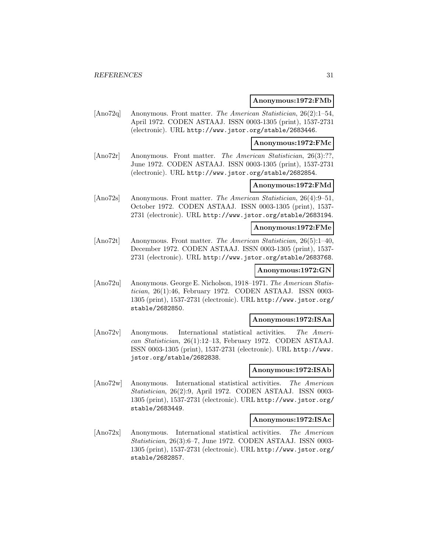### **Anonymous:1972:FMb**

[Ano72q] Anonymous. Front matter. The American Statistician, 26(2):1–54, April 1972. CODEN ASTAAJ. ISSN 0003-1305 (print), 1537-2731 (electronic). URL http://www.jstor.org/stable/2683446.

**Anonymous:1972:FMc**

[Ano72r] Anonymous. Front matter. The American Statistician, 26(3):??, June 1972. CODEN ASTAAJ. ISSN 0003-1305 (print), 1537-2731 (electronic). URL http://www.jstor.org/stable/2682854.

# **Anonymous:1972:FMd**

[Ano72s] Anonymous. Front matter. The American Statistician, 26(4):9–51, October 1972. CODEN ASTAAJ. ISSN 0003-1305 (print), 1537- 2731 (electronic). URL http://www.jstor.org/stable/2683194.

# **Anonymous:1972:FMe**

[Ano72t] Anonymous. Front matter. The American Statistician, 26(5):1–40, December 1972. CODEN ASTAAJ. ISSN 0003-1305 (print), 1537- 2731 (electronic). URL http://www.jstor.org/stable/2683768.

### **Anonymous:1972:GN**

[Ano72u] Anonymous. George E. Nicholson, 1918–1971. The American Statistician, 26(1):46, February 1972. CODEN ASTAAJ. ISSN 0003- 1305 (print), 1537-2731 (electronic). URL http://www.jstor.org/ stable/2682850.

#### **Anonymous:1972:ISAa**

[Ano72v] Anonymous. International statistical activities. The American Statistician, 26(1):12–13, February 1972. CODEN ASTAAJ. ISSN 0003-1305 (print), 1537-2731 (electronic). URL http://www. jstor.org/stable/2682838.

# **Anonymous:1972:ISAb**

[Ano72w] Anonymous. International statistical activities. The American Statistician, 26(2):9, April 1972. CODEN ASTAAJ. ISSN 0003- 1305 (print), 1537-2731 (electronic). URL http://www.jstor.org/ stable/2683449.

# **Anonymous:1972:ISAc**

[Ano72x] Anonymous. International statistical activities. The American Statistician, 26(3):6–7, June 1972. CODEN ASTAAJ. ISSN 0003- 1305 (print), 1537-2731 (electronic). URL http://www.jstor.org/ stable/2682857.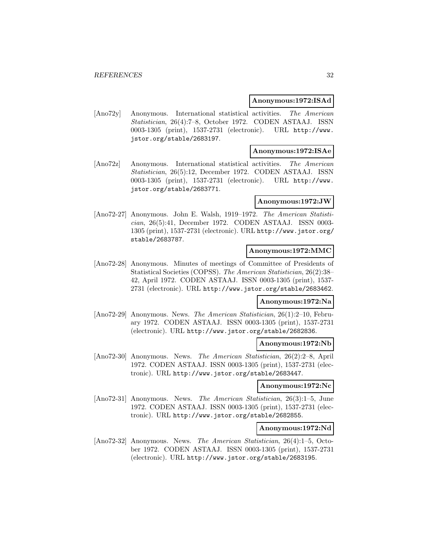# **Anonymous:1972:ISAd**

[Ano72y] Anonymous. International statistical activities. The American Statistician, 26(4):7–8, October 1972. CODEN ASTAAJ. ISSN 0003-1305 (print), 1537-2731 (electronic). URL http://www. jstor.org/stable/2683197.

# **Anonymous:1972:ISAe**

[Ano72z] Anonymous. International statistical activities. The American Statistician, 26(5):12, December 1972. CODEN ASTAAJ. ISSN 0003-1305 (print), 1537-2731 (electronic). URL http://www. jstor.org/stable/2683771.

# **Anonymous:1972:JW**

[Ano72-27] Anonymous. John E. Walsh, 1919–1972. The American Statistician, 26(5):41, December 1972. CODEN ASTAAJ. ISSN 0003- 1305 (print), 1537-2731 (electronic). URL http://www.jstor.org/ stable/2683787.

# **Anonymous:1972:MMC**

[Ano72-28] Anonymous. Minutes of meetings of Committee of Presidents of Statistical Societies (COPSS). The American Statistician, 26(2):38– 42, April 1972. CODEN ASTAAJ. ISSN 0003-1305 (print), 1537- 2731 (electronic). URL http://www.jstor.org/stable/2683462.

# **Anonymous:1972:Na**

[Ano72-29] Anonymous. News. The American Statistician, 26(1):2–10, February 1972. CODEN ASTAAJ. ISSN 0003-1305 (print), 1537-2731 (electronic). URL http://www.jstor.org/stable/2682836.

# **Anonymous:1972:Nb**

[Ano72-30] Anonymous. News. The American Statistician, 26(2):2–8, April 1972. CODEN ASTAAJ. ISSN 0003-1305 (print), 1537-2731 (electronic). URL http://www.jstor.org/stable/2683447.

#### **Anonymous:1972:Nc**

[Ano72-31] Anonymous. News. The American Statistician, 26(3):1–5, June 1972. CODEN ASTAAJ. ISSN 0003-1305 (print), 1537-2731 (electronic). URL http://www.jstor.org/stable/2682855.

#### **Anonymous:1972:Nd**

[Ano72-32] Anonymous. News. The American Statistician, 26(4):1–5, October 1972. CODEN ASTAAJ. ISSN 0003-1305 (print), 1537-2731 (electronic). URL http://www.jstor.org/stable/2683195.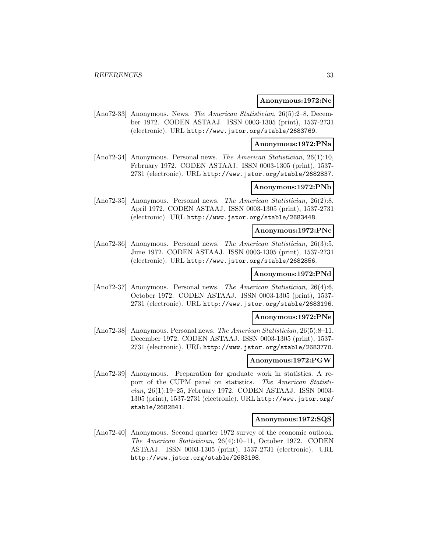#### **Anonymous:1972:Ne**

[Ano72-33] Anonymous. News. The American Statistician, 26(5):2–8, December 1972. CODEN ASTAAJ. ISSN 0003-1305 (print), 1537-2731 (electronic). URL http://www.jstor.org/stable/2683769.

### **Anonymous:1972:PNa**

[Ano72-34] Anonymous. Personal news. The American Statistician, 26(1):10, February 1972. CODEN ASTAAJ. ISSN 0003-1305 (print), 1537- 2731 (electronic). URL http://www.jstor.org/stable/2682837.

# **Anonymous:1972:PNb**

[Ano72-35] Anonymous. Personal news. The American Statistician, 26(2):8, April 1972. CODEN ASTAAJ. ISSN 0003-1305 (print), 1537-2731 (electronic). URL http://www.jstor.org/stable/2683448.

# **Anonymous:1972:PNc**

[Ano72-36] Anonymous. Personal news. The American Statistician, 26(3):5, June 1972. CODEN ASTAAJ. ISSN 0003-1305 (print), 1537-2731 (electronic). URL http://www.jstor.org/stable/2682856.

#### **Anonymous:1972:PNd**

[Ano72-37] Anonymous. Personal news. The American Statistician, 26(4):6, October 1972. CODEN ASTAAJ. ISSN 0003-1305 (print), 1537- 2731 (electronic). URL http://www.jstor.org/stable/2683196.

# **Anonymous:1972:PNe**

[Ano72-38] Anonymous. Personal news. The American Statistician, 26(5):8–11, December 1972. CODEN ASTAAJ. ISSN 0003-1305 (print), 1537- 2731 (electronic). URL http://www.jstor.org/stable/2683770.

### **Anonymous:1972:PGW**

[Ano72-39] Anonymous. Preparation for graduate work in statistics. A report of the CUPM panel on statistics. The American Statistician, 26(1):19–25, February 1972. CODEN ASTAAJ. ISSN 0003- 1305 (print), 1537-2731 (electronic). URL http://www.jstor.org/ stable/2682841.

### **Anonymous:1972:SQS**

[Ano72-40] Anonymous. Second quarter 1972 survey of the economic outlook. The American Statistician, 26(4):10–11, October 1972. CODEN ASTAAJ. ISSN 0003-1305 (print), 1537-2731 (electronic). URL http://www.jstor.org/stable/2683198.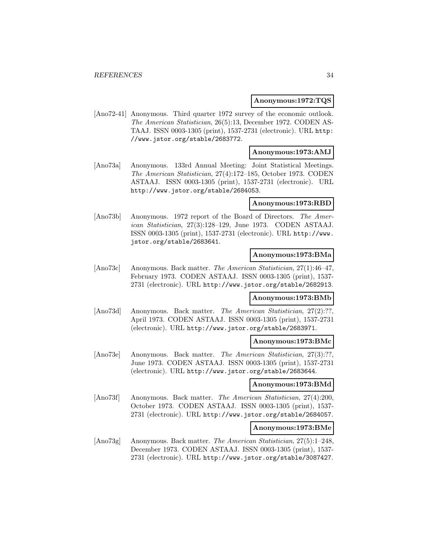# **Anonymous:1972:TQS**

[Ano72-41] Anonymous. Third quarter 1972 survey of the economic outlook. The American Statistician, 26(5):13, December 1972. CODEN AS-TAAJ. ISSN 0003-1305 (print), 1537-2731 (electronic). URL http: //www.jstor.org/stable/2683772.

# **Anonymous:1973:AMJ**

[Ano73a] Anonymous. 133rd Annual Meeting: Joint Statistical Meetings. The American Statistician, 27(4):172–185, October 1973. CODEN ASTAAJ. ISSN 0003-1305 (print), 1537-2731 (electronic). URL http://www.jstor.org/stable/2684053.

### **Anonymous:1973:RBD**

[Ano73b] Anonymous. 1972 report of the Board of Directors. The American Statistician, 27(3):128–129, June 1973. CODEN ASTAAJ. ISSN 0003-1305 (print), 1537-2731 (electronic). URL http://www. jstor.org/stable/2683641.

# **Anonymous:1973:BMa**

[Ano73c] Anonymous. Back matter. The American Statistician, 27(1):46–47, February 1973. CODEN ASTAAJ. ISSN 0003-1305 (print), 1537- 2731 (electronic). URL http://www.jstor.org/stable/2682913.

# **Anonymous:1973:BMb**

[Ano73d] Anonymous. Back matter. The American Statistician, 27(2):??, April 1973. CODEN ASTAAJ. ISSN 0003-1305 (print), 1537-2731 (electronic). URL http://www.jstor.org/stable/2683971.

# **Anonymous:1973:BMc**

[Ano73e] Anonymous. Back matter. The American Statistician, 27(3):??, June 1973. CODEN ASTAAJ. ISSN 0003-1305 (print), 1537-2731 (electronic). URL http://www.jstor.org/stable/2683644.

# **Anonymous:1973:BMd**

[Ano73f] Anonymous. Back matter. The American Statistician, 27(4):200, October 1973. CODEN ASTAAJ. ISSN 0003-1305 (print), 1537- 2731 (electronic). URL http://www.jstor.org/stable/2684057.

# **Anonymous:1973:BMe**

[Ano73g] Anonymous. Back matter. The American Statistician, 27(5):1–248, December 1973. CODEN ASTAAJ. ISSN 0003-1305 (print), 1537- 2731 (electronic). URL http://www.jstor.org/stable/3087427.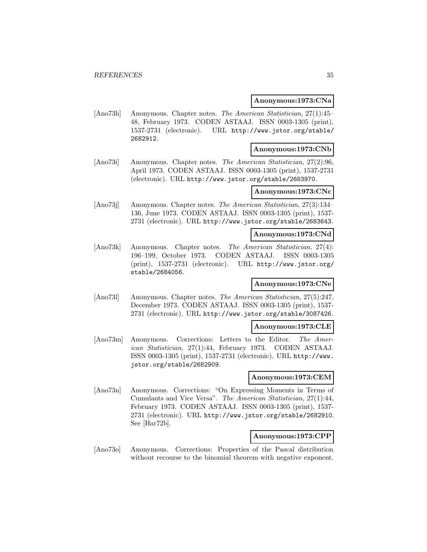### **Anonymous:1973:CNa**

[Ano73h] Anonymous. Chapter notes. The American Statistician, 27(1):45– 48, February 1973. CODEN ASTAAJ. ISSN 0003-1305 (print), 1537-2731 (electronic). URL http://www.jstor.org/stable/ 2682912.

# **Anonymous:1973:CNb**

[Ano73i] Anonymous. Chapter notes. The American Statistician, 27(2):96, April 1973. CODEN ASTAAJ. ISSN 0003-1305 (print), 1537-2731 (electronic). URL http://www.jstor.org/stable/2683970.

# **Anonymous:1973:CNc**

[Ano73j] Anonymous. Chapter notes. The American Statistician, 27(3):134– 136, June 1973. CODEN ASTAAJ. ISSN 0003-1305 (print), 1537- 2731 (electronic). URL http://www.jstor.org/stable/2683643.

# **Anonymous:1973:CNd**

[Ano73k] Anonymous. Chapter notes. The American Statistician, 27(4): 196–199, October 1973. CODEN ASTAAJ. ISSN 0003-1305 (print), 1537-2731 (electronic). URL http://www.jstor.org/ stable/2684056.

# **Anonymous:1973:CNe**

[Ano73l] Anonymous. Chapter notes. The American Statistician, 27(5):247, December 1973. CODEN ASTAAJ. ISSN 0003-1305 (print), 1537- 2731 (electronic). URL http://www.jstor.org/stable/3087426.

### **Anonymous:1973:CLE**

[Ano73m] Anonymous. Corrections: Letters to the Editor. The American Statistician, 27(1):44, February 1973. CODEN ASTAAJ. ISSN 0003-1305 (print), 1537-2731 (electronic). URL http://www. jstor.org/stable/2682909.

#### **Anonymous:1973:CEM**

[Ano73n] Anonymous. Corrections: "On Expressing Moments in Terms of Cumulants and Vice Versa". The American Statistician, 27(1):44, February 1973. CODEN ASTAAJ. ISSN 0003-1305 (print), 1537- 2731 (electronic). URL http://www.jstor.org/stable/2682910. See [Har72b].

# **Anonymous:1973:CPP**

[Ano73o] Anonymous. Corrections: Properties of the Pascal distribution without recourse to the binomial theorem with negative exponent.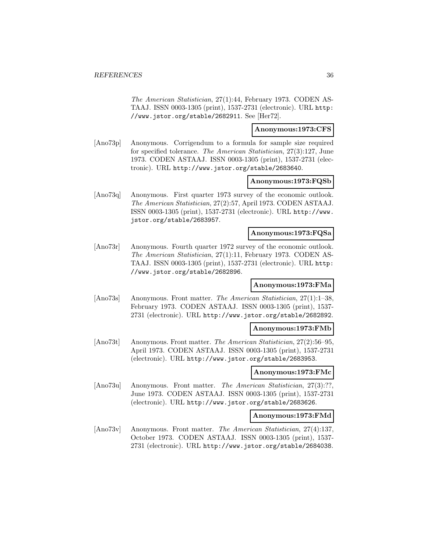The American Statistician, 27(1):44, February 1973. CODEN AS-TAAJ. ISSN 0003-1305 (print), 1537-2731 (electronic). URL http: //www.jstor.org/stable/2682911. See [Her72].

# **Anonymous:1973:CFS**

[Ano73p] Anonymous. Corrigendum to a formula for sample size required for specified tolerance. The American Statistician, 27(3):127, June 1973. CODEN ASTAAJ. ISSN 0003-1305 (print), 1537-2731 (electronic). URL http://www.jstor.org/stable/2683640.

### **Anonymous:1973:FQSb**

[Ano73q] Anonymous. First quarter 1973 survey of the economic outlook. The American Statistician, 27(2):57, April 1973. CODEN ASTAAJ. ISSN 0003-1305 (print), 1537-2731 (electronic). URL http://www. jstor.org/stable/2683957.

# **Anonymous:1973:FQSa**

[Ano73r] Anonymous. Fourth quarter 1972 survey of the economic outlook. The American Statistician, 27(1):11, February 1973. CODEN AS-TAAJ. ISSN 0003-1305 (print), 1537-2731 (electronic). URL http: //www.jstor.org/stable/2682896.

#### **Anonymous:1973:FMa**

[Ano73s] Anonymous. Front matter. The American Statistician, 27(1):1–38, February 1973. CODEN ASTAAJ. ISSN 0003-1305 (print), 1537- 2731 (electronic). URL http://www.jstor.org/stable/2682892.

#### **Anonymous:1973:FMb**

[Ano73t] Anonymous. Front matter. The American Statistician, 27(2):56–95, April 1973. CODEN ASTAAJ. ISSN 0003-1305 (print), 1537-2731 (electronic). URL http://www.jstor.org/stable/2683953.

# **Anonymous:1973:FMc**

[Ano73u] Anonymous. Front matter. The American Statistician, 27(3):??, June 1973. CODEN ASTAAJ. ISSN 0003-1305 (print), 1537-2731 (electronic). URL http://www.jstor.org/stable/2683626.

# **Anonymous:1973:FMd**

[Ano73v] Anonymous. Front matter. The American Statistician, 27(4):137, October 1973. CODEN ASTAAJ. ISSN 0003-1305 (print), 1537- 2731 (electronic). URL http://www.jstor.org/stable/2684038.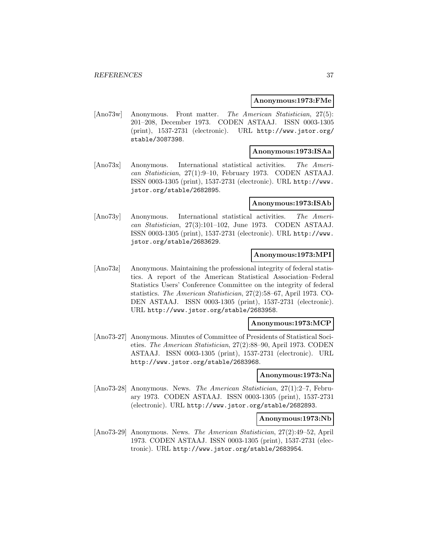#### **Anonymous:1973:FMe**

[Ano73w] Anonymous. Front matter. The American Statistician, 27(5): 201–208, December 1973. CODEN ASTAAJ. ISSN 0003-1305 (print), 1537-2731 (electronic). URL http://www.jstor.org/ stable/3087398.

### **Anonymous:1973:ISAa**

[Ano73x] Anonymous. International statistical activities. The American Statistician, 27(1):9–10, February 1973. CODEN ASTAAJ. ISSN 0003-1305 (print), 1537-2731 (electronic). URL http://www. jstor.org/stable/2682895.

#### **Anonymous:1973:ISAb**

[Ano73y] Anonymous. International statistical activities. The American Statistician, 27(3):101–102, June 1973. CODEN ASTAAJ. ISSN 0003-1305 (print), 1537-2731 (electronic). URL http://www. jstor.org/stable/2683629.

# **Anonymous:1973:MPI**

[Ano73z] Anonymous. Maintaining the professional integrity of federal statistics. A report of the American Statistical Association–Federal Statistics Users' Conference Committee on the integrity of federal statistics. The American Statistician, 27(2):58–67, April 1973. CO-DEN ASTAAJ. ISSN 0003-1305 (print), 1537-2731 (electronic). URL http://www.jstor.org/stable/2683958.

#### **Anonymous:1973:MCP**

[Ano73-27] Anonymous. Minutes of Committee of Presidents of Statistical Societies. The American Statistician, 27(2):88–90, April 1973. CODEN ASTAAJ. ISSN 0003-1305 (print), 1537-2731 (electronic). URL http://www.jstor.org/stable/2683968.

#### **Anonymous:1973:Na**

[Ano73-28] Anonymous. News. The American Statistician, 27(1):2–7, February 1973. CODEN ASTAAJ. ISSN 0003-1305 (print), 1537-2731 (electronic). URL http://www.jstor.org/stable/2682893.

#### **Anonymous:1973:Nb**

[Ano73-29] Anonymous. News. The American Statistician, 27(2):49–52, April 1973. CODEN ASTAAJ. ISSN 0003-1305 (print), 1537-2731 (electronic). URL http://www.jstor.org/stable/2683954.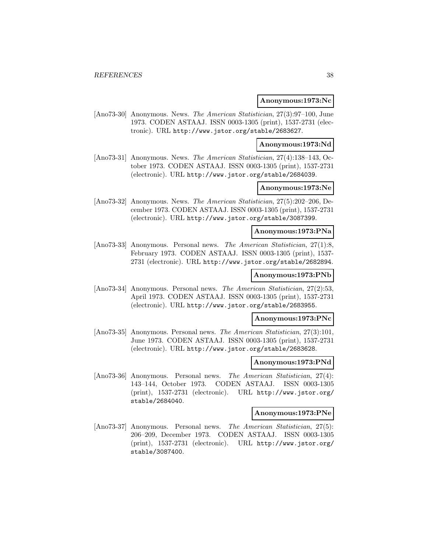#### **Anonymous:1973:Nc**

[Ano73-30] Anonymous. News. The American Statistician, 27(3):97–100, June 1973. CODEN ASTAAJ. ISSN 0003-1305 (print), 1537-2731 (electronic). URL http://www.jstor.org/stable/2683627.

#### **Anonymous:1973:Nd**

[Ano73-31] Anonymous. News. The American Statistician, 27(4):138–143, October 1973. CODEN ASTAAJ. ISSN 0003-1305 (print), 1537-2731 (electronic). URL http://www.jstor.org/stable/2684039.

### **Anonymous:1973:Ne**

[Ano73-32] Anonymous. News. The American Statistician, 27(5):202–206, December 1973. CODEN ASTAAJ. ISSN 0003-1305 (print), 1537-2731 (electronic). URL http://www.jstor.org/stable/3087399.

#### **Anonymous:1973:PNa**

[Ano73-33] Anonymous. Personal news. The American Statistician, 27(1):8, February 1973. CODEN ASTAAJ. ISSN 0003-1305 (print), 1537- 2731 (electronic). URL http://www.jstor.org/stable/2682894.

# **Anonymous:1973:PNb**

[Ano73-34] Anonymous. Personal news. The American Statistician, 27(2):53, April 1973. CODEN ASTAAJ. ISSN 0003-1305 (print), 1537-2731 (electronic). URL http://www.jstor.org/stable/2683955.

### **Anonymous:1973:PNc**

[Ano73-35] Anonymous. Personal news. The American Statistician, 27(3):101, June 1973. CODEN ASTAAJ. ISSN 0003-1305 (print), 1537-2731 (electronic). URL http://www.jstor.org/stable/2683628.

#### **Anonymous:1973:PNd**

[Ano73-36] Anonymous. Personal news. The American Statistician, 27(4): 143–144, October 1973. CODEN ASTAAJ. ISSN 0003-1305 (print), 1537-2731 (electronic). URL http://www.jstor.org/ stable/2684040.

### **Anonymous:1973:PNe**

[Ano73-37] Anonymous. Personal news. The American Statistician, 27(5): 206–209, December 1973. CODEN ASTAAJ. ISSN 0003-1305 (print), 1537-2731 (electronic). URL http://www.jstor.org/ stable/3087400.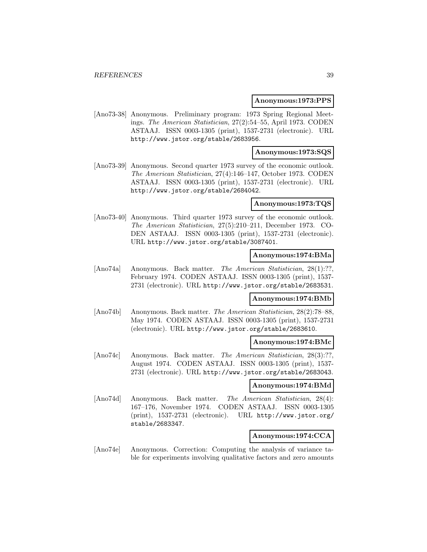#### **Anonymous:1973:PPS**

[Ano73-38] Anonymous. Preliminary program: 1973 Spring Regional Meetings. The American Statistician, 27(2):54–55, April 1973. CODEN ASTAAJ. ISSN 0003-1305 (print), 1537-2731 (electronic). URL http://www.jstor.org/stable/2683956.

#### **Anonymous:1973:SQS**

[Ano73-39] Anonymous. Second quarter 1973 survey of the economic outlook. The American Statistician, 27(4):146–147, October 1973. CODEN ASTAAJ. ISSN 0003-1305 (print), 1537-2731 (electronic). URL http://www.jstor.org/stable/2684042.

#### **Anonymous:1973:TQS**

[Ano73-40] Anonymous. Third quarter 1973 survey of the economic outlook. The American Statistician, 27(5):210–211, December 1973. CO-DEN ASTAAJ. ISSN 0003-1305 (print), 1537-2731 (electronic). URL http://www.jstor.org/stable/3087401.

#### **Anonymous:1974:BMa**

[Ano74a] Anonymous. Back matter. The American Statistician, 28(1):??, February 1974. CODEN ASTAAJ. ISSN 0003-1305 (print), 1537- 2731 (electronic). URL http://www.jstor.org/stable/2683531.

# **Anonymous:1974:BMb**

[Ano74b] Anonymous. Back matter. The American Statistician, 28(2):78–88, May 1974. CODEN ASTAAJ. ISSN 0003-1305 (print), 1537-2731 (electronic). URL http://www.jstor.org/stable/2683610.

#### **Anonymous:1974:BMc**

[Ano74c] Anonymous. Back matter. The American Statistician, 28(3):??, August 1974. CODEN ASTAAJ. ISSN 0003-1305 (print), 1537- 2731 (electronic). URL http://www.jstor.org/stable/2683043.

#### **Anonymous:1974:BMd**

[Ano74d] Anonymous. Back matter. The American Statistician, 28(4): 167–176, November 1974. CODEN ASTAAJ. ISSN 0003-1305 (print), 1537-2731 (electronic). URL http://www.jstor.org/ stable/2683347.

### **Anonymous:1974:CCA**

[Ano74e] Anonymous. Correction: Computing the analysis of variance table for experiments involving qualitative factors and zero amounts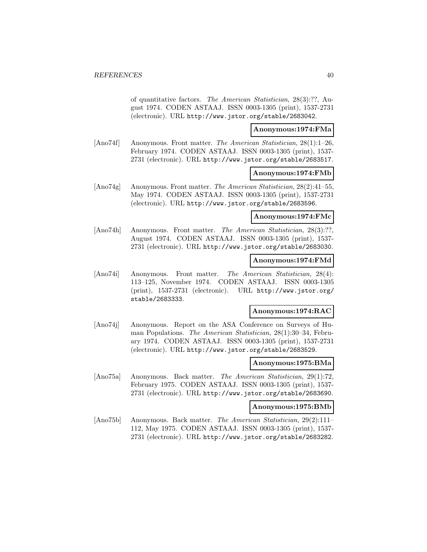of quantitative factors. The American Statistician, 28(3):??, August 1974. CODEN ASTAAJ. ISSN 0003-1305 (print), 1537-2731 (electronic). URL http://www.jstor.org/stable/2683042.

### **Anonymous:1974:FMa**

[Ano74f] Anonymous. Front matter. The American Statistician, 28(1):1–26, February 1974. CODEN ASTAAJ. ISSN 0003-1305 (print), 1537- 2731 (electronic). URL http://www.jstor.org/stable/2683517.

#### **Anonymous:1974:FMb**

[Ano74g] Anonymous. Front matter. The American Statistician, 28(2):41–55, May 1974. CODEN ASTAAJ. ISSN 0003-1305 (print), 1537-2731 (electronic). URL http://www.jstor.org/stable/2683596.

#### **Anonymous:1974:FMc**

[Ano74h] Anonymous. Front matter. The American Statistician, 28(3):??, August 1974. CODEN ASTAAJ. ISSN 0003-1305 (print), 1537- 2731 (electronic). URL http://www.jstor.org/stable/2683030.

### **Anonymous:1974:FMd**

[Ano74i] Anonymous. Front matter. The American Statistician, 28(4): 113–125, November 1974. CODEN ASTAAJ. ISSN 0003-1305 (print), 1537-2731 (electronic). URL http://www.jstor.org/ stable/2683333.

### **Anonymous:1974:RAC**

[Ano74j] Anonymous. Report on the ASA Conference on Surveys of Human Populations. The American Statistician, 28(1):30–34, February 1974. CODEN ASTAAJ. ISSN 0003-1305 (print), 1537-2731 (electronic). URL http://www.jstor.org/stable/2683529.

#### **Anonymous:1975:BMa**

[Ano75a] Anonymous. Back matter. The American Statistician, 29(1):72, February 1975. CODEN ASTAAJ. ISSN 0003-1305 (print), 1537- 2731 (electronic). URL http://www.jstor.org/stable/2683690.

#### **Anonymous:1975:BMb**

[Ano75b] Anonymous. Back matter. The American Statistician, 29(2):111– 112, May 1975. CODEN ASTAAJ. ISSN 0003-1305 (print), 1537- 2731 (electronic). URL http://www.jstor.org/stable/2683282.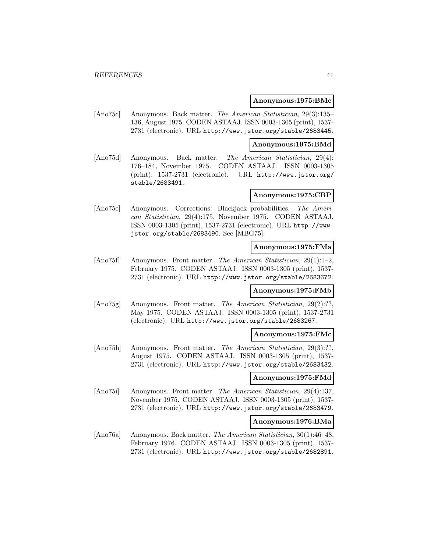#### **Anonymous:1975:BMc**

[Ano75c] Anonymous. Back matter. The American Statistician, 29(3):135– 136, August 1975. CODEN ASTAAJ. ISSN 0003-1305 (print), 1537- 2731 (electronic). URL http://www.jstor.org/stable/2683445.

#### **Anonymous:1975:BMd**

[Ano75d] Anonymous. Back matter. The American Statistician, 29(4): 176–184, November 1975. CODEN ASTAAJ. ISSN 0003-1305 (print), 1537-2731 (electronic). URL http://www.jstor.org/ stable/2683491.

## **Anonymous:1975:CBP**

[Ano75e] Anonymous. Corrections: Blackjack probabilities. The American Statistician, 29(4):175, November 1975. CODEN ASTAAJ. ISSN 0003-1305 (print), 1537-2731 (electronic). URL http://www. jstor.org/stable/2683490. See [MBG75].

#### **Anonymous:1975:FMa**

[Ano75f] Anonymous. Front matter. The American Statistician, 29(1):1–2, February 1975. CODEN ASTAAJ. ISSN 0003-1305 (print), 1537- 2731 (electronic). URL http://www.jstor.org/stable/2683672.

### **Anonymous:1975:FMb**

[Ano75g] Anonymous. Front matter. The American Statistician, 29(2):??, May 1975. CODEN ASTAAJ. ISSN 0003-1305 (print), 1537-2731 (electronic). URL http://www.jstor.org/stable/2683267.

#### **Anonymous:1975:FMc**

[Ano75h] Anonymous. Front matter. The American Statistician, 29(3):??, August 1975. CODEN ASTAAJ. ISSN 0003-1305 (print), 1537- 2731 (electronic). URL http://www.jstor.org/stable/2683432.

### **Anonymous:1975:FMd**

[Ano75i] Anonymous. Front matter. The American Statistician, 29(4):137, November 1975. CODEN ASTAAJ. ISSN 0003-1305 (print), 1537- 2731 (electronic). URL http://www.jstor.org/stable/2683479.

#### **Anonymous:1976:BMa**

[Ano76a] Anonymous. Back matter. The American Statistician, 30(1):46–48, February 1976. CODEN ASTAAJ. ISSN 0003-1305 (print), 1537- 2731 (electronic). URL http://www.jstor.org/stable/2682891.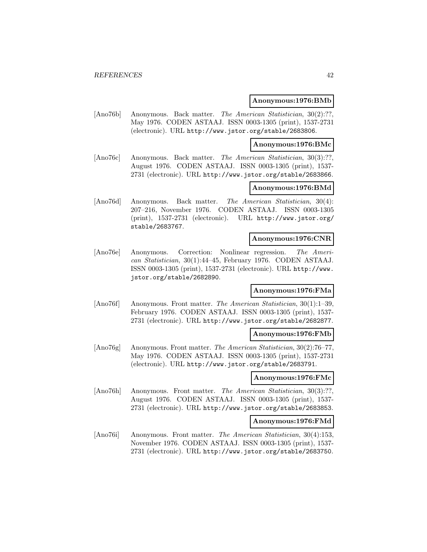#### **Anonymous:1976:BMb**

[Ano76b] Anonymous. Back matter. The American Statistician, 30(2):??, May 1976. CODEN ASTAAJ. ISSN 0003-1305 (print), 1537-2731 (electronic). URL http://www.jstor.org/stable/2683806.

#### **Anonymous:1976:BMc**

[Ano76c] Anonymous. Back matter. The American Statistician, 30(3):??, August 1976. CODEN ASTAAJ. ISSN 0003-1305 (print), 1537- 2731 (electronic). URL http://www.jstor.org/stable/2683866.

### **Anonymous:1976:BMd**

[Ano76d] Anonymous. Back matter. The American Statistician, 30(4): 207–216, November 1976. CODEN ASTAAJ. ISSN 0003-1305 (print), 1537-2731 (electronic). URL http://www.jstor.org/ stable/2683767.

#### **Anonymous:1976:CNR**

[Ano76e] Anonymous. Correction: Nonlinear regression. The American Statistician, 30(1):44–45, February 1976. CODEN ASTAAJ. ISSN 0003-1305 (print), 1537-2731 (electronic). URL http://www. jstor.org/stable/2682890.

# **Anonymous:1976:FMa**

[Ano76f] Anonymous. Front matter. The American Statistician, 30(1):1–39, February 1976. CODEN ASTAAJ. ISSN 0003-1305 (print), 1537- 2731 (electronic). URL http://www.jstor.org/stable/2682877.

### **Anonymous:1976:FMb**

[Ano76g] Anonymous. Front matter. The American Statistician, 30(2):76–77, May 1976. CODEN ASTAAJ. ISSN 0003-1305 (print), 1537-2731 (electronic). URL http://www.jstor.org/stable/2683791.

# **Anonymous:1976:FMc**

[Ano76h] Anonymous. Front matter. The American Statistician, 30(3):??. August 1976. CODEN ASTAAJ. ISSN 0003-1305 (print), 1537- 2731 (electronic). URL http://www.jstor.org/stable/2683853.

#### **Anonymous:1976:FMd**

[Ano76i] Anonymous. Front matter. The American Statistician, 30(4):153, November 1976. CODEN ASTAAJ. ISSN 0003-1305 (print), 1537- 2731 (electronic). URL http://www.jstor.org/stable/2683750.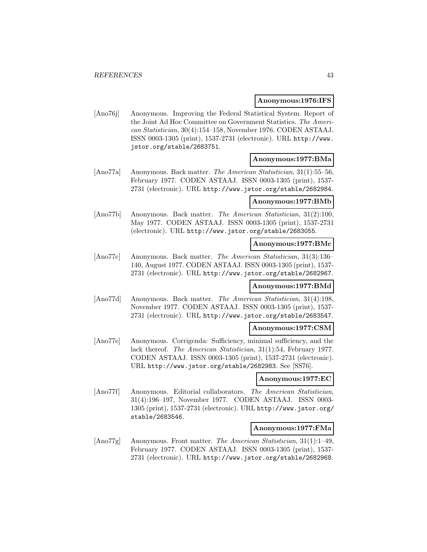#### **Anonymous:1976:IFS**

[Ano76j] Anonymous. Improving the Federal Statistical System. Report of the Joint Ad Hoc Committee on Government Statistics. The American Statistician, 30(4):154–158, November 1976. CODEN ASTAAJ. ISSN 0003-1305 (print), 1537-2731 (electronic). URL http://www. jstor.org/stable/2683751.

#### **Anonymous:1977:BMa**

[Ano77a] Anonymous. Back matter. The American Statistician, 31(1):55–56, February 1977. CODEN ASTAAJ. ISSN 0003-1305 (print), 1537- 2731 (electronic). URL http://www.jstor.org/stable/2682984.

#### **Anonymous:1977:BMb**

[Ano77b] Anonymous. Back matter. The American Statistician, 31(2):100, May 1977. CODEN ASTAAJ. ISSN 0003-1305 (print), 1537-2731 (electronic). URL http://www.jstor.org/stable/2683055.

#### **Anonymous:1977:BMc**

[Ano77c] Anonymous. Back matter. The American Statistician, 31(3):136– 140, August 1977. CODEN ASTAAJ. ISSN 0003-1305 (print), 1537- 2731 (electronic). URL http://www.jstor.org/stable/2682967.

#### **Anonymous:1977:BMd**

[Ano77d] Anonymous. Back matter. The American Statistician, 31(4):198, November 1977. CODEN ASTAAJ. ISSN 0003-1305 (print), 1537- 2731 (electronic). URL http://www.jstor.org/stable/2683547.

#### **Anonymous:1977:CSM**

[Ano77e] Anonymous. Corrigenda: Sufficiency, minimal sufficiency, and the lack thereof. The American Statistician, 31(1):54, February 1977. CODEN ASTAAJ. ISSN 0003-1305 (print), 1537-2731 (electronic). URL http://www.jstor.org/stable/2682983. See [SS76].

#### **Anonymous:1977:EC**

[Ano77f] Anonymous. Editorial collaborators. The American Statistician, 31(4):196–197, November 1977. CODEN ASTAAJ. ISSN 0003- 1305 (print), 1537-2731 (electronic). URL http://www.jstor.org/ stable/2683546.

#### **Anonymous:1977:FMa**

[Ano77g] Anonymous. Front matter. The American Statistician, 31(1):1–49, February 1977. CODEN ASTAAJ. ISSN 0003-1305 (print), 1537- 2731 (electronic). URL http://www.jstor.org/stable/2682968.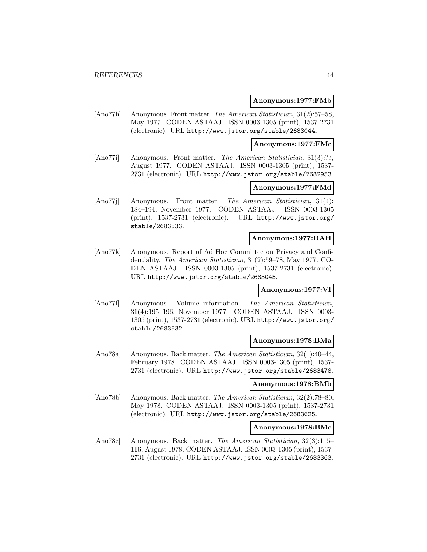#### **Anonymous:1977:FMb**

[Ano77h] Anonymous. Front matter. The American Statistician, 31(2):57–58, May 1977. CODEN ASTAAJ. ISSN 0003-1305 (print), 1537-2731 (electronic). URL http://www.jstor.org/stable/2683044.

#### **Anonymous:1977:FMc**

[Ano77i] Anonymous. Front matter. The American Statistician, 31(3):??, August 1977. CODEN ASTAAJ. ISSN 0003-1305 (print), 1537- 2731 (electronic). URL http://www.jstor.org/stable/2682953.

#### **Anonymous:1977:FMd**

[Ano77j] Anonymous. Front matter. The American Statistician, 31(4): 184–194, November 1977. CODEN ASTAAJ. ISSN 0003-1305 (print), 1537-2731 (electronic). URL http://www.jstor.org/ stable/2683533.

### **Anonymous:1977:RAH**

[Ano77k] Anonymous. Report of Ad Hoc Committee on Privacy and Confidentiality. The American Statistician, 31(2):59–78, May 1977. CO-DEN ASTAAJ. ISSN 0003-1305 (print), 1537-2731 (electronic). URL http://www.jstor.org/stable/2683045.

#### **Anonymous:1977:VI**

[Ano77l] Anonymous. Volume information. The American Statistician, 31(4):195–196, November 1977. CODEN ASTAAJ. ISSN 0003- 1305 (print), 1537-2731 (electronic). URL http://www.jstor.org/ stable/2683532.

#### **Anonymous:1978:BMa**

[Ano78a] Anonymous. Back matter. The American Statistician, 32(1):40–44, February 1978. CODEN ASTAAJ. ISSN 0003-1305 (print), 1537- 2731 (electronic). URL http://www.jstor.org/stable/2683478.

#### **Anonymous:1978:BMb**

[Ano78b] Anonymous. Back matter. The American Statistician, 32(2):78–80, May 1978. CODEN ASTAAJ. ISSN 0003-1305 (print), 1537-2731 (electronic). URL http://www.jstor.org/stable/2683625.

#### **Anonymous:1978:BMc**

[Ano78c] Anonymous. Back matter. The American Statistician, 32(3):115– 116, August 1978. CODEN ASTAAJ. ISSN 0003-1305 (print), 1537- 2731 (electronic). URL http://www.jstor.org/stable/2683363.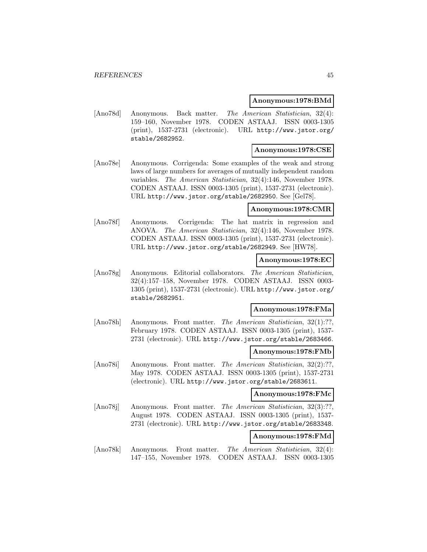#### **Anonymous:1978:BMd**

[Ano78d] Anonymous. Back matter. The American Statistician, 32(4): 159–160, November 1978. CODEN ASTAAJ. ISSN 0003-1305 (print), 1537-2731 (electronic). URL http://www.jstor.org/ stable/2682952.

#### **Anonymous:1978:CSE**

[Ano78e] Anonymous. Corrigenda: Some examples of the weak and strong laws of large numbers for averages of mutually independent random variables. The American Statistician, 32(4):146, November 1978. CODEN ASTAAJ. ISSN 0003-1305 (print), 1537-2731 (electronic). URL http://www.jstor.org/stable/2682950. See [Gel78].

#### **Anonymous:1978:CMR**

[Ano78f] Anonymous. Corrigenda: The hat matrix in regression and ANOVA. The American Statistician, 32(4):146, November 1978. CODEN ASTAAJ. ISSN 0003-1305 (print), 1537-2731 (electronic). URL http://www.jstor.org/stable/2682949. See [HW78].

#### **Anonymous:1978:EC**

[Ano78g] Anonymous. Editorial collaborators. The American Statistician, 32(4):157–158, November 1978. CODEN ASTAAJ. ISSN 0003- 1305 (print), 1537-2731 (electronic). URL http://www.jstor.org/ stable/2682951.

## **Anonymous:1978:FMa**

[Ano78h] Anonymous. Front matter. The American Statistician, 32(1):??, February 1978. CODEN ASTAAJ. ISSN 0003-1305 (print), 1537- 2731 (electronic). URL http://www.jstor.org/stable/2683466.

#### **Anonymous:1978:FMb**

[Ano78i] Anonymous. Front matter. The American Statistician, 32(2):??, May 1978. CODEN ASTAAJ. ISSN 0003-1305 (print), 1537-2731 (electronic). URL http://www.jstor.org/stable/2683611.

### **Anonymous:1978:FMc**

[Ano78] Anonymous. Front matter. The American Statistician, 32(3):??, August 1978. CODEN ASTAAJ. ISSN 0003-1305 (print), 1537- 2731 (electronic). URL http://www.jstor.org/stable/2683348.

# **Anonymous:1978:FMd**

[Ano78k] Anonymous. Front matter. The American Statistician, 32(4): 147–155, November 1978. CODEN ASTAAJ. ISSN 0003-1305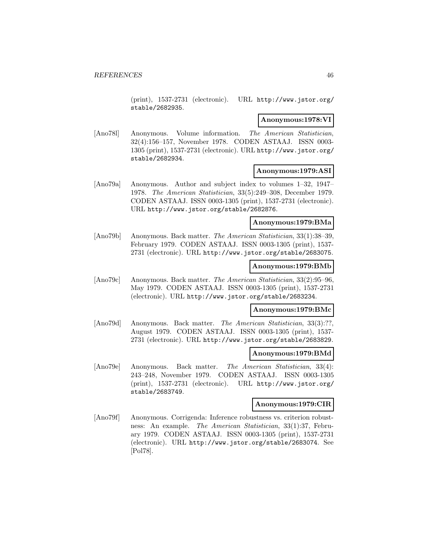(print), 1537-2731 (electronic). URL http://www.jstor.org/ stable/2682935.

### **Anonymous:1978:VI**

[Ano78l] Anonymous. Volume information. The American Statistician, 32(4):156–157, November 1978. CODEN ASTAAJ. ISSN 0003- 1305 (print), 1537-2731 (electronic). URL http://www.jstor.org/ stable/2682934.

# **Anonymous:1979:ASI**

[Ano79a] Anonymous. Author and subject index to volumes 1–32, 1947– 1978. The American Statistician, 33(5):249–308, December 1979. CODEN ASTAAJ. ISSN 0003-1305 (print), 1537-2731 (electronic). URL http://www.jstor.org/stable/2682876.

## **Anonymous:1979:BMa**

[Ano79b] Anonymous. Back matter. The American Statistician, 33(1):38–39, February 1979. CODEN ASTAAJ. ISSN 0003-1305 (print), 1537- 2731 (electronic). URL http://www.jstor.org/stable/2683075.

#### **Anonymous:1979:BMb**

[Ano79c] Anonymous. Back matter. The American Statistician, 33(2):95–96, May 1979. CODEN ASTAAJ. ISSN 0003-1305 (print), 1537-2731 (electronic). URL http://www.jstor.org/stable/2683234.

## **Anonymous:1979:BMc**

[Ano79d] Anonymous. Back matter. The American Statistician, 33(3):??, August 1979. CODEN ASTAAJ. ISSN 0003-1305 (print), 1537- 2731 (electronic). URL http://www.jstor.org/stable/2683829.

# **Anonymous:1979:BMd**

[Ano79e] Anonymous. Back matter. The American Statistician, 33(4): 243–248, November 1979. CODEN ASTAAJ. ISSN 0003-1305 (print), 1537-2731 (electronic). URL http://www.jstor.org/ stable/2683749.

### **Anonymous:1979:CIR**

[Ano79f] Anonymous. Corrigenda: Inference robustness vs. criterion robustness: An example. The American Statistician, 33(1):37, February 1979. CODEN ASTAAJ. ISSN 0003-1305 (print), 1537-2731 (electronic). URL http://www.jstor.org/stable/2683074. See [Pol78].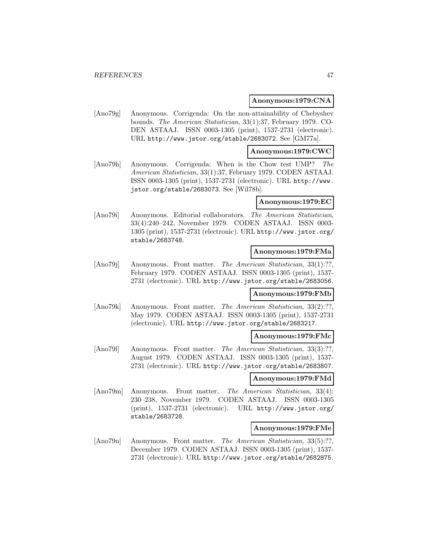### **Anonymous:1979:CNA**

[Ano79g] Anonymous. Corrigenda: On the non-attainability of Chebyshev bounds. The American Statistician, 33(1):37, February 1979. CO-DEN ASTAAJ. ISSN 0003-1305 (print), 1537-2731 (electronic). URL http://www.jstor.org/stable/2683072. See [GM77a].

## **Anonymous:1979:CWC**

[Ano79h] Anonymous. Corrigenda: When is the Chow test UMP? The American Statistician, 33(1):37, February 1979. CODEN ASTAAJ. ISSN 0003-1305 (print), 1537-2731 (electronic). URL http://www. jstor.org/stable/2683073. See [Wil78b].

### **Anonymous:1979:EC**

[Ano79i] Anonymous. Editorial collaborators. The American Statistician, 33(4):240–242, November 1979. CODEN ASTAAJ. ISSN 0003- 1305 (print), 1537-2731 (electronic). URL http://www.jstor.org/ stable/2683748.

### **Anonymous:1979:FMa**

[Ano79j] Anonymous. Front matter. The American Statistician, 33(1):??, February 1979. CODEN ASTAAJ. ISSN 0003-1305 (print), 1537- 2731 (electronic). URL http://www.jstor.org/stable/2683056.

#### **Anonymous:1979:FMb**

[Ano79k] Anonymous. Front matter. The American Statistician, 33(2):??, May 1979. CODEN ASTAAJ. ISSN 0003-1305 (print), 1537-2731 (electronic). URL http://www.jstor.org/stable/2683217.

#### **Anonymous:1979:FMc**

[Ano79l] Anonymous. Front matter. The American Statistician, 33(3):??, August 1979. CODEN ASTAAJ. ISSN 0003-1305 (print), 1537- 2731 (electronic). URL http://www.jstor.org/stable/2683807.

### **Anonymous:1979:FMd**

[Ano79m] Anonymous. Front matter. The American Statistician, 33(4): 230–238, November 1979. CODEN ASTAAJ. ISSN 0003-1305 (print), 1537-2731 (electronic). URL http://www.jstor.org/ stable/2683728.

#### **Anonymous:1979:FMe**

[Ano79n] Anonymous. Front matter. The American Statistician, 33(5):??, December 1979. CODEN ASTAAJ. ISSN 0003-1305 (print), 1537- 2731 (electronic). URL http://www.jstor.org/stable/2682875.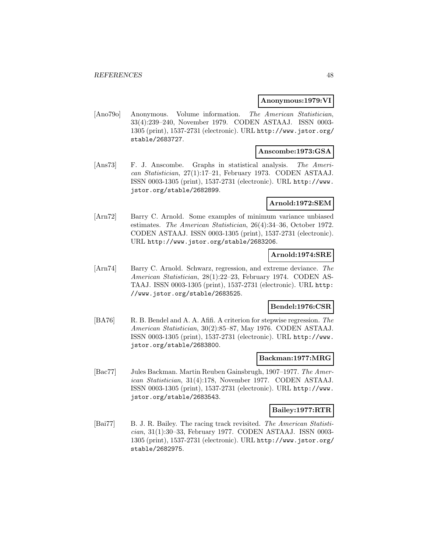#### **Anonymous:1979:VI**

[Ano79o] Anonymous. Volume information. The American Statistician, 33(4):239–240, November 1979. CODEN ASTAAJ. ISSN 0003- 1305 (print), 1537-2731 (electronic). URL http://www.jstor.org/ stable/2683727.

# **Anscombe:1973:GSA**

[Ans73] F. J. Anscombe. Graphs in statistical analysis. The American Statistician, 27(1):17–21, February 1973. CODEN ASTAAJ. ISSN 0003-1305 (print), 1537-2731 (electronic). URL http://www. jstor.org/stable/2682899.

### **Arnold:1972:SEM**

[Arn72] Barry C. Arnold. Some examples of minimum variance unbiased estimates. The American Statistician, 26(4):34–36, October 1972. CODEN ASTAAJ. ISSN 0003-1305 (print), 1537-2731 (electronic). URL http://www.jstor.org/stable/2683206.

### **Arnold:1974:SRE**

[Arn74] Barry C. Arnold. Schwarz, regression, and extreme deviance. The American Statistician, 28(1):22–23, February 1974. CODEN AS-TAAJ. ISSN 0003-1305 (print), 1537-2731 (electronic). URL http: //www.jstor.org/stable/2683525.

# **Bendel:1976:CSR**

[BA76] R. B. Bendel and A. A. Afifi. A criterion for stepwise regression. The American Statistician, 30(2):85–87, May 1976. CODEN ASTAAJ. ISSN 0003-1305 (print), 1537-2731 (electronic). URL http://www. jstor.org/stable/2683800.

#### **Backman:1977:MRG**

[Bac77] Jules Backman. Martin Reuben Gainsbrugh, 1907–1977. The American Statistician, 31(4):178, November 1977. CODEN ASTAAJ. ISSN 0003-1305 (print), 1537-2731 (electronic). URL http://www. jstor.org/stable/2683543.

#### **Bailey:1977:RTR**

[Bai77] B. J. R. Bailey. The racing track revisited. The American Statistician, 31(1):30–33, February 1977. CODEN ASTAAJ. ISSN 0003- 1305 (print), 1537-2731 (electronic). URL http://www.jstor.org/ stable/2682975.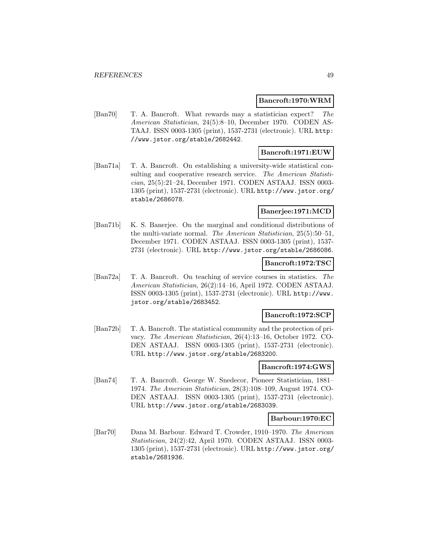#### **Bancroft:1970:WRM**

[Ban70] T. A. Bancroft. What rewards may a statistician expect? The American Statistician, 24(5):8–10, December 1970. CODEN AS-TAAJ. ISSN 0003-1305 (print), 1537-2731 (electronic). URL http: //www.jstor.org/stable/2682442.

# **Bancroft:1971:EUW**

[Ban71a] T. A. Bancroft. On establishing a university-wide statistical consulting and cooperative research service. The American Statistician, 25(5):21–24, December 1971. CODEN ASTAAJ. ISSN 0003- 1305 (print), 1537-2731 (electronic). URL http://www.jstor.org/ stable/2686078.

# **Banerjee:1971:MCD**

[Ban71b] K. S. Banerjee. On the marginal and conditional distributions of the multi-variate normal. The American Statistician, 25(5):50–51, December 1971. CODEN ASTAAJ. ISSN 0003-1305 (print), 1537- 2731 (electronic). URL http://www.jstor.org/stable/2686086.

### **Bancroft:1972:TSC**

[Ban72a] T. A. Bancroft. On teaching of service courses in statistics. The American Statistician, 26(2):14–16, April 1972. CODEN ASTAAJ. ISSN 0003-1305 (print), 1537-2731 (electronic). URL http://www. jstor.org/stable/2683452.

### **Bancroft:1972:SCP**

[Ban72b] T. A. Bancroft. The statistical community and the protection of privacy. The American Statistician, 26(4):13–16, October 1972. CO-DEN ASTAAJ. ISSN 0003-1305 (print), 1537-2731 (electronic). URL http://www.jstor.org/stable/2683200.

### **Bancroft:1974:GWS**

[Ban74] T. A. Bancroft. George W. Snedecor, Pioneer Statistician, 1881– 1974. The American Statistician, 28(3):108–109, August 1974. CO-DEN ASTAAJ. ISSN 0003-1305 (print), 1537-2731 (electronic). URL http://www.jstor.org/stable/2683039.

#### **Barbour:1970:EC**

[Bar70] Dana M. Barbour. Edward T. Crowder, 1910–1970. The American Statistician, 24(2):42, April 1970. CODEN ASTAAJ. ISSN 0003- 1305 (print), 1537-2731 (electronic). URL http://www.jstor.org/ stable/2681936.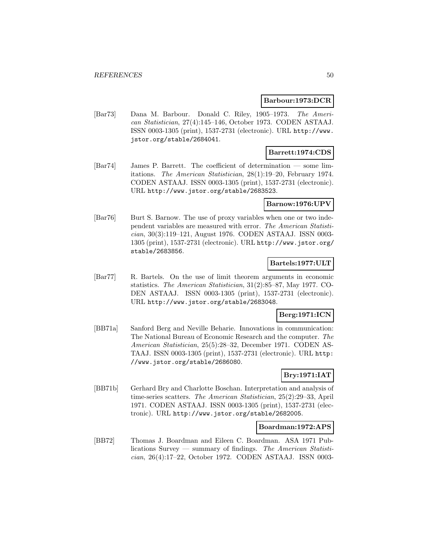#### **Barbour:1973:DCR**

[Bar73] Dana M. Barbour. Donald C. Riley, 1905–1973. The American Statistician, 27(4):145–146, October 1973. CODEN ASTAAJ. ISSN 0003-1305 (print), 1537-2731 (electronic). URL http://www. jstor.org/stable/2684041.

### **Barrett:1974:CDS**

[Bar74] James P. Barrett. The coefficient of determination — some limitations. The American Statistician, 28(1):19–20, February 1974. CODEN ASTAAJ. ISSN 0003-1305 (print), 1537-2731 (electronic). URL http://www.jstor.org/stable/2683523.

#### **Barnow:1976:UPV**

[Bar76] Burt S. Barnow. The use of proxy variables when one or two independent variables are measured with error. The American Statistician, 30(3):119–121, August 1976. CODEN ASTAAJ. ISSN 0003- 1305 (print), 1537-2731 (electronic). URL http://www.jstor.org/ stable/2683856.

### **Bartels:1977:ULT**

[Bar77] R. Bartels. On the use of limit theorem arguments in economic statistics. The American Statistician, 31(2):85–87, May 1977. CO-DEN ASTAAJ. ISSN 0003-1305 (print), 1537-2731 (electronic). URL http://www.jstor.org/stable/2683048.

#### **Berg:1971:ICN**

[BB71a] Sanford Berg and Neville Beharie. Innovations in communication: The National Bureau of Economic Research and the computer. The American Statistician, 25(5):28–32, December 1971. CODEN AS-TAAJ. ISSN 0003-1305 (print), 1537-2731 (electronic). URL http: //www.jstor.org/stable/2686080.

# **Bry:1971:IAT**

[BB71b] Gerhard Bry and Charlotte Boschan. Interpretation and analysis of time-series scatters. The American Statistician, 25(2):29–33, April 1971. CODEN ASTAAJ. ISSN 0003-1305 (print), 1537-2731 (electronic). URL http://www.jstor.org/stable/2682005.

#### **Boardman:1972:APS**

[BB72] Thomas J. Boardman and Eileen C. Boardman. ASA 1971 Publications Survey — summary of findings. The American Statistician, 26(4):17–22, October 1972. CODEN ASTAAJ. ISSN 0003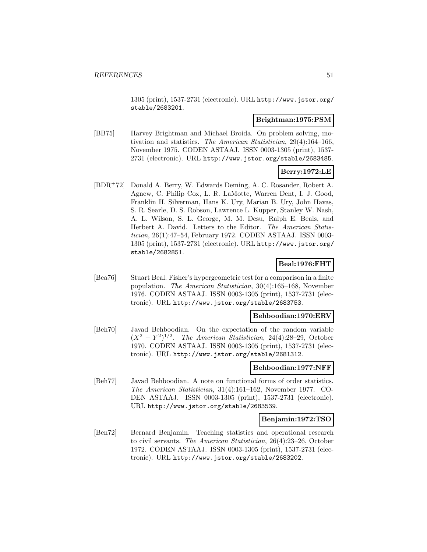1305 (print), 1537-2731 (electronic). URL http://www.jstor.org/ stable/2683201.

### **Brightman:1975:PSM**

[BB75] Harvey Brightman and Michael Broida. On problem solving, motivation and statistics. The American Statistician, 29(4):164–166, November 1975. CODEN ASTAAJ. ISSN 0003-1305 (print), 1537- 2731 (electronic). URL http://www.jstor.org/stable/2683485.

# **Berry:1972:LE**

[BDR<sup>+</sup>72] Donald A. Berry, W. Edwards Deming, A. C. Rosander, Robert A. Agnew, C. Philip Cox, L. R. LaMotte, Warren Dent, I. J. Good, Franklin H. Silverman, Hans K. Ury, Marian B. Ury, John Havas, S. R. Searle, D. S. Robson, Lawrence L. Kupper, Stanley W. Nash, A. L. Wilson, S. L. George, M. M. Desu, Ralph E. Beals, and Herbert A. David. Letters to the Editor. The American Statistician, 26(1):47–54, February 1972. CODEN ASTAAJ. ISSN 0003- 1305 (print), 1537-2731 (electronic). URL http://www.jstor.org/ stable/2682851.

# **Beal:1976:FHT**

[Bea76] Stuart Beal. Fisher's hypergeometric test for a comparison in a finite population. The American Statistician, 30(4):165–168, November 1976. CODEN ASTAAJ. ISSN 0003-1305 (print), 1537-2731 (electronic). URL http://www.jstor.org/stable/2683753.

### **Behboodian:1970:ERV**

[Beh70] Javad Behboodian. On the expectation of the random variable  $(X^2 - Y^2)^{1/2}$ . The American Statistician, 24(4):28–29, October 1970. CODEN ASTAAJ. ISSN 0003-1305 (print), 1537-2731 (electronic). URL http://www.jstor.org/stable/2681312.

# **Behboodian:1977:NFF**

[Beh77] Javad Behboodian. A note on functional forms of order statistics. The American Statistician, 31(4):161–162, November 1977. CO-DEN ASTAAJ. ISSN 0003-1305 (print), 1537-2731 (electronic). URL http://www.jstor.org/stable/2683539.

#### **Benjamin:1972:TSO**

[Ben72] Bernard Benjamin. Teaching statistics and operational research to civil servants. The American Statistician, 26(4):23–26, October 1972. CODEN ASTAAJ. ISSN 0003-1305 (print), 1537-2731 (electronic). URL http://www.jstor.org/stable/2683202.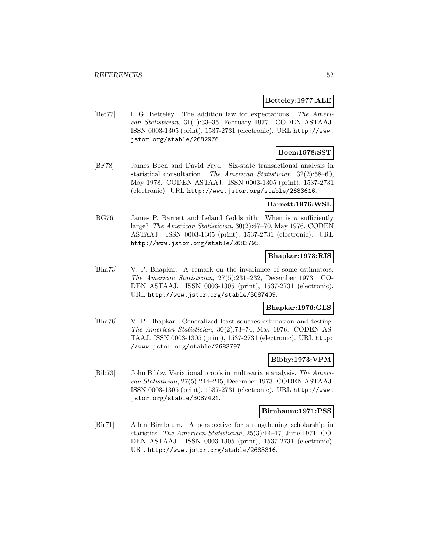### **Betteley:1977:ALE**

[Bet77] I. G. Betteley. The addition law for expectations. The American Statistician, 31(1):33–35, February 1977. CODEN ASTAAJ. ISSN 0003-1305 (print), 1537-2731 (electronic). URL http://www. jstor.org/stable/2682976.

# **Boen:1978:SST**

[BF78] James Boen and David Fryd. Six-state transactional analysis in statistical consultation. The American Statistician, 32(2):58–60, May 1978. CODEN ASTAAJ. ISSN 0003-1305 (print), 1537-2731 (electronic). URL http://www.jstor.org/stable/2683616.

#### **Barrett:1976:WSL**

[BG76] James P. Barrett and Leland Goldsmith. When is n sufficiently large? The American Statistician, 30(2):67–70, May 1976. CODEN ASTAAJ. ISSN 0003-1305 (print), 1537-2731 (electronic). URL http://www.jstor.org/stable/2683795.

### **Bhapkar:1973:RIS**

[Bha73] V. P. Bhapkar. A remark on the invariance of some estimators. The American Statistician, 27(5):231–232, December 1973. CO-DEN ASTAAJ. ISSN 0003-1305 (print), 1537-2731 (electronic). URL http://www.jstor.org/stable/3087409.

### **Bhapkar:1976:GLS**

[Bha76] V. P. Bhapkar. Generalized least squares estimation and testing. The American Statistician, 30(2):73–74, May 1976. CODEN AS-TAAJ. ISSN 0003-1305 (print), 1537-2731 (electronic). URL http: //www.jstor.org/stable/2683797.

# **Bibby:1973:VPM**

[Bib73] John Bibby. Variational proofs in multivariate analysis. The American Statistician, 27(5):244–245, December 1973. CODEN ASTAAJ. ISSN 0003-1305 (print), 1537-2731 (electronic). URL http://www. jstor.org/stable/3087421.

#### **Birnbaum:1971:PSS**

[Bir71] Allan Birnbaum. A perspective for strengthening scholarship in statistics. The American Statistician, 25(3):14–17, June 1971. CO-DEN ASTAAJ. ISSN 0003-1305 (print), 1537-2731 (electronic). URL http://www.jstor.org/stable/2683316.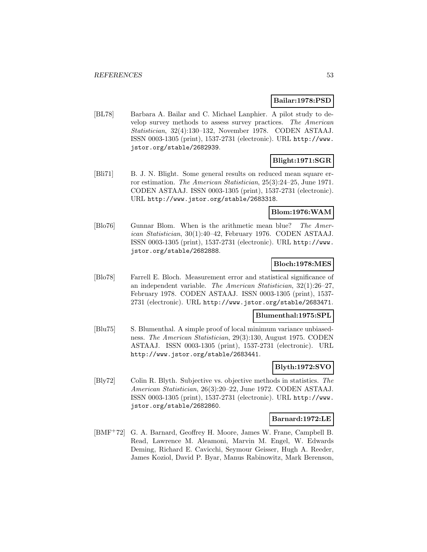## **Bailar:1978:PSD**

[BL78] Barbara A. Bailar and C. Michael Lanphier. A pilot study to develop survey methods to assess survey practices. The American Statistician, 32(4):130–132, November 1978. CODEN ASTAAJ. ISSN 0003-1305 (print), 1537-2731 (electronic). URL http://www. jstor.org/stable/2682939.

# **Blight:1971:SGR**

[Bli71] B. J. N. Blight. Some general results on reduced mean square error estimation. The American Statistician, 25(3):24–25, June 1971. CODEN ASTAAJ. ISSN 0003-1305 (print), 1537-2731 (electronic). URL http://www.jstor.org/stable/2683318.

## **Blom:1976:WAM**

[Blo76] Gunnar Blom. When is the arithmetic mean blue? The American Statistician, 30(1):40–42, February 1976. CODEN ASTAAJ. ISSN 0003-1305 (print), 1537-2731 (electronic). URL http://www. jstor.org/stable/2682888.

# **Bloch:1978:MES**

[Blo78] Farrell E. Bloch. Measurement error and statistical significance of an independent variable. The American Statistician, 32(1):26–27, February 1978. CODEN ASTAAJ. ISSN 0003-1305 (print), 1537- 2731 (electronic). URL http://www.jstor.org/stable/2683471.

### **Blumenthal:1975:SPL**

[Blu75] S. Blumenthal. A simple proof of local minimum variance unbiasedness. The American Statistician, 29(3):130, August 1975. CODEN ASTAAJ. ISSN 0003-1305 (print), 1537-2731 (electronic). URL http://www.jstor.org/stable/2683441.

# **Blyth:1972:SVO**

[Bly72] Colin R. Blyth. Subjective vs. objective methods in statistics. The American Statistician, 26(3):20–22, June 1972. CODEN ASTAAJ. ISSN 0003-1305 (print), 1537-2731 (electronic). URL http://www. jstor.org/stable/2682860.

#### **Barnard:1972:LE**

[BMF<sup>+</sup>72] G. A. Barnard, Geoffrey H. Moore, James W. Frane, Campbell B. Read, Lawrence M. Aleamoni, Marvin M. Engel, W. Edwards Deming, Richard E. Cavicchi, Seymour Geisser, Hugh A. Reeder, James Koziol, David P. Byar, Manus Rabinowitz, Mark Berenson,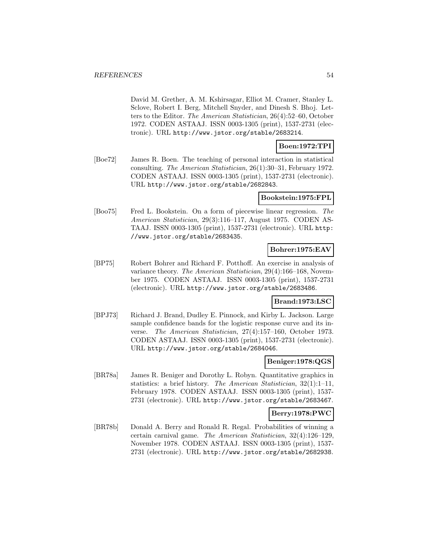David M. Grether, A. M. Kshirsagar, Elliot M. Cramer, Stanley L. Sclove, Robert I. Berg, Mitchell Snyder, and Dinesh S. Bhoj. Letters to the Editor. The American Statistician, 26(4):52–60, October 1972. CODEN ASTAAJ. ISSN 0003-1305 (print), 1537-2731 (electronic). URL http://www.jstor.org/stable/2683214.

**Boen:1972:TPI**

[Boe72] James R. Boen. The teaching of personal interaction in statistical consulting. The American Statistician, 26(1):30–31, February 1972. CODEN ASTAAJ. ISSN 0003-1305 (print), 1537-2731 (electronic). URL http://www.jstor.org/stable/2682843.

### **Bookstein:1975:FPL**

[Boo75] Fred L. Bookstein. On a form of piecewise linear regression. The American Statistician, 29(3):116–117, August 1975. CODEN AS-TAAJ. ISSN 0003-1305 (print), 1537-2731 (electronic). URL http: //www.jstor.org/stable/2683435.

### **Bohrer:1975:EAV**

[BP75] Robert Bohrer and Richard F. Potthoff. An exercise in analysis of variance theory. The American Statistician, 29(4):166–168, November 1975. CODEN ASTAAJ. ISSN 0003-1305 (print), 1537-2731 (electronic). URL http://www.jstor.org/stable/2683486.

# **Brand:1973:LSC**

[BPJ73] Richard J. Brand, Dudley E. Pinnock, and Kirby L. Jackson. Large sample confidence bands for the logistic response curve and its inverse. The American Statistician, 27(4):157–160, October 1973. CODEN ASTAAJ. ISSN 0003-1305 (print), 1537-2731 (electronic). URL http://www.jstor.org/stable/2684046.

#### **Beniger:1978:QGS**

[BR78a] James R. Beniger and Dorothy L. Robyn. Quantitative graphics in statistics: a brief history. The American Statistician, 32(1):1–11, February 1978. CODEN ASTAAJ. ISSN 0003-1305 (print), 1537- 2731 (electronic). URL http://www.jstor.org/stable/2683467.

# **Berry:1978:PWC**

[BR78b] Donald A. Berry and Ronald R. Regal. Probabilities of winning a certain carnival game. The American Statistician, 32(4):126–129, November 1978. CODEN ASTAAJ. ISSN 0003-1305 (print), 1537- 2731 (electronic). URL http://www.jstor.org/stable/2682938.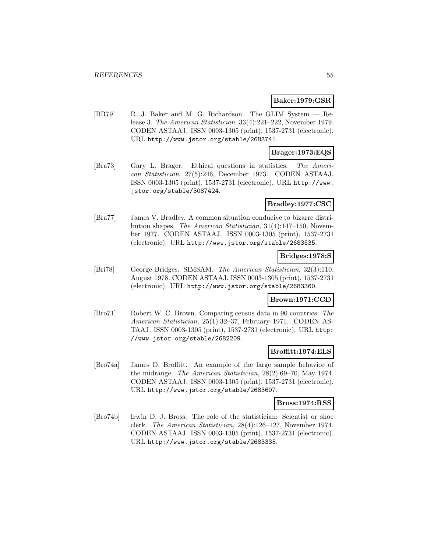### **Baker:1979:GSR**

[BR79] R. J. Baker and M. G. Richardson. The GLIM System — Release 3. The American Statistician, 33(4):221–222, November 1979. CODEN ASTAAJ. ISSN 0003-1305 (print), 1537-2731 (electronic). URL http://www.jstor.org/stable/2683741.

# **Brager:1973:EQS**

[Bra73] Gary L. Brager. Ethical questions in statistics. The American Statistician, 27(5):246, December 1973. CODEN ASTAAJ. ISSN 0003-1305 (print), 1537-2731 (electronic). URL http://www. jstor.org/stable/3087424.

#### **Bradley:1977:CSC**

[Bra77] James V. Bradley. A common situation conducive to bizarre distribution shapes. The American Statistician, 31(4):147–150, November 1977. CODEN ASTAAJ. ISSN 0003-1305 (print), 1537-2731 (electronic). URL http://www.jstor.org/stable/2683535.

### **Bridges:1978:S**

[Bri78] George Bridges. SIMSAM. The American Statistician, 32(3):110, August 1978. CODEN ASTAAJ. ISSN 0003-1305 (print), 1537-2731 (electronic). URL http://www.jstor.org/stable/2683360.

### **Brown:1971:CCD**

[Bro71] Robert W. C. Brown. Comparing census data in 90 countries. The American Statistician, 25(1):32–37, February 1971. CODEN AS-TAAJ. ISSN 0003-1305 (print), 1537-2731 (electronic). URL http: //www.jstor.org/stable/2682209.

#### **Broffitt:1974:ELS**

[Bro74a] James D. Broffitt. An example of the large sample behavior of the midrange. The American Statistician, 28(2):69–70, May 1974. CODEN ASTAAJ. ISSN 0003-1305 (print), 1537-2731 (electronic). URL http://www.jstor.org/stable/2683607.

#### **Bross:1974:RSS**

[Bro74b] Irwin D. J. Bross. The role of the statistician: Scientist or shoe clerk. The American Statistician, 28(4):126–127, November 1974. CODEN ASTAAJ. ISSN 0003-1305 (print), 1537-2731 (electronic). URL http://www.jstor.org/stable/2683335.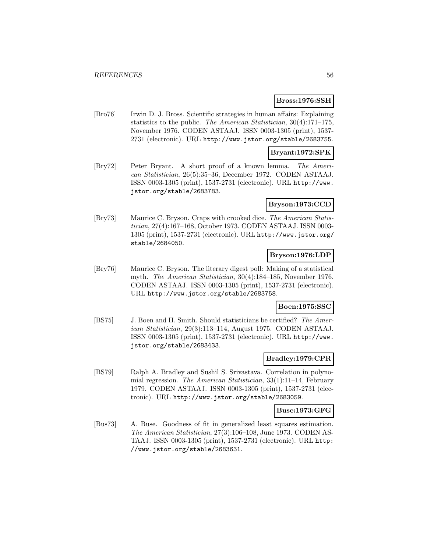#### **Bross:1976:SSH**

[Bro76] Irwin D. J. Bross. Scientific strategies in human affairs: Explaining statistics to the public. The American Statistician, 30(4):171–175, November 1976. CODEN ASTAAJ. ISSN 0003-1305 (print), 1537- 2731 (electronic). URL http://www.jstor.org/stable/2683755.

### **Bryant:1972:SPK**

[Bry72] Peter Bryant. A short proof of a known lemma. The American Statistician, 26(5):35–36, December 1972. CODEN ASTAAJ. ISSN 0003-1305 (print), 1537-2731 (electronic). URL http://www. jstor.org/stable/2683783.

#### **Bryson:1973:CCD**

[Bry73] Maurice C. Bryson. Craps with crooked dice. The American Statistician, 27(4):167–168, October 1973. CODEN ASTAAJ. ISSN 0003- 1305 (print), 1537-2731 (electronic). URL http://www.jstor.org/ stable/2684050.

### **Bryson:1976:LDP**

[Bry76] Maurice C. Bryson. The literary digest poll: Making of a statistical myth. The American Statistician, 30(4):184–185, November 1976. CODEN ASTAAJ. ISSN 0003-1305 (print), 1537-2731 (electronic). URL http://www.jstor.org/stable/2683758.

### **Boen:1975:SSC**

[BS75] J. Boen and H. Smith. Should statisticians be certified? The American Statistician, 29(3):113–114, August 1975. CODEN ASTAAJ. ISSN 0003-1305 (print), 1537-2731 (electronic). URL http://www. jstor.org/stable/2683433.

#### **Bradley:1979:CPR**

[BS79] Ralph A. Bradley and Sushil S. Srivastava. Correlation in polynomial regression. The American Statistician, 33(1):11–14, February 1979. CODEN ASTAAJ. ISSN 0003-1305 (print), 1537-2731 (electronic). URL http://www.jstor.org/stable/2683059.

#### **Buse:1973:GFG**

[Bus73] A. Buse. Goodness of fit in generalized least squares estimation. The American Statistician, 27(3):106–108, June 1973. CODEN AS-TAAJ. ISSN 0003-1305 (print), 1537-2731 (electronic). URL http: //www.jstor.org/stable/2683631.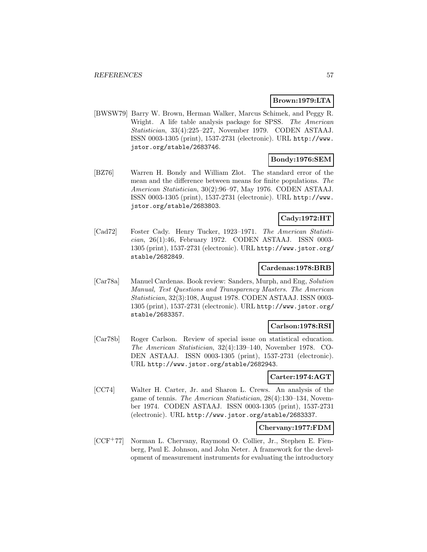### **Brown:1979:LTA**

[BWSW79] Barry W. Brown, Herman Walker, Marcus Schimek, and Peggy R. Wright. A life table analysis package for SPSS. The American Statistician, 33(4):225–227, November 1979. CODEN ASTAAJ. ISSN 0003-1305 (print), 1537-2731 (electronic). URL http://www. jstor.org/stable/2683746.

# **Bondy:1976:SEM**

[BZ76] Warren H. Bondy and William Zlot. The standard error of the mean and the difference between means for finite populations. The American Statistician, 30(2):96–97, May 1976. CODEN ASTAAJ. ISSN 0003-1305 (print), 1537-2731 (electronic). URL http://www. jstor.org/stable/2683803.

# **Cady:1972:HT**

[Cad72] Foster Cady. Henry Tucker, 1923–1971. The American Statistician, 26(1):46, February 1972. CODEN ASTAAJ. ISSN 0003- 1305 (print), 1537-2731 (electronic). URL http://www.jstor.org/ stable/2682849.

### **Cardenas:1978:BRB**

[Car78a] Manuel Cardenas. Book review: Sanders, Murph, and Eng, Solution Manual, Test Questions and Transparency Masters. The American Statistician, 32(3):108, August 1978. CODEN ASTAAJ. ISSN 0003- 1305 (print), 1537-2731 (electronic). URL http://www.jstor.org/ stable/2683357.

#### **Carlson:1978:RSI**

[Car78b] Roger Carlson. Review of special issue on statistical education. The American Statistician, 32(4):139–140, November 1978. CO-DEN ASTAAJ. ISSN 0003-1305 (print), 1537-2731 (electronic). URL http://www.jstor.org/stable/2682943.

### **Carter:1974:AGT**

[CC74] Walter H. Carter, Jr. and Sharon L. Crews. An analysis of the game of tennis. The American Statistician, 28(4):130–134, November 1974. CODEN ASTAAJ. ISSN 0003-1305 (print), 1537-2731 (electronic). URL http://www.jstor.org/stable/2683337.

#### **Chervany:1977:FDM**

[CCF<sup>+</sup>77] Norman L. Chervany, Raymond O. Collier, Jr., Stephen E. Fienberg, Paul E. Johnson, and John Neter. A framework for the development of measurement instruments for evaluating the introductory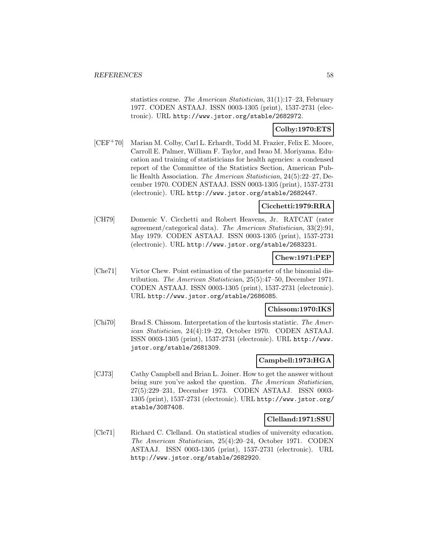statistics course. The American Statistician, 31(1):17–23, February 1977. CODEN ASTAAJ. ISSN 0003-1305 (print), 1537-2731 (electronic). URL http://www.jstor.org/stable/2682972.

# **Colby:1970:ETS**

[CEF<sup>+</sup>70] Marian M. Colby, Carl L. Erhardt, Todd M. Frazier, Felix E. Moore, Carroll E. Palmer, William F. Taylor, and Iwao M. Moriyama. Education and training of statisticians for health agencies: a condensed report of the Committee of the Statistics Section, American Public Health Association. The American Statistician, 24(5):22–27, December 1970. CODEN ASTAAJ. ISSN 0003-1305 (print), 1537-2731 (electronic). URL http://www.jstor.org/stable/2682447.

## **Cicchetti:1979:RRA**

[CH79] Domenic V. Cicchetti and Robert Heavens, Jr. RATCAT (rater agreement/categorical data). The American Statistician, 33(2):91, May 1979. CODEN ASTAAJ. ISSN 0003-1305 (print), 1537-2731 (electronic). URL http://www.jstor.org/stable/2683231.

# **Chew:1971:PEP**

[Che71] Victor Chew. Point estimation of the parameter of the binomial distribution. The American Statistician, 25(5):47–50, December 1971. CODEN ASTAAJ. ISSN 0003-1305 (print), 1537-2731 (electronic). URL http://www.jstor.org/stable/2686085.

## **Chissom:1970:IKS**

[Chi70] Brad S. Chissom. Interpretation of the kurtosis statistic. The American Statistician, 24(4):19–22, October 1970. CODEN ASTAAJ. ISSN 0003-1305 (print), 1537-2731 (electronic). URL http://www. jstor.org/stable/2681309.

### **Campbell:1973:HGA**

[CJ73] Cathy Campbell and Brian L. Joiner. How to get the answer without being sure you've asked the question. The American Statistician, 27(5):229–231, December 1973. CODEN ASTAAJ. ISSN 0003- 1305 (print), 1537-2731 (electronic). URL http://www.jstor.org/ stable/3087408.

#### **Clelland:1971:SSU**

[Cle71] Richard C. Clelland. On statistical studies of university education. The American Statistician, 25(4):20–24, October 1971. CODEN ASTAAJ. ISSN 0003-1305 (print), 1537-2731 (electronic). URL http://www.jstor.org/stable/2682920.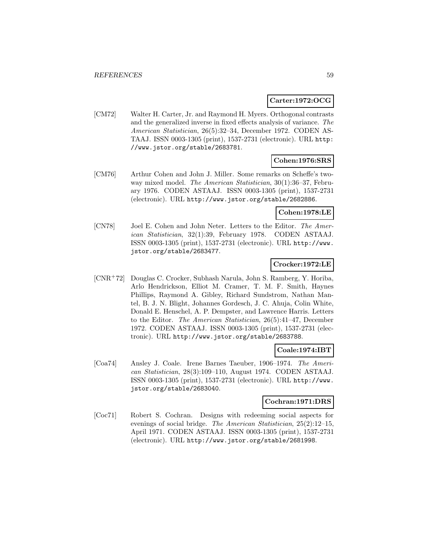### **Carter:1972:OCG**

[CM72] Walter H. Carter, Jr. and Raymond H. Myers. Orthogonal contrasts and the generalized inverse in fixed effects analysis of variance. The American Statistician, 26(5):32–34, December 1972. CODEN AS-TAAJ. ISSN 0003-1305 (print), 1537-2731 (electronic). URL http: //www.jstor.org/stable/2683781.

# **Cohen:1976:SRS**

[CM76] Arthur Cohen and John J. Miller. Some remarks on Scheffe's twoway mixed model. The American Statistician, 30(1):36–37, February 1976. CODEN ASTAAJ. ISSN 0003-1305 (print), 1537-2731 (electronic). URL http://www.jstor.org/stable/2682886.

### **Cohen:1978:LE**

[CN78] Joel E. Cohen and John Neter. Letters to the Editor. The American Statistician, 32(1):39, February 1978. CODEN ASTAAJ. ISSN 0003-1305 (print), 1537-2731 (electronic). URL http://www. jstor.org/stable/2683477.

# **Crocker:1972:LE**

[CNR<sup>+</sup>72] Douglas C. Crocker, Subhash Narula, John S. Ramberg, Y. Horiba, Arlo Hendrickson, Elliot M. Cramer, T. M. F. Smith, Haynes Phillips, Raymond A. Gibley, Richard Sundstrom, Nathan Mantel, B. J. N. Blight, Johannes Gordesch, J. C. Ahuja, Colin White, Donald E. Henschel, A. P. Dempster, and Lawrence Harris. Letters to the Editor. The American Statistician, 26(5):41–47, December 1972. CODEN ASTAAJ. ISSN 0003-1305 (print), 1537-2731 (electronic). URL http://www.jstor.org/stable/2683788.

#### **Coale:1974:IBT**

[Coa74] Ansley J. Coale. Irene Barnes Taeuber, 1906–1974. The American Statistician, 28(3):109–110, August 1974. CODEN ASTAAJ. ISSN 0003-1305 (print), 1537-2731 (electronic). URL http://www. jstor.org/stable/2683040.

# **Cochran:1971:DRS**

[Coc71] Robert S. Cochran. Designs with redeeming social aspects for evenings of social bridge. The American Statistician, 25(2):12–15, April 1971. CODEN ASTAAJ. ISSN 0003-1305 (print), 1537-2731 (electronic). URL http://www.jstor.org/stable/2681998.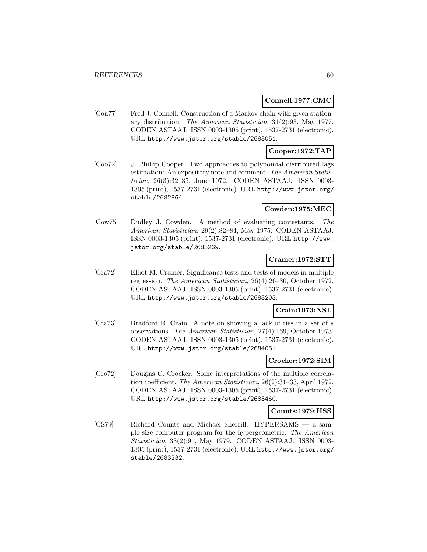## **Connell:1977:CMC**

[Con77] Fred J. Connell. Construction of a Markov chain with given stationary distribution. The American Statistician, 31(2):93, May 1977. CODEN ASTAAJ. ISSN 0003-1305 (print), 1537-2731 (electronic). URL http://www.jstor.org/stable/2683051.

# **Cooper:1972:TAP**

[Coo72] J. Phillip Cooper. Two approaches to polynomial distributed lags estimation: An expository note and comment. The American Statistician, 26(3):32–35, June 1972. CODEN ASTAAJ. ISSN 0003- 1305 (print), 1537-2731 (electronic). URL http://www.jstor.org/ stable/2682864.

### **Cowden:1975:MEC**

[Cow75] Dudley J. Cowden. A method of evaluating contestants. The American Statistician, 29(2):82–84, May 1975. CODEN ASTAAJ. ISSN 0003-1305 (print), 1537-2731 (electronic). URL http://www. jstor.org/stable/2683269.

# **Cramer:1972:STT**

[Cra72] Elliot M. Cramer. Significance tests and tests of models in multiple regression. The American Statistician, 26(4):26–30, October 1972. CODEN ASTAAJ. ISSN 0003-1305 (print), 1537-2731 (electronic). URL http://www.jstor.org/stable/2683203.

# **Crain:1973:NSL**

[Cra73] Bradford R. Crain. A note on showing a lack of ties in a set of s observations. The American Statistician, 27(4):169, October 1973. CODEN ASTAAJ. ISSN 0003-1305 (print), 1537-2731 (electronic). URL http://www.jstor.org/stable/2684051.

### **Crocker:1972:SIM**

[Cro72] Douglas C. Crocker. Some interpretations of the multiple correlation coefficient. The American Statistician, 26(2):31–33, April 1972. CODEN ASTAAJ. ISSN 0003-1305 (print), 1537-2731 (electronic). URL http://www.jstor.org/stable/2683460.

#### **Counts:1979:HSS**

[CS79] Richard Counts and Michael Sherrill. HYPERSAMS — a sample size computer program for the hypergeometric. The American Statistician, 33(2):91, May 1979. CODEN ASTAAJ. ISSN 0003- 1305 (print), 1537-2731 (electronic). URL http://www.jstor.org/ stable/2683232.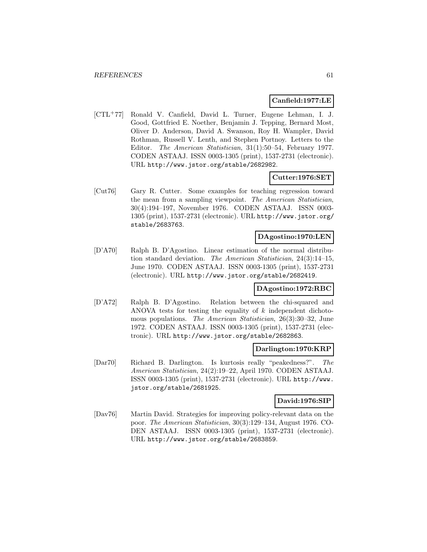#### **Canfield:1977:LE**

[CTL<sup>+</sup>77] Ronald V. Canfield, David L. Turner, Eugene Lehman, I. J. Good, Gottfried E. Noether, Benjamin J. Tepping, Bernard Most, Oliver D. Anderson, David A. Swanson, Roy H. Wampler, David Rothman, Russell V. Lenth, and Stephen Portnoy. Letters to the Editor. The American Statistician, 31(1):50–54, February 1977. CODEN ASTAAJ. ISSN 0003-1305 (print), 1537-2731 (electronic). URL http://www.jstor.org/stable/2682982.

### **Cutter:1976:SET**

[Cut76] Gary R. Cutter. Some examples for teaching regression toward the mean from a sampling viewpoint. The American Statistician, 30(4):194–197, November 1976. CODEN ASTAAJ. ISSN 0003- 1305 (print), 1537-2731 (electronic). URL http://www.jstor.org/ stable/2683763.

#### **DAgostino:1970:LEN**

[D'A70] Ralph B. D'Agostino. Linear estimation of the normal distribution standard deviation. The American Statistician, 24(3):14–15, June 1970. CODEN ASTAAJ. ISSN 0003-1305 (print), 1537-2731 (electronic). URL http://www.jstor.org/stable/2682419.

#### **DAgostino:1972:RBC**

[D'A72] Ralph B. D'Agostino. Relation between the chi-squared and ANOVA tests for testing the equality of  $k$  independent dichotomous populations. The American Statistician, 26(3):30–32, June 1972. CODEN ASTAAJ. ISSN 0003-1305 (print), 1537-2731 (electronic). URL http://www.jstor.org/stable/2682863.

#### **Darlington:1970:KRP**

[Dar70] Richard B. Darlington. Is kurtosis really "peakedness?". The American Statistician, 24(2):19–22, April 1970. CODEN ASTAAJ. ISSN 0003-1305 (print), 1537-2731 (electronic). URL http://www. jstor.org/stable/2681925.

#### **David:1976:SIP**

[Dav76] Martin David. Strategies for improving policy-relevant data on the poor. The American Statistician, 30(3):129–134, August 1976. CO-DEN ASTAAJ. ISSN 0003-1305 (print), 1537-2731 (electronic). URL http://www.jstor.org/stable/2683859.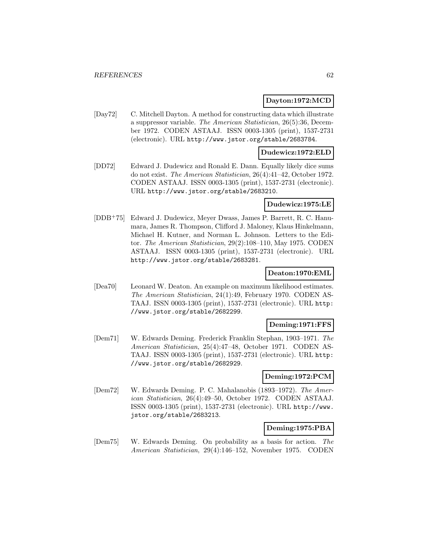### **Dayton:1972:MCD**

[Day72] C. Mitchell Dayton. A method for constructing data which illustrate a suppressor variable. The American Statistician, 26(5):36, December 1972. CODEN ASTAAJ. ISSN 0003-1305 (print), 1537-2731 (electronic). URL http://www.jstor.org/stable/2683784.

#### **Dudewicz:1972:ELD**

[DD72] Edward J. Dudewicz and Ronald E. Dann. Equally likely dice sums do not exist. The American Statistician, 26(4):41–42, October 1972. CODEN ASTAAJ. ISSN 0003-1305 (print), 1537-2731 (electronic). URL http://www.jstor.org/stable/2683210.

### **Dudewicz:1975:LE**

[DDB<sup>+</sup>75] Edward J. Dudewicz, Meyer Dwass, James P. Barrett, R. C. Hanumara, James R. Thompson, Clifford J. Maloney, Klaus Hinkelmann, Michael H. Kutner, and Norman L. Johnson. Letters to the Editor. The American Statistician, 29(2):108–110, May 1975. CODEN ASTAAJ. ISSN 0003-1305 (print), 1537-2731 (electronic). URL http://www.jstor.org/stable/2683281.

#### **Deaton:1970:EML**

[Dea70] Leonard W. Deaton. An example on maximum likelihood estimates. The American Statistician, 24(1):49, February 1970. CODEN AS-TAAJ. ISSN 0003-1305 (print), 1537-2731 (electronic). URL http: //www.jstor.org/stable/2682299.

### **Deming:1971:FFS**

[Dem71] W. Edwards Deming. Frederick Franklin Stephan, 1903–1971. The American Statistician, 25(4):47–48, October 1971. CODEN AS-TAAJ. ISSN 0003-1305 (print), 1537-2731 (electronic). URL http: //www.jstor.org/stable/2682929.

#### **Deming:1972:PCM**

[Dem72] W. Edwards Deming. P. C. Mahalanobis (1893–1972). The American Statistician, 26(4):49–50, October 1972. CODEN ASTAAJ. ISSN 0003-1305 (print), 1537-2731 (electronic). URL http://www. jstor.org/stable/2683213.

#### **Deming:1975:PBA**

[Dem75] W. Edwards Deming. On probability as a basis for action. The American Statistician, 29(4):146–152, November 1975. CODEN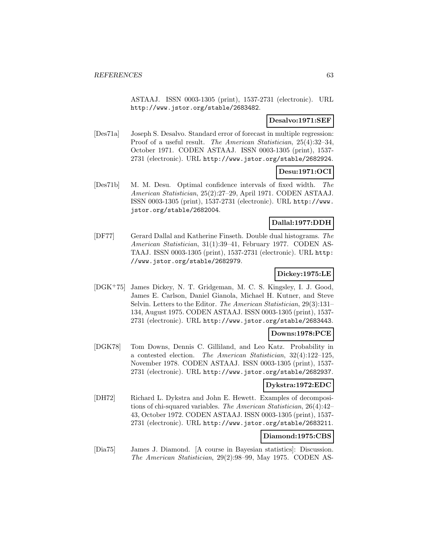ASTAAJ. ISSN 0003-1305 (print), 1537-2731 (electronic). URL http://www.jstor.org/stable/2683482.

### **Desalvo:1971:SEF**

[Des71a] Joseph S. Desalvo. Standard error of forecast in multiple regression: Proof of a useful result. The American Statistician, 25(4):32–34, October 1971. CODEN ASTAAJ. ISSN 0003-1305 (print), 1537- 2731 (electronic). URL http://www.jstor.org/stable/2682924.

# **Desu:1971:OCI**

[Des71b] M. M. Desu. Optimal confidence intervals of fixed width. The American Statistician, 25(2):27–29, April 1971. CODEN ASTAAJ. ISSN 0003-1305 (print), 1537-2731 (electronic). URL http://www. jstor.org/stable/2682004.

## **Dallal:1977:DDH**

[DF77] Gerard Dallal and Katherine Finseth. Double dual histograms. The American Statistician, 31(1):39–41, February 1977. CODEN AS-TAAJ. ISSN 0003-1305 (print), 1537-2731 (electronic). URL http: //www.jstor.org/stable/2682979.

# **Dickey:1975:LE**

[DGK<sup>+</sup>75] James Dickey, N. T. Gridgeman, M. C. S. Kingsley, I. J. Good, James E. Carlson, Daniel Gianola, Michael H. Kutner, and Steve Selvin. Letters to the Editor. The American Statistician, 29(3):131– 134, August 1975. CODEN ASTAAJ. ISSN 0003-1305 (print), 1537- 2731 (electronic). URL http://www.jstor.org/stable/2683443.

# **Downs:1978:PCE**

[DGK78] Tom Downs, Dennis C. Gilliland, and Leo Katz. Probability in a contested election. The American Statistician, 32(4):122–125, November 1978. CODEN ASTAAJ. ISSN 0003-1305 (print), 1537- 2731 (electronic). URL http://www.jstor.org/stable/2682937.

# **Dykstra:1972:EDC**

[DH72] Richard L. Dykstra and John E. Hewett. Examples of decompositions of chi-squared variables. The American Statistician, 26(4):42– 43, October 1972. CODEN ASTAAJ. ISSN 0003-1305 (print), 1537- 2731 (electronic). URL http://www.jstor.org/stable/2683211.

# **Diamond:1975:CBS**

[Dia75] James J. Diamond. [A course in Bayesian statistics]: Discussion. The American Statistician, 29(2):98–99, May 1975. CODEN AS-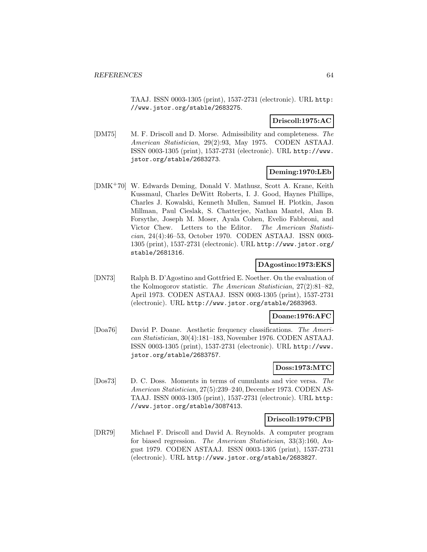TAAJ. ISSN 0003-1305 (print), 1537-2731 (electronic). URL http: //www.jstor.org/stable/2683275.

### **Driscoll:1975:AC**

[DM75] M. F. Driscoll and D. Morse. Admissibility and completeness. The American Statistician, 29(2):93, May 1975. CODEN ASTAAJ. ISSN 0003-1305 (print), 1537-2731 (electronic). URL http://www. jstor.org/stable/2683273.

# **Deming:1970:LEb**

[DMK<sup>+</sup>70] W. Edwards Deming, Donald V. Mathusz, Scott A. Krane, Keith Kussmaul, Charles DeWitt Roberts, I. J. Good, Haynes Phillips, Charles J. Kowalski, Kenneth Mullen, Samuel H. Plotkin, Jason Millman, Paul Cieslak, S. Chatterjee, Nathan Mantel, Alan B. Forsythe, Joseph M. Moser, Ayala Cohen, Evelio Fabbroni, and Victor Chew. Letters to the Editor. The American Statistician, 24(4):46–53, October 1970. CODEN ASTAAJ. ISSN 0003- 1305 (print), 1537-2731 (electronic). URL http://www.jstor.org/ stable/2681316.

# **DAgostino:1973:EKS**

[DN73] Ralph B. D'Agostino and Gottfried E. Noether. On the evaluation of the Kolmogorov statistic. The American Statistician, 27(2):81–82, April 1973. CODEN ASTAAJ. ISSN 0003-1305 (print), 1537-2731 (electronic). URL http://www.jstor.org/stable/2683963.

#### **Doane:1976:AFC**

[Doa76] David P. Doane. Aesthetic frequency classifications. The American Statistician, 30(4):181–183, November 1976. CODEN ASTAAJ. ISSN 0003-1305 (print), 1537-2731 (electronic). URL http://www. jstor.org/stable/2683757.

# **Doss:1973:MTC**

[Dos73] D. C. Doss. Moments in terms of cumulants and vice versa. The American Statistician, 27(5):239–240, December 1973. CODEN AS-TAAJ. ISSN 0003-1305 (print), 1537-2731 (electronic). URL http: //www.jstor.org/stable/3087413.

#### **Driscoll:1979:CPB**

[DR79] Michael F. Driscoll and David A. Reynolds. A computer program for biased regression. The American Statistician, 33(3):160, August 1979. CODEN ASTAAJ. ISSN 0003-1305 (print), 1537-2731 (electronic). URL http://www.jstor.org/stable/2683827.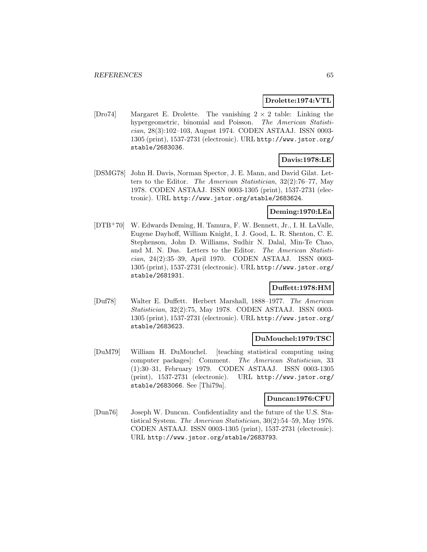## **Drolette:1974:VTL**

[Dro74] Margaret E. Drolette. The vanishing  $2 \times 2$  table: Linking the hypergeometric, binomial and Poisson. The American Statistician, 28(3):102–103, August 1974. CODEN ASTAAJ. ISSN 0003- 1305 (print), 1537-2731 (electronic). URL http://www.jstor.org/ stable/2683036.

# **Davis:1978:LE**

[DSMG78] John H. Davis, Norman Spector, J. E. Mann, and David Gilat. Letters to the Editor. The American Statistician, 32(2):76–77, May 1978. CODEN ASTAAJ. ISSN 0003-1305 (print), 1537-2731 (electronic). URL http://www.jstor.org/stable/2683624.

# **Deming:1970:LEa**

[DTB<sup>+</sup>70] W. Edwards Deming, H. Tamura, F. W. Bennett, Jr., I. H. LaValle, Eugene Dayhoff, William Knight, I. J. Good, L. R. Shenton, C. E. Stephenson, John D. Williams, Sudhir N. Dalal, Min-Te Chao, and M. N. Das. Letters to the Editor. The American Statistician, 24(2):35–39, April 1970. CODEN ASTAAJ. ISSN 0003- 1305 (print), 1537-2731 (electronic). URL http://www.jstor.org/ stable/2681931.

# **Duffett:1978:HM**

[Duf78] Walter E. Duffett. Herbert Marshall, 1888–1977. The American Statistician, 32(2):75, May 1978. CODEN ASTAAJ. ISSN 0003- 1305 (print), 1537-2731 (electronic). URL http://www.jstor.org/ stable/2683623.

#### **DuMouchel:1979:TSC**

[DuM79] William H. DuMouchel. [teaching statistical computing using computer packages]: Comment. The American Statistician, 33 (1):30–31, February 1979. CODEN ASTAAJ. ISSN 0003-1305 (print), 1537-2731 (electronic). URL http://www.jstor.org/ stable/2683066. See [Thi79a].

#### **Duncan:1976:CFU**

[Dun76] Joseph W. Duncan. Confidentiality and the future of the U.S. Statistical System. The American Statistician, 30(2):54–59, May 1976. CODEN ASTAAJ. ISSN 0003-1305 (print), 1537-2731 (electronic). URL http://www.jstor.org/stable/2683793.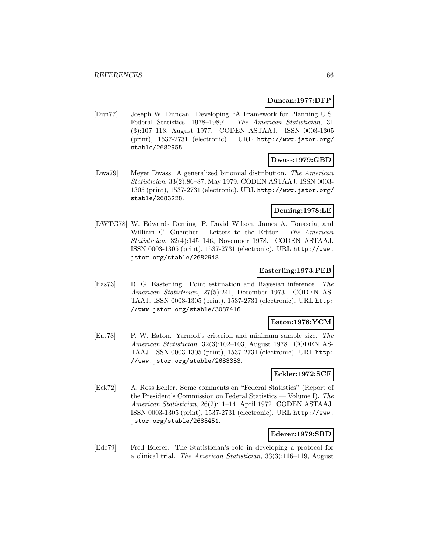### **Duncan:1977:DFP**

[Dun77] Joseph W. Duncan. Developing "A Framework for Planning U.S. Federal Statistics, 1978–1989". The American Statistician, 31 (3):107–113, August 1977. CODEN ASTAAJ. ISSN 0003-1305 (print), 1537-2731 (electronic). URL http://www.jstor.org/ stable/2682955.

# **Dwass:1979:GBD**

[Dwa79] Meyer Dwass. A generalized binomial distribution. The American Statistician, 33(2):86–87, May 1979. CODEN ASTAAJ. ISSN 0003- 1305 (print), 1537-2731 (electronic). URL http://www.jstor.org/ stable/2683228.

## **Deming:1978:LE**

[DWTG78] W. Edwards Deming, P. David Wilson, James A. Tonascia, and William C. Guenther. Letters to the Editor. The American Statistician, 32(4):145–146, November 1978. CODEN ASTAAJ. ISSN 0003-1305 (print), 1537-2731 (electronic). URL http://www. jstor.org/stable/2682948.

### **Easterling:1973:PEB**

[Eas73] R. G. Easterling. Point estimation and Bayesian inference. The American Statistician, 27(5):241, December 1973. CODEN AS-TAAJ. ISSN 0003-1305 (print), 1537-2731 (electronic). URL http: //www.jstor.org/stable/3087416.

# **Eaton:1978:YCM**

[Eat78] P. W. Eaton. Yarnold's criterion and minimum sample size. The American Statistician, 32(3):102–103, August 1978. CODEN AS-TAAJ. ISSN 0003-1305 (print), 1537-2731 (electronic). URL http: //www.jstor.org/stable/2683353.

# **Eckler:1972:SCF**

[Eck72] A. Ross Eckler. Some comments on "Federal Statistics" (Report of the President's Commission on Federal Statistics — Volume I). The American Statistician, 26(2):11–14, April 1972. CODEN ASTAAJ. ISSN 0003-1305 (print), 1537-2731 (electronic). URL http://www. jstor.org/stable/2683451.

#### **Ederer:1979:SRD**

[Ede79] Fred Ederer. The Statistician's role in developing a protocol for a clinical trial. The American Statistician, 33(3):116–119, August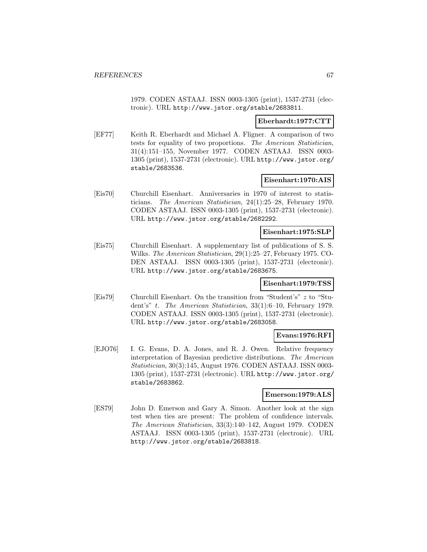1979. CODEN ASTAAJ. ISSN 0003-1305 (print), 1537-2731 (electronic). URL http://www.jstor.org/stable/2683811.

### **Eberhardt:1977:CTT**

[EF77] Keith R. Eberhardt and Michael A. Fligner. A comparison of two tests for equality of two proportions. The American Statistician, 31(4):151–155, November 1977. CODEN ASTAAJ. ISSN 0003- 1305 (print), 1537-2731 (electronic). URL http://www.jstor.org/ stable/2683536.

### **Eisenhart:1970:AIS**

[Eis70] Churchill Eisenhart. Anniversaries in 1970 of interest to statisticians. The American Statistician, 24(1):25–28, February 1970. CODEN ASTAAJ. ISSN 0003-1305 (print), 1537-2731 (electronic). URL http://www.jstor.org/stable/2682292.

### **Eisenhart:1975:SLP**

[Eis75] Churchill Eisenhart. A supplementary list of publications of S. S. Wilks. The American Statistician, 29(1):25–27, February 1975. CO-DEN ASTAAJ. ISSN 0003-1305 (print), 1537-2731 (electronic). URL http://www.jstor.org/stable/2683675.

#### **Eisenhart:1979:TSS**

[Eis79] Churchill Eisenhart. On the transition from "Student's" z to "Student's" t. The American Statistician, 33(1):6–10, February 1979. CODEN ASTAAJ. ISSN 0003-1305 (print), 1537-2731 (electronic). URL http://www.jstor.org/stable/2683058.

### **Evans:1976:RFI**

[EJO76] I. G. Evans, D. A. Jones, and R. J. Owen. Relative frequency interpretation of Bayesian predictive distributions. The American Statistician, 30(3):145, August 1976. CODEN ASTAAJ. ISSN 0003- 1305 (print), 1537-2731 (electronic). URL http://www.jstor.org/ stable/2683862.

# **Emerson:1979:ALS**

[ES79] John D. Emerson and Gary A. Simon. Another look at the sign test when ties are present: The problem of confidence intervals. The American Statistician, 33(3):140–142, August 1979. CODEN ASTAAJ. ISSN 0003-1305 (print), 1537-2731 (electronic). URL http://www.jstor.org/stable/2683818.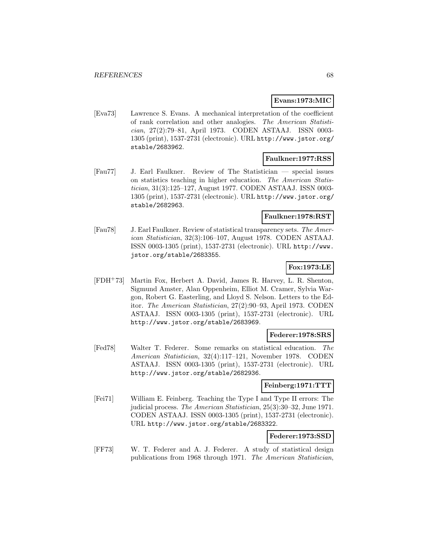### **Evans:1973:MIC**

[Eva73] Lawrence S. Evans. A mechanical interpretation of the coefficient of rank correlation and other analogies. The American Statistician, 27(2):79–81, April 1973. CODEN ASTAAJ. ISSN 0003- 1305 (print), 1537-2731 (electronic). URL http://www.jstor.org/ stable/2683962.

### **Faulkner:1977:RSS**

[Fau77] J. Earl Faulkner. Review of The Statistician — special issues on statistics teaching in higher education. The American Statistician, 31(3):125–127, August 1977. CODEN ASTAAJ. ISSN 0003- 1305 (print), 1537-2731 (electronic). URL http://www.jstor.org/ stable/2682963.

#### **Faulkner:1978:RST**

[Fau78] J. Earl Faulkner. Review of statistical transparency sets. The American Statistician, 32(3):106–107, August 1978. CODEN ASTAAJ. ISSN 0003-1305 (print), 1537-2731 (electronic). URL http://www. jstor.org/stable/2683355.

# **Fox:1973:LE**

[FDH<sup>+</sup>73] Martin Fox, Herbert A. David, James R. Harvey, L. R. Shenton, Sigmund Amster, Alan Oppenheim, Elliot M. Cramer, Sylvia Wargon, Robert G. Easterling, and Lloyd S. Nelson. Letters to the Editor. The American Statistician, 27(2):90–93, April 1973. CODEN ASTAAJ. ISSN 0003-1305 (print), 1537-2731 (electronic). URL http://www.jstor.org/stable/2683969.

### **Federer:1978:SRS**

[Fed78] Walter T. Federer. Some remarks on statistical education. The American Statistician, 32(4):117–121, November 1978. CODEN ASTAAJ. ISSN 0003-1305 (print), 1537-2731 (electronic). URL http://www.jstor.org/stable/2682936.

### **Feinberg:1971:TTT**

[Fei71] William E. Feinberg. Teaching the Type I and Type II errors: The judicial process. The American Statistician, 25(3):30–32, June 1971. CODEN ASTAAJ. ISSN 0003-1305 (print), 1537-2731 (electronic). URL http://www.jstor.org/stable/2683322.

# **Federer:1973:SSD**

[FF73] W. T. Federer and A. J. Federer. A study of statistical design publications from 1968 through 1971. The American Statistician,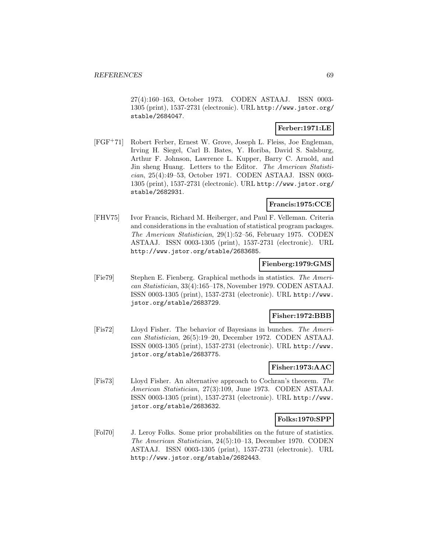27(4):160–163, October 1973. CODEN ASTAAJ. ISSN 0003- 1305 (print), 1537-2731 (electronic). URL http://www.jstor.org/ stable/2684047.

# **Ferber:1971:LE**

[FGF<sup>+</sup>71] Robert Ferber, Ernest W. Grove, Joseph L. Fleiss, Joe Engleman, Irving H. Siegel, Carl B. Bates, Y. Horiba, David S. Salsburg, Arthur F. Johnson, Lawrence L. Kupper, Barry C. Arnold, and Jin sheng Huang. Letters to the Editor. The American Statistician, 25(4):49–53, October 1971. CODEN ASTAAJ. ISSN 0003- 1305 (print), 1537-2731 (electronic). URL http://www.jstor.org/ stable/2682931.

### **Francis:1975:CCE**

[FHV75] Ivor Francis, Richard M. Heiberger, and Paul F. Velleman. Criteria and considerations in the evaluation of statistical program packages. The American Statistician, 29(1):52–56, February 1975. CODEN ASTAAJ. ISSN 0003-1305 (print), 1537-2731 (electronic). URL http://www.jstor.org/stable/2683685.

#### **Fienberg:1979:GMS**

[Fie79] Stephen E. Fienberg. Graphical methods in statistics. The American Statistician, 33(4):165–178, November 1979. CODEN ASTAAJ. ISSN 0003-1305 (print), 1537-2731 (electronic). URL http://www. jstor.org/stable/2683729.

# **Fisher:1972:BBB**

[Fis72] Lloyd Fisher. The behavior of Bayesians in bunches. The American Statistician, 26(5):19–20, December 1972. CODEN ASTAAJ. ISSN 0003-1305 (print), 1537-2731 (electronic). URL http://www. jstor.org/stable/2683775.

# **Fisher:1973:AAC**

[Fis73] Lloyd Fisher. An alternative approach to Cochran's theorem. The American Statistician, 27(3):109, June 1973. CODEN ASTAAJ. ISSN 0003-1305 (print), 1537-2731 (electronic). URL http://www. jstor.org/stable/2683632.

#### **Folks:1970:SPP**

[Fol70] J. Leroy Folks. Some prior probabilities on the future of statistics. The American Statistician, 24(5):10–13, December 1970. CODEN ASTAAJ. ISSN 0003-1305 (print), 1537-2731 (electronic). URL http://www.jstor.org/stable/2682443.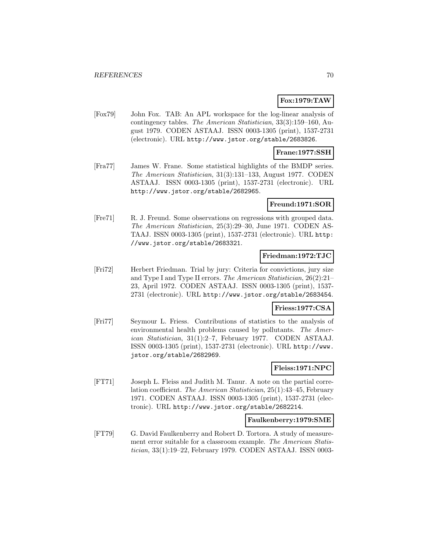## **Fox:1979:TAW**

[Fox79] John Fox. TAB: An APL workspace for the log-linear analysis of contingency tables. The American Statistician, 33(3):159–160, August 1979. CODEN ASTAAJ. ISSN 0003-1305 (print), 1537-2731 (electronic). URL http://www.jstor.org/stable/2683826.

#### **Frane:1977:SSH**

[Fra77] James W. Frane. Some statistical highlights of the BMDP series. The American Statistician, 31(3):131–133, August 1977. CODEN ASTAAJ. ISSN 0003-1305 (print), 1537-2731 (electronic). URL http://www.jstor.org/stable/2682965.

### **Freund:1971:SOR**

[Fre71] R. J. Freund. Some observations on regressions with grouped data. The American Statistician, 25(3):29–30, June 1971. CODEN AS-TAAJ. ISSN 0003-1305 (print), 1537-2731 (electronic). URL http: //www.jstor.org/stable/2683321.

### **Friedman:1972:TJC**

[Fri72] Herbert Friedman. Trial by jury: Criteria for convictions, jury size and Type I and Type II errors. The American Statistician, 26(2):21– 23, April 1972. CODEN ASTAAJ. ISSN 0003-1305 (print), 1537- 2731 (electronic). URL http://www.jstor.org/stable/2683454.

# **Friess:1977:CSA**

[Fri77] Seymour L. Friess. Contributions of statistics to the analysis of environmental health problems caused by pollutants. The American Statistician, 31(1):2–7, February 1977. CODEN ASTAAJ. ISSN 0003-1305 (print), 1537-2731 (electronic). URL http://www. jstor.org/stable/2682969.

# **Fleiss:1971:NPC**

[FT71] Joseph L. Fleiss and Judith M. Tanur. A note on the partial correlation coefficient. The American Statistician, 25(1):43–45, February 1971. CODEN ASTAAJ. ISSN 0003-1305 (print), 1537-2731 (electronic). URL http://www.jstor.org/stable/2682214.

# **Faulkenberry:1979:SME**

[FT79] G. David Faulkenberry and Robert D. Tortora. A study of measurement error suitable for a classroom example. The American Statistician, 33(1):19–22, February 1979. CODEN ASTAAJ. ISSN 0003-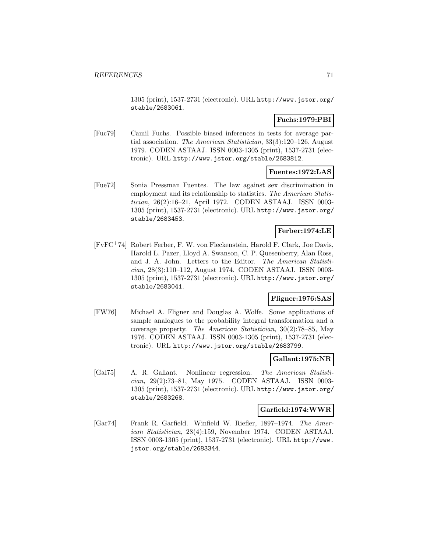1305 (print), 1537-2731 (electronic). URL http://www.jstor.org/ stable/2683061.

## **Fuchs:1979:PBI**

[Fuc79] Camil Fuchs. Possible biased inferences in tests for average partial association. The American Statistician, 33(3):120–126, August 1979. CODEN ASTAAJ. ISSN 0003-1305 (print), 1537-2731 (electronic). URL http://www.jstor.org/stable/2683812.

### **Fuentes:1972:LAS**

[Fue72] Sonia Pressman Fuentes. The law against sex discrimination in employment and its relationship to statistics. The American Statistician, 26(2):16–21, April 1972. CODEN ASTAAJ. ISSN 0003- 1305 (print), 1537-2731 (electronic). URL http://www.jstor.org/ stable/2683453.

# **Ferber:1974:LE**

[FvFC<sup>+</sup>74] Robert Ferber, F. W. von Fleckenstein, Harold F. Clark, Joe Davis, Harold L. Pazer, Lloyd A. Swanson, C. P. Quesenberry, Alan Ross, and J. A. John. Letters to the Editor. The American Statistician, 28(3):110–112, August 1974. CODEN ASTAAJ. ISSN 0003- 1305 (print), 1537-2731 (electronic). URL http://www.jstor.org/ stable/2683041.

# **Fligner:1976:SAS**

[FW76] Michael A. Fligner and Douglas A. Wolfe. Some applications of sample analogues to the probability integral transformation and a coverage property. The American Statistician, 30(2):78–85, May 1976. CODEN ASTAAJ. ISSN 0003-1305 (print), 1537-2731 (electronic). URL http://www.jstor.org/stable/2683799.

# **Gallant:1975:NR**

[Gal75] A. R. Gallant. Nonlinear regression. The American Statistician, 29(2):73–81, May 1975. CODEN ASTAAJ. ISSN 0003- 1305 (print), 1537-2731 (electronic). URL http://www.jstor.org/ stable/2683268.

#### **Garfield:1974:WWR**

[Gar74] Frank R. Garfield. Winfield W. Riefler, 1897–1974. The American Statistician, 28(4):159, November 1974. CODEN ASTAAJ. ISSN 0003-1305 (print), 1537-2731 (electronic). URL http://www. jstor.org/stable/2683344.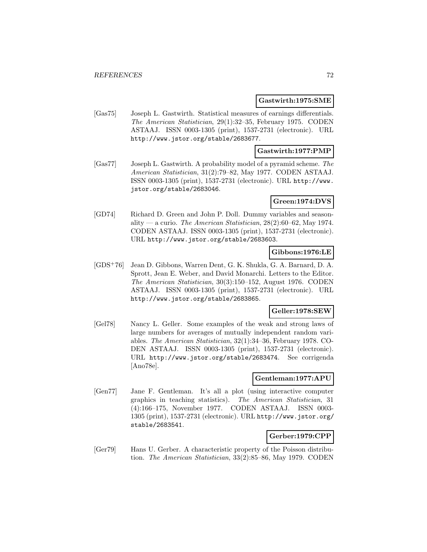#### **Gastwirth:1975:SME**

[Gas75] Joseph L. Gastwirth. Statistical measures of earnings differentials. The American Statistician, 29(1):32–35, February 1975. CODEN ASTAAJ. ISSN 0003-1305 (print), 1537-2731 (electronic). URL http://www.jstor.org/stable/2683677.

## **Gastwirth:1977:PMP**

[Gas77] Joseph L. Gastwirth. A probability model of a pyramid scheme. The American Statistician, 31(2):79–82, May 1977. CODEN ASTAAJ. ISSN 0003-1305 (print), 1537-2731 (electronic). URL http://www. jstor.org/stable/2683046.

# **Green:1974:DVS**

[GD74] Richard D. Green and John P. Doll. Dummy variables and seasonality — a curio. The American Statistician,  $28(2):60-62$ , May 1974. CODEN ASTAAJ. ISSN 0003-1305 (print), 1537-2731 (electronic). URL http://www.jstor.org/stable/2683603.

# **Gibbons:1976:LE**

[GDS<sup>+</sup>76] Jean D. Gibbons, Warren Dent, G. K. Shukla, G. A. Barnard, D. A. Sprott, Jean E. Weber, and David Monarchi. Letters to the Editor. The American Statistician, 30(3):150–152, August 1976. CODEN ASTAAJ. ISSN 0003-1305 (print), 1537-2731 (electronic). URL http://www.jstor.org/stable/2683865.

# **Geller:1978:SEW**

[Gel78] Nancy L. Geller. Some examples of the weak and strong laws of large numbers for averages of mutually independent random variables. The American Statistician, 32(1):34–36, February 1978. CO-DEN ASTAAJ. ISSN 0003-1305 (print), 1537-2731 (electronic). URL http://www.jstor.org/stable/2683474. See corrigenda [Ano78e].

### **Gentleman:1977:APU**

[Gen77] Jane F. Gentleman. It's all a plot (using interactive computer graphics in teaching statistics). The American Statistician, 31 (4):166–175, November 1977. CODEN ASTAAJ. ISSN 0003- 1305 (print), 1537-2731 (electronic). URL http://www.jstor.org/ stable/2683541.

# **Gerber:1979:CPP**

[Ger79] Hans U. Gerber. A characteristic property of the Poisson distribution. The American Statistician, 33(2):85–86, May 1979. CODEN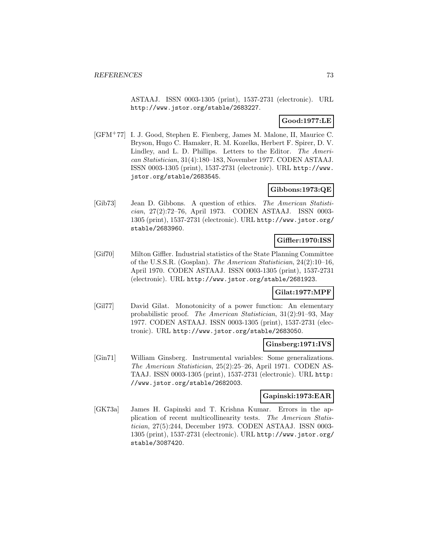ASTAAJ. ISSN 0003-1305 (print), 1537-2731 (electronic). URL http://www.jstor.org/stable/2683227.

# **Good:1977:LE**

[GFM<sup>+</sup>77] I. J. Good, Stephen E. Fienberg, James M. Malone, II, Maurice C. Bryson, Hugo C. Hamaker, R. M. Kozelka, Herbert F. Spirer, D. V. Lindley, and L. D. Phillips. Letters to the Editor. The American Statistician, 31(4):180–183, November 1977. CODEN ASTAAJ. ISSN 0003-1305 (print), 1537-2731 (electronic). URL http://www. jstor.org/stable/2683545.

# **Gibbons:1973:QE**

[Gib73] Jean D. Gibbons. A question of ethics. The American Statistician, 27(2):72–76, April 1973. CODEN ASTAAJ. ISSN 0003- 1305 (print), 1537-2731 (electronic). URL http://www.jstor.org/ stable/2683960.

### **Giffler:1970:ISS**

[Gif70] Milton Giffler. Industrial statistics of the State Planning Committee of the U.S.S.R. (Gosplan). The American Statistician, 24(2):10–16, April 1970. CODEN ASTAAJ. ISSN 0003-1305 (print), 1537-2731 (electronic). URL http://www.jstor.org/stable/2681923.

#### **Gilat:1977:MPF**

[Gil77] David Gilat. Monotonicity of a power function: An elementary probabilistic proof. The American Statistician, 31(2):91–93, May 1977. CODEN ASTAAJ. ISSN 0003-1305 (print), 1537-2731 (electronic). URL http://www.jstor.org/stable/2683050.

### **Ginsberg:1971:IVS**

[Gin71] William Ginsberg. Instrumental variables: Some generalizations. The American Statistician, 25(2):25–26, April 1971. CODEN AS-TAAJ. ISSN 0003-1305 (print), 1537-2731 (electronic). URL http: //www.jstor.org/stable/2682003.

#### **Gapinski:1973:EAR**

[GK73a] James H. Gapinski and T. Krishna Kumar. Errors in the application of recent multicollinearity tests. The American Statistician, 27(5):244, December 1973. CODEN ASTAAJ. ISSN 0003- 1305 (print), 1537-2731 (electronic). URL http://www.jstor.org/ stable/3087420.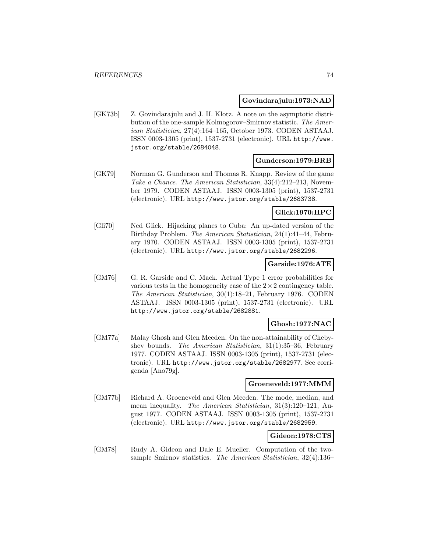#### **Govindarajulu:1973:NAD**

[GK73b] Z. Govindarajulu and J. H. Klotz. A note on the asymptotic distribution of the one-sample Kolmogorov–Smirnov statistic. The American Statistician, 27(4):164–165, October 1973. CODEN ASTAAJ. ISSN 0003-1305 (print), 1537-2731 (electronic). URL http://www. jstor.org/stable/2684048.

#### **Gunderson:1979:BRB**

[GK79] Norman G. Gunderson and Thomas R. Knapp. Review of the game Take a Chance. The American Statistician, 33(4):212–213, November 1979. CODEN ASTAAJ. ISSN 0003-1305 (print), 1537-2731 (electronic). URL http://www.jstor.org/stable/2683738.

### **Glick:1970:HPC**

[Gli70] Ned Glick. Hijacking planes to Cuba: An up-dated version of the Birthday Problem. The American Statistician, 24(1):41–44, February 1970. CODEN ASTAAJ. ISSN 0003-1305 (print), 1537-2731 (electronic). URL http://www.jstor.org/stable/2682296.

#### **Garside:1976:ATE**

[GM76] G. R. Garside and C. Mack. Actual Type 1 error probabilities for various tests in the homogeneity case of the  $2 \times 2$  contingency table. The American Statistician, 30(1):18–21, February 1976. CODEN ASTAAJ. ISSN 0003-1305 (print), 1537-2731 (electronic). URL http://www.jstor.org/stable/2682881.

#### **Ghosh:1977:NAC**

[GM77a] Malay Ghosh and Glen Meeden. On the non-attainability of Chebyshev bounds. The American Statistician, 31(1):35–36, February 1977. CODEN ASTAAJ. ISSN 0003-1305 (print), 1537-2731 (electronic). URL http://www.jstor.org/stable/2682977. See corrigenda [Ano79g].

#### **Groeneveld:1977:MMM**

[GM77b] Richard A. Groeneveld and Glen Meeden. The mode, median, and mean inequality. The American Statistician, 31(3):120–121, August 1977. CODEN ASTAAJ. ISSN 0003-1305 (print), 1537-2731 (electronic). URL http://www.jstor.org/stable/2682959.

#### **Gideon:1978:CTS**

[GM78] Rudy A. Gideon and Dale E. Mueller. Computation of the twosample Smirnov statistics. The American Statistician, 32(4):136–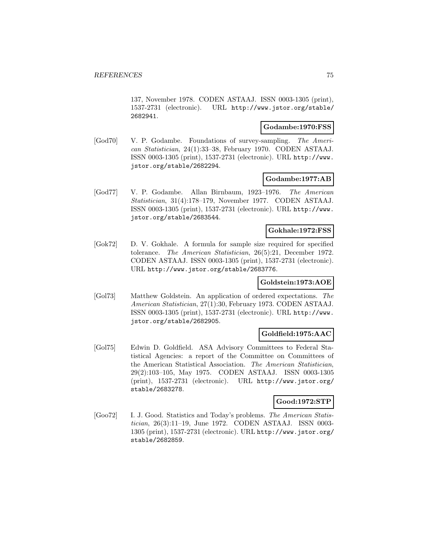137, November 1978. CODEN ASTAAJ. ISSN 0003-1305 (print), 1537-2731 (electronic). URL http://www.jstor.org/stable/ 2682941.

### **Godambe:1970:FSS**

[God70] V. P. Godambe. Foundations of survey-sampling. The American Statistician, 24(1):33–38, February 1970. CODEN ASTAAJ. ISSN 0003-1305 (print), 1537-2731 (electronic). URL http://www. jstor.org/stable/2682294.

### **Godambe:1977:AB**

[God77] V. P. Godambe. Allan Birnbaum, 1923–1976. The American Statistician, 31(4):178–179, November 1977. CODEN ASTAAJ. ISSN 0003-1305 (print), 1537-2731 (electronic). URL http://www. jstor.org/stable/2683544.

# **Gokhale:1972:FSS**

[Gok72] D. V. Gokhale. A formula for sample size required for specified tolerance. The American Statistician, 26(5):21, December 1972. CODEN ASTAAJ. ISSN 0003-1305 (print), 1537-2731 (electronic). URL http://www.jstor.org/stable/2683776.

#### **Goldstein:1973:AOE**

[Gol73] Matthew Goldstein. An application of ordered expectations. The American Statistician, 27(1):30, February 1973. CODEN ASTAAJ. ISSN 0003-1305 (print), 1537-2731 (electronic). URL http://www. jstor.org/stable/2682905.

# **Goldfield:1975:AAC**

[Gol75] Edwin D. Goldfield. ASA Advisory Committees to Federal Statistical Agencies: a report of the Committee on Committees of the American Statistical Association. The American Statistician, 29(2):103–105, May 1975. CODEN ASTAAJ. ISSN 0003-1305 (print), 1537-2731 (electronic). URL http://www.jstor.org/ stable/2683278.

### **Good:1972:STP**

[Goo72] I. J. Good. Statistics and Today's problems. The American Statistician, 26(3):11–19, June 1972. CODEN ASTAAJ. ISSN 0003- 1305 (print), 1537-2731 (electronic). URL http://www.jstor.org/ stable/2682859.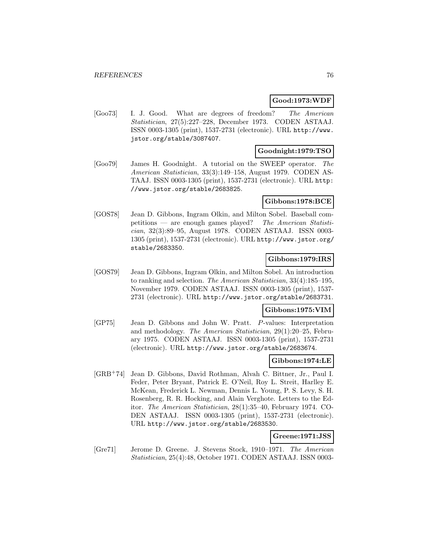### **Good:1973:WDF**

[Goo73] I. J. Good. What are degrees of freedom? The American Statistician, 27(5):227–228, December 1973. CODEN ASTAAJ. ISSN 0003-1305 (print), 1537-2731 (electronic). URL http://www. jstor.org/stable/3087407.

### **Goodnight:1979:TSO**

[Goo79] James H. Goodnight. A tutorial on the SWEEP operator. The American Statistician, 33(3):149–158, August 1979. CODEN AS-TAAJ. ISSN 0003-1305 (print), 1537-2731 (electronic). URL http: //www.jstor.org/stable/2683825.

### **Gibbons:1978:BCE**

[GOS78] Jean D. Gibbons, Ingram Olkin, and Milton Sobel. Baseball competitions — are enough games played? The American Statistician, 32(3):89–95, August 1978. CODEN ASTAAJ. ISSN 0003- 1305 (print), 1537-2731 (electronic). URL http://www.jstor.org/ stable/2683350.

### **Gibbons:1979:IRS**

[GOS79] Jean D. Gibbons, Ingram Olkin, and Milton Sobel. An introduction to ranking and selection. The American Statistician, 33(4):185–195, November 1979. CODEN ASTAAJ. ISSN 0003-1305 (print), 1537- 2731 (electronic). URL http://www.jstor.org/stable/2683731.

### **Gibbons:1975:VIM**

[GP75] Jean D. Gibbons and John W. Pratt. P-values: Interpretation and methodology. The American Statistician, 29(1):20–25, February 1975. CODEN ASTAAJ. ISSN 0003-1305 (print), 1537-2731 (electronic). URL http://www.jstor.org/stable/2683674.

#### **Gibbons:1974:LE**

[GRB<sup>+</sup>74] Jean D. Gibbons, David Rothman, Alvah C. Bittner, Jr., Paul I. Feder, Peter Bryant, Patrick E. O'Neil, Roy L. Streit, Harlley E. McKean, Frederick L. Newman, Dennis L. Young, P. S. Levy, S. H. Rosenberg, R. R. Hocking, and Alain Verghote. Letters to the Editor. The American Statistician, 28(1):35–40, February 1974. CO-DEN ASTAAJ. ISSN 0003-1305 (print), 1537-2731 (electronic). URL http://www.jstor.org/stable/2683530.

### **Greene:1971:JSS**

[Gre71] Jerome D. Greene. J. Stevens Stock, 1910–1971. The American Statistician, 25(4):48, October 1971. CODEN ASTAAJ. ISSN 0003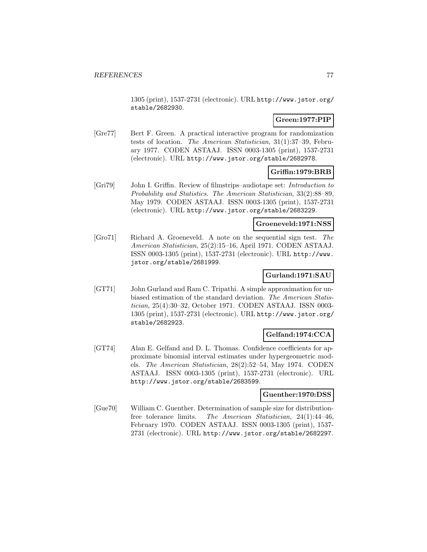1305 (print), 1537-2731 (electronic). URL http://www.jstor.org/ stable/2682930.

# **Green:1977:PIP**

[Gre77] Bert F. Green. A practical interactive program for randomization tests of location. The American Statistician, 31(1):37–39, February 1977. CODEN ASTAAJ. ISSN 0003-1305 (print), 1537-2731 (electronic). URL http://www.jstor.org/stable/2682978.

### **Griffin:1979:BRB**

[Gri79] John I. Griffin. Review of filmstrips–audiotape set: Introduction to Probability and Statistics. The American Statistician, 33(2):88–89, May 1979. CODEN ASTAAJ. ISSN 0003-1305 (print), 1537-2731 (electronic). URL http://www.jstor.org/stable/2683229.

### **Groeneveld:1971:NSS**

[Gro71] Richard A. Groeneveld. A note on the sequential sign test. The American Statistician, 25(2):15–16, April 1971. CODEN ASTAAJ. ISSN 0003-1305 (print), 1537-2731 (electronic). URL http://www. jstor.org/stable/2681999.

# **Gurland:1971:SAU**

[GT71] John Gurland and Ram C. Tripathi. A simple approximation for unbiased estimation of the standard deviation. The American Statistician, 25(4):30–32, October 1971. CODEN ASTAAJ. ISSN 0003- 1305 (print), 1537-2731 (electronic). URL http://www.jstor.org/ stable/2682923.

### **Gelfand:1974:CCA**

[GT74] Alan E. Gelfand and D. L. Thomas. Confidence coefficients for approximate binomial interval estimates under hypergeometric models. The American Statistician, 28(2):52–54, May 1974. CODEN ASTAAJ. ISSN 0003-1305 (print), 1537-2731 (electronic). URL http://www.jstor.org/stable/2683599.

#### **Guenther:1970:DSS**

[Gue70] William C. Guenther. Determination of sample size for distributionfree tolerance limits. The American Statistician, 24(1):44–46, February 1970. CODEN ASTAAJ. ISSN 0003-1305 (print), 1537- 2731 (electronic). URL http://www.jstor.org/stable/2682297.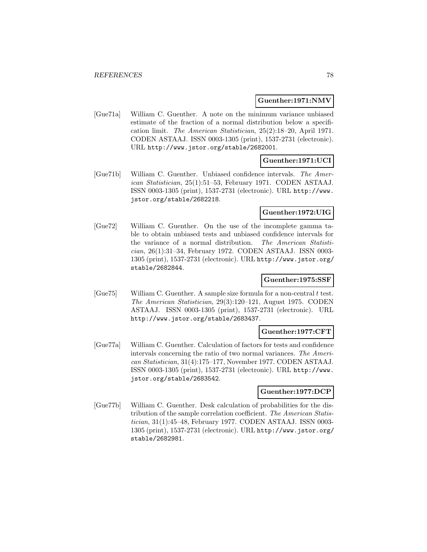#### **Guenther:1971:NMV**

[Gue71a] William C. Guenther. A note on the minimum variance unbiased estimate of the fraction of a normal distribution below a specification limit. The American Statistician, 25(2):18–20, April 1971. CODEN ASTAAJ. ISSN 0003-1305 (print), 1537-2731 (electronic). URL http://www.jstor.org/stable/2682001.

### **Guenther:1971:UCI**

[Gue71b] William C. Guenther. Unbiased confidence intervals. The American Statistician, 25(1):51–53, February 1971. CODEN ASTAAJ. ISSN 0003-1305 (print), 1537-2731 (electronic). URL http://www. jstor.org/stable/2682218.

### **Guenther:1972:UIG**

[Gue72] William C. Guenther. On the use of the incomplete gamma table to obtain unbiased tests and unbiased confidence intervals for the variance of a normal distribution. The American Statistician, 26(1):31–34, February 1972. CODEN ASTAAJ. ISSN 0003- 1305 (print), 1537-2731 (electronic). URL http://www.jstor.org/ stable/2682844.

### **Guenther:1975:SSF**

 $[Gue75]$  William C. Guenther. A sample size formula for a non-central t test. The American Statistician, 29(3):120–121, August 1975. CODEN ASTAAJ. ISSN 0003-1305 (print), 1537-2731 (electronic). URL http://www.jstor.org/stable/2683437.

### **Guenther:1977:CFT**

[Gue77a] William C. Guenther. Calculation of factors for tests and confidence intervals concerning the ratio of two normal variances. The American Statistician, 31(4):175–177, November 1977. CODEN ASTAAJ. ISSN 0003-1305 (print), 1537-2731 (electronic). URL http://www. jstor.org/stable/2683542.

#### **Guenther:1977:DCP**

[Gue77b] William C. Guenther. Desk calculation of probabilities for the distribution of the sample correlation coefficient. The American Statistician, 31(1):45–48, February 1977. CODEN ASTAAJ. ISSN 0003- 1305 (print), 1537-2731 (electronic). URL http://www.jstor.org/ stable/2682981.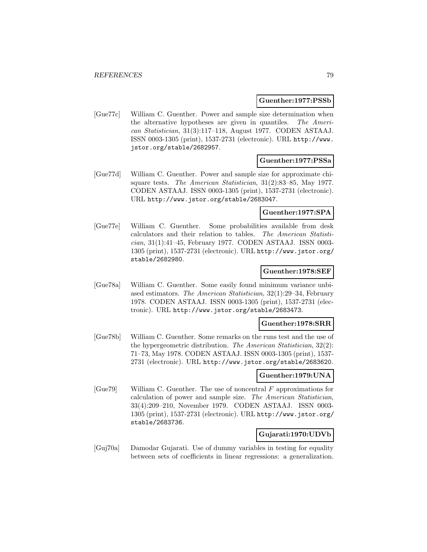#### **Guenther:1977:PSSb**

[Gue77c] William C. Guenther. Power and sample size determination when the alternative hypotheses are given in quantiles. The American Statistician, 31(3):117–118, August 1977. CODEN ASTAAJ. ISSN 0003-1305 (print), 1537-2731 (electronic). URL http://www. jstor.org/stable/2682957.

#### **Guenther:1977:PSSa**

[Gue77d] William C. Guenther. Power and sample size for approximate chisquare tests. The American Statistician, 31(2):83–85, May 1977. CODEN ASTAAJ. ISSN 0003-1305 (print), 1537-2731 (electronic). URL http://www.jstor.org/stable/2683047.

#### **Guenther:1977:SPA**

[Gue77e] William C. Guenther. Some probabilities available from desk calculators and their relation to tables. The American Statistician, 31(1):41–45, February 1977. CODEN ASTAAJ. ISSN 0003- 1305 (print), 1537-2731 (electronic). URL http://www.jstor.org/ stable/2682980.

#### **Guenther:1978:SEF**

[Gue78a] William C. Guenther. Some easily found minimum variance unbiased estimators. The American Statistician, 32(1):29–34, February 1978. CODEN ASTAAJ. ISSN 0003-1305 (print), 1537-2731 (electronic). URL http://www.jstor.org/stable/2683473.

#### **Guenther:1978:SRR**

[Gue78b] William C. Guenther. Some remarks on the runs test and the use of the hypergeometric distribution. The American Statistician, 32(2): 71–73, May 1978. CODEN ASTAAJ. ISSN 0003-1305 (print), 1537- 2731 (electronic). URL http://www.jstor.org/stable/2683620.

#### **Guenther:1979:UNA**

 $[Gue79]$  William C. Guenther. The use of noncentral F approximations for calculation of power and sample size. The American Statistician, 33(4):209–210, November 1979. CODEN ASTAAJ. ISSN 0003- 1305 (print), 1537-2731 (electronic). URL http://www.jstor.org/ stable/2683736.

### **Gujarati:1970:UDVb**

[Guj70a] Damodar Gujarati. Use of dummy variables in testing for equality between sets of coefficients in linear regressions: a generalization.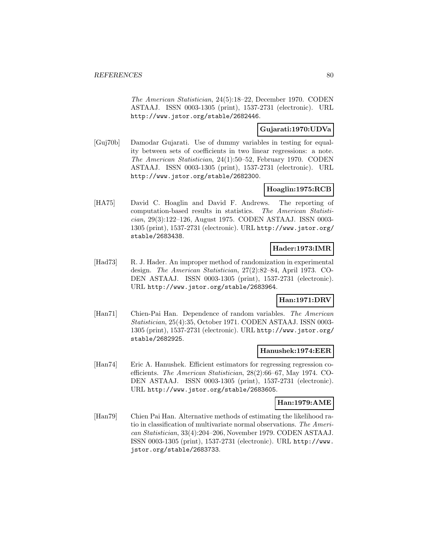The American Statistician, 24(5):18–22, December 1970. CODEN ASTAAJ. ISSN 0003-1305 (print), 1537-2731 (electronic). URL http://www.jstor.org/stable/2682446.

# **Gujarati:1970:UDVa**

[Guj70b] Damodar Gujarati. Use of dummy variables in testing for equality between sets of coefficients in two linear regressions: a note. The American Statistician, 24(1):50–52, February 1970. CODEN ASTAAJ. ISSN 0003-1305 (print), 1537-2731 (electronic). URL http://www.jstor.org/stable/2682300.

### **Hoaglin:1975:RCB**

[HA75] David C. Hoaglin and David F. Andrews. The reporting of computation-based results in statistics. The American Statistician, 29(3):122–126, August 1975. CODEN ASTAAJ. ISSN 0003- 1305 (print), 1537-2731 (electronic). URL http://www.jstor.org/ stable/2683438.

# **Hader:1973:IMR**

[Had73] R. J. Hader. An improper method of randomization in experimental design. The American Statistician, 27(2):82–84, April 1973. CO-DEN ASTAAJ. ISSN 0003-1305 (print), 1537-2731 (electronic). URL http://www.jstor.org/stable/2683964.

### **Han:1971:DRV**

[Han71] Chien-Pai Han. Dependence of random variables. The American Statistician, 25(4):35, October 1971. CODEN ASTAAJ. ISSN 0003- 1305 (print), 1537-2731 (electronic). URL http://www.jstor.org/ stable/2682925.

#### **Hanushek:1974:EER**

[Han74] Eric A. Hanushek. Efficient estimators for regressing regression coefficients. The American Statistician, 28(2):66–67, May 1974. CO-DEN ASTAAJ. ISSN 0003-1305 (print), 1537-2731 (electronic). URL http://www.jstor.org/stable/2683605.

### **Han:1979:AME**

[Han79] Chien Pai Han. Alternative methods of estimating the likelihood ratio in classification of multivariate normal observations. The American Statistician, 33(4):204–206, November 1979. CODEN ASTAAJ. ISSN 0003-1305 (print), 1537-2731 (electronic). URL http://www. jstor.org/stable/2683733.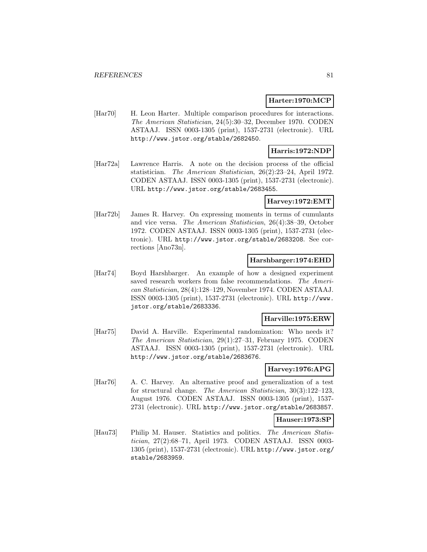### **Harter:1970:MCP**

[Har70] H. Leon Harter. Multiple comparison procedures for interactions. The American Statistician, 24(5):30–32, December 1970. CODEN ASTAAJ. ISSN 0003-1305 (print), 1537-2731 (electronic). URL http://www.jstor.org/stable/2682450.

# **Harris:1972:NDP**

[Har72a] Lawrence Harris. A note on the decision process of the official statistician. The American Statistician, 26(2):23–24, April 1972. CODEN ASTAAJ. ISSN 0003-1305 (print), 1537-2731 (electronic). URL http://www.jstor.org/stable/2683455.

### **Harvey:1972:EMT**

[Har72b] James R. Harvey. On expressing moments in terms of cumulants and vice versa. The American Statistician, 26(4):38–39, October 1972. CODEN ASTAAJ. ISSN 0003-1305 (print), 1537-2731 (electronic). URL http://www.jstor.org/stable/2683208. See corrections [Ano73n].

### **Harshbarger:1974:EHD**

[Har74] Boyd Harshbarger. An example of how a designed experiment saved research workers from false recommendations. The American Statistician, 28(4):128–129, November 1974. CODEN ASTAAJ. ISSN 0003-1305 (print), 1537-2731 (electronic). URL http://www. jstor.org/stable/2683336.

#### **Harville:1975:ERW**

[Har75] David A. Harville. Experimental randomization: Who needs it? The American Statistician, 29(1):27–31, February 1975. CODEN ASTAAJ. ISSN 0003-1305 (print), 1537-2731 (electronic). URL http://www.jstor.org/stable/2683676.

#### **Harvey:1976:APG**

[Har76] A. C. Harvey. An alternative proof and generalization of a test for structural change. The American Statistician, 30(3):122–123, August 1976. CODEN ASTAAJ. ISSN 0003-1305 (print), 1537- 2731 (electronic). URL http://www.jstor.org/stable/2683857.

#### **Hauser:1973:SP**

[Hau73] Philip M. Hauser. Statistics and politics. The American Statistician, 27(2):68–71, April 1973. CODEN ASTAAJ. ISSN 0003- 1305 (print), 1537-2731 (electronic). URL http://www.jstor.org/ stable/2683959.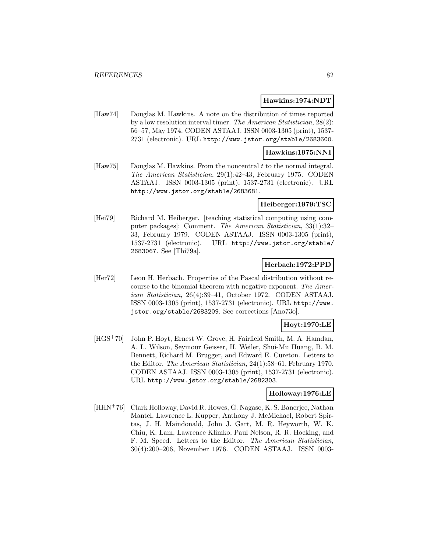#### **Hawkins:1974:NDT**

[Haw74] Douglas M. Hawkins. A note on the distribution of times reported by a low resolution interval timer. The American Statistician, 28(2): 56–57, May 1974. CODEN ASTAAJ. ISSN 0003-1305 (print), 1537- 2731 (electronic). URL http://www.jstor.org/stable/2683600.

#### **Hawkins:1975:NNI**

[Haw75] Douglas M. Hawkins. From the noncentral t to the normal integral. The American Statistician, 29(1):42–43, February 1975. CODEN ASTAAJ. ISSN 0003-1305 (print), 1537-2731 (electronic). URL http://www.jstor.org/stable/2683681.

#### **Heiberger:1979:TSC**

[Hei79] Richard M. Heiberger. [teaching statistical computing using computer packages]: Comment. The American Statistician, 33(1):32– 33, February 1979. CODEN ASTAAJ. ISSN 0003-1305 (print), 1537-2731 (electronic). URL http://www.jstor.org/stable/ 2683067. See [Thi79a].

#### **Herbach:1972:PPD**

[Her72] Leon H. Herbach. Properties of the Pascal distribution without recourse to the binomial theorem with negative exponent. The American Statistician, 26(4):39–41, October 1972. CODEN ASTAAJ. ISSN 0003-1305 (print), 1537-2731 (electronic). URL http://www. jstor.org/stable/2683209. See corrections [Ano73o].

### **Hoyt:1970:LE**

[HGS<sup>+</sup>70] John P. Hoyt, Ernest W. Grove, H. Fairfield Smith, M. A. Hamdan, A. L. Wilson, Seymour Geisser, H. Weiler, Shui-Mu Huang, B. M. Bennett, Richard M. Brugger, and Edward E. Cureton. Letters to the Editor. The American Statistician, 24(1):58–61, February 1970. CODEN ASTAAJ. ISSN 0003-1305 (print), 1537-2731 (electronic). URL http://www.jstor.org/stable/2682303.

#### **Holloway:1976:LE**

[HHN<sup>+</sup>76] Clark Holloway, David R. Howes, G. Nagase, K. S. Banerjee, Nathan Mantel, Lawrence L. Kupper, Anthony J. McMichael, Robert Spirtas, J. H. Maindonald, John J. Gart, M. R. Heyworth, W. K. Chiu, K. Lam, Lawrence Klimko, Paul Nelson, R. R. Hocking, and F. M. Speed. Letters to the Editor. The American Statistician, 30(4):200–206, November 1976. CODEN ASTAAJ. ISSN 0003-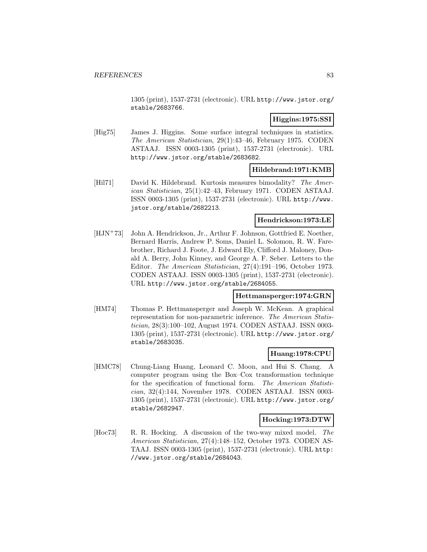1305 (print), 1537-2731 (electronic). URL http://www.jstor.org/ stable/2683766.

### **Higgins:1975:SSI**

[Hig75] James J. Higgins. Some surface integral techniques in statistics. The American Statistician, 29(1):43–46, February 1975. CODEN ASTAAJ. ISSN 0003-1305 (print), 1537-2731 (electronic). URL http://www.jstor.org/stable/2683682.

### **Hildebrand:1971:KMB**

[Hil71] David K. Hildebrand. Kurtosis measures bimodality? The American Statistician, 25(1):42–43, February 1971. CODEN ASTAAJ. ISSN 0003-1305 (print), 1537-2731 (electronic). URL http://www. jstor.org/stable/2682213.

#### **Hendrickson:1973:LE**

[HJN<sup>+</sup>73] John A. Hendrickson, Jr., Arthur F. Johnson, Gottfried E. Noether, Bernard Harris, Andrew P. Soms, Daniel L. Solomon, R. W. Farebrother, Richard J. Foote, J. Edward Ely, Clifford J. Maloney, Donald A. Berry, John Kinney, and George A. F. Seber. Letters to the Editor. The American Statistician, 27(4):191–196, October 1973. CODEN ASTAAJ. ISSN 0003-1305 (print), 1537-2731 (electronic). URL http://www.jstor.org/stable/2684055.

#### **Hettmansperger:1974:GRN**

[HM74] Thomas P. Hettmansperger and Joseph W. McKean. A graphical representation for non-parametric inference. The American Statistician, 28(3):100–102, August 1974. CODEN ASTAAJ. ISSN 0003- 1305 (print), 1537-2731 (electronic). URL http://www.jstor.org/ stable/2683035.

### **Huang:1978:CPU**

[HMC78] Chung-Liang Huang, Leonard C. Moon, and Hui S. Chang. A computer program using the Box–Cox transformation technique for the specification of functional form. The American Statistician, 32(4):144, November 1978. CODEN ASTAAJ. ISSN 0003- 1305 (print), 1537-2731 (electronic). URL http://www.jstor.org/ stable/2682947.

#### **Hocking:1973:DTW**

[Hoc73] R. R. Hocking. A discussion of the two-way mixed model. The American Statistician, 27(4):148–152, October 1973. CODEN AS-TAAJ. ISSN 0003-1305 (print), 1537-2731 (electronic). URL http: //www.jstor.org/stable/2684043.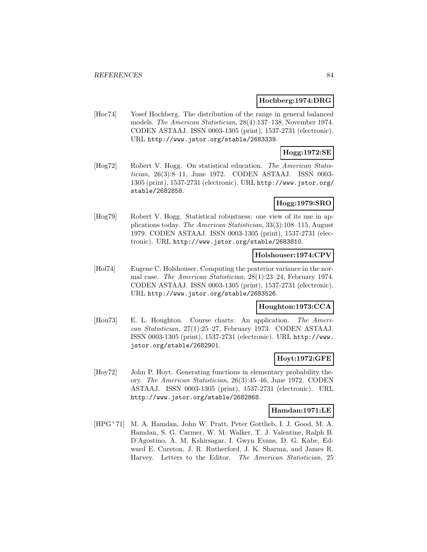#### **Hochberg:1974:DRG**

[Hoc74] Yosef Hochberg. The distribution of the range in general balanced models. The American Statistician, 28(4):137–138, November 1974. CODEN ASTAAJ. ISSN 0003-1305 (print), 1537-2731 (electronic). URL http://www.jstor.org/stable/2683339.

### **Hogg:1972:SE**

[Hog72] Robert V. Hogg. On statistical education. The American Statistician, 26(3):8–11, June 1972. CODEN ASTAAJ. ISSN 0003- 1305 (print), 1537-2731 (electronic). URL http://www.jstor.org/ stable/2682858.

### **Hogg:1979:SRO**

[Hog79] Robert V. Hogg. Statistical robustness: one view of its use in applications today. The American Statistician, 33(3):108–115, August 1979. CODEN ASTAAJ. ISSN 0003-1305 (print), 1537-2731 (electronic). URL http://www.jstor.org/stable/2683810.

### **Holshouser:1974:CPV**

[Hol74] Eugene C. Holshouser. Computing the posterior variance in the normal case. The American Statistician, 28(1):23–24, February 1974. CODEN ASTAAJ. ISSN 0003-1305 (print), 1537-2731 (electronic). URL http://www.jstor.org/stable/2683526.

#### **Houghton:1973:CCA**

[Hou73] E. L. Houghton. Course charts: An application. The American Statistician, 27(1):25–27, February 1973. CODEN ASTAAJ. ISSN 0003-1305 (print), 1537-2731 (electronic). URL http://www. jstor.org/stable/2682901.

### **Hoyt:1972:GFE**

[Hoy72] John P. Hoyt. Generating functions in elementary probability theory. The American Statistician, 26(3):45–46, June 1972. CODEN ASTAAJ. ISSN 0003-1305 (print), 1537-2731 (electronic). URL http://www.jstor.org/stable/2682868.

#### **Hamdan:1971:LE**

[HPG<sup>+</sup>71] M. A. Hamdan, John W. Pratt, Peter Gottlieb, I. J. Good, M. A. Hamdan, S. G. Carmer, W. M. Walker, T. J. Valentine, Ralph B. D'Agostino, A. M. Kshirsagar, I. Gwyn Evans, D. G. Kabe, Edward E. Cureton, J. R. Rutherford, J. K. Sharma, and James R. Harvey. Letters to the Editor. The American Statistician, 25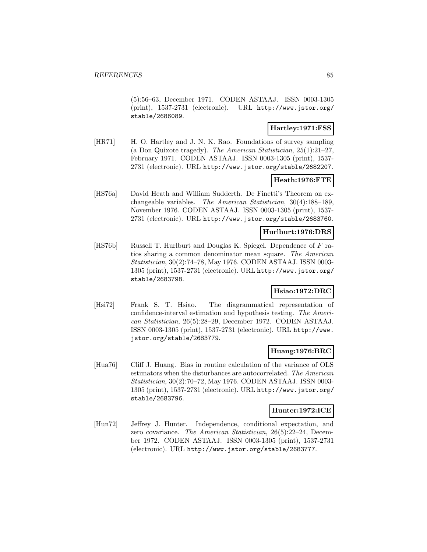(5):56–63, December 1971. CODEN ASTAAJ. ISSN 0003-1305 (print), 1537-2731 (electronic). URL http://www.jstor.org/ stable/2686089.

### **Hartley:1971:FSS**

[HR71] H. O. Hartley and J. N. K. Rao. Foundations of survey sampling (a Don Quixote tragedy). The American Statistician, 25(1):21–27, February 1971. CODEN ASTAAJ. ISSN 0003-1305 (print), 1537- 2731 (electronic). URL http://www.jstor.org/stable/2682207.

# **Heath:1976:FTE**

[HS76a] David Heath and William Sudderth. De Finetti's Theorem on exchangeable variables. The American Statistician, 30(4):188–189, November 1976. CODEN ASTAAJ. ISSN 0003-1305 (print), 1537- 2731 (electronic). URL http://www.jstor.org/stable/2683760.

### **Hurlburt:1976:DRS**

[HS76b] Russell T. Hurlburt and Douglas K. Spiegel. Dependence of F ratios sharing a common denominator mean square. The American Statistician, 30(2):74–78, May 1976. CODEN ASTAAJ. ISSN 0003- 1305 (print), 1537-2731 (electronic). URL http://www.jstor.org/ stable/2683798.

### **Hsiao:1972:DRC**

[Hsi72] Frank S. T. Hsiao. The diagrammatical representation of confidence-interval estimation and hypothesis testing. The American Statistician, 26(5):28–29, December 1972. CODEN ASTAAJ. ISSN 0003-1305 (print), 1537-2731 (electronic). URL http://www. jstor.org/stable/2683779.

### **Huang:1976:BRC**

[Hua76] Cliff J. Huang. Bias in routine calculation of the variance of OLS estimators when the disturbances are autocorrelated. The American Statistician, 30(2):70–72, May 1976. CODEN ASTAAJ. ISSN 0003- 1305 (print), 1537-2731 (electronic). URL http://www.jstor.org/ stable/2683796.

#### **Hunter:1972:ICE**

[Hun72] Jeffrey J. Hunter. Independence, conditional expectation, and zero covariance. The American Statistician, 26(5):22–24, December 1972. CODEN ASTAAJ. ISSN 0003-1305 (print), 1537-2731 (electronic). URL http://www.jstor.org/stable/2683777.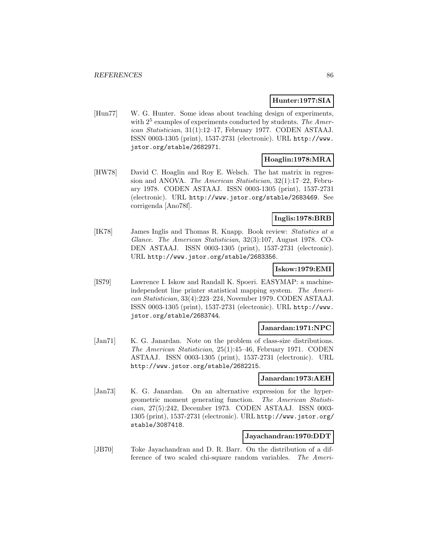### **Hunter:1977:SIA**

[Hun77] W. G. Hunter. Some ideas about teaching design of experiments, with  $2^5$  examples of experiments conducted by students. The American Statistician, 31(1):12–17, February 1977. CODEN ASTAAJ. ISSN 0003-1305 (print), 1537-2731 (electronic). URL http://www. jstor.org/stable/2682971.

### **Hoaglin:1978:MRA**

[HW78] David C. Hoaglin and Roy E. Welsch. The hat matrix in regression and ANOVA. The American Statistician, 32(1):17–22, February 1978. CODEN ASTAAJ. ISSN 0003-1305 (print), 1537-2731 (electronic). URL http://www.jstor.org/stable/2683469. See corrigenda [Ano78f].

### **Inglis:1978:BRB**

[IK78] James Inglis and Thomas R. Knapp. Book review: Statistics at a Glance. The American Statistician, 32(3):107, August 1978. CO-DEN ASTAAJ. ISSN 0003-1305 (print), 1537-2731 (electronic). URL http://www.jstor.org/stable/2683356.

### **Iskow:1979:EMI**

[IS79] Lawrence I. Iskow and Randall K. Spoeri. EASYMAP: a machineindependent line printer statistical mapping system. The American Statistician, 33(4):223–224, November 1979. CODEN ASTAAJ. ISSN 0003-1305 (print), 1537-2731 (electronic). URL http://www. jstor.org/stable/2683744.

#### **Janardan:1971:NPC**

[Jan71] K. G. Janardan. Note on the problem of class-size distributions. The American Statistician, 25(1):45–46, February 1971. CODEN ASTAAJ. ISSN 0003-1305 (print), 1537-2731 (electronic). URL http://www.jstor.org/stable/2682215.

#### **Janardan:1973:AEH**

[Jan73] K. G. Janardan. On an alternative expression for the hypergeometric moment generating function. The American Statistician, 27(5):242, December 1973. CODEN ASTAAJ. ISSN 0003- 1305 (print), 1537-2731 (electronic). URL http://www.jstor.org/ stable/3087418.

### **Jayachandran:1970:DDT**

[JB70] Toke Jayachandran and D. R. Barr. On the distribution of a difference of two scaled chi-square random variables. The Ameri-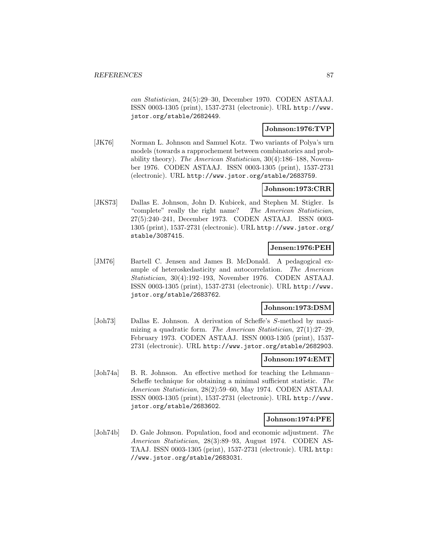can Statistician, 24(5):29–30, December 1970. CODEN ASTAAJ. ISSN 0003-1305 (print), 1537-2731 (electronic). URL http://www. jstor.org/stable/2682449.

# **Johnson:1976:TVP**

[JK76] Norman L. Johnson and Samuel Kotz. Two variants of Polya's urn models (towards a rapprochement between combinatorics and probability theory). The American Statistician, 30(4):186–188, November 1976. CODEN ASTAAJ. ISSN 0003-1305 (print), 1537-2731 (electronic). URL http://www.jstor.org/stable/2683759.

### **Johnson:1973:CRR**

[JKS73] Dallas E. Johnson, John D. Kubicek, and Stephen M. Stigler. Is "complete" really the right name? The American Statistician, 27(5):240–241, December 1973. CODEN ASTAAJ. ISSN 0003- 1305 (print), 1537-2731 (electronic). URL http://www.jstor.org/ stable/3087415.

# **Jensen:1976:PEH**

[JM76] Bartell C. Jensen and James B. McDonald. A pedagogical example of heteroskedasticity and autocorrelation. The American Statistician, 30(4):192–193, November 1976. CODEN ASTAAJ. ISSN 0003-1305 (print), 1537-2731 (electronic). URL http://www. jstor.org/stable/2683762.

### **Johnson:1973:DSM**

[Joh73] Dallas E. Johnson. A derivation of Scheffe's S-method by maximizing a quadratic form. The American Statistician, 27(1):27–29, February 1973. CODEN ASTAAJ. ISSN 0003-1305 (print), 1537- 2731 (electronic). URL http://www.jstor.org/stable/2682903.

#### **Johnson:1974:EMT**

[Joh74a] B. R. Johnson. An effective method for teaching the Lehmann– Scheffe technique for obtaining a minimal sufficient statistic. The American Statistician, 28(2):59–60, May 1974. CODEN ASTAAJ. ISSN 0003-1305 (print), 1537-2731 (electronic). URL http://www. jstor.org/stable/2683602.

#### **Johnson:1974:PFE**

[Joh74b] D. Gale Johnson. Population, food and economic adjustment. The American Statistician, 28(3):89–93, August 1974. CODEN AS-TAAJ. ISSN 0003-1305 (print), 1537-2731 (electronic). URL http: //www.jstor.org/stable/2683031.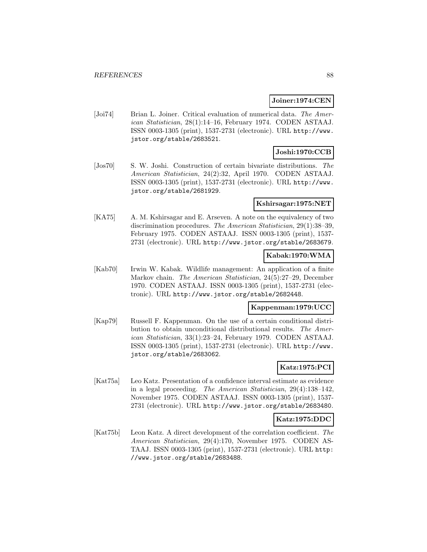#### **Joiner:1974:CEN**

[Joi74] Brian L. Joiner. Critical evaluation of numerical data. The American Statistician, 28(1):14–16, February 1974. CODEN ASTAAJ. ISSN 0003-1305 (print), 1537-2731 (electronic). URL http://www. jstor.org/stable/2683521.

# **Joshi:1970:CCB**

[Jos70] S. W. Joshi. Construction of certain bivariate distributions. The American Statistician, 24(2):32, April 1970. CODEN ASTAAJ. ISSN 0003-1305 (print), 1537-2731 (electronic). URL http://www. jstor.org/stable/2681929.

#### **Kshirsagar:1975:NET**

[KA75] A. M. Kshirsagar and E. Arseven. A note on the equivalency of two discrimination procedures. The American Statistician, 29(1):38–39, February 1975. CODEN ASTAAJ. ISSN 0003-1305 (print), 1537- 2731 (electronic). URL http://www.jstor.org/stable/2683679.

### **Kabak:1970:WMA**

[Kab70] Irwin W. Kabak. Wildlife management: An application of a finite Markov chain. The American Statistician, 24(5):27–29, December 1970. CODEN ASTAAJ. ISSN 0003-1305 (print), 1537-2731 (electronic). URL http://www.jstor.org/stable/2682448.

#### **Kappenman:1979:UCC**

[Kap79] Russell F. Kappenman. On the use of a certain conditional distribution to obtain unconditional distributional results. The American Statistician, 33(1):23–24, February 1979. CODEN ASTAAJ. ISSN 0003-1305 (print), 1537-2731 (electronic). URL http://www. jstor.org/stable/2683062.

# **Katz:1975:PCI**

[Kat75a] Leo Katz. Presentation of a confidence interval estimate as evidence in a legal proceeding. The American Statistician, 29(4):138–142, November 1975. CODEN ASTAAJ. ISSN 0003-1305 (print), 1537- 2731 (electronic). URL http://www.jstor.org/stable/2683480.

#### **Katz:1975:DDC**

[Kat75b] Leon Katz. A direct development of the correlation coefficient. The American Statistician, 29(4):170, November 1975. CODEN AS-TAAJ. ISSN 0003-1305 (print), 1537-2731 (electronic). URL http: //www.jstor.org/stable/2683488.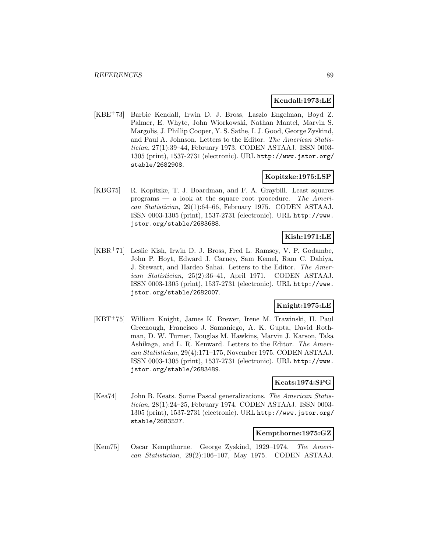#### **Kendall:1973:LE**

[KBE<sup>+</sup>73] Barbie Kendall, Irwin D. J. Bross, Laszlo Engelman, Boyd Z. Palmer, E. Whyte, John Wiorkowski, Nathan Mantel, Marvin S. Margolis, J. Phillip Cooper, Y. S. Sathe, I. J. Good, George Zyskind, and Paul A. Johnson. Letters to the Editor. The American Statistician, 27(1):39–44, February 1973. CODEN ASTAAJ. ISSN 0003- 1305 (print), 1537-2731 (electronic). URL http://www.jstor.org/ stable/2682908.

### **Kopitzke:1975:LSP**

[KBG75] R. Kopitzke, T. J. Boardman, and F. A. Graybill. Least squares programs  $-$  a look at the square root procedure. The American Statistician, 29(1):64–66, February 1975. CODEN ASTAAJ. ISSN 0003-1305 (print), 1537-2731 (electronic). URL http://www. jstor.org/stable/2683688.

# **Kish:1971:LE**

[KBR<sup>+</sup>71] Leslie Kish, Irwin D. J. Bross, Fred L. Ramsey, V. P. Godambe, John P. Hoyt, Edward J. Carney, Sam Kemel, Ram C. Dahiya, J. Stewart, and Hardeo Sahai. Letters to the Editor. The American Statistician, 25(2):36–41, April 1971. CODEN ASTAAJ. ISSN 0003-1305 (print), 1537-2731 (electronic). URL http://www. jstor.org/stable/2682007.

### **Knight:1975:LE**

[KBT<sup>+</sup>75] William Knight, James K. Brewer, Irene M. Trawinski, H. Paul Greenough, Francisco J. Samaniego, A. K. Gupta, David Rothman, D. W. Turner, Douglas M. Hawkins, Marvin J. Karson, Taka Ashikaga, and L. R. Kenward. Letters to the Editor. The American Statistician, 29(4):171–175, November 1975. CODEN ASTAAJ. ISSN 0003-1305 (print), 1537-2731 (electronic). URL http://www. jstor.org/stable/2683489.

### **Keats:1974:SPG**

[Kea74] John B. Keats. Some Pascal generalizations. The American Statistician, 28(1):24–25, February 1974. CODEN ASTAAJ. ISSN 0003- 1305 (print), 1537-2731 (electronic). URL http://www.jstor.org/ stable/2683527.

#### **Kempthorne:1975:GZ**

[Kem75] Oscar Kempthorne. George Zyskind, 1929–1974. The American Statistician, 29(2):106–107, May 1975. CODEN ASTAAJ.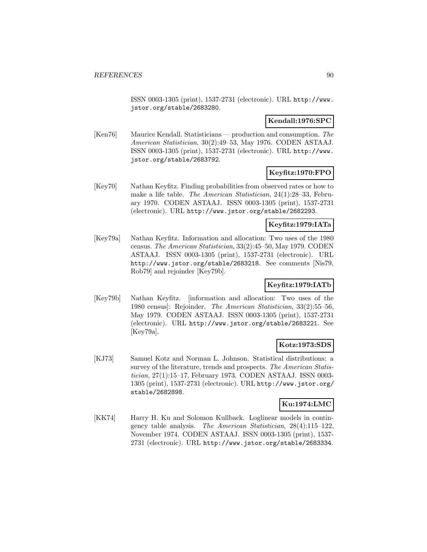ISSN 0003-1305 (print), 1537-2731 (electronic). URL http://www. jstor.org/stable/2683280.

### **Kendall:1976:SPC**

[Ken76] Maurice Kendall. Statisticians — production and consumption. The American Statistician, 30(2):49–53, May 1976. CODEN ASTAAJ. ISSN 0003-1305 (print), 1537-2731 (electronic). URL http://www. jstor.org/stable/2683792.

# **Keyfitz:1970:FPO**

[Key70] Nathan Keyfitz. Finding probabilities from observed rates or how to make a life table. The American Statistician, 24(1):28–33, February 1970. CODEN ASTAAJ. ISSN 0003-1305 (print), 1537-2731 (electronic). URL http://www.jstor.org/stable/2682293.

### **Keyfitz:1979:IATa**

[Key79a] Nathan Keyfitz. Information and allocation: Two uses of the 1980 census. The American Statistician, 33(2):45–50, May 1979. CODEN ASTAAJ. ISSN 0003-1305 (print), 1537-2731 (electronic). URL http://www.jstor.org/stable/2683218. See comments [Nis79, Rob79] and rejoinder [Key79b].

### **Keyfitz:1979:IATb**

[Key79b] Nathan Keyfitz. [information and allocation: Two uses of the 1980 census]: Rejoinder. The American Statistician, 33(2):55–56, May 1979. CODEN ASTAAJ. ISSN 0003-1305 (print), 1537-2731 (electronic). URL http://www.jstor.org/stable/2683221. See [Key79a].

# **Kotz:1973:SDS**

[KJ73] Samuel Kotz and Norman L. Johnson. Statistical distributions: a survey of the literature, trends and prospects. The American Statistician, 27(1):15–17, February 1973. CODEN ASTAAJ. ISSN 0003- 1305 (print), 1537-2731 (electronic). URL http://www.jstor.org/ stable/2682898.

# **Ku:1974:LMC**

[KK74] Harry H. Ku and Solomon Kullback. Loglinear models in contingency table analysis. The American Statistician, 28(4):115–122, November 1974. CODEN ASTAAJ. ISSN 0003-1305 (print), 1537- 2731 (electronic). URL http://www.jstor.org/stable/2683334.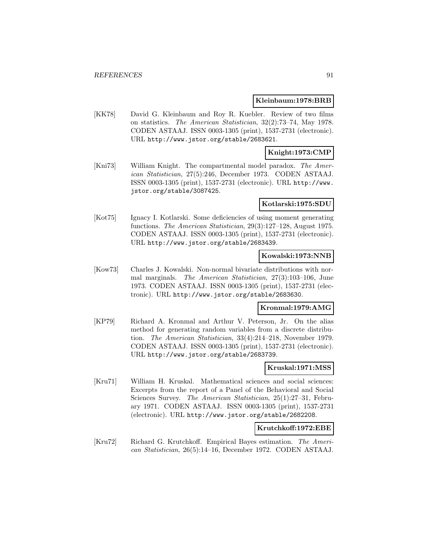#### **Kleinbaum:1978:BRB**

[KK78] David G. Kleinbaum and Roy R. Kuebler. Review of two films on statistics. The American Statistician, 32(2):73–74, May 1978. CODEN ASTAAJ. ISSN 0003-1305 (print), 1537-2731 (electronic). URL http://www.jstor.org/stable/2683621.

### **Knight:1973:CMP**

[Kni73] William Knight. The compartmental model paradox. The American Statistician, 27(5):246, December 1973. CODEN ASTAAJ. ISSN 0003-1305 (print), 1537-2731 (electronic). URL http://www. jstor.org/stable/3087425.

#### **Kotlarski:1975:SDU**

[Kot75] Ignacy I. Kotlarski. Some deficiencies of using moment generating functions. The American Statistician, 29(3):127–128, August 1975. CODEN ASTAAJ. ISSN 0003-1305 (print), 1537-2731 (electronic). URL http://www.jstor.org/stable/2683439.

#### **Kowalski:1973:NNB**

[Kow73] Charles J. Kowalski. Non-normal bivariate distributions with normal marginals. The American Statistician, 27(3):103–106, June 1973. CODEN ASTAAJ. ISSN 0003-1305 (print), 1537-2731 (electronic). URL http://www.jstor.org/stable/2683630.

#### **Kronmal:1979:AMG**

[KP79] Richard A. Kronmal and Arthur V. Peterson, Jr. On the alias method for generating random variables from a discrete distribution. The American Statistician, 33(4):214–218, November 1979. CODEN ASTAAJ. ISSN 0003-1305 (print), 1537-2731 (electronic). URL http://www.jstor.org/stable/2683739.

### **Kruskal:1971:MSS**

[Kru71] William H. Kruskal. Mathematical sciences and social sciences: Excerpts from the report of a Panel of the Behavioral and Social Sciences Survey. The American Statistician, 25(1):27–31, February 1971. CODEN ASTAAJ. ISSN 0003-1305 (print), 1537-2731 (electronic). URL http://www.jstor.org/stable/2682208.

### **Krutchkoff:1972:EBE**

[Kru72] Richard G. Krutchkoff. Empirical Bayes estimation. The American Statistician, 26(5):14–16, December 1972. CODEN ASTAAJ.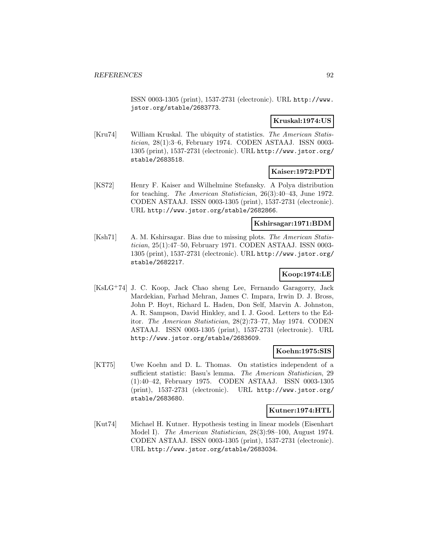ISSN 0003-1305 (print), 1537-2731 (electronic). URL http://www. jstor.org/stable/2683773.

# **Kruskal:1974:US**

[Kru74] William Kruskal. The ubiquity of statistics. The American Statistician, 28(1):3–6, February 1974. CODEN ASTAAJ. ISSN 0003- 1305 (print), 1537-2731 (electronic). URL http://www.jstor.org/ stable/2683518.

### **Kaiser:1972:PDT**

[KS72] Henry F. Kaiser and Wilhelmine Stefansky. A Polya distribution for teaching. The American Statistician, 26(3):40–43, June 1972. CODEN ASTAAJ. ISSN 0003-1305 (print), 1537-2731 (electronic). URL http://www.jstor.org/stable/2682866.

# **Kshirsagar:1971:BDM**

[Ksh71] A. M. Kshirsagar. Bias due to missing plots. The American Statistician, 25(1):47–50, February 1971. CODEN ASTAAJ. ISSN 0003- 1305 (print), 1537-2731 (electronic). URL http://www.jstor.org/ stable/2682217.

# **Koop:1974:LE**

[KsLG<sup>+</sup>74] J. C. Koop, Jack Chao sheng Lee, Fernando Garagorry, Jack Mardekian, Farhad Mehran, James C. Impara, Irwin D. J. Bross, John P. Hoyt, Richard L. Haden, Don Self, Marvin A. Johnston, A. R. Sampson, David Hinkley, and I. J. Good. Letters to the Editor. The American Statistician, 28(2):73–77, May 1974. CODEN ASTAAJ. ISSN 0003-1305 (print), 1537-2731 (electronic). URL http://www.jstor.org/stable/2683609.

### **Koehn:1975:SIS**

[KT75] Uwe Koehn and D. L. Thomas. On statistics independent of a sufficient statistic: Basu's lemma. The American Statistician, 29 (1):40–42, February 1975. CODEN ASTAAJ. ISSN 0003-1305 (print), 1537-2731 (electronic). URL http://www.jstor.org/ stable/2683680.

### **Kutner:1974:HTL**

[Kut74] Michael H. Kutner. Hypothesis testing in linear models (Eisenhart Model I). The American Statistician, 28(3):98–100, August 1974. CODEN ASTAAJ. ISSN 0003-1305 (print), 1537-2731 (electronic). URL http://www.jstor.org/stable/2683034.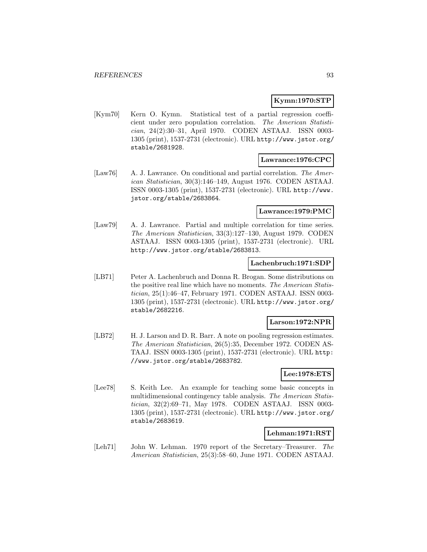### **Kymn:1970:STP**

[Kym70] Kern O. Kymn. Statistical test of a partial regression coefficient under zero population correlation. The American Statistician, 24(2):30–31, April 1970. CODEN ASTAAJ. ISSN 0003- 1305 (print), 1537-2731 (electronic). URL http://www.jstor.org/ stable/2681928.

### **Lawrance:1976:CPC**

[Law76] A. J. Lawrance. On conditional and partial correlation. The American Statistician, 30(3):146–149, August 1976. CODEN ASTAAJ. ISSN 0003-1305 (print), 1537-2731 (electronic). URL http://www. jstor.org/stable/2683864.

### **Lawrance:1979:PMC**

[Law79] A. J. Lawrance. Partial and multiple correlation for time series. The American Statistician, 33(3):127–130, August 1979. CODEN ASTAAJ. ISSN 0003-1305 (print), 1537-2731 (electronic). URL http://www.jstor.org/stable/2683813.

#### **Lachenbruch:1971:SDP**

[LB71] Peter A. Lachenbruch and Donna R. Brogan. Some distributions on the positive real line which have no moments. The American Statistician, 25(1):46–47, February 1971. CODEN ASTAAJ. ISSN 0003- 1305 (print), 1537-2731 (electronic). URL http://www.jstor.org/ stable/2682216.

### **Larson:1972:NPR**

[LB72] H. J. Larson and D. R. Barr. A note on pooling regression estimates. The American Statistician, 26(5):35, December 1972. CODEN AS-TAAJ. ISSN 0003-1305 (print), 1537-2731 (electronic). URL http: //www.jstor.org/stable/2683782.

### **Lee:1978:ETS**

[Lee78] S. Keith Lee. An example for teaching some basic concepts in multidimensional contingency table analysis. The American Statistician, 32(2):69–71, May 1978. CODEN ASTAAJ. ISSN 0003- 1305 (print), 1537-2731 (electronic). URL http://www.jstor.org/ stable/2683619.

#### **Lehman:1971:RST**

[Leh71] John W. Lehman. 1970 report of the Secretary–Treasurer. The American Statistician, 25(3):58–60, June 1971. CODEN ASTAAJ.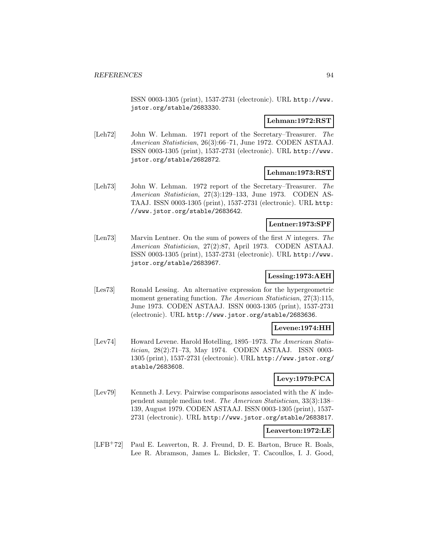ISSN 0003-1305 (print), 1537-2731 (electronic). URL http://www. jstor.org/stable/2683330.

#### **Lehman:1972:RST**

[Leh72] John W. Lehman. 1971 report of the Secretary–Treasurer. The American Statistician, 26(3):66–71, June 1972. CODEN ASTAAJ. ISSN 0003-1305 (print), 1537-2731 (electronic). URL http://www. jstor.org/stable/2682872.

### **Lehman:1973:RST**

[Leh73] John W. Lehman. 1972 report of the Secretary–Treasurer. The American Statistician, 27(3):129–133, June 1973. CODEN AS-TAAJ. ISSN 0003-1305 (print), 1537-2731 (electronic). URL http: //www.jstor.org/stable/2683642.

### **Lentner:1973:SPF**

[Len73] Marvin Lentner. On the sum of powers of the first N integers. The American Statistician, 27(2):87, April 1973. CODEN ASTAAJ. ISSN 0003-1305 (print), 1537-2731 (electronic). URL http://www. jstor.org/stable/2683967.

### **Lessing:1973:AEH**

[Les73] Ronald Lessing. An alternative expression for the hypergeometric moment generating function. The American Statistician, 27(3):115, June 1973. CODEN ASTAAJ. ISSN 0003-1305 (print), 1537-2731 (electronic). URL http://www.jstor.org/stable/2683636.

### **Levene:1974:HH**

[Lev74] Howard Levene. Harold Hotelling, 1895–1973. The American Statistician, 28(2):71–73, May 1974. CODEN ASTAAJ. ISSN 0003- 1305 (print), 1537-2731 (electronic). URL http://www.jstor.org/ stable/2683608.

# **Levy:1979:PCA**

[Lev79] Kenneth J. Levy. Pairwise comparisons associated with the  $K$  independent sample median test. The American Statistician, 33(3):138– 139, August 1979. CODEN ASTAAJ. ISSN 0003-1305 (print), 1537- 2731 (electronic). URL http://www.jstor.org/stable/2683817.

#### **Leaverton:1972:LE**

[LFB<sup>+</sup>72] Paul E. Leaverton, R. J. Freund, D. E. Barton, Bruce R. Boals, Lee R. Abramson, James L. Bicksler, T. Cacoullos, I. J. Good,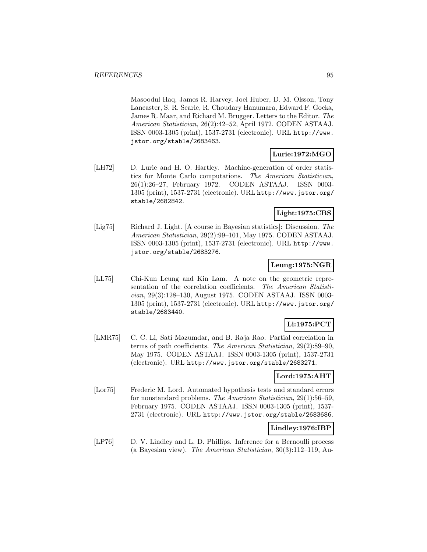Masoodul Haq, James R. Harvey, Joel Huber, D. M. Olsson, Tony Lancaster, S. R. Searle, R. Choudary Hanumara, Edward F. Gocka, James R. Maar, and Richard M. Brugger. Letters to the Editor. The American Statistician, 26(2):42–52, April 1972. CODEN ASTAAJ. ISSN 0003-1305 (print), 1537-2731 (electronic). URL http://www. jstor.org/stable/2683463.

# **Lurie:1972:MGO**

[LH72] D. Lurie and H. O. Hartley. Machine-generation of order statistics for Monte Carlo computations. The American Statistician, 26(1):26–27, February 1972. CODEN ASTAAJ. ISSN 0003- 1305 (print), 1537-2731 (electronic). URL http://www.jstor.org/ stable/2682842.

# **Light:1975:CBS**

[Lig75] Richard J. Light. [A course in Bayesian statistics]: Discussion. The American Statistician, 29(2):99–101, May 1975. CODEN ASTAAJ. ISSN 0003-1305 (print), 1537-2731 (electronic). URL http://www. jstor.org/stable/2683276.

### **Leung:1975:NGR**

[LL75] Chi-Kun Leung and Kin Lam. A note on the geometric representation of the correlation coefficients. The American Statistician, 29(3):128–130, August 1975. CODEN ASTAAJ. ISSN 0003- 1305 (print), 1537-2731 (electronic). URL http://www.jstor.org/ stable/2683440.

# **Li:1975:PCT**

[LMR75] C. C. Li, Sati Mazumdar, and B. Raja Rao. Partial correlation in terms of path coefficients. The American Statistician, 29(2):89–90, May 1975. CODEN ASTAAJ. ISSN 0003-1305 (print), 1537-2731 (electronic). URL http://www.jstor.org/stable/2683271.

### **Lord:1975:AHT**

[Lor75] Frederic M. Lord. Automated hypothesis tests and standard errors for nonstandard problems. The American Statistician, 29(1):56–59, February 1975. CODEN ASTAAJ. ISSN 0003-1305 (print), 1537- 2731 (electronic). URL http://www.jstor.org/stable/2683686.

### **Lindley:1976:IBP**

[LP76] D. V. Lindley and L. D. Phillips. Inference for a Bernoulli process (a Bayesian view). The American Statistician, 30(3):112–119, Au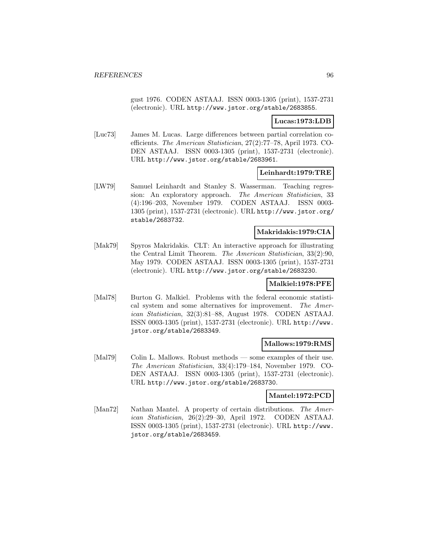gust 1976. CODEN ASTAAJ. ISSN 0003-1305 (print), 1537-2731 (electronic). URL http://www.jstor.org/stable/2683855.

### **Lucas:1973:LDB**

[Luc73] James M. Lucas. Large differences between partial correlation coefficients. The American Statistician, 27(2):77–78, April 1973. CO-DEN ASTAAJ. ISSN 0003-1305 (print), 1537-2731 (electronic). URL http://www.jstor.org/stable/2683961.

#### **Leinhardt:1979:TRE**

[LW79] Samuel Leinhardt and Stanley S. Wasserman. Teaching regression: An exploratory approach. The American Statistician, 33 (4):196–203, November 1979. CODEN ASTAAJ. ISSN 0003- 1305 (print), 1537-2731 (electronic). URL http://www.jstor.org/ stable/2683732.

### **Makridakis:1979:CIA**

[Mak79] Spyros Makridakis. CLT: An interactive approach for illustrating the Central Limit Theorem. The American Statistician, 33(2):90, May 1979. CODEN ASTAAJ. ISSN 0003-1305 (print), 1537-2731 (electronic). URL http://www.jstor.org/stable/2683230.

### **Malkiel:1978:PFE**

[Mal78] Burton G. Malkiel. Problems with the federal economic statistical system and some alternatives for improvement. The American Statistician, 32(3):81–88, August 1978. CODEN ASTAAJ. ISSN 0003-1305 (print), 1537-2731 (electronic). URL http://www. jstor.org/stable/2683349.

#### **Mallows:1979:RMS**

[Mal79] Colin L. Mallows. Robust methods — some examples of their use. The American Statistician, 33(4):179–184, November 1979. CO-DEN ASTAAJ. ISSN 0003-1305 (print), 1537-2731 (electronic). URL http://www.jstor.org/stable/2683730.

#### **Mantel:1972:PCD**

[Man72] Nathan Mantel. A property of certain distributions. The American Statistician, 26(2):29–30, April 1972. CODEN ASTAAJ. ISSN 0003-1305 (print), 1537-2731 (electronic). URL http://www. jstor.org/stable/2683459.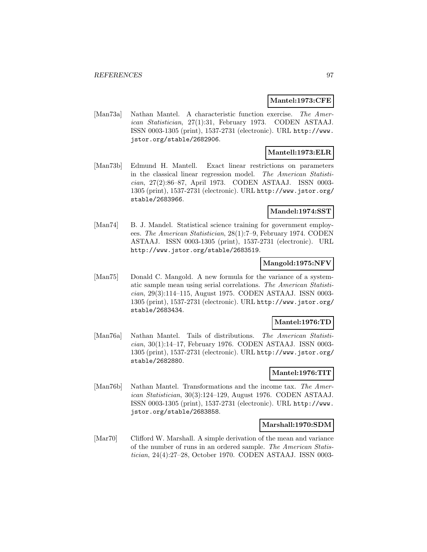### **Mantel:1973:CFE**

[Man73a] Nathan Mantel. A characteristic function exercise. The American Statistician, 27(1):31, February 1973. CODEN ASTAAJ. ISSN 0003-1305 (print), 1537-2731 (electronic). URL http://www. jstor.org/stable/2682906.

# **Mantell:1973:ELR**

[Man73b] Edmund H. Mantell. Exact linear restrictions on parameters in the classical linear regression model. The American Statistician, 27(2):86–87, April 1973. CODEN ASTAAJ. ISSN 0003- 1305 (print), 1537-2731 (electronic). URL http://www.jstor.org/ stable/2683966.

### **Mandel:1974:SST**

[Man74] B. J. Mandel. Statistical science training for government employees. The American Statistician, 28(1):7–9, February 1974. CODEN ASTAAJ. ISSN 0003-1305 (print), 1537-2731 (electronic). URL http://www.jstor.org/stable/2683519.

### **Mangold:1975:NFV**

[Man75] Donald C. Mangold. A new formula for the variance of a systematic sample mean using serial correlations. The American Statistician, 29(3):114–115, August 1975. CODEN ASTAAJ. ISSN 0003- 1305 (print), 1537-2731 (electronic). URL http://www.jstor.org/ stable/2683434.

### **Mantel:1976:TD**

[Man76a] Nathan Mantel. Tails of distributions. The American Statistician, 30(1):14–17, February 1976. CODEN ASTAAJ. ISSN 0003- 1305 (print), 1537-2731 (electronic). URL http://www.jstor.org/ stable/2682880.

### **Mantel:1976:TIT**

[Man76b] Nathan Mantel. Transformations and the income tax. The American Statistician, 30(3):124–129, August 1976. CODEN ASTAAJ. ISSN 0003-1305 (print), 1537-2731 (electronic). URL http://www. jstor.org/stable/2683858.

### **Marshall:1970:SDM**

[Mar70] Clifford W. Marshall. A simple derivation of the mean and variance of the number of runs in an ordered sample. The American Statistician, 24(4):27–28, October 1970. CODEN ASTAAJ. ISSN 0003-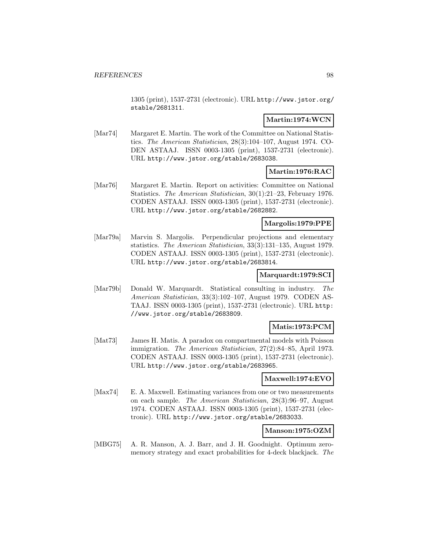1305 (print), 1537-2731 (electronic). URL http://www.jstor.org/ stable/2681311.

# **Martin:1974:WCN**

[Mar74] Margaret E. Martin. The work of the Committee on National Statistics. The American Statistician, 28(3):104–107, August 1974. CO-DEN ASTAAJ. ISSN 0003-1305 (print), 1537-2731 (electronic). URL http://www.jstor.org/stable/2683038.

# **Martin:1976:RAC**

[Mar76] Margaret E. Martin. Report on activities: Committee on National Statistics. The American Statistician, 30(1):21–23, February 1976. CODEN ASTAAJ. ISSN 0003-1305 (print), 1537-2731 (electronic). URL http://www.jstor.org/stable/2682882.

# **Margolis:1979:PPE**

[Mar79a] Marvin S. Margolis. Perpendicular projections and elementary statistics. The American Statistician, 33(3):131–135, August 1979. CODEN ASTAAJ. ISSN 0003-1305 (print), 1537-2731 (electronic). URL http://www.jstor.org/stable/2683814.

# **Marquardt:1979:SCI**

[Mar79b] Donald W. Marquardt. Statistical consulting in industry. The American Statistician, 33(3):102–107, August 1979. CODEN AS-TAAJ. ISSN 0003-1305 (print), 1537-2731 (electronic). URL http: //www.jstor.org/stable/2683809.

### **Matis:1973:PCM**

[Mat73] James H. Matis. A paradox on compartmental models with Poisson immigration. The American Statistician, 27(2):84–85, April 1973. CODEN ASTAAJ. ISSN 0003-1305 (print), 1537-2731 (electronic). URL http://www.jstor.org/stable/2683965.

### **Maxwell:1974:EVO**

[Max74] E. A. Maxwell. Estimating variances from one or two measurements on each sample. The American Statistician, 28(3):96–97, August 1974. CODEN ASTAAJ. ISSN 0003-1305 (print), 1537-2731 (electronic). URL http://www.jstor.org/stable/2683033.

### **Manson:1975:OZM**

[MBG75] A. R. Manson, A. J. Barr, and J. H. Goodnight. Optimum zeromemory strategy and exact probabilities for 4-deck blackjack. The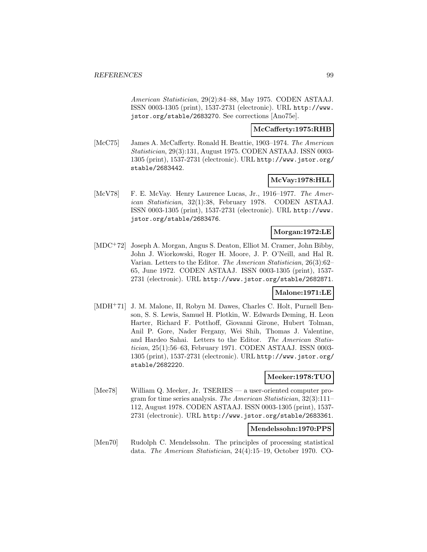American Statistician, 29(2):84–88, May 1975. CODEN ASTAAJ. ISSN 0003-1305 (print), 1537-2731 (electronic). URL http://www. jstor.org/stable/2683270. See corrections [Ano75e].

# **McCafferty:1975:RHB**

[McC75] James A. McCafferty. Ronald H. Beattie, 1903–1974. The American Statistician, 29(3):131, August 1975. CODEN ASTAAJ. ISSN 0003- 1305 (print), 1537-2731 (electronic). URL http://www.jstor.org/ stable/2683442.

### **McVay:1978:HLL**

[McV78] F. E. McVay. Henry Laurence Lucas, Jr., 1916-1977. The American Statistician, 32(1):38, February 1978. CODEN ASTAAJ. ISSN 0003-1305 (print), 1537-2731 (electronic). URL http://www. jstor.org/stable/2683476.

### **Morgan:1972:LE**

[MDC<sup>+</sup>72] Joseph A. Morgan, Angus S. Deaton, Elliot M. Cramer, John Bibby, John J. Wiorkowski, Roger H. Moore, J. P. O'Neill, and Hal R. Varian. Letters to the Editor. The American Statistician, 26(3):62– 65, June 1972. CODEN ASTAAJ. ISSN 0003-1305 (print), 1537- 2731 (electronic). URL http://www.jstor.org/stable/2682871.

#### **Malone:1971:LE**

[MDH<sup>+</sup>71] J. M. Malone, II, Robyn M. Dawes, Charles C. Holt, Purnell Benson, S. S. Lewis, Samuel H. Plotkin, W. Edwards Deming, H. Leon Harter, Richard F. Potthoff, Giovanni Girone, Hubert Tolman, Anil P. Gore, Nader Fergany, Wei Shih, Thomas J. Valentine, and Hardeo Sahai. Letters to the Editor. The American Statistician, 25(1):56–63, February 1971. CODEN ASTAAJ. ISSN 0003- 1305 (print), 1537-2731 (electronic). URL http://www.jstor.org/ stable/2682220.

#### **Meeker:1978:TUO**

[Mee78] William Q. Meeker, Jr. TSERIES — a user-oriented computer program for time series analysis. The American Statistician, 32(3):111– 112, August 1978. CODEN ASTAAJ. ISSN 0003-1305 (print), 1537- 2731 (electronic). URL http://www.jstor.org/stable/2683361.

### **Mendelssohn:1970:PPS**

[Men70] Rudolph C. Mendelssohn. The principles of processing statistical data. The American Statistician, 24(4):15–19, October 1970. CO-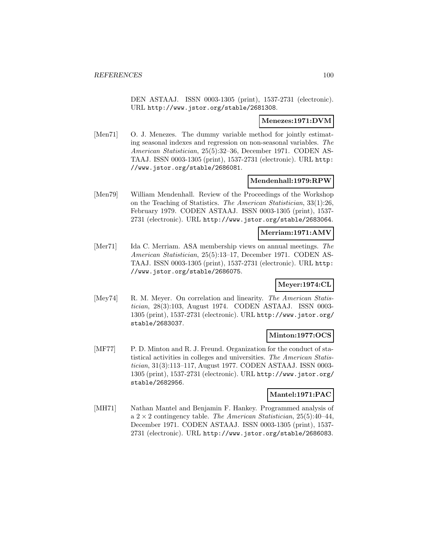DEN ASTAAJ. ISSN 0003-1305 (print), 1537-2731 (electronic). URL http://www.jstor.org/stable/2681308.

#### **Menezes:1971:DVM**

[Men71] O. J. Menezes. The dummy variable method for jointly estimating seasonal indexes and regression on non-seasonal variables. The American Statistician, 25(5):32–36, December 1971. CODEN AS-TAAJ. ISSN 0003-1305 (print), 1537-2731 (electronic). URL http: //www.jstor.org/stable/2686081.

### **Mendenhall:1979:RPW**

[Men79] William Mendenhall. Review of the Proceedings of the Workshop on the Teaching of Statistics. The American Statistician, 33(1):26, February 1979. CODEN ASTAAJ. ISSN 0003-1305 (print), 1537- 2731 (electronic). URL http://www.jstor.org/stable/2683064.

### **Merriam:1971:AMV**

[Mer71] Ida C. Merriam. ASA membership views on annual meetings. The American Statistician, 25(5):13–17, December 1971. CODEN AS-TAAJ. ISSN 0003-1305 (print), 1537-2731 (electronic). URL http: //www.jstor.org/stable/2686075.

#### **Meyer:1974:CL**

[Mey74] R. M. Meyer. On correlation and linearity. The American Statistician, 28(3):103, August 1974. CODEN ASTAAJ. ISSN 0003- 1305 (print), 1537-2731 (electronic). URL http://www.jstor.org/ stable/2683037.

### **Minton:1977:OCS**

[MF77] P. D. Minton and R. J. Freund. Organization for the conduct of statistical activities in colleges and universities. The American Statistician, 31(3):113–117, August 1977. CODEN ASTAAJ. ISSN 0003- 1305 (print), 1537-2731 (electronic). URL http://www.jstor.org/ stable/2682956.

#### **Mantel:1971:PAC**

[MH71] Nathan Mantel and Benjamin F. Hankey. Programmed analysis of a  $2 \times 2$  contingency table. The American Statistician, 25(5):40–44, December 1971. CODEN ASTAAJ. ISSN 0003-1305 (print), 1537- 2731 (electronic). URL http://www.jstor.org/stable/2686083.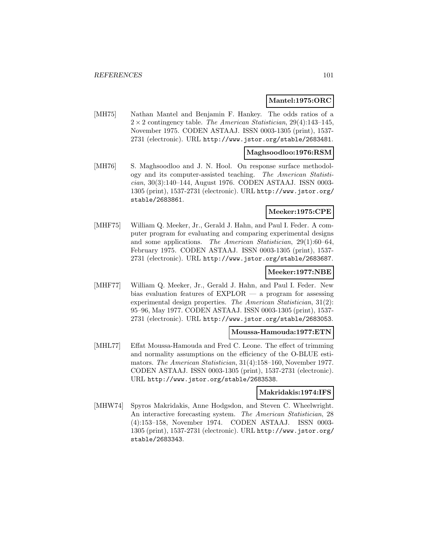#### **Mantel:1975:ORC**

[MH75] Nathan Mantel and Benjamin F. Hankey. The odds ratios of a  $2 \times 2$  contingency table. The American Statistician, 29(4):143-145, November 1975. CODEN ASTAAJ. ISSN 0003-1305 (print), 1537- 2731 (electronic). URL http://www.jstor.org/stable/2683481.

### **Maghsoodloo:1976:RSM**

[MH76] S. Maghsoodloo and J. N. Hool. On response surface methodology and its computer-assisted teaching. The American Statistician, 30(3):140–144, August 1976. CODEN ASTAAJ. ISSN 0003- 1305 (print), 1537-2731 (electronic). URL http://www.jstor.org/ stable/2683861.

### **Meeker:1975:CPE**

[MHF75] William Q. Meeker, Jr., Gerald J. Hahn, and Paul I. Feder. A computer program for evaluating and comparing experimental designs and some applications. The American Statistician, 29(1):60–64, February 1975. CODEN ASTAAJ. ISSN 0003-1305 (print), 1537- 2731 (electronic). URL http://www.jstor.org/stable/2683687.

### **Meeker:1977:NBE**

[MHF77] William Q. Meeker, Jr., Gerald J. Hahn, and Paul I. Feder. New bias evaluation features of  $EXPLOR - a$  program for assessing experimental design properties. The American Statistician, 31(2): 95–96, May 1977. CODEN ASTAAJ. ISSN 0003-1305 (print), 1537- 2731 (electronic). URL http://www.jstor.org/stable/2683053.

#### **Moussa-Hamouda:1977:ETN**

[MHL77] Effat Moussa-Hamouda and Fred C. Leone. The effect of trimming and normality assumptions on the efficiency of the O-BLUE estimators. The American Statistician, 31(4):158–160, November 1977. CODEN ASTAAJ. ISSN 0003-1305 (print), 1537-2731 (electronic). URL http://www.jstor.org/stable/2683538.

#### **Makridakis:1974:IFS**

[MHW74] Spyros Makridakis, Anne Hodgsdon, and Steven C. Wheelwright. An interactive forecasting system. The American Statistician, 28 (4):153–158, November 1974. CODEN ASTAAJ. ISSN 0003- 1305 (print), 1537-2731 (electronic). URL http://www.jstor.org/ stable/2683343.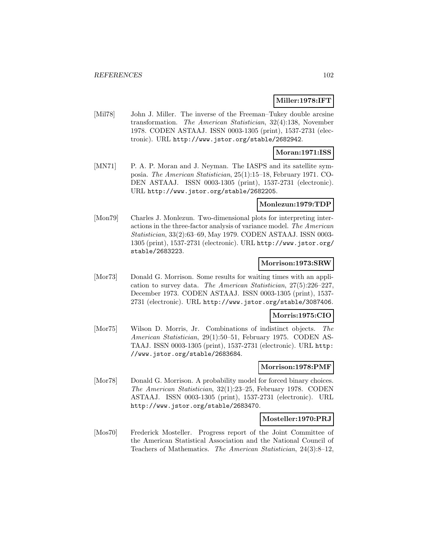### **Miller:1978:IFT**

[Mil78] John J. Miller. The inverse of the Freeman–Tukey double arcsine transformation. The American Statistician, 32(4):138, November 1978. CODEN ASTAAJ. ISSN 0003-1305 (print), 1537-2731 (electronic). URL http://www.jstor.org/stable/2682942.

#### **Moran:1971:ISS**

[MN71] P. A. P. Moran and J. Neyman. The IASPS and its satellite symposia. The American Statistician, 25(1):15–18, February 1971. CO-DEN ASTAAJ. ISSN 0003-1305 (print), 1537-2731 (electronic). URL http://www.jstor.org/stable/2682205.

#### **Monlezun:1979:TDP**

[Mon79] Charles J. Monlezun. Two-dimensional plots for interpreting interactions in the three-factor analysis of variance model. The American Statistician, 33(2):63–69, May 1979. CODEN ASTAAJ. ISSN 0003- 1305 (print), 1537-2731 (electronic). URL http://www.jstor.org/ stable/2683223.

#### **Morrison:1973:SRW**

[Mor73] Donald G. Morrison. Some results for waiting times with an application to survey data. The American Statistician, 27(5):226–227, December 1973. CODEN ASTAAJ. ISSN 0003-1305 (print), 1537- 2731 (electronic). URL http://www.jstor.org/stable/3087406.

#### **Morris:1975:CIO**

[Mor75] Wilson D. Morris, Jr. Combinations of indistinct objects. The American Statistician, 29(1):50–51, February 1975. CODEN AS-TAAJ. ISSN 0003-1305 (print), 1537-2731 (electronic). URL http: //www.jstor.org/stable/2683684.

#### **Morrison:1978:PMF**

[Mor78] Donald G. Morrison. A probability model for forced binary choices. The American Statistician, 32(1):23–25, February 1978. CODEN ASTAAJ. ISSN 0003-1305 (print), 1537-2731 (electronic). URL http://www.jstor.org/stable/2683470.

#### **Mosteller:1970:PRJ**

[Mos70] Frederick Mosteller. Progress report of the Joint Committee of the American Statistical Association and the National Council of Teachers of Mathematics. The American Statistician, 24(3):8–12,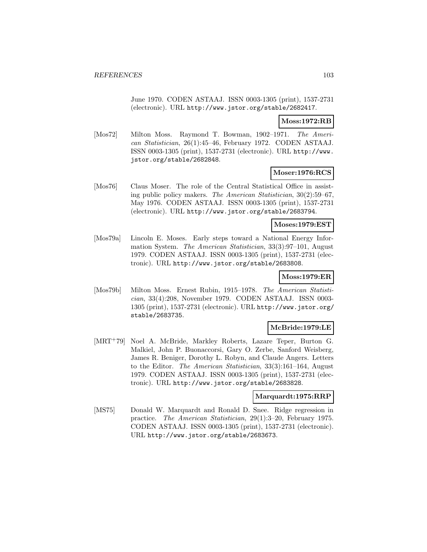June 1970. CODEN ASTAAJ. ISSN 0003-1305 (print), 1537-2731 (electronic). URL http://www.jstor.org/stable/2682417.

#### **Moss:1972:RB**

[Mos72] Milton Moss. Raymond T. Bowman, 1902–1971. The American Statistician, 26(1):45–46, February 1972. CODEN ASTAAJ. ISSN 0003-1305 (print), 1537-2731 (electronic). URL http://www. jstor.org/stable/2682848.

### **Moser:1976:RCS**

[Mos76] Claus Moser. The role of the Central Statistical Office in assisting public policy makers. The American Statistician, 30(2):59–67, May 1976. CODEN ASTAAJ. ISSN 0003-1305 (print), 1537-2731 (electronic). URL http://www.jstor.org/stable/2683794.

#### **Moses:1979:EST**

[Mos79a] Lincoln E. Moses. Early steps toward a National Energy Information System. The American Statistician, 33(3):97–101, August 1979. CODEN ASTAAJ. ISSN 0003-1305 (print), 1537-2731 (electronic). URL http://www.jstor.org/stable/2683808.

### **Moss:1979:ER**

[Mos79b] Milton Moss. Ernest Rubin, 1915–1978. The American Statistician, 33(4):208, November 1979. CODEN ASTAAJ. ISSN 0003- 1305 (print), 1537-2731 (electronic). URL http://www.jstor.org/ stable/2683735.

# **McBride:1979:LE**

[MRT<sup>+</sup>79] Noel A. McBride, Markley Roberts, Lazare Teper, Burton G. Malkiel, John P. Buonaccorsi, Gary O. Zerbe, Sanford Weisberg, James R. Beniger, Dorothy L. Robyn, and Claude Angers. Letters to the Editor. The American Statistician, 33(3):161–164, August 1979. CODEN ASTAAJ. ISSN 0003-1305 (print), 1537-2731 (electronic). URL http://www.jstor.org/stable/2683828.

### **Marquardt:1975:RRP**

[MS75] Donald W. Marquardt and Ronald D. Snee. Ridge regression in practice. The American Statistician, 29(1):3–20, February 1975. CODEN ASTAAJ. ISSN 0003-1305 (print), 1537-2731 (electronic). URL http://www.jstor.org/stable/2683673.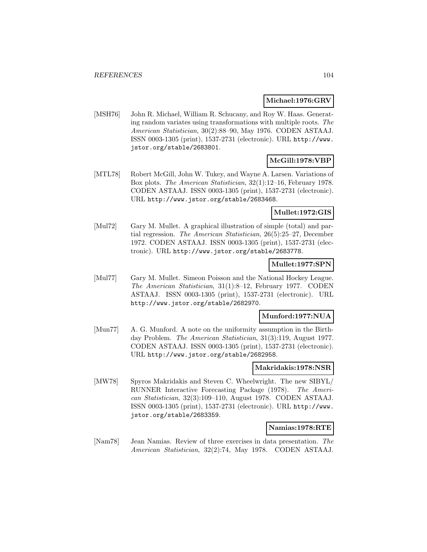#### **Michael:1976:GRV**

[MSH76] John R. Michael, William R. Schucany, and Roy W. Haas. Generating random variates using transformations with multiple roots. The American Statistician, 30(2):88–90, May 1976. CODEN ASTAAJ. ISSN 0003-1305 (print), 1537-2731 (electronic). URL http://www. jstor.org/stable/2683801.

# **McGill:1978:VBP**

[MTL78] Robert McGill, John W. Tukey, and Wayne A. Larsen. Variations of Box plots. The American Statistician, 32(1):12–16, February 1978. CODEN ASTAAJ. ISSN 0003-1305 (print), 1537-2731 (electronic). URL http://www.jstor.org/stable/2683468.

### **Mullet:1972:GIS**

[Mul72] Gary M. Mullet. A graphical illustration of simple (total) and partial regression. The American Statistician, 26(5):25–27, December 1972. CODEN ASTAAJ. ISSN 0003-1305 (print), 1537-2731 (electronic). URL http://www.jstor.org/stable/2683778.

# **Mullet:1977:SPN**

[Mul77] Gary M. Mullet. Simeon Poisson and the National Hockey League. The American Statistician, 31(1):8–12, February 1977. CODEN ASTAAJ. ISSN 0003-1305 (print), 1537-2731 (electronic). URL http://www.jstor.org/stable/2682970.

### **Munford:1977:NUA**

[Mun77] A. G. Munford. A note on the uniformity assumption in the Birthday Problem. The American Statistician, 31(3):119, August 1977. CODEN ASTAAJ. ISSN 0003-1305 (print), 1537-2731 (electronic). URL http://www.jstor.org/stable/2682958.

### **Makridakis:1978:NSR**

[MW78] Spyros Makridakis and Steven C. Wheelwright. The new SIBYL/ RUNNER Interactive Forecasting Package (1978). The American Statistician, 32(3):109–110, August 1978. CODEN ASTAAJ. ISSN 0003-1305 (print), 1537-2731 (electronic). URL http://www. jstor.org/stable/2683359.

#### **Namias:1978:RTE**

[Nam78] Jean Namias. Review of three exercises in data presentation. The American Statistician, 32(2):74, May 1978. CODEN ASTAAJ.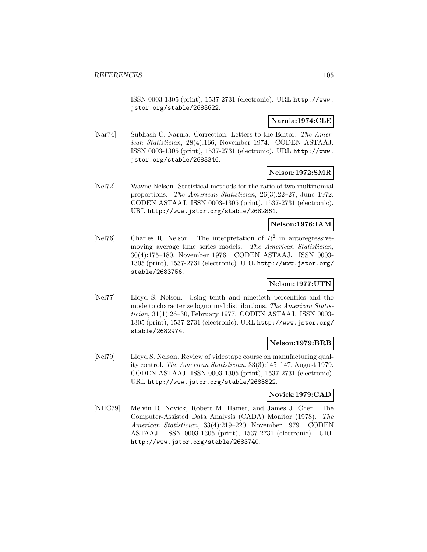ISSN 0003-1305 (print), 1537-2731 (electronic). URL http://www. jstor.org/stable/2683622.

### **Narula:1974:CLE**

[Nar74] Subhash C. Narula. Correction: Letters to the Editor. The American Statistician, 28(4):166, November 1974. CODEN ASTAAJ. ISSN 0003-1305 (print), 1537-2731 (electronic). URL http://www. jstor.org/stable/2683346.

### **Nelson:1972:SMR**

[Nel72] Wayne Nelson. Statistical methods for the ratio of two multinomial proportions. The American Statistician, 26(3):22–27, June 1972. CODEN ASTAAJ. ISSN 0003-1305 (print), 1537-2731 (electronic). URL http://www.jstor.org/stable/2682861.

# **Nelson:1976:IAM**

[Nel76] Charles R. Nelson. The interpretation of  $R^2$  in autoregressivemoving average time series models. The American Statistician, 30(4):175–180, November 1976. CODEN ASTAAJ. ISSN 0003- 1305 (print), 1537-2731 (electronic). URL http://www.jstor.org/ stable/2683756.

### **Nelson:1977:UTN**

[Nel77] Lloyd S. Nelson. Using tenth and ninetieth percentiles and the mode to characterize lognormal distributions. The American Statistician, 31(1):26–30, February 1977. CODEN ASTAAJ. ISSN 0003- 1305 (print), 1537-2731 (electronic). URL http://www.jstor.org/ stable/2682974.

#### **Nelson:1979:BRB**

[Nel79] Lloyd S. Nelson. Review of videotape course on manufacturing quality control. The American Statistician, 33(3):145–147, August 1979. CODEN ASTAAJ. ISSN 0003-1305 (print), 1537-2731 (electronic). URL http://www.jstor.org/stable/2683822.

#### **Novick:1979:CAD**

[NHC79] Melvin R. Novick, Robert M. Hamer, and James J. Chen. The Computer-Assisted Data Analysis (CADA) Monitor (1978). The American Statistician, 33(4):219–220, November 1979. CODEN ASTAAJ. ISSN 0003-1305 (print), 1537-2731 (electronic). URL http://www.jstor.org/stable/2683740.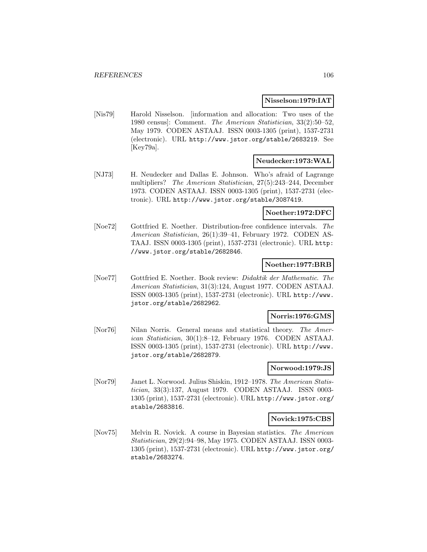#### **Nisselson:1979:IAT**

[Nis79] Harold Nisselson. [information and allocation: Two uses of the 1980 census]: Comment. The American Statistician, 33(2):50–52, May 1979. CODEN ASTAAJ. ISSN 0003-1305 (print), 1537-2731 (electronic). URL http://www.jstor.org/stable/2683219. See [Key79a].

# **Neudecker:1973:WAL**

[NJ73] H. Neudecker and Dallas E. Johnson. Who's afraid of Lagrange multipliers? The American Statistician, 27(5):243–244, December 1973. CODEN ASTAAJ. ISSN 0003-1305 (print), 1537-2731 (electronic). URL http://www.jstor.org/stable/3087419.

#### **Noether:1972:DFC**

[Noe72] Gottfried E. Noether. Distribution-free confidence intervals. The American Statistician, 26(1):39–41, February 1972. CODEN AS-TAAJ. ISSN 0003-1305 (print), 1537-2731 (electronic). URL http: //www.jstor.org/stable/2682846.

#### **Noether:1977:BRB**

[Noe77] Gottfried E. Noether. Book review: Didaktik der Mathematic. The American Statistician, 31(3):124, August 1977. CODEN ASTAAJ. ISSN 0003-1305 (print), 1537-2731 (electronic). URL http://www. jstor.org/stable/2682962.

#### **Norris:1976:GMS**

[Nor76] Nilan Norris. General means and statistical theory. The American Statistician, 30(1):8–12, February 1976. CODEN ASTAAJ. ISSN 0003-1305 (print), 1537-2731 (electronic). URL http://www. jstor.org/stable/2682879.

### **Norwood:1979:JS**

[Nor79] Janet L. Norwood. Julius Shiskin, 1912–1978. The American Statistician, 33(3):137, August 1979. CODEN ASTAAJ. ISSN 0003- 1305 (print), 1537-2731 (electronic). URL http://www.jstor.org/ stable/2683816.

#### **Novick:1975:CBS**

[Nov75] Melvin R. Novick. A course in Bayesian statistics. The American Statistician, 29(2):94–98, May 1975. CODEN ASTAAJ. ISSN 0003- 1305 (print), 1537-2731 (electronic). URL http://www.jstor.org/ stable/2683274.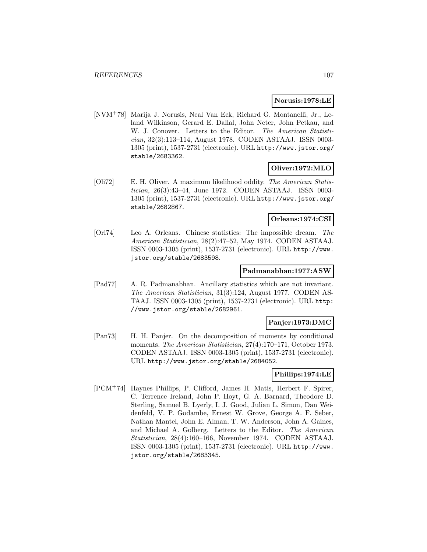### **Norusis:1978:LE**

[NVM<sup>+</sup>78] Marija J. Norusis, Neal Van Eck, Richard G. Montanelli, Jr., Leland Wilkinson, Gerard E. Dallal, John Neter, John Petkau, and W. J. Conover. Letters to the Editor. The American Statistician, 32(3):113–114, August 1978. CODEN ASTAAJ. ISSN 0003- 1305 (print), 1537-2731 (electronic). URL http://www.jstor.org/ stable/2683362.

### **Oliver:1972:MLO**

[Oli72] E. H. Oliver. A maximum likelihood oddity. The American Statistician, 26(3):43–44, June 1972. CODEN ASTAAJ. ISSN 0003- 1305 (print), 1537-2731 (electronic). URL http://www.jstor.org/ stable/2682867.

### **Orleans:1974:CSI**

[Orl74] Leo A. Orleans. Chinese statistics: The impossible dream. The American Statistician, 28(2):47–52, May 1974. CODEN ASTAAJ. ISSN 0003-1305 (print), 1537-2731 (electronic). URL http://www. jstor.org/stable/2683598.

#### **Padmanabhan:1977:ASW**

[Pad77] A. R. Padmanabhan. Ancillary statistics which are not invariant. The American Statistician, 31(3):124, August 1977. CODEN AS-TAAJ. ISSN 0003-1305 (print), 1537-2731 (electronic). URL http: //www.jstor.org/stable/2682961.

#### **Panjer:1973:DMC**

[Pan73] H. H. Panjer. On the decomposition of moments by conditional moments. The American Statistician, 27(4):170–171, October 1973. CODEN ASTAAJ. ISSN 0003-1305 (print), 1537-2731 (electronic). URL http://www.jstor.org/stable/2684052.

### **Phillips:1974:LE**

[PCM<sup>+</sup>74] Haynes Phillips, P. Clifford, James H. Matis, Herbert F. Spirer, C. Terrence Ireland, John P. Hoyt, G. A. Barnard, Theodore D. Sterling, Samuel B. Lyerly, I. J. Good, Julian L. Simon, Dan Weidenfeld, V. P. Godambe, Ernest W. Grove, George A. F. Seber, Nathan Mantel, John E. Alman, T. W. Anderson, John A. Gaines, and Michael A. Golberg. Letters to the Editor. The American Statistician, 28(4):160–166, November 1974. CODEN ASTAAJ. ISSN 0003-1305 (print), 1537-2731 (electronic). URL http://www. jstor.org/stable/2683345.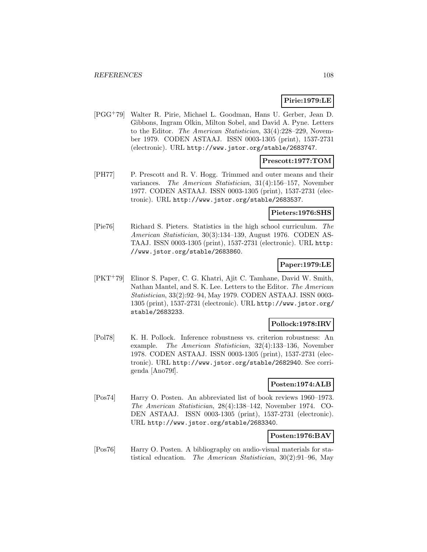# **Pirie:1979:LE**

[PGG<sup>+</sup>79] Walter R. Pirie, Michael L. Goodman, Hans U. Gerber, Jean D. Gibbons, Ingram Olkin, Milton Sobel, and David A. Pyne. Letters to the Editor. The American Statistician, 33(4):228–229, November 1979. CODEN ASTAAJ. ISSN 0003-1305 (print), 1537-2731 (electronic). URL http://www.jstor.org/stable/2683747.

# **Prescott:1977:TOM**

[PH77] P. Prescott and R. V. Hogg. Trimmed and outer means and their variances. The American Statistician, 31(4):156–157, November 1977. CODEN ASTAAJ. ISSN 0003-1305 (print), 1537-2731 (electronic). URL http://www.jstor.org/stable/2683537.

### **Pieters:1976:SHS**

[Pie76] Richard S. Pieters. Statistics in the high school curriculum. The American Statistician, 30(3):134–139, August 1976. CODEN AS-TAAJ. ISSN 0003-1305 (print), 1537-2731 (electronic). URL http: //www.jstor.org/stable/2683860.

### **Paper:1979:LE**

[PKT<sup>+</sup>79] Elinor S. Paper, C. G. Khatri, Ajit C. Tamhane, David W. Smith, Nathan Mantel, and S. K. Lee. Letters to the Editor. The American Statistician, 33(2):92–94, May 1979. CODEN ASTAAJ. ISSN 0003- 1305 (print), 1537-2731 (electronic). URL http://www.jstor.org/ stable/2683233.

### **Pollock:1978:IRV**

[Pol78] K. H. Pollock. Inference robustness vs. criterion robustness: An example. The American Statistician, 32(4):133–136, November 1978. CODEN ASTAAJ. ISSN 0003-1305 (print), 1537-2731 (electronic). URL http://www.jstor.org/stable/2682940. See corrigenda [Ano79f].

### **Posten:1974:ALB**

[Pos74] Harry O. Posten. An abbreviated list of book reviews 1960–1973. The American Statistician, 28(4):138–142, November 1974. CO-DEN ASTAAJ. ISSN 0003-1305 (print), 1537-2731 (electronic). URL http://www.jstor.org/stable/2683340.

### **Posten:1976:BAV**

[Pos76] Harry O. Posten. A bibliography on audio-visual materials for statistical education. The American Statistician, 30(2):91–96, May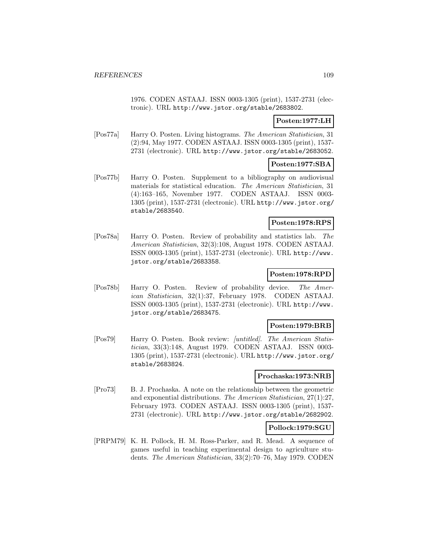1976. CODEN ASTAAJ. ISSN 0003-1305 (print), 1537-2731 (electronic). URL http://www.jstor.org/stable/2683802.

## **Posten:1977:LH**

[Pos77a] Harry O. Posten. Living histograms. The American Statistician, 31 (2):94, May 1977. CODEN ASTAAJ. ISSN 0003-1305 (print), 1537- 2731 (electronic). URL http://www.jstor.org/stable/2683052.

### **Posten:1977:SBA**

[Pos77b] Harry O. Posten. Supplement to a bibliography on audiovisual materials for statistical education. The American Statistician, 31 (4):163–165, November 1977. CODEN ASTAAJ. ISSN 0003- 1305 (print), 1537-2731 (electronic). URL http://www.jstor.org/ stable/2683540.

#### **Posten:1978:RPS**

[Pos78a] Harry O. Posten. Review of probability and statistics lab. The American Statistician, 32(3):108, August 1978. CODEN ASTAAJ. ISSN 0003-1305 (print), 1537-2731 (electronic). URL http://www. jstor.org/stable/2683358.

### **Posten:1978:RPD**

[Pos78b] Harry O. Posten. Review of probability device. The American Statistician, 32(1):37, February 1978. CODEN ASTAAJ. ISSN 0003-1305 (print), 1537-2731 (electronic). URL http://www. jstor.org/stable/2683475.

#### **Posten:1979:BRB**

[Pos79] Harry O. Posten. Book review: [untitled]. The American Statistician, 33(3):148, August 1979. CODEN ASTAAJ. ISSN 0003- 1305 (print), 1537-2731 (electronic). URL http://www.jstor.org/ stable/2683824.

#### **Prochaska:1973:NRB**

[Pro73] B. J. Prochaska. A note on the relationship between the geometric and exponential distributions. The American Statistician, 27(1):27, February 1973. CODEN ASTAAJ. ISSN 0003-1305 (print), 1537- 2731 (electronic). URL http://www.jstor.org/stable/2682902.

#### **Pollock:1979:SGU**

[PRPM79] K. H. Pollock, H. M. Ross-Parker, and R. Mead. A sequence of games useful in teaching experimental design to agriculture students. The American Statistician, 33(2):70–76, May 1979. CODEN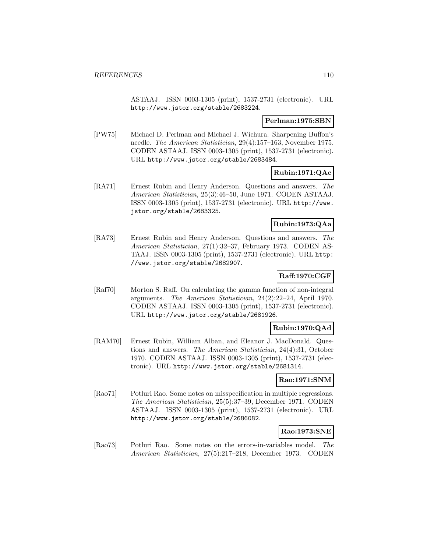ASTAAJ. ISSN 0003-1305 (print), 1537-2731 (electronic). URL http://www.jstor.org/stable/2683224.

### **Perlman:1975:SBN**

[PW75] Michael D. Perlman and Michael J. Wichura. Sharpening Buffon's needle. The American Statistician, 29(4):157–163, November 1975. CODEN ASTAAJ. ISSN 0003-1305 (print), 1537-2731 (electronic). URL http://www.jstor.org/stable/2683484.

## **Rubin:1971:QAc**

[RA71] Ernest Rubin and Henry Anderson. Questions and answers. The American Statistician, 25(3):46–50, June 1971. CODEN ASTAAJ. ISSN 0003-1305 (print), 1537-2731 (electronic). URL http://www. jstor.org/stable/2683325.

## **Rubin:1973:QAa**

[RA73] Ernest Rubin and Henry Anderson. Questions and answers. The American Statistician, 27(1):32–37, February 1973. CODEN AS-TAAJ. ISSN 0003-1305 (print), 1537-2731 (electronic). URL http: //www.jstor.org/stable/2682907.

# **Raff:1970:CGF**

[Raf70] Morton S. Raff. On calculating the gamma function of non-integral arguments. The American Statistician, 24(2):22–24, April 1970. CODEN ASTAAJ. ISSN 0003-1305 (print), 1537-2731 (electronic). URL http://www.jstor.org/stable/2681926.

## **Rubin:1970:QAd**

[RAM70] Ernest Rubin, William Alban, and Eleanor J. MacDonald. Questions and answers. The American Statistician, 24(4):31, October 1970. CODEN ASTAAJ. ISSN 0003-1305 (print), 1537-2731 (electronic). URL http://www.jstor.org/stable/2681314.

## **Rao:1971:SNM**

[Rao71] Potluri Rao. Some notes on misspecification in multiple regressions. The American Statistician, 25(5):37–39, December 1971. CODEN ASTAAJ. ISSN 0003-1305 (print), 1537-2731 (electronic). URL http://www.jstor.org/stable/2686082.

# **Rao:1973:SNE**

[Rao73] Potluri Rao. Some notes on the errors-in-variables model. The American Statistician, 27(5):217–218, December 1973. CODEN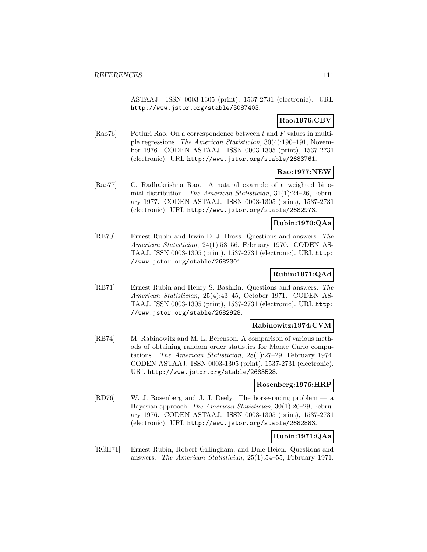ASTAAJ. ISSN 0003-1305 (print), 1537-2731 (electronic). URL http://www.jstor.org/stable/3087403.

# **Rao:1976:CBV**

[Rao76] Potluri Rao. On a correspondence between  $t$  and  $F$  values in multiple regressions. The American Statistician, 30(4):190–191, November 1976. CODEN ASTAAJ. ISSN 0003-1305 (print), 1537-2731 (electronic). URL http://www.jstor.org/stable/2683761.

## **Rao:1977:NEW**

[Rao77] C. Radhakrishna Rao. A natural example of a weighted binomial distribution. The American Statistician, 31(1):24–26, February 1977. CODEN ASTAAJ. ISSN 0003-1305 (print), 1537-2731 (electronic). URL http://www.jstor.org/stable/2682973.

## **Rubin:1970:QAa**

[RB70] Ernest Rubin and Irwin D. J. Bross. Questions and answers. The American Statistician, 24(1):53–56, February 1970. CODEN AS-TAAJ. ISSN 0003-1305 (print), 1537-2731 (electronic). URL http: //www.jstor.org/stable/2682301.

# **Rubin:1971:QAd**

[RB71] Ernest Rubin and Henry S. Bashkin. Questions and answers. The American Statistician, 25(4):43–45, October 1971. CODEN AS-TAAJ. ISSN 0003-1305 (print), 1537-2731 (electronic). URL http: //www.jstor.org/stable/2682928.

## **Rabinowitz:1974:CVM**

[RB74] M. Rabinowitz and M. L. Berenson. A comparison of various methods of obtaining random order statistics for Monte Carlo computations. The American Statistician, 28(1):27–29, February 1974. CODEN ASTAAJ. ISSN 0003-1305 (print), 1537-2731 (electronic). URL http://www.jstor.org/stable/2683528.

## **Rosenberg:1976:HRP**

[RD76] W. J. Rosenberg and J. J. Deely. The horse-racing problem — a Bayesian approach. The American Statistician, 30(1):26–29, February 1976. CODEN ASTAAJ. ISSN 0003-1305 (print), 1537-2731 (electronic). URL http://www.jstor.org/stable/2682883.

# **Rubin:1971:QAa**

[RGH71] Ernest Rubin, Robert Gillingham, and Dale Heien. Questions and answers. The American Statistician, 25(1):54–55, February 1971.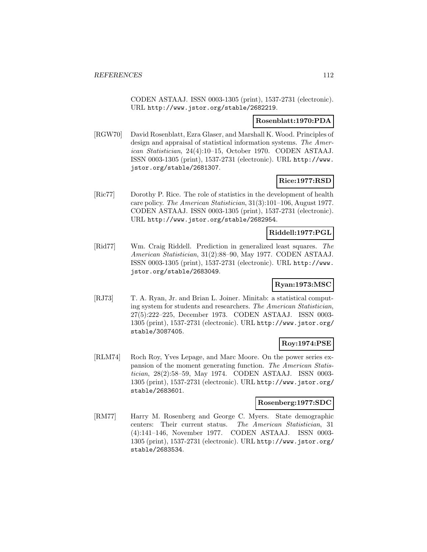CODEN ASTAAJ. ISSN 0003-1305 (print), 1537-2731 (electronic). URL http://www.jstor.org/stable/2682219.

#### **Rosenblatt:1970:PDA**

[RGW70] David Rosenblatt, Ezra Glaser, and Marshall K. Wood. Principles of design and appraisal of statistical information systems. The American Statistician, 24(4):10–15, October 1970. CODEN ASTAAJ. ISSN 0003-1305 (print), 1537-2731 (electronic). URL http://www. jstor.org/stable/2681307.

## **Rice:1977:RSD**

[Ric77] Dorothy P. Rice. The role of statistics in the development of health care policy. The American Statistician, 31(3):101–106, August 1977. CODEN ASTAAJ. ISSN 0003-1305 (print), 1537-2731 (electronic). URL http://www.jstor.org/stable/2682954.

### **Riddell:1977:PGL**

[Rid77] Wm. Craig Riddell. Prediction in generalized least squares. The American Statistician, 31(2):88–90, May 1977. CODEN ASTAAJ. ISSN 0003-1305 (print), 1537-2731 (electronic). URL http://www. jstor.org/stable/2683049.

## **Ryan:1973:MSC**

[RJ73] T. A. Ryan, Jr. and Brian L. Joiner. Minitab: a statistical computing system for students and researchers. The American Statistician, 27(5):222–225, December 1973. CODEN ASTAAJ. ISSN 0003- 1305 (print), 1537-2731 (electronic). URL http://www.jstor.org/ stable/3087405.

## **Roy:1974:PSE**

[RLM74] Roch Roy, Yves Lepage, and Marc Moore. On the power series expansion of the moment generating function. The American Statistician, 28(2):58–59, May 1974. CODEN ASTAAJ. ISSN 0003- 1305 (print), 1537-2731 (electronic). URL http://www.jstor.org/ stable/2683601.

## **Rosenberg:1977:SDC**

[RM77] Harry M. Rosenberg and George C. Myers. State demographic centers: Their current status. The American Statistician, 31 (4):141–146, November 1977. CODEN ASTAAJ. ISSN 0003- 1305 (print), 1537-2731 (electronic). URL http://www.jstor.org/ stable/2683534.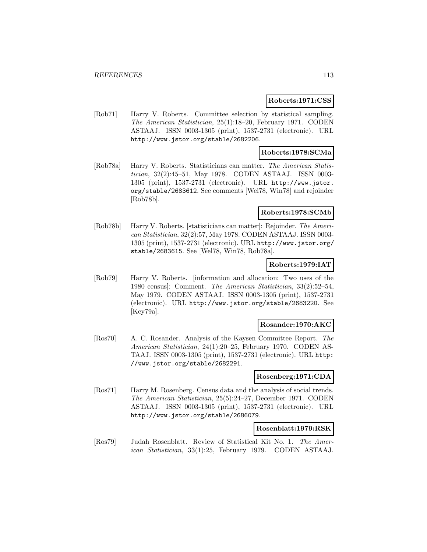#### **Roberts:1971:CSS**

[Rob71] Harry V. Roberts. Committee selection by statistical sampling. The American Statistician, 25(1):18–20, February 1971. CODEN ASTAAJ. ISSN 0003-1305 (print), 1537-2731 (electronic). URL http://www.jstor.org/stable/2682206.

### **Roberts:1978:SCMa**

[Rob78a] Harry V. Roberts. Statisticians can matter. The American Statistician, 32(2):45–51, May 1978. CODEN ASTAAJ. ISSN 0003- 1305 (print), 1537-2731 (electronic). URL http://www.jstor. org/stable/2683612. See comments [Wel78, Win78] and rejoinder [Rob78b].

### **Roberts:1978:SCMb**

[Rob78b] Harry V. Roberts. [statisticians can matter]: Rejoinder. The American Statistician, 32(2):57, May 1978. CODEN ASTAAJ. ISSN 0003- 1305 (print), 1537-2731 (electronic). URL http://www.jstor.org/ stable/2683615. See [Wel78, Win78, Rob78a].

### **Roberts:1979:IAT**

[Rob79] Harry V. Roberts. [information and allocation: Two uses of the 1980 census]: Comment. The American Statistician, 33(2):52–54, May 1979. CODEN ASTAAJ. ISSN 0003-1305 (print), 1537-2731 (electronic). URL http://www.jstor.org/stable/2683220. See [Key79a].

#### **Rosander:1970:AKC**

[Ros70] A. C. Rosander. Analysis of the Kaysen Committee Report. The American Statistician, 24(1):20–25, February 1970. CODEN AS-TAAJ. ISSN 0003-1305 (print), 1537-2731 (electronic). URL http: //www.jstor.org/stable/2682291.

#### **Rosenberg:1971:CDA**

[Ros71] Harry M. Rosenberg. Census data and the analysis of social trends. The American Statistician, 25(5):24–27, December 1971. CODEN ASTAAJ. ISSN 0003-1305 (print), 1537-2731 (electronic). URL http://www.jstor.org/stable/2686079.

#### **Rosenblatt:1979:RSK**

[Ros79] Judah Rosenblatt. Review of Statistical Kit No. 1. The American Statistician, 33(1):25, February 1979. CODEN ASTAAJ.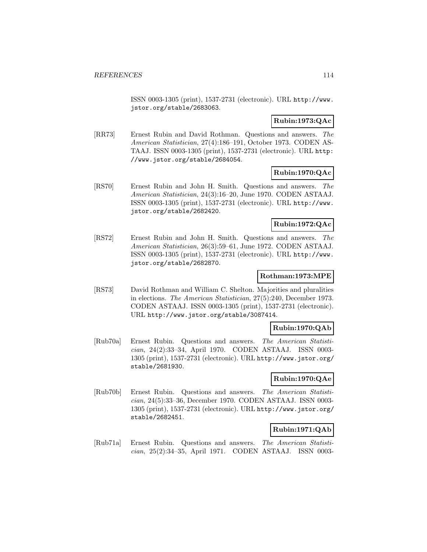ISSN 0003-1305 (print), 1537-2731 (electronic). URL http://www. jstor.org/stable/2683063.

## **Rubin:1973:QAc**

[RR73] Ernest Rubin and David Rothman. Questions and answers. The American Statistician, 27(4):186–191, October 1973. CODEN AS-TAAJ. ISSN 0003-1305 (print), 1537-2731 (electronic). URL http: //www.jstor.org/stable/2684054.

# **Rubin:1970:QAc**

[RS70] Ernest Rubin and John H. Smith. Questions and answers. The American Statistician, 24(3):16–20, June 1970. CODEN ASTAAJ. ISSN 0003-1305 (print), 1537-2731 (electronic). URL http://www. jstor.org/stable/2682420.

## **Rubin:1972:QAc**

[RS72] Ernest Rubin and John H. Smith. Questions and answers. The American Statistician, 26(3):59–61, June 1972. CODEN ASTAAJ. ISSN 0003-1305 (print), 1537-2731 (electronic). URL http://www. jstor.org/stable/2682870.

## **Rothman:1973:MPE**

[RS73] David Rothman and William C. Shelton. Majorities and pluralities in elections. The American Statistician, 27(5):240, December 1973. CODEN ASTAAJ. ISSN 0003-1305 (print), 1537-2731 (electronic). URL http://www.jstor.org/stable/3087414.

## **Rubin:1970:QAb**

[Rub70a] Ernest Rubin. Questions and answers. The American Statistician, 24(2):33–34, April 1970. CODEN ASTAAJ. ISSN 0003- 1305 (print), 1537-2731 (electronic). URL http://www.jstor.org/ stable/2681930.

## **Rubin:1970:QAe**

[Rub70b] Ernest Rubin. Questions and answers. The American Statistician, 24(5):33–36, December 1970. CODEN ASTAAJ. ISSN 0003- 1305 (print), 1537-2731 (electronic). URL http://www.jstor.org/ stable/2682451.

## **Rubin:1971:QAb**

[Rub71a] Ernest Rubin. Questions and answers. The American Statistician, 25(2):34–35, April 1971. CODEN ASTAAJ. ISSN 0003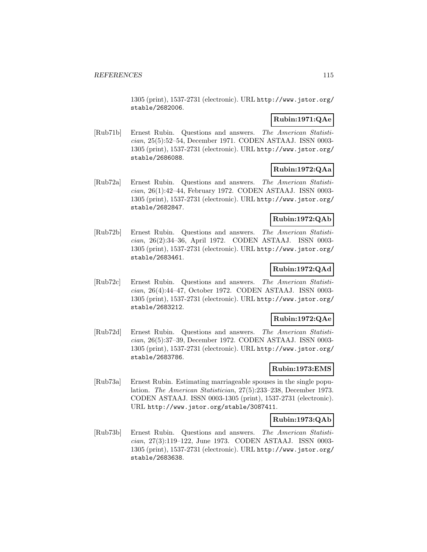1305 (print), 1537-2731 (electronic). URL http://www.jstor.org/ stable/2682006.

## **Rubin:1971:QAe**

[Rub71b] Ernest Rubin. Questions and answers. The American Statistician, 25(5):52–54, December 1971. CODEN ASTAAJ. ISSN 0003- 1305 (print), 1537-2731 (electronic). URL http://www.jstor.org/ stable/2686088.

## **Rubin:1972:QAa**

[Rub72a] Ernest Rubin. Questions and answers. The American Statistician, 26(1):42–44, February 1972. CODEN ASTAAJ. ISSN 0003- 1305 (print), 1537-2731 (electronic). URL http://www.jstor.org/ stable/2682847.

## **Rubin:1972:QAb**

[Rub72b] Ernest Rubin. Questions and answers. The American Statistician, 26(2):34–36, April 1972. CODEN ASTAAJ. ISSN 0003- 1305 (print), 1537-2731 (electronic). URL http://www.jstor.org/ stable/2683461.

## **Rubin:1972:QAd**

[Rub72c] Ernest Rubin. Questions and answers. The American Statistician, 26(4):44–47, October 1972. CODEN ASTAAJ. ISSN 0003- 1305 (print), 1537-2731 (electronic). URL http://www.jstor.org/ stable/2683212.

## **Rubin:1972:QAe**

[Rub72d] Ernest Rubin. Questions and answers. The American Statistician, 26(5):37–39, December 1972. CODEN ASTAAJ. ISSN 0003- 1305 (print), 1537-2731 (electronic). URL http://www.jstor.org/ stable/2683786.

## **Rubin:1973:EMS**

[Rub73a] Ernest Rubin. Estimating marriageable spouses in the single population. The American Statistician, 27(5):233–238, December 1973. CODEN ASTAAJ. ISSN 0003-1305 (print), 1537-2731 (electronic). URL http://www.jstor.org/stable/3087411.

## **Rubin:1973:QAb**

[Rub73b] Ernest Rubin. Questions and answers. The American Statistician, 27(3):119–122, June 1973. CODEN ASTAAJ. ISSN 0003- 1305 (print), 1537-2731 (electronic). URL http://www.jstor.org/ stable/2683638.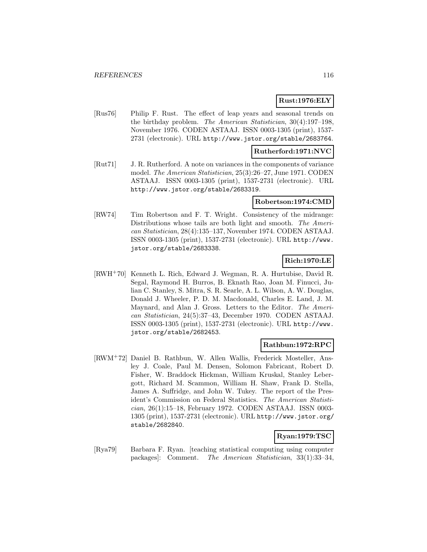## **Rust:1976:ELY**

[Rus76] Philip F. Rust. The effect of leap years and seasonal trends on the birthday problem. The American Statistician, 30(4):197–198, November 1976. CODEN ASTAAJ. ISSN 0003-1305 (print), 1537- 2731 (electronic). URL http://www.jstor.org/stable/2683764.

### **Rutherford:1971:NVC**

[Rut71] J. R. Rutherford. A note on variances in the components of variance model. The American Statistician, 25(3):26–27, June 1971. CODEN ASTAAJ. ISSN 0003-1305 (print), 1537-2731 (electronic). URL http://www.jstor.org/stable/2683319.

#### **Robertson:1974:CMD**

[RW74] Tim Robertson and F. T. Wright. Consistency of the midrange: Distributions whose tails are both light and smooth. The American Statistician, 28(4):135–137, November 1974. CODEN ASTAAJ. ISSN 0003-1305 (print), 1537-2731 (electronic). URL http://www. jstor.org/stable/2683338.

## **Rich:1970:LE**

[RWH<sup>+</sup>70] Kenneth L. Rich, Edward J. Wegman, R. A. Hurtubise, David R. Segal, Raymond H. Burros, B. Eknath Rao, Joan M. Finucci, Julian C. Stanley, S. Mitra, S. R. Searle, A. L. Wilson, A. W. Douglas, Donald J. Wheeler, P. D. M. Macdonald, Charles E. Land, J. M. Maynard, and Alan J. Gross. Letters to the Editor. The American Statistician, 24(5):37–43, December 1970. CODEN ASTAAJ. ISSN 0003-1305 (print), 1537-2731 (electronic). URL http://www. jstor.org/stable/2682453.

## **Rathbun:1972:RPC**

[RWM<sup>+</sup>72] Daniel B. Rathbun, W. Allen Wallis, Frederick Mosteller, Ansley J. Coale, Paul M. Densen, Solomon Fabricant, Robert D. Fisher, W. Braddock Hickman, William Kruskal, Stanley Lebergott, Richard M. Scammon, William H. Shaw, Frank D. Stella, James A. Suffridge, and John W. Tukey. The report of the President's Commission on Federal Statistics. The American Statistician, 26(1):15–18, February 1972. CODEN ASTAAJ. ISSN 0003- 1305 (print), 1537-2731 (electronic). URL http://www.jstor.org/ stable/2682840.

# **Ryan:1979:TSC**

[Rya79] Barbara F. Ryan. [teaching statistical computing using computer packages]: Comment. The American Statistician, 33(1):33–34,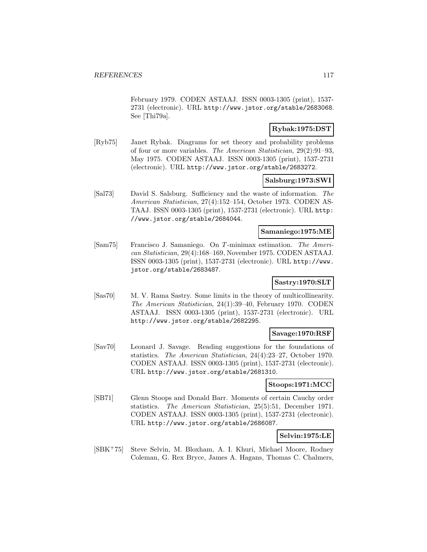February 1979. CODEN ASTAAJ. ISSN 0003-1305 (print), 1537- 2731 (electronic). URL http://www.jstor.org/stable/2683068. See [Thi79a].

## **Rybak:1975:DST**

[Ryb75] Janet Rybak. Diagrams for set theory and probability problems of four or more variables. The American Statistician, 29(2):91–93, May 1975. CODEN ASTAAJ. ISSN 0003-1305 (print), 1537-2731 (electronic). URL http://www.jstor.org/stable/2683272.

## **Salsburg:1973:SWI**

[Sal73] David S. Salsburg. Sufficiency and the waste of information. The American Statistician, 27(4):152–154, October 1973. CODEN AS-TAAJ. ISSN 0003-1305 (print), 1537-2731 (electronic). URL http: //www.jstor.org/stable/2684044.

#### **Samaniego:1975:ME**

[Sam75] Francisco J. Samaniego. On T -minimax estimation. The American Statistician, 29(4):168–169, November 1975. CODEN ASTAAJ. ISSN 0003-1305 (print), 1537-2731 (electronic). URL http://www. jstor.org/stable/2683487.

## **Sastry:1970:SLT**

[Sas70] M. V. Rama Sastry. Some limits in the theory of multicollinearity. The American Statistician, 24(1):39–40, February 1970. CODEN ASTAAJ. ISSN 0003-1305 (print), 1537-2731 (electronic). URL http://www.jstor.org/stable/2682295.

### **Savage:1970:RSF**

[Sav70] Leonard J. Savage. Reading suggestions for the foundations of statistics. The American Statistician, 24(4):23–27, October 1970. CODEN ASTAAJ. ISSN 0003-1305 (print), 1537-2731 (electronic). URL http://www.jstor.org/stable/2681310.

### **Stoops:1971:MCC**

[SB71] Glenn Stoops and Donald Barr. Moments of certain Cauchy order statistics. The American Statistician, 25(5):51, December 1971. CODEN ASTAAJ. ISSN 0003-1305 (print), 1537-2731 (electronic). URL http://www.jstor.org/stable/2686087.

## **Selvin:1975:LE**

[SBK<sup>+</sup>75] Steve Selvin, M. Bloxham, A. I. Khuri, Michael Moore, Rodney Coleman, G. Rex Bryce, James A. Hagans, Thomas C. Chalmers,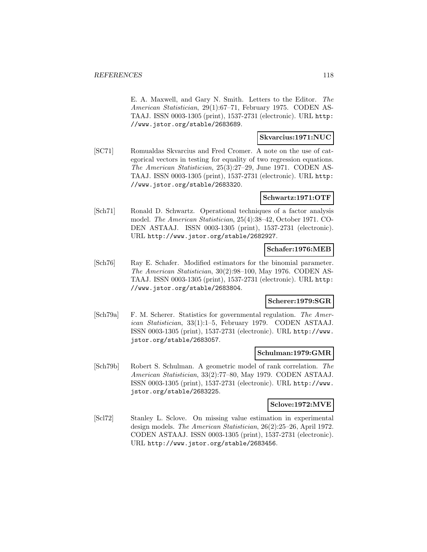E. A. Maxwell, and Gary N. Smith. Letters to the Editor. The American Statistician, 29(1):67–71, February 1975. CODEN AS-TAAJ. ISSN 0003-1305 (print), 1537-2731 (electronic). URL http: //www.jstor.org/stable/2683689.

#### **Skvarcius:1971:NUC**

[SC71] Romualdas Skvarcius and Fred Cromer. A note on the use of categorical vectors in testing for equality of two regression equations. The American Statistician, 25(3):27–29, June 1971. CODEN AS-TAAJ. ISSN 0003-1305 (print), 1537-2731 (electronic). URL http: //www.jstor.org/stable/2683320.

## **Schwartz:1971:OTF**

[Sch71] Ronald D. Schwartz. Operational techniques of a factor analysis model. The American Statistician, 25(4):38–42, October 1971. CO-DEN ASTAAJ. ISSN 0003-1305 (print), 1537-2731 (electronic). URL http://www.jstor.org/stable/2682927.

### **Schafer:1976:MEB**

[Sch76] Ray E. Schafer. Modified estimators for the binomial parameter. The American Statistician, 30(2):98–100, May 1976. CODEN AS-TAAJ. ISSN 0003-1305 (print), 1537-2731 (electronic). URL http: //www.jstor.org/stable/2683804.

## **Scherer:1979:SGR**

[Sch79a] F. M. Scherer. Statistics for governmental regulation. The American Statistician, 33(1):1–5, February 1979. CODEN ASTAAJ. ISSN 0003-1305 (print), 1537-2731 (electronic). URL http://www. jstor.org/stable/2683057.

#### **Schulman:1979:GMR**

[Sch79b] Robert S. Schulman. A geometric model of rank correlation. The American Statistician, 33(2):77–80, May 1979. CODEN ASTAAJ. ISSN 0003-1305 (print), 1537-2731 (electronic). URL http://www. jstor.org/stable/2683225.

### **Sclove:1972:MVE**

[Scl72] Stanley L. Sclove. On missing value estimation in experimental design models. The American Statistician, 26(2):25–26, April 1972. CODEN ASTAAJ. ISSN 0003-1305 (print), 1537-2731 (electronic). URL http://www.jstor.org/stable/2683456.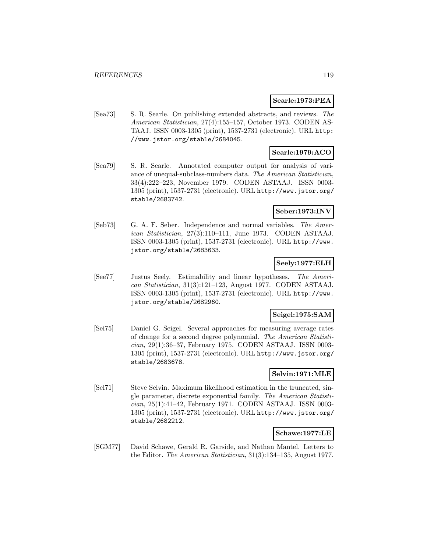### **Searle:1973:PEA**

[Sea73] S. R. Searle. On publishing extended abstracts, and reviews. The American Statistician, 27(4):155–157, October 1973. CODEN AS-TAAJ. ISSN 0003-1305 (print), 1537-2731 (electronic). URL http: //www.jstor.org/stable/2684045.

## **Searle:1979:ACO**

[Sea79] S. R. Searle. Annotated computer output for analysis of variance of unequal-subclass-numbers data. The American Statistician, 33(4):222–223, November 1979. CODEN ASTAAJ. ISSN 0003- 1305 (print), 1537-2731 (electronic). URL http://www.jstor.org/ stable/2683742.

## **Seber:1973:INV**

[Seb73] G. A. F. Seber. Independence and normal variables. The American Statistician, 27(3):110–111, June 1973. CODEN ASTAAJ. ISSN 0003-1305 (print), 1537-2731 (electronic). URL http://www. jstor.org/stable/2683633.

## **Seely:1977:ELH**

[See77] Justus Seely. Estimability and linear hypotheses. The American Statistician, 31(3):121–123, August 1977. CODEN ASTAAJ. ISSN 0003-1305 (print), 1537-2731 (electronic). URL http://www. jstor.org/stable/2682960.

## **Seigel:1975:SAM**

[Sei75] Daniel G. Seigel. Several approaches for measuring average rates of change for a second degree polynomial. The American Statistician, 29(1):36–37, February 1975. CODEN ASTAAJ. ISSN 0003- 1305 (print), 1537-2731 (electronic). URL http://www.jstor.org/ stable/2683678.

## **Selvin:1971:MLE**

[Sel71] Steve Selvin. Maximum likelihood estimation in the truncated, single parameter, discrete exponential family. The American Statistician, 25(1):41–42, February 1971. CODEN ASTAAJ. ISSN 0003- 1305 (print), 1537-2731 (electronic). URL http://www.jstor.org/ stable/2682212.

## **Schawe:1977:LE**

[SGM77] David Schawe, Gerald R. Garside, and Nathan Mantel. Letters to the Editor. The American Statistician, 31(3):134–135, August 1977.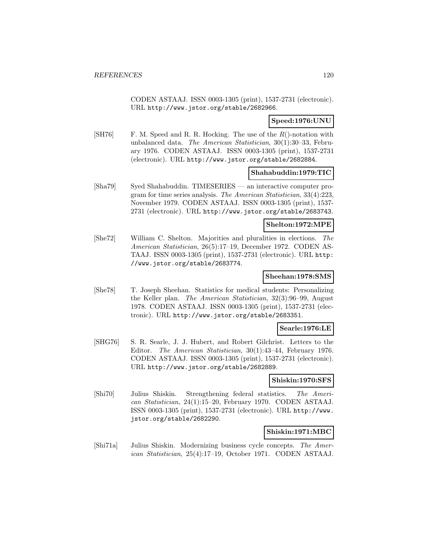CODEN ASTAAJ. ISSN 0003-1305 (print), 1537-2731 (electronic). URL http://www.jstor.org/stable/2682966.

## **Speed:1976:UNU**

[SH76] F. M. Speed and R. R. Hocking. The use of the  $R()$ -notation with unbalanced data. The American Statistician, 30(1):30–33, February 1976. CODEN ASTAAJ. ISSN 0003-1305 (print), 1537-2731 (electronic). URL http://www.jstor.org/stable/2682884.

### **Shahabuddin:1979:TIC**

[Sha79] Syed Shahabuddin. TIMESERIES — an interactive computer program for time series analysis. The American Statistician, 33(4):223, November 1979. CODEN ASTAAJ. ISSN 0003-1305 (print), 1537- 2731 (electronic). URL http://www.jstor.org/stable/2683743.

#### **Shelton:1972:MPE**

[She72] William C. Shelton. Majorities and pluralities in elections. The American Statistician, 26(5):17–19, December 1972. CODEN AS-TAAJ. ISSN 0003-1305 (print), 1537-2731 (electronic). URL http: //www.jstor.org/stable/2683774.

### **Sheehan:1978:SMS**

[She78] T. Joseph Sheehan. Statistics for medical students: Personalizing the Keller plan. The American Statistician, 32(3):96–99, August 1978. CODEN ASTAAJ. ISSN 0003-1305 (print), 1537-2731 (electronic). URL http://www.jstor.org/stable/2683351.

## **Searle:1976:LE**

[SHG76] S. R. Searle, J. J. Hubert, and Robert Gilchrist. Letters to the Editor. The American Statistician, 30(1):43–44, February 1976. CODEN ASTAAJ. ISSN 0003-1305 (print), 1537-2731 (electronic). URL http://www.jstor.org/stable/2682889.

#### **Shiskin:1970:SFS**

[Shi70] Julius Shiskin. Strengthening federal statistics. The American Statistician, 24(1):15–20, February 1970. CODEN ASTAAJ. ISSN 0003-1305 (print), 1537-2731 (electronic). URL http://www. jstor.org/stable/2682290.

#### **Shiskin:1971:MBC**

[Shi71a] Julius Shiskin. Modernizing business cycle concepts. The American Statistician, 25(4):17–19, October 1971. CODEN ASTAAJ.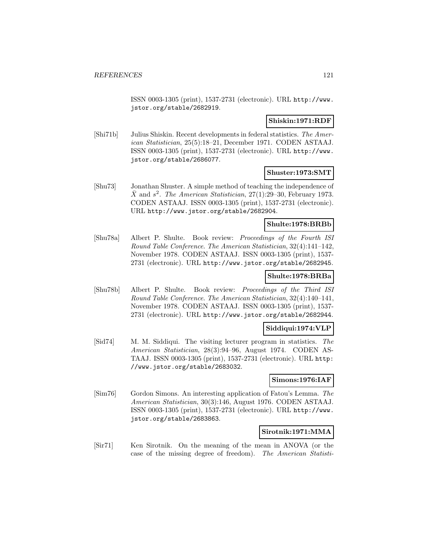ISSN 0003-1305 (print), 1537-2731 (electronic). URL http://www. jstor.org/stable/2682919.

### **Shiskin:1971:RDF**

[Shi71b] Julius Shiskin. Recent developments in federal statistics. The American Statistician, 25(5):18–21, December 1971. CODEN ASTAAJ. ISSN 0003-1305 (print), 1537-2731 (electronic). URL http://www. jstor.org/stable/2686077.

### **Shuster:1973:SMT**

[Shu73] Jonathan Shuster. A simple method of teaching the independence of  $\overline{X}$  and  $s^2$ . The American Statistician, 27(1):29–30, February 1973. CODEN ASTAAJ. ISSN 0003-1305 (print), 1537-2731 (electronic). URL http://www.jstor.org/stable/2682904.

### **Shulte:1978:BRBb**

[Shu78a] Albert P. Shulte. Book review: Proceedings of the Fourth ISI Round Table Conference. The American Statistician, 32(4):141–142, November 1978. CODEN ASTAAJ. ISSN 0003-1305 (print), 1537- 2731 (electronic). URL http://www.jstor.org/stable/2682945.

## **Shulte:1978:BRBa**

[Shu78b] Albert P. Shulte. Book review: Proceedings of the Third ISI Round Table Conference. The American Statistician, 32(4):140–141, November 1978. CODEN ASTAAJ. ISSN 0003-1305 (print), 1537- 2731 (electronic). URL http://www.jstor.org/stable/2682944.

## **Siddiqui:1974:VLP**

[Sid74] M. M. Siddiqui. The visiting lecturer program in statistics. The American Statistician, 28(3):94–96, August 1974. CODEN AS-TAAJ. ISSN 0003-1305 (print), 1537-2731 (electronic). URL http: //www.jstor.org/stable/2683032.

#### **Simons:1976:IAF**

[Sim76] Gordon Simons. An interesting application of Fatou's Lemma. The American Statistician, 30(3):146, August 1976. CODEN ASTAAJ. ISSN 0003-1305 (print), 1537-2731 (electronic). URL http://www. jstor.org/stable/2683863.

## **Sirotnik:1971:MMA**

[Sir71] Ken Sirotnik. On the meaning of the mean in ANOVA (or the case of the missing degree of freedom). The American Statisti-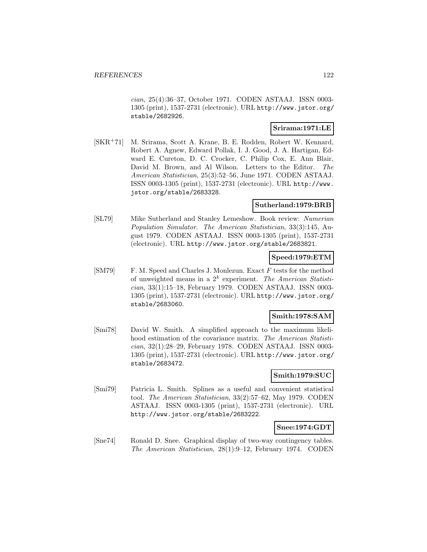cian, 25(4):36–37, October 1971. CODEN ASTAAJ. ISSN 0003- 1305 (print), 1537-2731 (electronic). URL http://www.jstor.org/ stable/2682926.

## **Srirama:1971:LE**

[SKR<sup>+</sup>71] M. Srirama, Scott A. Krane, B. E. Rodden, Robert W. Kennard, Robert A. Agnew, Edward Pollak, I. J. Good, J. A. Hartigan, Edward E. Cureton, D. C. Crocker, C. Philip Cox, E. Ann Blair, David M. Brown, and Al Wilson. Letters to the Editor. The American Statistician, 25(3):52–56, June 1971. CODEN ASTAAJ. ISSN 0003-1305 (print), 1537-2731 (electronic). URL http://www. jstor.org/stable/2683328.

#### **Sutherland:1979:BRB**

[SL79] Mike Sutherland and Stanley Lemeshow. Book review: Numerian Population Simulator. The American Statistician, 33(3):145, August 1979. CODEN ASTAAJ. ISSN 0003-1305 (print), 1537-2731 (electronic). URL http://www.jstor.org/stable/2683821.

### **Speed:1979:ETM**

[SM79] F. M. Speed and Charles J. Monlezun. Exact F tests for the method of unweighted means in a  $2^k$  experiment. The American Statistician, 33(1):15–18, February 1979. CODEN ASTAAJ. ISSN 0003- 1305 (print), 1537-2731 (electronic). URL http://www.jstor.org/ stable/2683060.

## **Smith:1978:SAM**

[Smi78] David W. Smith. A simplified approach to the maximum likelihood estimation of the covariance matrix. The American Statistician, 32(1):28–29, February 1978. CODEN ASTAAJ. ISSN 0003- 1305 (print), 1537-2731 (electronic). URL http://www.jstor.org/ stable/2683472.

## **Smith:1979:SUC**

[Smi79] Patricia L. Smith. Splines as a useful and convenient statistical tool. The American Statistician, 33(2):57–62, May 1979. CODEN ASTAAJ. ISSN 0003-1305 (print), 1537-2731 (electronic). URL http://www.jstor.org/stable/2683222.

#### **Snee:1974:GDT**

[Sne74] Ronald D. Snee. Graphical display of two-way contingency tables. The American Statistician, 28(1):9–12, February 1974. CODEN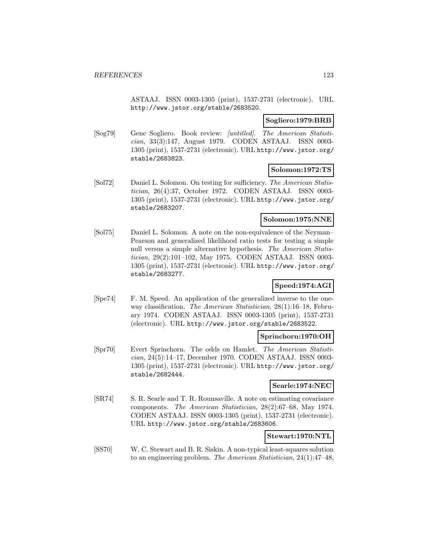ASTAAJ. ISSN 0003-1305 (print), 1537-2731 (electronic). URL http://www.jstor.org/stable/2683520.

### **Sogliero:1979:BRB**

[Sog79] Gene Sogliero. Book review: [untitled]. The American Statistician, 33(3):147, August 1979. CODEN ASTAAJ. ISSN 0003- 1305 (print), 1537-2731 (electronic). URL http://www.jstor.org/ stable/2683823.

### **Solomon:1972:TS**

[Sol72] Daniel L. Solomon. On testing for sufficiency. The American Statistician, 26(4):37, October 1972. CODEN ASTAAJ. ISSN 0003- 1305 (print), 1537-2731 (electronic). URL http://www.jstor.org/ stable/2683207.

## **Solomon:1975:NNE**

[Sol75] Daniel L. Solomon. A note on the non-equivalence of the Neyman– Pearson and generalized likelihood ratio tests for testing a simple null versus a simple alternative hypothesis. The American Statistician, 29(2):101–102, May 1975. CODEN ASTAAJ. ISSN 0003- 1305 (print), 1537-2731 (electronic). URL http://www.jstor.org/ stable/2683277.

## **Speed:1974:AGI**

[Spe74] F. M. Speed. An application of the generalized inverse to the oneway classification. The American Statistician, 28(1):16–18, February 1974. CODEN ASTAAJ. ISSN 0003-1305 (print), 1537-2731 (electronic). URL http://www.jstor.org/stable/2683522.

#### **Sprinchorn:1970:OH**

[Spr70] Evert Sprinchorn. The odds on Hamlet. The American Statistician, 24(5):14–17, December 1970. CODEN ASTAAJ. ISSN 0003- 1305 (print), 1537-2731 (electronic). URL http://www.jstor.org/ stable/2682444.

#### **Searle:1974:NEC**

[SR74] S. R. Searle and T. R. Rounsaville. A note on estimating covariance components. The American Statistician, 28(2):67–68, May 1974. CODEN ASTAAJ. ISSN 0003-1305 (print), 1537-2731 (electronic). URL http://www.jstor.org/stable/2683606.

## **Stewart:1970:NTL**

[SS70] W. C. Stewart and B. R. Siskin. A non-typical least-squares solution to an engineering problem. The American Statistician, 24(1):47–48,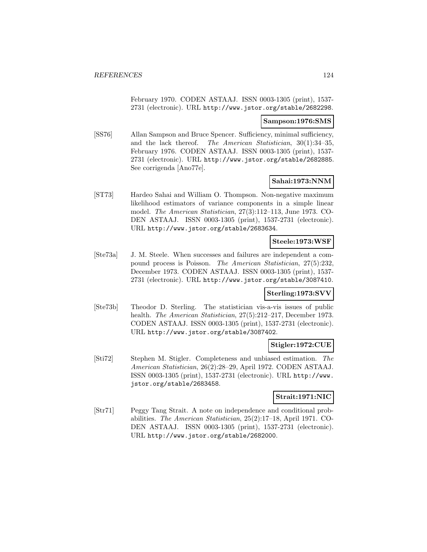February 1970. CODEN ASTAAJ. ISSN 0003-1305 (print), 1537- 2731 (electronic). URL http://www.jstor.org/stable/2682298.

#### **Sampson:1976:SMS**

[SS76] Allan Sampson and Bruce Spencer. Sufficiency, minimal sufficiency, and the lack thereof. The American Statistician, 30(1):34–35, February 1976. CODEN ASTAAJ. ISSN 0003-1305 (print), 1537- 2731 (electronic). URL http://www.jstor.org/stable/2682885. See corrigenda [Ano77e].

### **Sahai:1973:NNM**

[ST73] Hardeo Sahai and William O. Thompson. Non-negative maximum likelihood estimators of variance components in a simple linear model. The American Statistician, 27(3):112–113, June 1973. CO-DEN ASTAAJ. ISSN 0003-1305 (print), 1537-2731 (electronic). URL http://www.jstor.org/stable/2683634.

## **Steele:1973:WSF**

[Ste73a] J. M. Steele. When successes and failures are independent a compound process is Poisson. The American Statistician, 27(5):232, December 1973. CODEN ASTAAJ. ISSN 0003-1305 (print), 1537- 2731 (electronic). URL http://www.jstor.org/stable/3087410.

## **Sterling:1973:SVV**

[Ste73b] Theodor D. Sterling. The statistician vis-a-vis issues of public health. The American Statistician, 27(5):212–217, December 1973. CODEN ASTAAJ. ISSN 0003-1305 (print), 1537-2731 (electronic). URL http://www.jstor.org/stable/3087402.

## **Stigler:1972:CUE**

[Sti72] Stephen M. Stigler. Completeness and unbiased estimation. The American Statistician, 26(2):28–29, April 1972. CODEN ASTAAJ. ISSN 0003-1305 (print), 1537-2731 (electronic). URL http://www. jstor.org/stable/2683458.

#### **Strait:1971:NIC**

[Str71] Peggy Tang Strait. A note on independence and conditional probabilities. The American Statistician, 25(2):17–18, April 1971. CO-DEN ASTAAJ. ISSN 0003-1305 (print), 1537-2731 (electronic). URL http://www.jstor.org/stable/2682000.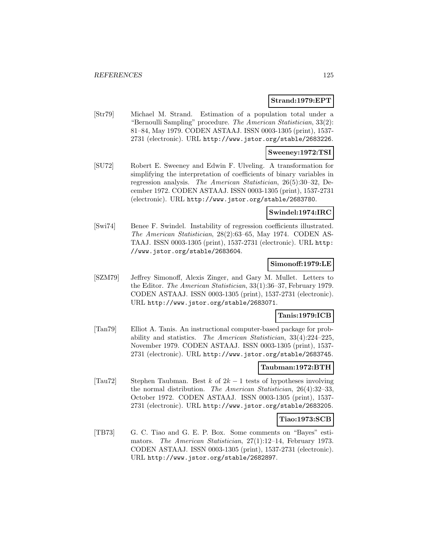### **Strand:1979:EPT**

[Str79] Michael M. Strand. Estimation of a population total under a "Bernoulli Sampling" procedure. The American Statistician, 33(2): 81–84, May 1979. CODEN ASTAAJ. ISSN 0003-1305 (print), 1537- 2731 (electronic). URL http://www.jstor.org/stable/2683226.

#### **Sweeney:1972:TSI**

[SU72] Robert E. Sweeney and Edwin F. Ulveling. A transformation for simplifying the interpretation of coefficients of binary variables in regression analysis. The American Statistician, 26(5):30–32, December 1972. CODEN ASTAAJ. ISSN 0003-1305 (print), 1537-2731 (electronic). URL http://www.jstor.org/stable/2683780.

#### **Swindel:1974:IRC**

[Swi74] Benee F. Swindel. Instability of regression coefficients illustrated. The American Statistician, 28(2):63–65, May 1974. CODEN AS-TAAJ. ISSN 0003-1305 (print), 1537-2731 (electronic). URL http: //www.jstor.org/stable/2683604.

### **Simonoff:1979:LE**

[SZM79] Jeffrey Simonoff, Alexis Zinger, and Gary M. Mullet. Letters to the Editor. The American Statistician, 33(1):36–37, February 1979. CODEN ASTAAJ. ISSN 0003-1305 (print), 1537-2731 (electronic). URL http://www.jstor.org/stable/2683071.

#### **Tanis:1979:ICB**

[Tan79] Elliot A. Tanis. An instructional computer-based package for probability and statistics. The American Statistician, 33(4):224–225, November 1979. CODEN ASTAAJ. ISSN 0003-1305 (print), 1537- 2731 (electronic). URL http://www.jstor.org/stable/2683745.

### **Taubman:1972:BTH**

[Tau72] Stephen Taubman. Best k of  $2k-1$  tests of hypotheses involving the normal distribution. The American Statistician, 26(4):32–33, October 1972. CODEN ASTAAJ. ISSN 0003-1305 (print), 1537- 2731 (electronic). URL http://www.jstor.org/stable/2683205.

#### **Tiao:1973:SCB**

[TB73] G. C. Tiao and G. E. P. Box. Some comments on "Bayes" estimators. The American Statistician, 27(1):12–14, February 1973. CODEN ASTAAJ. ISSN 0003-1305 (print), 1537-2731 (electronic). URL http://www.jstor.org/stable/2682897.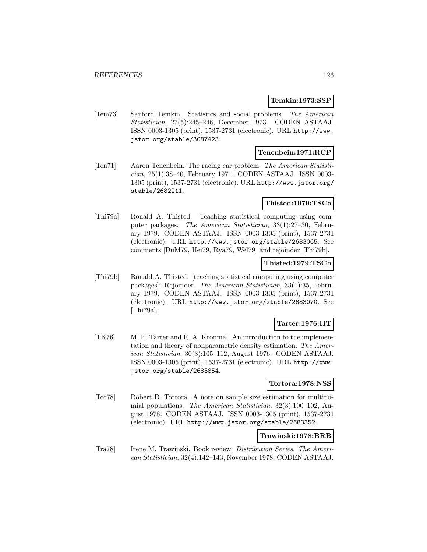#### **Temkin:1973:SSP**

[Tem73] Sanford Temkin. Statistics and social problems. The American Statistician, 27(5):245–246, December 1973. CODEN ASTAAJ. ISSN 0003-1305 (print), 1537-2731 (electronic). URL http://www. jstor.org/stable/3087423.

## **Tenenbein:1971:RCP**

[Ten71] Aaron Tenenbein. The racing car problem. The American Statistician, 25(1):38–40, February 1971. CODEN ASTAAJ. ISSN 0003- 1305 (print), 1537-2731 (electronic). URL http://www.jstor.org/ stable/2682211.

## **Thisted:1979:TSCa**

[Thi79a] Ronald A. Thisted. Teaching statistical computing using computer packages. The American Statistician, 33(1):27–30, February 1979. CODEN ASTAAJ. ISSN 0003-1305 (print), 1537-2731 (electronic). URL http://www.jstor.org/stable/2683065. See comments [DuM79, Hei79, Rya79, Wel79] and rejoinder [Thi79b].

## **Thisted:1979:TSCb**

[Thi79b] Ronald A. Thisted. [teaching statistical computing using computer packages]: Rejoinder. The American Statistician, 33(1):35, February 1979. CODEN ASTAAJ. ISSN 0003-1305 (print), 1537-2731 (electronic). URL http://www.jstor.org/stable/2683070. See [Thi79a].

## **Tarter:1976:IIT**

[TK76] M. E. Tarter and R. A. Kronmal. An introduction to the implementation and theory of nonparametric density estimation. The American Statistician, 30(3):105–112, August 1976. CODEN ASTAAJ. ISSN 0003-1305 (print), 1537-2731 (electronic). URL http://www. jstor.org/stable/2683854.

### **Tortora:1978:NSS**

[Tor78] Robert D. Tortora. A note on sample size estimation for multinomial populations. The American Statistician, 32(3):100–102, August 1978. CODEN ASTAAJ. ISSN 0003-1305 (print), 1537-2731 (electronic). URL http://www.jstor.org/stable/2683352.

#### **Trawinski:1978:BRB**

[Tra78] Irene M. Trawinski. Book review: Distribution Series. The American Statistician, 32(4):142–143, November 1978. CODEN ASTAAJ.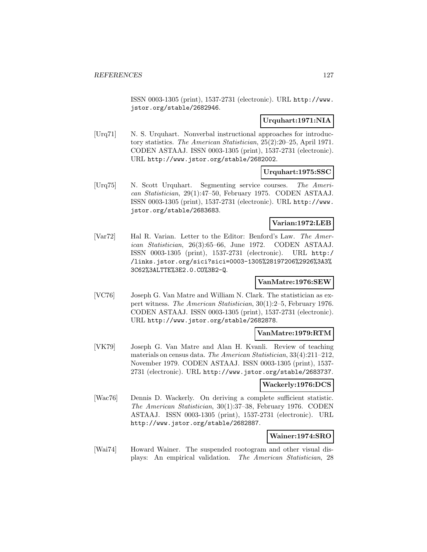ISSN 0003-1305 (print), 1537-2731 (electronic). URL http://www. jstor.org/stable/2682946.

### **Urquhart:1971:NIA**

[Urq71] N. S. Urquhart. Nonverbal instructional approaches for introductory statistics. The American Statistician, 25(2):20–25, April 1971. CODEN ASTAAJ. ISSN 0003-1305 (print), 1537-2731 (electronic). URL http://www.jstor.org/stable/2682002.

## **Urquhart:1975:SSC**

[Urq75] N. Scott Urquhart. Segmenting service courses. The American Statistician, 29(1):47–50, February 1975. CODEN ASTAAJ. ISSN 0003-1305 (print), 1537-2731 (electronic). URL http://www. jstor.org/stable/2683683.

### **Varian:1972:LEB**

[Var72] Hal R. Varian. Letter to the Editor: Benford's Law. The American Statistician, 26(3):65–66, June 1972. CODEN ASTAAJ. ISSN 0003-1305 (print), 1537-2731 (electronic). URL http:/ /links.jstor.org/sici?sici=0003-1305%28197206%2926%3A3% 3C62%3ALTTE%3E2.0.CO%3B2-Q.

### **VanMatre:1976:SEW**

[VC76] Joseph G. Van Matre and William N. Clark. The statistician as expert witness. The American Statistician, 30(1):2–5, February 1976. CODEN ASTAAJ. ISSN 0003-1305 (print), 1537-2731 (electronic). URL http://www.jstor.org/stable/2682878.

### **VanMatre:1979:RTM**

[VK79] Joseph G. Van Matre and Alan H. Kvanli. Review of teaching materials on census data. The American Statistician, 33(4):211–212, November 1979. CODEN ASTAAJ. ISSN 0003-1305 (print), 1537- 2731 (electronic). URL http://www.jstor.org/stable/2683737.

#### **Wackerly:1976:DCS**

[Wac76] Dennis D. Wackerly. On deriving a complete sufficient statistic. The American Statistician, 30(1):37–38, February 1976. CODEN ASTAAJ. ISSN 0003-1305 (print), 1537-2731 (electronic). URL http://www.jstor.org/stable/2682887.

#### **Wainer:1974:SRO**

[Wai74] Howard Wainer. The suspended rootogram and other visual displays: An empirical validation. The American Statistician, 28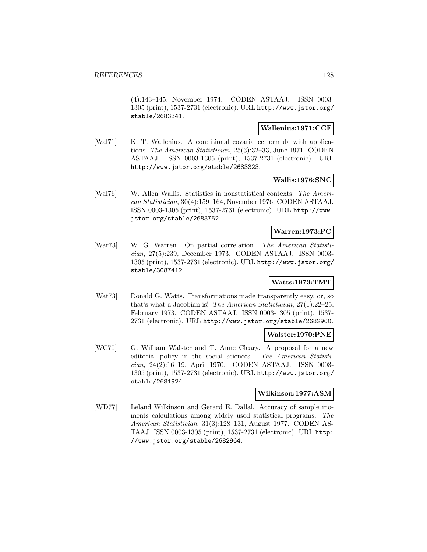(4):143–145, November 1974. CODEN ASTAAJ. ISSN 0003- 1305 (print), 1537-2731 (electronic). URL http://www.jstor.org/ stable/2683341.

### **Wallenius:1971:CCF**

[Wal71] K. T. Wallenius. A conditional covariance formula with applications. The American Statistician, 25(3):32–33, June 1971. CODEN ASTAAJ. ISSN 0003-1305 (print), 1537-2731 (electronic). URL http://www.jstor.org/stable/2683323.

### **Wallis:1976:SNC**

[Wal76] W. Allen Wallis. Statistics in nonstatistical contexts. The American Statistician, 30(4):159–164, November 1976. CODEN ASTAAJ. ISSN 0003-1305 (print), 1537-2731 (electronic). URL http://www. jstor.org/stable/2683752.

## **Warren:1973:PC**

[War73] W. G. Warren. On partial correlation. The American Statistician, 27(5):239, December 1973. CODEN ASTAAJ. ISSN 0003- 1305 (print), 1537-2731 (electronic). URL http://www.jstor.org/ stable/3087412.

## **Watts:1973:TMT**

[Wat73] Donald G. Watts. Transformations made transparently easy, or, so that's what a Jacobian is! The American Statistician, 27(1):22–25, February 1973. CODEN ASTAAJ. ISSN 0003-1305 (print), 1537- 2731 (electronic). URL http://www.jstor.org/stable/2682900.

#### **Walster:1970:PNE**

[WC70] G. William Walster and T. Anne Cleary. A proposal for a new editorial policy in the social sciences. The American Statistician, 24(2):16–19, April 1970. CODEN ASTAAJ. ISSN 0003- 1305 (print), 1537-2731 (electronic). URL http://www.jstor.org/ stable/2681924.

## **Wilkinson:1977:ASM**

[WD77] Leland Wilkinson and Gerard E. Dallal. Accuracy of sample moments calculations among widely used statistical programs. The American Statistician, 31(3):128–131, August 1977. CODEN AS-TAAJ. ISSN 0003-1305 (print), 1537-2731 (electronic). URL http: //www.jstor.org/stable/2682964.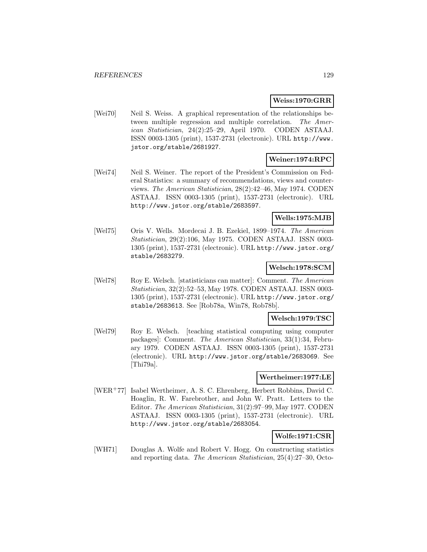#### **Weiss:1970:GRR**

[Wei70] Neil S. Weiss. A graphical representation of the relationships between multiple regression and multiple correlation. The American Statistician, 24(2):25–29, April 1970. CODEN ASTAAJ. ISSN 0003-1305 (print), 1537-2731 (electronic). URL http://www. jstor.org/stable/2681927.

## **Weiner:1974:RPC**

[Wei74] Neil S. Weiner. The report of the President's Commission on Federal Statistics: a summary of recommendations, views and counterviews. The American Statistician, 28(2):42–46, May 1974. CODEN ASTAAJ. ISSN 0003-1305 (print), 1537-2731 (electronic). URL http://www.jstor.org/stable/2683597.

## **Wells:1975:MJB**

[Wel75] Oris V. Wells. Mordecai J. B. Ezekiel, 1899–1974. The American Statistician, 29(2):106, May 1975. CODEN ASTAAJ. ISSN 0003- 1305 (print), 1537-2731 (electronic). URL http://www.jstor.org/ stable/2683279.

#### **Welsch:1978:SCM**

[Wel78] Roy E. Welsch. [statisticians can matter]: Comment. The American Statistician, 32(2):52–53, May 1978. CODEN ASTAAJ. ISSN 0003- 1305 (print), 1537-2731 (electronic). URL http://www.jstor.org/ stable/2683613. See [Rob78a, Win78, Rob78b].

#### **Welsch:1979:TSC**

[Wel79] Roy E. Welsch. [teaching statistical computing using computer packages]: Comment. The American Statistician, 33(1):34, February 1979. CODEN ASTAAJ. ISSN 0003-1305 (print), 1537-2731 (electronic). URL http://www.jstor.org/stable/2683069. See [Thi79a].

#### **Wertheimer:1977:LE**

[WER<sup>+</sup>77] Isabel Wertheimer, A. S. C. Ehrenberg, Herbert Robbins, David C. Hoaglin, R. W. Farebrother, and John W. Pratt. Letters to the Editor. The American Statistician, 31(2):97–99, May 1977. CODEN ASTAAJ. ISSN 0003-1305 (print), 1537-2731 (electronic). URL http://www.jstor.org/stable/2683054.

## **Wolfe:1971:CSR**

[WH71] Douglas A. Wolfe and Robert V. Hogg. On constructing statistics and reporting data. The American Statistician, 25(4):27–30, Octo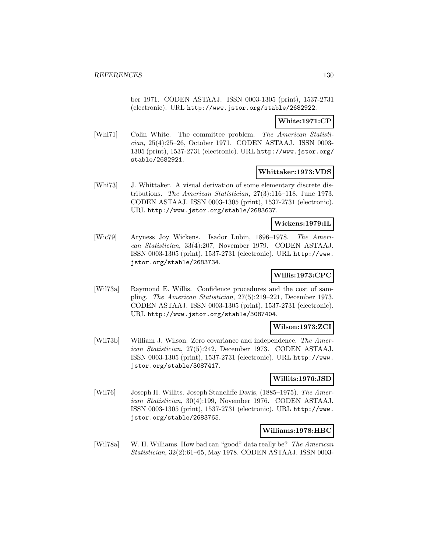ber 1971. CODEN ASTAAJ. ISSN 0003-1305 (print), 1537-2731 (electronic). URL http://www.jstor.org/stable/2682922.

## **White:1971:CP**

[Whi71] Colin White. The committee problem. The American Statistician, 25(4):25–26, October 1971. CODEN ASTAAJ. ISSN 0003- 1305 (print), 1537-2731 (electronic). URL http://www.jstor.org/ stable/2682921.

## **Whittaker:1973:VDS**

[Whi73] J. Whittaker. A visual derivation of some elementary discrete distributions. The American Statistician, 27(3):116–118, June 1973. CODEN ASTAAJ. ISSN 0003-1305 (print), 1537-2731 (electronic). URL http://www.jstor.org/stable/2683637.

## **Wickens:1979:IL**

[Wic79] Aryness Joy Wickens. Isador Lubin, 1896–1978. The American Statistician, 33(4):207, November 1979. CODEN ASTAAJ. ISSN 0003-1305 (print), 1537-2731 (electronic). URL http://www. jstor.org/stable/2683734.

# **Willis:1973:CPC**

[Wil73a] Raymond E. Willis. Confidence procedures and the cost of sampling. The American Statistician, 27(5):219–221, December 1973. CODEN ASTAAJ. ISSN 0003-1305 (print), 1537-2731 (electronic). URL http://www.jstor.org/stable/3087404.

## **Wilson:1973:ZCI**

[Wil73b] William J. Wilson. Zero covariance and independence. The American Statistician, 27(5):242, December 1973. CODEN ASTAAJ. ISSN 0003-1305 (print), 1537-2731 (electronic). URL http://www. jstor.org/stable/3087417.

## **Willits:1976:JSD**

[Wil76] Joseph H. Willits. Joseph Stancliffe Davis, (1885–1975). The American Statistician, 30(4):199, November 1976. CODEN ASTAAJ. ISSN 0003-1305 (print), 1537-2731 (electronic). URL http://www. jstor.org/stable/2683765.

#### **Williams:1978:HBC**

[Wil78a] W. H. Williams. How bad can "good" data really be? The American Statistician, 32(2):61–65, May 1978. CODEN ASTAAJ. ISSN 0003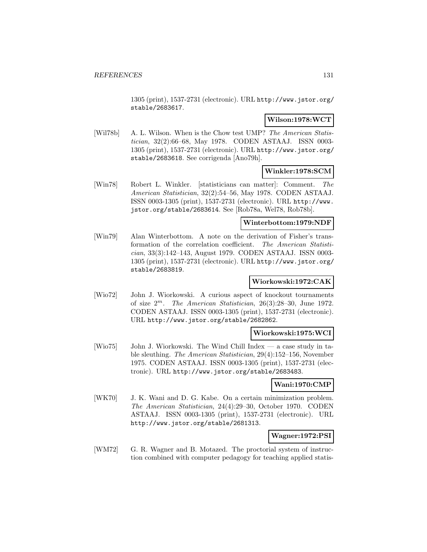1305 (print), 1537-2731 (electronic). URL http://www.jstor.org/ stable/2683617.

### **Wilson:1978:WCT**

[Wil78b] A. L. Wilson. When is the Chow test UMP? The American Statistician, 32(2):66–68, May 1978. CODEN ASTAAJ. ISSN 0003- 1305 (print), 1537-2731 (electronic). URL http://www.jstor.org/ stable/2683618. See corrigenda [Ano79h].

### **Winkler:1978:SCM**

[Win78] Robert L. Winkler. [statisticians can matter]: Comment. The American Statistician, 32(2):54–56, May 1978. CODEN ASTAAJ. ISSN 0003-1305 (print), 1537-2731 (electronic). URL http://www. jstor.org/stable/2683614. See [Rob78a, Wel78, Rob78b].

### **Winterbottom:1979:NDF**

[Win79] Alan Winterbottom. A note on the derivation of Fisher's transformation of the correlation coefficient. The American Statistician, 33(3):142–143, August 1979. CODEN ASTAAJ. ISSN 0003- 1305 (print), 1537-2731 (electronic). URL http://www.jstor.org/ stable/2683819.

## **Wiorkowski:1972:CAK**

[Wio72] John J. Wiorkowski. A curious aspect of knockout tournaments of size  $2^m$ . The American Statistician, 26(3):28-30, June 1972. CODEN ASTAAJ. ISSN 0003-1305 (print), 1537-2731 (electronic). URL http://www.jstor.org/stable/2682862.

## **Wiorkowski:1975:WCI**

[Wio75] John J. Wiorkowski. The Wind Chill Index — a case study in table sleuthing. The American Statistician, 29(4):152–156, November 1975. CODEN ASTAAJ. ISSN 0003-1305 (print), 1537-2731 (electronic). URL http://www.jstor.org/stable/2683483.

#### **Wani:1970:CMP**

[WK70] J. K. Wani and D. G. Kabe. On a certain minimization problem. The American Statistician, 24(4):29–30, October 1970. CODEN ASTAAJ. ISSN 0003-1305 (print), 1537-2731 (electronic). URL http://www.jstor.org/stable/2681313.

#### **Wagner:1972:PSI**

[WM72] G. R. Wagner and B. Motazed. The proctorial system of instruction combined with computer pedagogy for teaching applied statis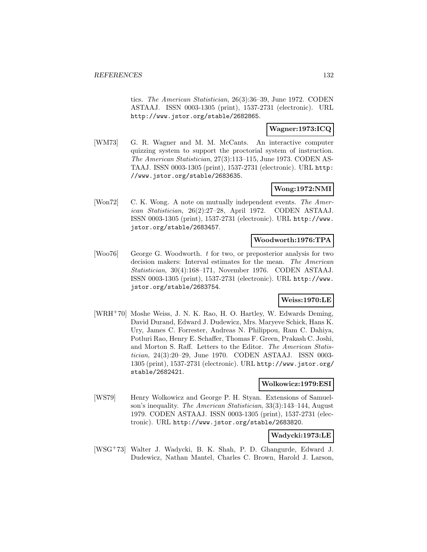tics. The American Statistician, 26(3):36–39, June 1972. CODEN ASTAAJ. ISSN 0003-1305 (print), 1537-2731 (electronic). URL http://www.jstor.org/stable/2682865.

## **Wagner:1973:ICQ**

[WM73] G. R. Wagner and M. M. McCants. An interactive computer quizzing system to support the proctorial system of instruction. The American Statistician, 27(3):113–115, June 1973. CODEN AS-TAAJ. ISSN 0003-1305 (print), 1537-2731 (electronic). URL http: //www.jstor.org/stable/2683635.

## **Wong:1972:NMI**

[Won72] C. K. Wong. A note on mutually independent events. The American Statistician, 26(2):27–28, April 1972. CODEN ASTAAJ. ISSN 0003-1305 (print), 1537-2731 (electronic). URL http://www. jstor.org/stable/2683457.

### **Woodworth:1976:TPA**

[Woo76] George G. Woodworth. t for two, or preposterior analysis for two decision makers: Interval estimates for the mean. The American Statistician, 30(4):168–171, November 1976. CODEN ASTAAJ. ISSN 0003-1305 (print), 1537-2731 (electronic). URL http://www. jstor.org/stable/2683754.

## **Weiss:1970:LE**

[WRH<sup>+</sup>70] Moshe Weiss, J. N. K. Rao, H. O. Hartley, W. Edwards Deming, David Durand, Edward J. Dudewicz, Mrs. Maryeve Schick, Hans K. Ury, James C. Forrester, Andreas N. Philippou, Ram C. Dahiya, Potluri Rao, Henry E. Schaffer, Thomas F. Green, Prakash C. Joshi, and Morton S. Raff. Letters to the Editor. The American Statistician, 24(3):20–29, June 1970. CODEN ASTAAJ. ISSN 0003- 1305 (print), 1537-2731 (electronic). URL http://www.jstor.org/ stable/2682421.

### **Wolkowicz:1979:ESI**

[WS79] Henry Wolkowicz and George P. H. Styan. Extensions of Samuelson's inequality. The American Statistician, 33(3):143–144, August 1979. CODEN ASTAAJ. ISSN 0003-1305 (print), 1537-2731 (electronic). URL http://www.jstor.org/stable/2683820.

#### **Wadycki:1973:LE**

[WSG<sup>+</sup>73] Walter J. Wadycki, B. K. Shah, P. D. Ghangurde, Edward J. Dudewicz, Nathan Mantel, Charles C. Brown, Harold J. Larson,